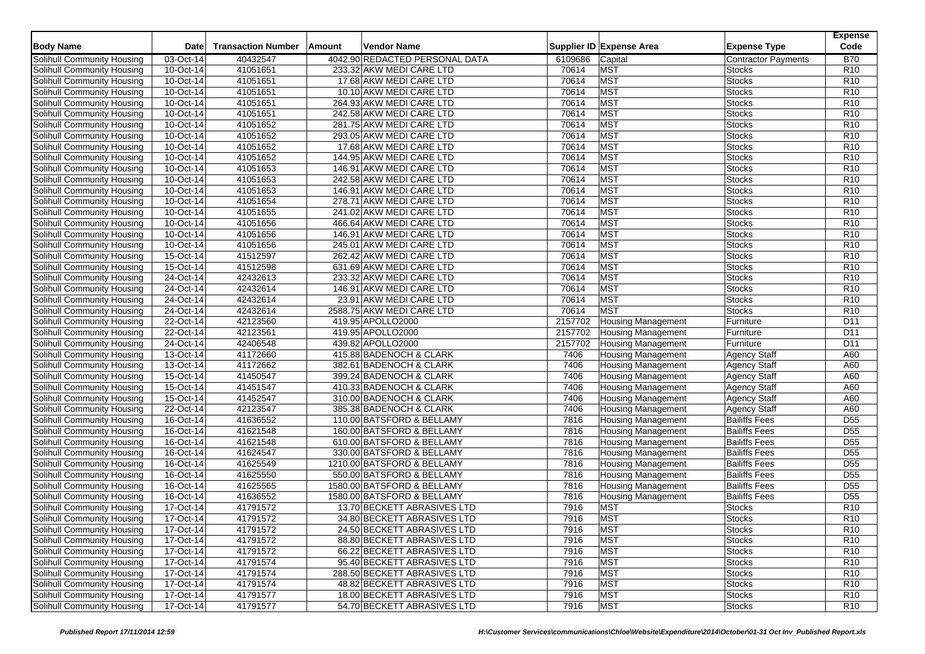|                            |             |                           |        |                                |         |                           |                            | <b>Expense</b>  |
|----------------------------|-------------|---------------------------|--------|--------------------------------|---------|---------------------------|----------------------------|-----------------|
| <b>Body Name</b>           | <b>Date</b> | <b>Transaction Number</b> | Amount | <b>Vendor Name</b>             |         | Supplier ID Expense Area  | <b>Expense Type</b>        | Code            |
| Solihull Community Housing | 03-Oct-14   | 40432547                  |        | 4042.90 REDACTED PERSONAL DATA | 6109686 | Capital                   | <b>Contractor Payments</b> | <b>B70</b>      |
| Solihull Community Housing | 10-Oct-14   | 41051651                  |        | 233.32 AKW MEDI CARE LTD       | 70614   | <b>MST</b>                | <b>Stocks</b>              | R <sub>10</sub> |
| Solihull Community Housing | 10-Oct-14   | 41051651                  |        | 17.68 AKW MEDI CARE LTD        | 70614   | <b>MST</b>                | <b>Stocks</b>              | R <sub>10</sub> |
| Solihull Community Housing | 10-Oct-14   | 41051651                  |        | 10.10 AKW MEDI CARE LTD        | 70614   | <b>MST</b>                | <b>Stocks</b>              | R10             |
| Solihull Community Housing | 10-Oct-14   | 41051651                  |        | 264.93 AKW MEDI CARE LTD       | 70614   | <b>MST</b>                | <b>Stocks</b>              | R <sub>10</sub> |
| Solihull Community Housing | 10-Oct-14   | 41051651                  |        | 242.58 AKW MEDI CARE LTD       | 70614   | <b>MST</b>                | Stocks                     | R <sub>10</sub> |
| Solihull Community Housing | 10-Oct-14   | 41051652                  |        | 281.75 AKW MEDI CARE LTD       | 70614   | <b>MST</b>                | <b>Stocks</b>              | R <sub>10</sub> |
| Solihull Community Housing | 10-Oct-14   | 41051652                  |        | 293.05 AKW MEDI CARE LTD       | 70614   | <b>MST</b>                | Stocks                     | R <sub>10</sub> |
| Solihull Community Housing | 10-Oct-14   | 41051652                  |        | 17.68 AKW MEDI CARE LTD        | 70614   | <b>MST</b>                | Stocks                     | R <sub>10</sub> |
| Solihull Community Housing | 10-Oct-14   | 41051652                  |        | 144.95 AKW MEDI CARE LTD       | 70614   | <b>MST</b>                | <b>Stocks</b>              | R <sub>10</sub> |
| Solihull Community Housing | 10-Oct-14   | 41051653                  |        | 146.91 AKW MEDI CARE LTD       | 70614   | <b>MST</b>                | <b>Stocks</b>              | R <sub>10</sub> |
| Solihull Community Housing | 10-Oct-14   | 41051653                  |        | 242.58 AKW MEDI CARE LTD       | 70614   | <b>MST</b>                | Stocks                     | R <sub>10</sub> |
| Solihull Community Housing | 10-Oct-14   | 41051653                  |        | 146.91 AKW MEDI CARE LTD       | 70614   | <b>MST</b>                | <b>Stocks</b>              | R <sub>10</sub> |
| Solihull Community Housing | 10-Oct-14   | 41051654                  |        | 278.71 AKW MEDI CARE LTD       | 70614   | <b>MST</b>                | Stocks                     | R <sub>10</sub> |
| Solihull Community Housing | 10-Oct-14   | 41051655                  |        | 241.02 AKW MEDI CARE LTD       | 70614   | <b>MST</b>                | <b>Stocks</b>              | R <sub>10</sub> |
| Solihull Community Housing | 10-Oct-14   | 41051656                  |        | 466.64 AKW MEDI CARE LTD       | 70614   | <b>MST</b>                | <b>Stocks</b>              | R <sub>10</sub> |
| Solihull Community Housing | 10-Oct-14   | 41051656                  |        | 146.91 AKW MEDI CARE LTD       | 70614   | <b>MST</b>                | <b>Stocks</b>              | R <sub>10</sub> |
| Solihull Community Housing | 10-Oct-14   | 41051656                  |        | 245.01 AKW MEDI CARE LTD       | 70614   | <b>MST</b>                | Stocks                     | R <sub>10</sub> |
| Solihull Community Housing | 15-Oct-14   | 41512597                  |        | 262.42 AKW MEDI CARE LTD       | 70614   | <b>MST</b>                | <b>Stocks</b>              | R <sub>10</sub> |
| Solihull Community Housing | 15-Oct-14   | 41512598                  |        | 631.69 AKW MEDI CARE LTD       | 70614   | <b>MST</b>                | Stocks                     | R <sub>10</sub> |
| Solihull Community Housing | 24-Oct-14   | 42432613                  |        | 233.32 AKW MEDI CARE LTD       | 70614   | <b>MST</b>                | <b>Stocks</b>              | R <sub>10</sub> |
| Solihull Community Housing | 24-Oct-14   | 42432614                  |        | 146.91 AKW MEDI CARE LTD       | 70614   | <b>MST</b>                | <b>Stocks</b>              | R <sub>10</sub> |
| Solihull Community Housing | 24-Oct-14   | 42432614                  |        | 23.91 AKW MEDI CARE LTD        | 70614   | <b>MST</b>                | Stocks                     | R <sub>10</sub> |
| Solihull Community Housing | 24-Oct-14   | 42432614                  |        | 2588.75 AKW MEDI CARE LTD      | 70614   | <b>MST</b>                | <b>Stocks</b>              | R <sub>10</sub> |
| Solihull Community Housing | 22-Oct-14   | 42123560                  |        | 419.95 APOLLO2000              | 2157702 | <b>Housing Management</b> | Furniture                  | D11             |
| Solihull Community Housing | 22-Oct-14   | 42123561                  |        | 419.95 APOLLO2000              | 2157702 | <b>Housing Management</b> | Furniture                  | D11             |
| Solihull Community Housing | 24-Oct-14   | 42406548                  |        | 439.82 APOLLO2000              | 2157702 | <b>Housing Management</b> | Furniture                  | D11             |
| Solihull Community Housing | 13-Oct-14   | 41172660                  |        | 415.88 BADENOCH & CLARK        | 7406    | <b>Housing Management</b> | <b>Agency Staff</b>        | A60             |
| Solihull Community Housing | 13-Oct-14   | 41172662                  |        | 382.61 BADENOCH & CLARK        | 7406    | <b>Housing Management</b> | Agency Staff               | A60             |
| Solihull Community Housing | 15-Oct-14   | 41450547                  |        | 399.24 BADENOCH & CLARK        | 7406    | <b>Housing Management</b> | <b>Agency Staff</b>        | A60             |
| Solihull Community Housing | 15-Oct-14   | 41451547                  |        | 410.33 BADENOCH & CLARK        | 7406    | <b>Housing Management</b> | <b>Agency Staff</b>        | A60             |
| Solihull Community Housing | 15-Oct-14   | 41452547                  |        | 310.00 BADENOCH & CLARK        | 7406    | Housing Management        | <b>Agency Staff</b>        | A60             |
| Solihull Community Housing | 22-Oct-14   | 42123547                  |        | 385.38 BADENOCH & CLARK        | 7406    | <b>Housing Management</b> | <b>Agency Staff</b>        | A60             |
| Solihull Community Housing | 16-Oct-14   | 41636552                  |        | 110.00 BATSFORD & BELLAMY      | 7816    | <b>Housing Management</b> | <b>Bailiffs Fees</b>       | D <sub>55</sub> |
| Solihull Community Housing | 16-Oct-14   | 41621548                  |        | 160.00 BATSFORD & BELLAMY      | 7816    | <b>Housing Management</b> | <b>Bailiffs Fees</b>       | D <sub>55</sub> |
| Solihull Community Housing | 16-Oct-14   | 41621548                  |        | 610.00 BATSFORD & BELLAMY      | 7816    | <b>Housing Management</b> | <b>Bailiffs Fees</b>       | D <sub>55</sub> |
| Solihull Community Housing | 16-Oct-14   | 41624547                  |        | 330.00 BATSFORD & BELLAMY      | 7816    | <b>Housing Management</b> | <b>Bailiffs Fees</b>       | D <sub>55</sub> |
| Solihull Community Housing | 16-Oct-14   | 41625549                  |        | 1210.00 BATSFORD & BELLAMY     | 7816    | Housing Management        | <b>Bailiffs Fees</b>       | D <sub>55</sub> |
| Solihull Community Housing | 16-Oct-14   | 41625550                  |        | 550.00 BATSFORD & BELLAMY      | 7816    | <b>Housing Management</b> | <b>Bailiffs Fees</b>       | D <sub>55</sub> |
| Solihull Community Housing | 16-Oct-14   | 41625565                  |        | 1580.00 BATSFORD & BELLAMY     | 7816    | <b>Housing Management</b> | <b>Bailiffs Fees</b>       | D <sub>55</sub> |
| Solihull Community Housing | 16-Oct-14   | 41636552                  |        | 1580.00 BATSFORD & BELLAMY     | 7816    | <b>Housing Management</b> | <b>Bailiffs Fees</b>       | D <sub>55</sub> |
| Solihull Community Housing | 17-Oct-14   | 41791572                  |        | 13.70 BECKETT ABRASIVES LTD    | 7916    | <b>MST</b>                | Stocks                     | R <sub>10</sub> |
| Solihull Community Housing | 17-Oct-14   | 41791572                  |        | 34.80 BECKETT ABRASIVES LTD    | 7916    | <b>MST</b>                | <b>Stocks</b>              | R <sub>10</sub> |
| Solihull Community Housing | 17-Oct-14   | 41791572                  |        | 24.50 BECKETT ABRASIVES LTD    | 7916    | <b>MST</b>                | <b>Stocks</b>              | R <sub>10</sub> |
| Solihull Community Housing | 17-Oct-14   | 41791572                  |        | 88.80 BECKETT ABRASIVES LTD    | 7916    | <b>MST</b>                | <b>Stocks</b>              | R <sub>10</sub> |
| Solihull Community Housing | 17-Oct-14   | 41791572                  |        | 66.22 BECKETT ABRASIVES LTD    | 7916    | <b>MST</b>                | <b>Stocks</b>              | R <sub>10</sub> |
| Solihull Community Housing | 17-Oct-14   | 41791574                  |        | 95.40 BECKETT ABRASIVES LTD    | 7916    | <b>MST</b>                | <b>Stocks</b>              | R <sub>10</sub> |
| Solihull Community Housing | $17-Oct-14$ | 41791574                  |        | 288.50 BECKETT ABRASIVES LTD   | 7916    | <b>MST</b>                | <b>Stocks</b>              | R <sub>10</sub> |
| Solihull Community Housing | 17-Oct-14   | 41791574                  |        | 48.82 BECKETT ABRASIVES LTD    | 7916    | <b>MST</b>                | <b>Stocks</b>              | R <sub>10</sub> |
| Solihull Community Housing | 17-Oct-14   | 41791577                  |        | 18.00 BECKETT ABRASIVES LTD    | 7916    | <b>MST</b>                | <b>Stocks</b>              | R <sub>10</sub> |
| Solihull Community Housing | 17-Oct-14   | 41791577                  |        | 54.70 BECKETT ABRASIVES LTD    | 7916    | <b>MST</b>                | <b>Stocks</b>              | R <sub>10</sub> |
|                            |             |                           |        |                                |         |                           |                            |                 |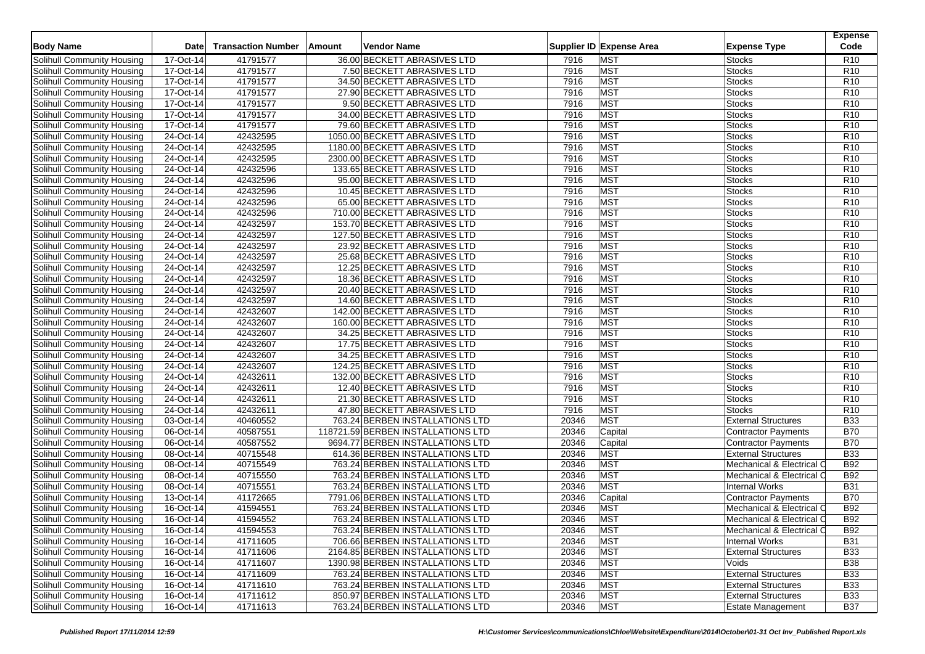| <b>Body Name</b>                                         | <b>Date</b>            | <b>Transaction Number</b> | Amount<br>Vendor Name                                     |              | Supplier ID Expense Area | <b>Expense Type</b>            | <b>Expense</b><br>Code |
|----------------------------------------------------------|------------------------|---------------------------|-----------------------------------------------------------|--------------|--------------------------|--------------------------------|------------------------|
| Solihull Community Housing                               | 17-Oct-14              | 41791577                  |                                                           |              | <b>MST</b>               |                                | R <sub>10</sub>        |
|                                                          |                        |                           | 36.00 BECKETT ABRASIVES LTD                               | 7916         |                          | <b>Stocks</b>                  | R <sub>10</sub>        |
| Solihull Community Housing<br>Solihull Community Housing | 17-Oct-14<br>17-Oct-14 | 41791577<br>41791577      | 7.50 BECKETT ABRASIVES LTD<br>34.50 BECKETT ABRASIVES LTD | 7916<br>7916 | <b>MST</b><br><b>MST</b> | <b>Stocks</b><br><b>Stocks</b> | R <sub>10</sub>        |
|                                                          |                        |                           |                                                           | 7916         | <b>MST</b>               |                                | R <sub>10</sub>        |
| Solihull Community Housing                               | 17-Oct-14              | 41791577                  | 27.90 BECKETT ABRASIVES LTD                               |              |                          | Stocks                         |                        |
| Solihull Community Housing                               | 17-Oct-14              | 41791577                  | 9.50 BECKETT ABRASIVES LTD                                | 7916         | <b>MST</b>               | Stocks                         | R <sub>10</sub>        |
| Solihull Community Housing                               | 17-Oct-14              | 41791577                  | 34.00 BECKETT ABRASIVES LTD                               | 7916         | <b>MST</b>               | <b>Stocks</b>                  | R <sub>10</sub>        |
| Solihull Community Housing                               | 17-Oct-14              | 41791577                  | 79.60 BECKETT ABRASIVES LTD                               | 7916         | <b>MST</b>               | Stocks                         | R <sub>10</sub>        |
| Solihull Community Housing                               | 24-Oct-14              | 42432595                  | 1050.00 BECKETT ABRASIVES LTD                             | 7916         | <b>MST</b>               | <b>Stocks</b>                  | R <sub>10</sub>        |
| Solihull Community Housing                               | 24-Oct-14              | 42432595                  | 1180.00 BECKETT ABRASIVES LTD                             | 7916         | <b>MST</b>               | Stocks                         | R <sub>10</sub>        |
| Solihull Community Housing                               | 24-Oct-14              | 42432595                  | 2300.00 BECKETT ABRASIVES LTD                             | 7916         | <b>MST</b>               | <b>Stocks</b>                  | R <sub>10</sub>        |
| Solihull Community Housing                               | 24-Oct-14              | 42432596                  | 133.65 BECKETT ABRASIVES LTD                              | 7916         | <b>MST</b>               | <b>Stocks</b>                  | R <sub>10</sub>        |
| Solihull Community Housing                               | 24-Oct-14              | 42432596                  | 95.00 BECKETT ABRASIVES LTD                               | 7916         | <b>MST</b>               | <b>Stocks</b>                  | R <sub>10</sub>        |
| Solihull Community Housing                               | 24-Oct-14              | 42432596                  | 10.45 BECKETT ABRASIVES LTD                               | 7916         | <b>MST</b>               | Stocks                         | R <sub>10</sub>        |
| Solihull Community Housing                               | 24-Oct-14              | 42432596                  | 65.00 BECKETT ABRASIVES LTD                               | 7916         | <b>MST</b>               | <b>Stocks</b>                  | R <sub>10</sub>        |
| Solihull Community Housing                               | 24-Oct-14              | 42432596                  | 710.00 BECKETT ABRASIVES LTD                              | 7916         | <b>MST</b>               | <b>Stocks</b>                  | R <sub>10</sub>        |
| Solihull Community Housing                               | 24-Oct-14              | 42432597                  | 153.70 BECKETT ABRASIVES LTD                              | 7916         | <b>MST</b>               | Stocks                         | R <sub>10</sub>        |
| Solihull Community Housing                               | 24-Oct-14              | 42432597                  | 127.50 BECKETT ABRASIVES LTD                              | 7916         | <b>MST</b>               | <b>Stocks</b>                  | R <sub>10</sub>        |
| Solihull Community Housing                               | 24-Oct-14              | 42432597                  | 23.92 BECKETT ABRASIVES LTD                               | 7916         | <b>MST</b>               | <b>Stocks</b>                  | R <sub>10</sub>        |
| Solihull Community Housing                               | 24-Oct-14              | 42432597                  | 25.68 BECKETT ABRASIVES LTD                               | 7916         | <b>MST</b>               | <b>Stocks</b>                  | R <sub>10</sub>        |
| Solihull Community Housing                               | 24-Oct-14              | 42432597                  | 12.25 BECKETT ABRASIVES LTD                               | 7916         | <b>MST</b>               | <b>Stocks</b>                  | R <sub>10</sub>        |
| Solihull Community Housing                               | 24-Oct-14              | 42432597                  | 18.36 BECKETT ABRASIVES LTD                               | 7916         | <b>MST</b>               | <b>Stocks</b>                  | R <sub>10</sub>        |
| Solihull Community Housing                               | 24-Oct-14              | 42432597                  | 20.40 BECKETT ABRASIVES LTD                               | 7916         | <b>MST</b>               | <b>Stocks</b>                  | R <sub>10</sub>        |
| Solihull Community Housing                               | 24-Oct-14              | 42432597                  | 14.60 BECKETT ABRASIVES LTD                               | 7916         | <b>MST</b>               | <b>Stocks</b>                  | R <sub>10</sub>        |
| Solihull Community Housing                               | 24-Oct-14              | 42432607                  | 142.00 BECKETT ABRASIVES LTD                              | 7916         | <b>MST</b>               | <b>Stocks</b>                  | R <sub>10</sub>        |
| Solihull Community Housing                               | 24-Oct-14              | 42432607                  | 160.00 BECKETT ABRASIVES LTD                              | 7916         | <b>MST</b>               | <b>Stocks</b>                  | R <sub>10</sub>        |
| Solihull Community Housing                               | 24-Oct-14              | 42432607                  | 34.25 BECKETT ABRASIVES LTD                               | 7916         | <b>MST</b>               | <b>Stocks</b>                  | R <sub>10</sub>        |
| Solihull Community Housing                               | 24-Oct-14              | 42432607                  | 17.75 BECKETT ABRASIVES LTD                               | 7916         | <b>MST</b>               | <b>Stocks</b>                  | R <sub>10</sub>        |
| Solihull Community Housing                               | 24-Oct-14              | 42432607                  | 34.25 BECKETT ABRASIVES LTD                               | 7916         | <b>MST</b>               | <b>Stocks</b>                  | R <sub>10</sub>        |
| Solihull Community Housing                               | 24-Oct-14              | 42432607                  | 124.25 BECKETT ABRASIVES LTD                              | 7916         | <b>MST</b>               | Stocks                         | R <sub>10</sub>        |
| Solihull Community Housing                               | 24-Oct-14              | 42432611                  | 132.00 BECKETT ABRASIVES LTD                              | 7916         | <b>MST</b>               | <b>Stocks</b>                  | R <sub>10</sub>        |
| Solihull Community Housing                               | 24-Oct-14              | 42432611                  | 12.40 BECKETT ABRASIVES LTD                               | 7916         | <b>MST</b>               | <b>Stocks</b>                  | R <sub>10</sub>        |
| Solihull Community Housing                               | 24-Oct-14              | 42432611                  | 21.30 BECKETT ABRASIVES LTD                               | 7916         | <b>MST</b>               | Stocks                         | R <sub>10</sub>        |
| Solihull Community Housing                               | 24-Oct-14              | 42432611                  | 47.80 BECKETT ABRASIVES LTD                               | 7916         | <b>MST</b>               | <b>Stocks</b>                  | R <sub>10</sub>        |
| Solihull Community Housing                               | 03-Oct-14              | 40460552                  | 763.24 BERBEN INSTALLATIONS LTD                           | 20346        | <b>MST</b>               | <b>External Structures</b>     | <b>B33</b>             |
| Solihull Community Housing                               | 06-Oct-14              | 40587551                  | 118721.59 BERBEN INSTALLATIONS LTD                        | 20346        | Capital                  | Contractor Payments            | <b>B70</b>             |
| Solihull Community Housing                               | 06-Oct-14              | 40587552                  | 9694.77 BERBEN INSTALLATIONS LTD                          | 20346        | Capital                  | Contractor Payments            | <b>B70</b>             |
| Solihull Community Housing                               | 08-Oct-14              | 40715548                  | 614.36 BERBEN INSTALLATIONS LTD                           | 20346        | <b>MST</b>               | <b>External Structures</b>     | <b>B33</b>             |
| Solihull Community Housing                               | 08-Oct-14              | 40715549                  | 763.24 BERBEN INSTALLATIONS LTD                           | 20346        | <b>MST</b>               | Mechanical & Electrical C      | <b>B92</b>             |
| Solihull Community Housing                               | 08-Oct-14              | 40715550                  | 763.24 BERBEN INSTALLATIONS LTD                           | 20346        | <b>MST</b>               | Mechanical & Electrical C      | <b>B92</b>             |
| Solihull Community Housing                               | 08-Oct-14              | 40715551                  | 763.24 BERBEN INSTALLATIONS LTD                           | 20346        | <b>MST</b>               | <b>Internal Works</b>          | <b>B31</b>             |
| Solihull Community Housing                               | 13-Oct-14              | 41172665                  | 7791.06 BERBEN INSTALLATIONS LTD                          | 20346        | Capital                  | Contractor Payments            | <b>B70</b>             |
| Solihull Community Housing                               | 16-Oct-14              | 41594551                  | 763.24 BERBEN INSTALLATIONS LTD                           | 20346        | <b>MST</b>               | Mechanical & Electrical C      | <b>B92</b>             |
| Solihull Community Housing                               | 16-Oct-14              | 41594552                  | 763.24 BERBEN INSTALLATIONS LTD                           | 20346        | <b>MST</b>               | Mechanical & Electrical C      | <b>B92</b>             |
| Solihull Community Housing                               | 16-Oct-14              | 41594553                  | 763.24 BERBEN INSTALLATIONS LTD                           | 20346        | <b>MST</b>               | Mechanical & Electrical C      | <b>B92</b>             |
| Solihull Community Housing                               | 16-Oct-14              | 41711605                  | 706.66 BERBEN INSTALLATIONS LTD                           | 20346        | <b>MST</b>               | <b>Internal Works</b>          | <b>B31</b>             |
| Solihull Community Housing                               | 16-Oct-14              | 41711606                  | 2164.85 BERBEN INSTALLATIONS LTD                          | 20346        | <b>MST</b>               | <b>External Structures</b>     | <b>B33</b>             |
| Solihull Community Housing                               | 16-Oct-14              | 41711607                  | 1390.98 BERBEN INSTALLATIONS LTD                          | 20346        | <b>MST</b>               | Voids                          | <b>B38</b>             |
| Solihull Community Housing                               | 16-Oct-14              | 41711609                  | 763.24 BERBEN INSTALLATIONS LTD                           | 20346        | <b>MST</b>               | <b>External Structures</b>     | <b>B33</b>             |
| Solihull Community Housing                               | 16-Oct-14              | 41711610                  | 763.24 BERBEN INSTALLATIONS LTD                           | 20346        | <b>MST</b>               | <b>External Structures</b>     | <b>B33</b>             |
| Solihull Community Housing                               | 16-Oct-14              | 41711612                  | 850.97 BERBEN INSTALLATIONS LTD                           | 20346        | <b>MST</b>               | <b>External Structures</b>     | <b>B33</b>             |
| Solihull Community Housing                               | 16-Oct-14              | 41711613                  | 763.24 BERBEN INSTALLATIONS LTD                           | 20346        | <b>MST</b>               | <b>Estate Management</b>       | <b>B37</b>             |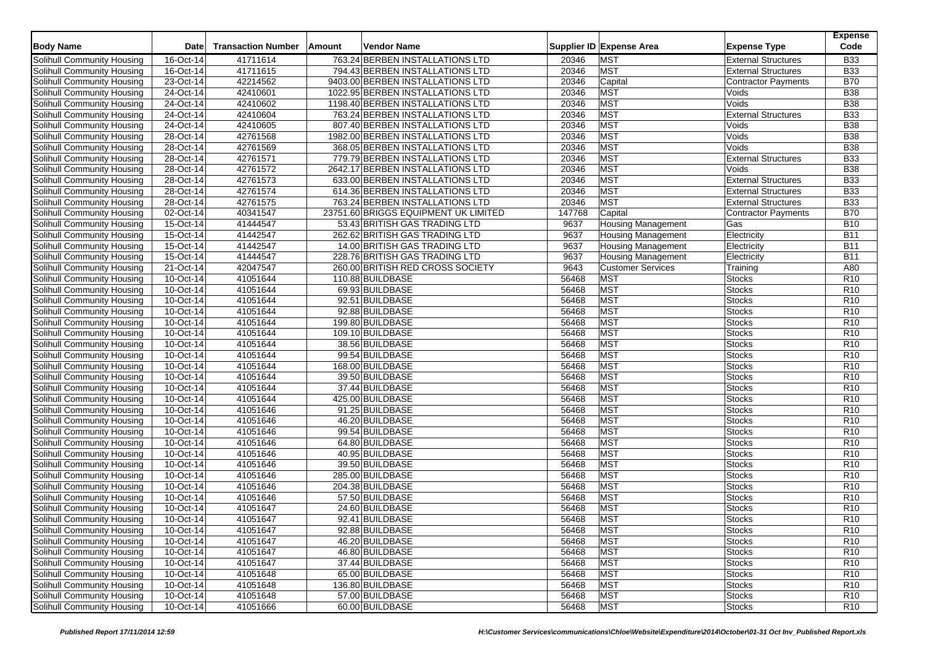| <b>Body Name</b>                  | Date        | <b>Transaction Number</b> | Amount | <b>Vendor Name</b>                   |                | Supplier ID Expense Area  | <b>Expense Type</b>                 | <b>Expense</b><br>Code   |
|-----------------------------------|-------------|---------------------------|--------|--------------------------------------|----------------|---------------------------|-------------------------------------|--------------------------|
| Solihull Community Housing        | 16-Oct-14   | 41711614                  |        | 763.24 BERBEN INSTALLATIONS LTD      | 20346          | <b>MST</b>                | <b>External Structures</b>          | <b>B33</b>               |
| Solihull Community Housing        | 16-Oct-14   | 41711615                  |        | 794.43 BERBEN INSTALLATIONS LTD      | 20346          | <b>MST</b>                | <b>External Structures</b>          | <b>B33</b>               |
| <b>Solihull Community Housing</b> | 23-Oct-14   | 42214562                  |        | 9403.00 BERBEN INSTALLATIONS LTD     | 20346          | Capital                   | <b>Contractor Payments</b>          | <b>B70</b>               |
| Solihull Community Housing        | 24-Oct-14   |                           |        |                                      | 20346          | <b>MST</b>                | Voids                               | <b>B38</b>               |
|                                   |             | 42410601                  |        | 1022.95 BERBEN INSTALLATIONS LTD     |                |                           |                                     |                          |
| Solihull Community Housing        | 24-Oct-14   | 42410602<br>42410604      |        | 1198.40 BERBEN INSTALLATIONS LTD     | 20346<br>20346 | <b>MST</b><br><b>MST</b>  | Voids                               | <b>B38</b><br><b>B33</b> |
| Solihull Community Housing        | 24-Oct-14   |                           |        | 763.24 BERBEN INSTALLATIONS LTD      | 20346          | <b>MST</b>                | <b>External Structures</b><br>Voids | <b>B38</b>               |
| Solihull Community Housing        | 24-Oct-14   | 42410605<br>42761568      |        | 807.40 BERBEN INSTALLATIONS LTD      | 20346          | <b>MST</b>                |                                     | <b>B</b> 38              |
| <b>Solihull Community Housing</b> | 28-Oct-14   |                           |        | 1982.00 BERBEN INSTALLATIONS LTD     |                | <b>MST</b>                | Voids                               |                          |
| Solihull Community Housing        | 28-Oct-14   | 42761569                  |        | 368.05 BERBEN INSTALLATIONS LTD      | 20346          |                           | Voids                               | <b>B38</b>               |
| Solihull Community Housing        | 28-Oct-14   | 42761571                  |        | 779.79 BERBEN INSTALLATIONS LTD      | 20346          | <b>MST</b>                | <b>External Structures</b>          | <b>B33</b>               |
| Solihull Community Housing        | 28-Oct-14   | 42761572                  |        | 2642.17 BERBEN INSTALLATIONS LTD     | 20346          | <b>MST</b>                | Voids                               | <b>B38</b>               |
| Solihull Community Housing        | 28-Oct-14   | 42761573                  |        | 633.00 BERBEN INSTALLATIONS LTD      | 20346          | <b>MST</b>                | <b>External Structures</b>          | <b>B33</b>               |
| Solihull Community Housing        | 28-Oct-14   | 42761574                  |        | 614.36 BERBEN INSTALLATIONS LTD      | 20346          | <b>MST</b>                | <b>External Structures</b>          | <b>B33</b>               |
| Solihull Community Housing        | 28-Oct-14   | 42761575                  |        | 763.24 BERBEN INSTALLATIONS LTD      | 20346          | <b>MST</b>                | <b>External Structures</b>          | <b>B33</b>               |
| Solihull Community Housing        | 02-Oct-14   | 40341547                  |        | 23751.60 BRIGGS EQUIPMENT UK LIMITED | 147768         | Capital                   | <b>Contractor Payments</b>          | <b>B70</b>               |
| Solihull Community Housing        | 15-Oct-14   | 41444547                  |        | 53.43 BRITISH GAS TRADING LTD        | 9637           | <b>Housing Management</b> | Gas                                 | <b>B10</b>               |
| Solihull Community Housing        | 15-Oct-14   | 41442547                  |        | 262.62 BRITISH GAS TRADING LTD       | 9637           | <b>Housing Management</b> | Electricity                         | <b>B11</b>               |
| Solihull Community Housing        | 15-Oct-14   | 41442547                  |        | 14.00 BRITISH GAS TRADING LTD        | 9637           | <b>Housing Management</b> | Electricity                         | <b>B11</b>               |
| Solihull Community Housing        | 15-Oct-14   | 41444547                  |        | 228.76 BRITISH GAS TRADING LTD       | 9637           | <b>Housing Management</b> | Electricity                         | <b>B11</b>               |
| Solihull Community Housing        | 21-Oct-14   | 42047547                  |        | 260.00 BRITISH RED CROSS SOCIETY     | 9643           | <b>Customer Services</b>  | Training                            | A80                      |
| Solihull Community Housing        | 10-Oct-14   | 41051644                  |        | 110.88 BUILDBASE                     | 56468          | <b>MST</b>                | <b>Stocks</b>                       | R <sub>10</sub>          |
| Solihull Community Housing        | 10-Oct-14   | 41051644                  |        | 69.93 BUILDBASE                      | 56468          | <b>MST</b>                | <b>Stocks</b>                       | R <sub>10</sub>          |
| Solihull Community Housing        | 10-Oct-14   | 41051644                  |        | 92.51 BUILDBASE                      | 56468          | <b>MST</b>                | <b>Stocks</b>                       | R <sub>10</sub>          |
| Solihull Community Housing        | $10-Oct-14$ | 41051644                  |        | 92.88 BUILDBASE                      | 56468          | <b>MST</b>                | <b>Stocks</b>                       | R <sub>10</sub>          |
| Solihull Community Housing        | 10-Oct-14   | 41051644                  |        | 199.80 BUILDBASE                     | 56468          | <b>MST</b>                | <b>Stocks</b>                       | R <sub>10</sub>          |
| Solihull Community Housing        | 10-Oct-14   | 41051644                  |        | 109.10 BUILDBASE                     | 56468          | <b>MST</b>                | <b>Stocks</b>                       | R <sub>10</sub>          |
| Solihull Community Housing        | 10-Oct-14   | 41051644                  |        | 38.56 BUILDBASE                      | 56468          | <b>MST</b>                | <b>Stocks</b>                       | R <sub>10</sub>          |
| Solihull Community Housing        | 10-Oct-14   | 41051644                  |        | 99.54 BUILDBASE                      | 56468          | <b>MST</b>                | <b>Stocks</b>                       | R <sub>10</sub>          |
| Solihull Community Housing        | 10-Oct-14   | 41051644                  |        | 168.00 BUILDBASE                     | 56468          | <b>MST</b>                | <b>Stocks</b>                       | R <sub>10</sub>          |
| Solihull Community Housing        | 10-Oct-14   | 41051644                  |        | 39.50 BUILDBASE                      | 56468          | <b>MST</b>                | <b>Stocks</b>                       | R <sub>10</sub>          |
| Solihull Community Housing        | 10-Oct-14   | 41051644                  |        | 37.44 BUILDBASE                      | 56468          | <b>MST</b>                | <b>Stocks</b>                       | R <sub>10</sub>          |
| Solihull Community Housing        | 10-Oct-14   | 41051644                  |        | 425.00 BUILDBASE                     | 56468          | <b>MST</b>                | <b>Stocks</b>                       | R <sub>10</sub>          |
| Solihull Community Housing        | 10-Oct-14   | 41051646                  |        | 91.25 BUILDBASE                      | 56468          | <b>MST</b>                | <b>Stocks</b>                       | R <sub>10</sub>          |
| Solihull Community Housing        | 10-Oct-14   | 41051646                  |        | 46.20 BUILDBASE                      | 56468          | <b>MST</b>                | <b>Stocks</b>                       | R <sub>10</sub>          |
| Solihull Community Housing        | 10-Oct-14   | 41051646                  |        | 99.54 BUILDBASE                      | 56468          | <b>MST</b>                | <b>Stocks</b>                       | R <sub>10</sub>          |
| <b>Solihull Community Housing</b> | 10-Oct-14   | 41051646                  |        | 64.80 BUILDBASE                      | 56468          | <b>MST</b>                | <b>Stocks</b>                       | R <sub>10</sub>          |
| Solihull Community Housing        | 10-Oct-14   | 41051646                  |        | 40.95 BUILDBASE                      | 56468          | <b>MST</b>                | <b>Stocks</b>                       | R <sub>10</sub>          |
| Solihull Community Housing        | 10-Oct-14   | 41051646                  |        | 39.50 BUILDBASE                      | 56468          | <b>MST</b>                | <b>Stocks</b>                       | R <sub>10</sub>          |
| Solihull Community Housing        | 10-Oct-14   | 41051646                  |        | 285.00 BUILDBASE                     | 56468          | <b>MST</b>                | <b>Stocks</b>                       | R <sub>10</sub>          |
| Solihull Community Housing        | 10-Oct-14   | 41051646                  |        | 204.38 BUILDBASE                     | 56468          | <b>MST</b>                | <b>Stocks</b>                       | R <sub>10</sub>          |
| Solihull Community Housing        | 10-Oct-14   | 41051646                  |        | 57.50 BUILDBASE                      | 56468          | <b>MST</b>                | <b>Stocks</b>                       | R <sub>10</sub>          |
| Solihull Community Housing        | 10-Oct-14   | 41051647                  |        | 24.60 BUILDBASE                      | 56468          | <b>MST</b>                | <b>Stocks</b>                       | R <sub>10</sub>          |
| Solihull Community Housing        | 10-Oct-14   | 41051647                  |        | 92.41 BUILDBASE                      | 56468          | MST                       | <b>Stocks</b>                       | R <sub>10</sub>          |
| Solihull Community Housing        | 10-Oct-14   | 41051647                  |        | 92.88 BUILDBASE                      | 56468          | <b>MST</b>                | <b>Stocks</b>                       | R <sub>10</sub>          |
| Solihull Community Housing        | 10-Oct-14   | 41051647                  |        | 46.20 BUILDBASE                      | 56468          | <b>MST</b>                | <b>Stocks</b>                       | R <sub>10</sub>          |
| Solihull Community Housing        | 10-Oct-14   | 41051647                  |        | 46.80 BUILDBASE                      | 56468          | <b>MST</b>                | <b>Stocks</b>                       | R <sub>10</sub>          |
| Solihull Community Housing        | 10-Oct-14   | 41051647                  |        | 37.44 BUILDBASE                      | 56468          | <b>MST</b>                | <b>Stocks</b>                       | R <sub>10</sub>          |
| Solihull Community Housing        | 10-Oct-14   | 41051648                  |        | 65.00 BUILDBASE                      | 56468          | <b>MST</b>                | Stocks                              | R <sub>10</sub>          |
| Solihull Community Housing        | 10-Oct-14   | 41051648                  |        | 136.80 BUILDBASE                     | 56468          | <b>MST</b>                | <b>Stocks</b>                       | R <sub>10</sub>          |
| Solihull Community Housing        | 10-Oct-14   | 41051648                  |        | 57.00 BUILDBASE                      | 56468          | MST                       | <b>Stocks</b>                       | R <sub>10</sub>          |
| Solihull Community Housing        | 10-Oct-14   | 41051666                  |        | 60.00 BUILDBASE                      | 56468          | <b>MST</b>                | <b>Stocks</b>                       | R <sub>10</sub>          |
|                                   |             |                           |        |                                      |                |                           |                                     |                          |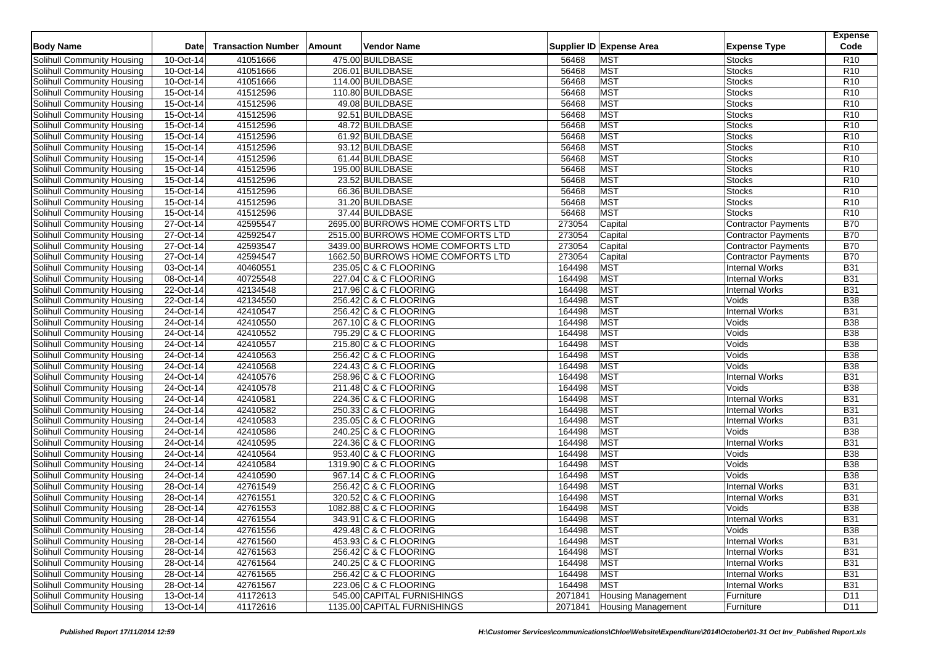| <b>Body Name</b>                  | Date         | <b>Transaction Number</b> | Amount | <b>Vendor Name</b>                |         | Supplier ID Expense Area  | <b>Expense Type</b>        | <b>Expense</b><br>Code |
|-----------------------------------|--------------|---------------------------|--------|-----------------------------------|---------|---------------------------|----------------------------|------------------------|
| Solihull Community Housing        | 10-Oct-14    | 41051666                  |        | 475.00 BUILDBASE                  | 56468   | <b>MST</b>                | <b>Stocks</b>              | R <sub>10</sub>        |
| Solihull Community Housing        | 10-Oct-14    | 41051666                  |        | 206.01 BUILDBASE                  | 56468   | <b>MST</b>                | <b>Stocks</b>              | R <sub>10</sub>        |
| Solihull Community Housing        | 10-Oct-14    | 41051666                  |        | 114.00 BUILDBASE                  | 56468   | <b>MST</b>                | <b>Stocks</b>              | R <sub>10</sub>        |
| Solihull Community Housing        | 15-Oct-14    | 41512596                  |        | 110.80 BUILDBASE                  | 56468   | <b>MST</b>                | <b>Stocks</b>              | R <sub>10</sub>        |
| Solihull Community Housing        | 15-Oct-14    | 41512596                  |        | 49.08 BUILDBASE                   | 56468   | <b>MST</b>                | <b>Stocks</b>              | R <sub>10</sub>        |
| Solihull Community Housing        | 15-Oct-14    | 41512596                  |        | 92.51 BUILDBASE                   | 56468   | <b>MST</b>                | <b>Stocks</b>              | R <sub>10</sub>        |
| Solihull Community Housing        | 15-Oct-14    | 41512596                  |        | 48.72 BUILDBASE                   | 56468   | <b>MST</b>                | <b>Stocks</b>              | R <sub>10</sub>        |
| Solihull Community Housing        | 15-Oct-14    | 41512596                  |        | 61.92 BUILDBASE                   | 56468   | <b>MST</b>                | <b>Stocks</b>              | R <sub>10</sub>        |
| Solihull Community Housing        | 15-Oct-14    | 41512596                  |        | 93.12 BUILDBASE                   | 56468   | <b>MST</b>                | <b>Stocks</b>              | R <sub>10</sub>        |
| Solihull Community Housing        | 15-Oct-14    | 41512596                  |        | 61.44 BUILDBASE                   | 56468   | <b>MST</b>                | <b>Stocks</b>              | R <sub>10</sub>        |
| Solihull Community Housing        | 15-Oct-14    | 41512596                  |        | 195.00 BUILDBASE                  | 56468   | <b>MST</b>                | <b>Stocks</b>              | R <sub>10</sub>        |
| Solihull Community Housing        | $15-Oct-14$  | 41512596                  |        | 23.52 BUILDBASE                   | 56468   | <b>MST</b>                | <b>Stocks</b>              | R <sub>10</sub>        |
| Solihull Community Housing        | 15-Oct-14    | 41512596                  |        | 66.36 BUILDBASE                   | 56468   | <b>MST</b>                | <b>Stocks</b>              | R <sub>10</sub>        |
| Solihull Community Housing        | 15-Oct-14    | 41512596                  |        | 31.20 BUILDBASE                   | 56468   | <b>MST</b>                | <b>Stocks</b>              | R <sub>10</sub>        |
| Solihull Community Housing        | 15-Oct-14    | 41512596                  |        | 37.44 BUILDBASE                   | 56468   | <b>MST</b>                | <b>Stocks</b>              | R <sub>10</sub>        |
| Solihull Community Housing        | 27-Oct-14    | 42595547                  |        | 2695.00 BURROWS HOME COMFORTS LTD | 273054  | Capital                   | <b>Contractor Payments</b> | <b>B70</b>             |
| Solihull Community Housing        | 27-Oct-14    | 42592547                  |        | 2515.00 BURROWS HOME COMFORTS LTD | 273054  | Capital                   | <b>Contractor Payments</b> | <b>B70</b>             |
| Solihull Community Housing        | 27-Oct-14    | 42593547                  |        | 3439.00 BURROWS HOME COMFORTS LTD | 273054  | Capital                   | <b>Contractor Payments</b> | <b>B70</b>             |
| Solihull Community Housing        | 27-Oct-14    | 42594547                  |        | 1662.50 BURROWS HOME COMFORTS LTD | 273054  | Capital                   | <b>Contractor Payments</b> | <b>B70</b>             |
| Solihull Community Housing        | 03-Oct-14    | 40460551                  |        | 235.05 C & C FLOORING             | 164498  | <b>MST</b>                | <b>Internal Works</b>      | <b>B31</b>             |
| Solihull Community Housing        | 08-Oct-14    | 40725548                  |        | 227.04 C & C FLOORING             | 164498  | <b>MST</b>                | <b>Internal Works</b>      | <b>B31</b>             |
| Solihull Community Housing        | 22-Oct-14    | 42134548                  |        | 217.96 C & C FLOORING             | 164498  | <b>MST</b>                | <b>Internal Works</b>      | <b>B31</b>             |
| Solihull Community Housing        | 22-Oct-14    | 42134550                  |        | 256.42 C & C FLOORING             | 164498  | <b>MST</b>                | Voids                      | <b>B38</b>             |
| Solihull Community Housing        | 24-Oct-14    | 42410547                  |        | 256.42 C & C FLOORING             | 164498  | <b>MST</b>                | <b>Internal Works</b>      | <b>B31</b>             |
| Solihull Community Housing        | 24-Oct-14    | 42410550                  |        | 267.10 C & C FLOORING             | 164498  | <b>MST</b>                | Voids                      | <b>B38</b>             |
| Solihull Community Housing        | 24-Oct-14    | 42410552                  |        | 795.29 C & C FLOORING             | 164498  | <b>MST</b>                | Voids                      | <b>B38</b>             |
| Solihull Community Housing        | 24-Oct-14    | 42410557                  |        | 215.80 C & C FLOORING             | 164498  | <b>MST</b>                | Voids                      | <b>B38</b>             |
| Solihull Community Housing        | 24-Oct-14    | 42410563                  |        | 256.42 C & C FLOORING             | 164498  | <b>MST</b>                | Voids                      | <b>B38</b>             |
| Solihull Community Housing        | 24-Oct-14    | 42410568                  |        | 224.43 C & C FLOORING             | 164498  | <b>MST</b>                | Voids                      | <b>B38</b>             |
| Solihull Community Housing        | 24-Oct-14    | 42410576                  |        | 258.96 C & C FLOORING             | 164498  | <b>MST</b>                | <b>Internal Works</b>      | <b>B31</b>             |
| Solihull Community Housing        | 24-Oct-14    | 42410578                  |        | 211.48 C & C FLOORING             | 164498  | <b>MST</b>                | Voids                      | <b>B38</b>             |
| Solihull Community Housing        | 24-Oct-14    | 42410581                  |        | 224.36 C & C FLOORING             | 164498  | <b>MST</b>                | <b>Internal Works</b>      | <b>B31</b>             |
| Solihull Community Housing        | $24$ -Oct-14 | 42410582                  |        | 250.33 C & C FLOORING             | 164498  | <b>MST</b>                | <b>Internal Works</b>      | <b>B31</b>             |
| Solihull Community Housing        | 24-Oct-14    | 42410583                  |        | 235.05 C & C FLOORING             | 164498  | <b>MST</b>                | <b>Internal Works</b>      | <b>B31</b>             |
| Solihull Community Housing        | 24-Oct-14    | 42410586                  |        | 240.25 C & C FLOORING             | 164498  | <b>MST</b>                | Voids                      | <b>B38</b>             |
| <b>Solihull Community Housing</b> | 24-Oct-14    | 42410595                  |        | 224.36 C & C FLOORING             | 164498  | MST                       | <b>Internal Works</b>      | <b>B31</b>             |
| Solihull Community Housing        | 24-Oct-14    | 42410564                  |        | 953.40 C & C FLOORING             | 164498  | <b>MST</b>                | Voids                      | <b>B38</b>             |
| Solihull Community Housing        | 24-Oct-14    | 42410584                  |        | 1319.90 C & C FLOORING            | 164498  | <b>MST</b>                | Voids                      | <b>B38</b>             |
| Solihull Community Housing        | 24-Oct-14    | 42410590                  |        | 967.14 C & C FLOORING             | 164498  | <b>MST</b>                | Voids                      | <b>B38</b>             |
| Solihull Community Housing        | 28-Oct-14    | 42761549                  |        | 256.42 C & C FLOORING             | 164498  | <b>MST</b>                | <b>Internal Works</b>      | <b>B31</b>             |
| Solihull Community Housing        | 28-Oct-14    | 42761551                  |        | 320.52 C & C FLOORING             | 164498  | <b>MST</b>                | <b>Internal Works</b>      | <b>B31</b>             |
| Solihull Community Housing        | 28-Oct-14    | 42761553                  |        | 1082.88 C & C FLOORING            | 164498  | <b>MST</b>                | Voids                      | <b>B38</b>             |
| <b>Solihull Community Housing</b> | 28-Oct-14    | 42761554                  |        | 343.91 C & C FLOORING             | 164498  | <b>MST</b>                | <b>Internal Works</b>      | <b>B31</b>             |
| Solihull Community Housing        | 28-Oct-14    | 42761556                  |        | 429.48 C & C FLOORING             | 164498  | <b>MST</b>                | Voids                      | <b>B38</b>             |
| Solihull Community Housing        | 28-Oct-14    | 42761560                  |        | 453.93 C & C FLOORING             | 164498  | <b>MST</b>                | <b>Internal Works</b>      | <b>B31</b>             |
| Solihull Community Housing        | 28-Oct-14    | 42761563                  |        | 256.42 C & C FLOORING             | 164498  | <b>MST</b>                | <b>Internal Works</b>      | <b>B31</b>             |
| Solihull Community Housing        | 28-Oct-14    | 42761564                  |        | 240.25 C & C FLOORING             | 164498  | <b>MST</b>                | Internal Works             | <b>B31</b>             |
| Solihull Community Housing        | 28-Oct-14    | 42761565                  |        | 256.42 C & C FLOORING             | 164498  | <b>MST</b>                | <b>Internal Works</b>      | <b>B31</b>             |
| Solihull Community Housing        | 28-Oct-14    | 42761567                  |        | 223.06 C & C FLOORING             | 164498  | <b>MST</b>                | <b>Internal Works</b>      | <b>B31</b>             |
| Solihull Community Housing        | 13-Oct-14    | 41172613                  |        | 545.00 CAPITAL FURNISHINGS        | 2071841 | <b>Housing Management</b> | Furniture                  | D11                    |
| Solihull Community Housing        | 13-Oct-14    | 41172616                  |        | 1135.00 CAPITAL FURNISHINGS       | 2071841 | <b>Housing Management</b> | Furniture                  | D11                    |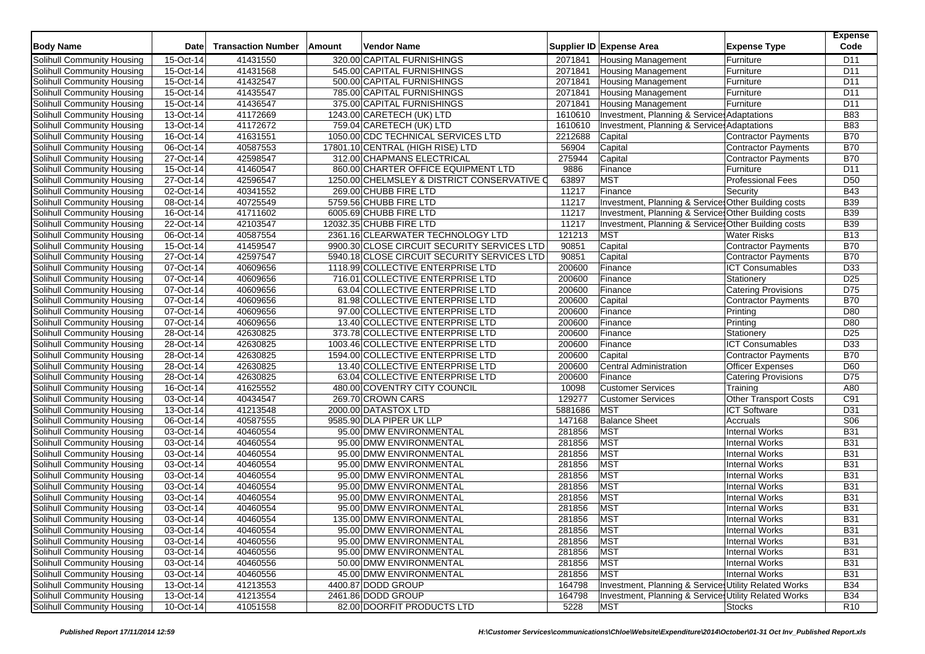| <b>Body Name</b>           | Date                   | <b>Transaction Number</b> | Amount | <b>Vendor Name</b>                          |                  | Supplier ID Expense Area                              | <b>Expense Type</b>                            | <b>Expense</b><br>Code |
|----------------------------|------------------------|---------------------------|--------|---------------------------------------------|------------------|-------------------------------------------------------|------------------------------------------------|------------------------|
| Solihull Community Housing | 15-Oct-14              | 41431550                  |        | 320.00 CAPITAL FURNISHINGS                  | 2071841          | <b>Housing Management</b>                             | Furniture                                      | D11                    |
| Solihull Community Housing | 15-Oct-14              | 41431568                  |        | 545.00 CAPITAL FURNISHINGS                  | 2071841          | <b>Housing Management</b>                             | Furniture                                      | D11                    |
| Solihull Community Housing | 15-Oct-14              | 41432547                  |        | 500.00 CAPITAL FURNISHINGS                  | 2071841          | <b>Housing Management</b>                             | Furniture                                      | D <sub>11</sub>        |
| Solihull Community Housing | 15-Oct-14              | 41435547                  |        | 785.00 CAPITAL FURNISHINGS                  | 2071841          | <b>Housing Management</b>                             | Furniture                                      | D11                    |
| Solihull Community Housing | 15-Oct-14              | 41436547                  |        | 375.00 CAPITAL FURNISHINGS                  | 2071841          | <b>Housing Management</b>                             | Furniture                                      | D11                    |
| Solihull Community Housing | 13-Oct-14              | 41172669                  |        | 1243.00 CARETECH (UK) LTD                   | 1610610          | Investment, Planning & Service: Adaptations           |                                                | <b>B83</b>             |
| Solihull Community Housing | 13-Oct-14              | 41172672                  |        | 759.04 CARETECH (UK) LTD                    | 1610610          | Investment, Planning & Service: Adaptations           |                                                | <b>B83</b>             |
| Solihull Community Housing | 16-Oct-14              | 41631551                  |        | 1050.00 CDC TECHNICAL SERVICES LTD          | 2212688          | Capital                                               | <b>Contractor Payments</b>                     | <b>B70</b>             |
| Solihull Community Housing | 06-Oct-14              | 40587553                  |        | 17801.10 CENTRAL (HIGH RISE) LTD            | 56904            | Capital                                               | <b>Contractor Payments</b>                     | <b>B70</b>             |
| Solihull Community Housing | 27-Oct-14              | 42598547                  |        | 312.00 CHAPMANS ELECTRICAL                  | 275944           | Capital                                               | <b>Contractor Payments</b>                     | <b>B70</b>             |
| Solihull Community Housing | 15-Oct-14              | 41460547                  |        | 860.00 CHARTER OFFICE EQUIPMENT LTD         | 9886             | Finance                                               | Furniture                                      | D11                    |
| Solihull Community Housing | 27-Oct-14              | 42596547                  |        | 1250.00 CHELMSLEY & DISTRICT CONSERVATIVE O | 63897            | <b>MST</b>                                            | <b>Professional Fees</b>                       | D <sub>50</sub>        |
| Solihull Community Housing | 02-Oct-14              | 40341552                  |        | 269.00 CHUBB FIRE LTD                       | 11217            | Finance                                               | Security                                       | <b>B43</b>             |
| Solihull Community Housing | 08-Oct-14              | 40725549                  |        | 5759.56 CHUBB FIRE LTD                      | 11217            | Investment, Planning & Service: Other Building costs  |                                                | <b>B39</b>             |
| Solihull Community Housing | 16-Oct-14              | 41711602                  |        | 6005.69 CHUBB FIRE LTD                      | 11217            | Investment, Planning & Service: Other Building costs  |                                                | <b>B39</b>             |
| Solihull Community Housing | 22-Oct-14              | 42103547                  |        | 12032.35 CHUBB FIRE LTD                     | 11217            | Investment, Planning & Service: Other Building costs  |                                                | <b>B39</b>             |
| Solihull Community Housing | 06-Oct-14              | 40587554                  |        | 2361.16 CLEARWATER TECHNOLOGY LTD           | 121213           | <b>MST</b>                                            | <b>Water Risks</b>                             | <b>B13</b>             |
| Solihull Community Housing | 15-Oct-14              | 41459547                  |        | 9900.30 CLOSE CIRCUIT SECURITY SERVICES LTD | 90851            | Capital                                               | <b>Contractor Payments</b>                     | <b>B70</b>             |
| Solihull Community Housing | 27-Oct-14              | 42597547                  |        | 5940.18 CLOSE CIRCUIT SECURITY SERVICES LTD | 90851            | Capital                                               | <b>Contractor Payments</b>                     | <b>B70</b>             |
| Solihull Community Housing | 07-Oct-14              | 40609656                  |        | 1118.99 COLLECTIVE ENTERPRISE LTD           | 200600           | Finance                                               | <b>ICT Consumables</b>                         | D33                    |
| Solihull Community Housing | 07-Oct-14              | 40609656                  |        | 716.01 COLLECTIVE ENTERPRISE LTD            | 200600           | Finance                                               | Stationery                                     | D <sub>25</sub>        |
| Solihull Community Housing | 07-Oct-14              | 40609656                  |        | 63.04 COLLECTIVE ENTERPRISE LTD             | 200600           | Finance                                               | <b>Catering Provisions</b>                     | D75                    |
| Solihull Community Housing | 07-Oct-14              | 40609656                  |        | 81.98 COLLECTIVE ENTERPRISE LTD             | 200600           | Capital                                               | <b>Contractor Payments</b>                     | <b>B70</b>             |
| Solihull Community Housing | 07-Oct-14              | 40609656                  |        | 97.00 COLLECTIVE ENTERPRISE LTD             | 200600           | Finance                                               | Printing                                       | D80                    |
| Solihull Community Housing | 07-Oct-14              | 40609656                  |        | 13.40 COLLECTIVE ENTERPRISE LTD             | 200600           | Finance                                               | Printing                                       | D80                    |
| Solihull Community Housing | 28-Oct-14              | 42630825                  |        | 373.78 COLLECTIVE ENTERPRISE LTD            | 200600           | Finance                                               | Stationery                                     | D <sub>25</sub>        |
| Solihull Community Housing | 28-Oct-14              | 42630825                  |        | 1003.46 COLLECTIVE ENTERPRISE LTD           | 200600           | Finance                                               | <b>ICT Consumables</b>                         | D33                    |
| Solihull Community Housing | 28-Oct-14              | 42630825                  |        | 1594.00 COLLECTIVE ENTERPRISE LTD           | 200600           | Capital                                               | <b>Contractor Payments</b>                     | <b>B70</b>             |
| Solihull Community Housing | 28-Oct-14              | 42630825                  |        | 13.40 COLLECTIVE ENTERPRISE LTD             | 200600           | <b>Central Administration</b>                         | <b>Officer Expenses</b>                        | D60                    |
| Solihull Community Housing | 28-Oct-14              | 42630825                  |        | 63.04 COLLECTIVE ENTERPRISE LTD             | 200600           | Finance                                               | <b>Catering Provisions</b>                     | D75                    |
| Solihull Community Housing | 16-Oct-14              | 41625552                  |        | 480.00 COVENTRY CITY COUNCIL                | 10098            | <b>Customer Services</b>                              | Training                                       | A80                    |
| Solihull Community Housing | 03-Oct-14              | 40434547                  |        | 269.70 CROWN CARS                           | 129277           | <b>Customer Services</b>                              | <b>Other Transport Costs</b>                   | C91                    |
| Solihull Community Housing | 13-Oct-14              | 41213548                  |        | 2000.00 DATASTOX LTD                        | 5881686          | <b>MST</b>                                            | <b>ICT Software</b>                            | D31                    |
| Solihull Community Housing | 06-Oct-14              | 40587555                  |        | 9585.90 DLA PIPER UK LLP                    | 147168           | <b>Balance Sheet</b>                                  | Accruals                                       | <b>S06</b>             |
| Solihull Community Housing | 03-Oct-14              | 40460554                  |        | 95.00 DMW ENVIRONMENTAL                     | 281856           | <b>MST</b>                                            | <b>Internal Works</b>                          | <b>B31</b>             |
| Solihull Community Housing | 03-Oct-14              | 40460554                  |        | 95.00 DMW ENVIRONMENTAL                     | 281856           | <b>MST</b>                                            | <b>Internal Works</b>                          | <b>B31</b>             |
| Solihull Community Housing | 03-Oct-14              | 40460554                  |        | 95.00 DMW ENVIRONMENTAL                     | 281856           | <b>MST</b>                                            | <b>Internal Works</b>                          | <b>B31</b>             |
| Solihull Community Housing | 03-Oct-14              | 40460554                  |        | 95.00 DMW ENVIRONMENTAL                     | 281856           | <b>MST</b>                                            | <b>Internal Works</b>                          | <b>B31</b>             |
| Solihull Community Housing | 03-Oct-14              | 40460554                  |        | 95.00 DMW ENVIRONMENTAL                     | 281856           | <b>MST</b>                                            | <b>Internal Works</b>                          | <b>B31</b>             |
| Solihull Community Housing | 03-Oct-14              | 40460554                  |        | 95.00 DMW ENVIRONMENTAL                     | 281856           | <b>MST</b>                                            | <b>Internal Works</b>                          | <b>B31</b>             |
| Solihull Community Housing | 03-Oct-14              | 40460554                  |        | 95.00 DMW ENVIRONMENTAL                     | 281856           | <b>MST</b>                                            | <b>Internal Works</b>                          | <b>B31</b>             |
| Solihull Community Housing | 03-Oct-14              | 40460554                  |        | 95.00 DMW ENVIRONMENTAL                     | 281856           | <b>MST</b>                                            | <b>Internal Works</b>                          | <b>B31</b>             |
| Solihull Community Housing | 03-Oct-14              | 40460554                  |        | 135.00 DMW ENVIRONMENTAL                    | 281856           | <b>MST</b>                                            | <b>Internal Works</b>                          | <b>B31</b>             |
| Solihull Community Housing | 03-Oct-14              | 40460554                  |        | 95.00 DMW ENVIRONMENTAL                     | 281856           | <b>MST</b>                                            | <b>Internal Works</b>                          | <b>B31</b>             |
| Solihull Community Housing |                        |                           |        | 95.00 DMW ENVIRONMENTAL                     |                  |                                                       |                                                | <b>B31</b>             |
| Solihull Community Housing | 03-Oct-14<br>03-Oct-14 | 40460556<br>40460556      |        | 95.00 DMW ENVIRONMENTAL                     | 281856<br>281856 | <b>MST</b><br><b>MST</b>                              | <b>Internal Works</b><br><b>Internal Works</b> | <b>B31</b>             |
| Solihull Community Housing | 03-Oct-14              | 40460556                  |        | 50.00 DMW ENVIRONMENTAL                     | 281856           | <b>MST</b>                                            | <b>Internal Works</b>                          | <b>B31</b>             |
| Solihull Community Housing | 03-Oct-14              | 40460556                  |        | 45.00 DMW ENVIRONMENTAL                     | 281856           | <b>MST</b>                                            | <b>Internal Works</b>                          | <b>B31</b>             |
|                            |                        |                           |        |                                             |                  |                                                       |                                                |                        |
| Solihull Community Housing | 13-Oct-14              | 41213553<br>41213554      |        | 4400.87 DODD GROUP<br>2461.86 DODD GROUP    | 164798           | Investment, Planning & Service: Utility Related Works |                                                | <b>B34</b>             |
| Solihull Community Housing | 13-Oct-14              |                           |        |                                             | 164798           | Investment, Planning & Service: Utility Related Works |                                                | <b>B34</b>             |
| Solihull Community Housing | 10-Oct-14              | 41051558                  |        | 82.00 DOORFIT PRODUCTS LTD                  | 5228             | <b>MST</b>                                            | <b>Stocks</b>                                  | R <sub>10</sub>        |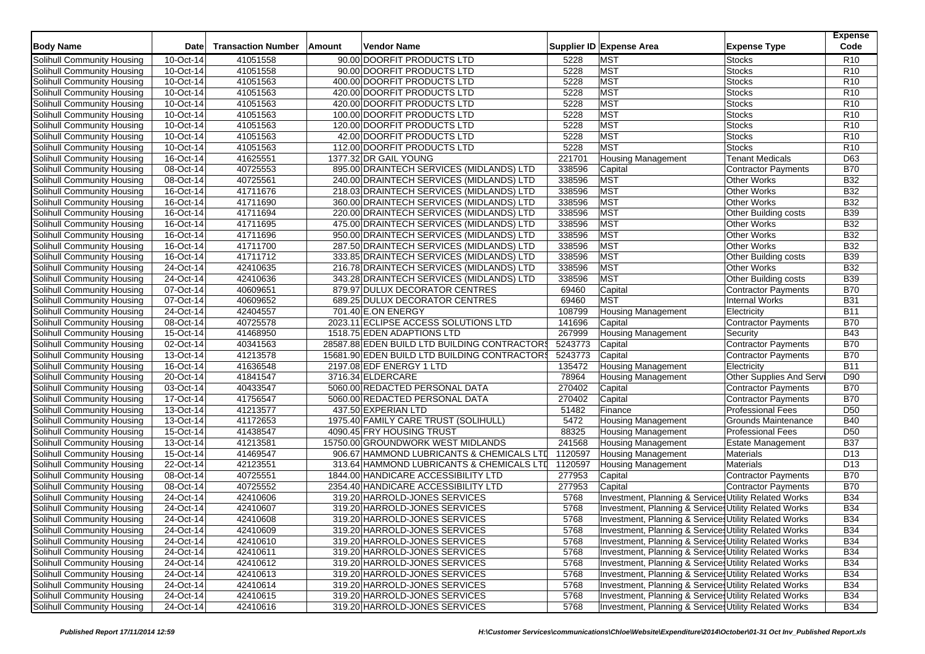| <b>Body Name</b>                                         | Date                   | <b>Transaction Number</b> | Vendor Name<br>Amount          |                                              |         | Supplier ID Expense Area                              | <b>Expense Type</b>         | <b>Expense</b><br>Code |
|----------------------------------------------------------|------------------------|---------------------------|--------------------------------|----------------------------------------------|---------|-------------------------------------------------------|-----------------------------|------------------------|
|                                                          |                        |                           |                                |                                              | 5228    | <b>MST</b>                                            |                             | R <sub>10</sub>        |
| Solihull Community Housing<br>Solihull Community Housing | 10-Oct-14<br>10-Oct-14 | 41051558                  | 90.00 DOORFIT PRODUCTS LTD     |                                              | 5228    | <b>MST</b>                                            | <b>Stocks</b>               | R <sub>10</sub>        |
|                                                          |                        | 41051558                  | 90.00 DOORFIT PRODUCTS LTD     |                                              | 5228    | <b>MST</b>                                            | <b>Stocks</b>               |                        |
| Solihull Community Housing                               | 10-Oct-14              | 41051563                  | 400.00 DOORFIT PRODUCTS LTD    |                                              |         |                                                       | <b>Stocks</b>               | R <sub>10</sub>        |
| Solihull Community Housing                               | 10-Oct-14              | 41051563                  | 420.00 DOORFIT PRODUCTS LTD    |                                              | 5228    | <b>MST</b>                                            | <b>Stocks</b>               | R <sub>10</sub>        |
| Solihull Community Housing                               | 10-Oct-14              | 41051563                  | 420.00 DOORFIT PRODUCTS LTD    |                                              | 5228    | <b>MST</b>                                            | <b>Stocks</b>               | R <sub>10</sub>        |
| Solihull Community Housing                               | 10-Oct-14              | 41051563                  | 100.00 DOORFIT PRODUCTS LTD    |                                              | 5228    | MST                                                   | <b>Stocks</b>               | R <sub>10</sub>        |
| Solihull Community Housing                               | 10-Oct-14              | 41051563                  | 120.00 DOORFIT PRODUCTS LTD    |                                              | 5228    | <b>MST</b>                                            | <b>Stocks</b>               | R <sub>10</sub>        |
| Solihull Community Housing                               | 10-Oct-14              | 41051563                  | 42.00 DOORFIT PRODUCTS LTD     |                                              | 5228    | <b>MST</b>                                            | <b>Stocks</b>               | R <sub>10</sub>        |
| Solihull Community Housing                               | 10-Oct-14              | 41051563                  | 112.00 DOORFIT PRODUCTS LTD    |                                              | 5228    | <b>MST</b>                                            | <b>Stocks</b>               | R <sub>10</sub>        |
| Solihull Community Housing                               | 16-Oct-14              | 41625551                  | 1377.32 DR GAIL YOUNG          |                                              | 221701  | <b>Housing Management</b>                             | <b>Tenant Medicals</b>      | D63                    |
| Solihull Community Housing                               | 08-Oct-14              | 40725553                  |                                | 895.00 DRAINTECH SERVICES (MIDLANDS) LTD     | 338596  | Capital                                               | <b>Contractor Payments</b>  | B70                    |
| Solihull Community Housing                               | $08-Oct-14$            | 40725561                  |                                | 240.00 DRAINTECH SERVICES (MIDLANDS) LTD     | 338596  | <b>MST</b>                                            | <b>Other Works</b>          | <b>B32</b>             |
| Solihull Community Housing                               | 16-Oct-14              | 41711676                  |                                | 218.03 DRAINTECH SERVICES (MIDLANDS) LTD     | 338596  | <b>MST</b>                                            | <b>Other Works</b>          | <b>B32</b>             |
| Solihull Community Housing                               | 16-Oct-14              | 41711690                  |                                | 360.00 DRAINTECH SERVICES (MIDLANDS) LTD     | 338596  | <b>MST</b>                                            | Other Works                 | B32                    |
| Solihull Community Housing                               | 16-Oct-14              | 41711694                  |                                | 220.00 DRAINTECH SERVICES (MIDLANDS) LTD     | 338596  | <b>MST</b>                                            | <b>Other Building costs</b> | <b>B39</b>             |
| Solihull Community Housing                               | 16-Oct-14              | 41711695                  |                                | 475.00 DRAINTECH SERVICES (MIDLANDS) LTD     | 338596  | <b>MST</b>                                            | <b>Other Works</b>          | <b>B32</b>             |
| Solihull Community Housing                               | 16-Oct-14              | 41711696                  |                                | 950.00 DRAINTECH SERVICES (MIDLANDS) LTD     | 338596  | <b>MST</b>                                            | <b>Other Works</b>          | <b>B32</b>             |
| Solihull Community Housing                               | 16-Oct-14              | 41711700                  |                                | 287.50 DRAINTECH SERVICES (MIDLANDS) LTD     | 338596  | <b>MST</b>                                            | Other Works                 | <b>B32</b>             |
| Solihull Community Housing                               | 16-Oct-14              | 41711712                  |                                | 333.85 DRAINTECH SERVICES (MIDLANDS) LTD     | 338596  | <b>MST</b>                                            | <b>Other Building costs</b> | <b>B39</b>             |
| Solihull Community Housing                               | 24-Oct-14              | 42410635                  |                                | 216.78 DRAINTECH SERVICES (MIDLANDS) LTD     | 338596  | <b>MST</b>                                            | <b>Other Works</b>          | <b>B32</b>             |
| Solihull Community Housing                               | 24-Oct-14              | 42410636                  |                                | 343.28 DRAINTECH SERVICES (MIDLANDS) LTD     | 338596  | <b>MST</b>                                            | <b>Other Building costs</b> | <b>B39</b>             |
| Solihull Community Housing                               | 07-Oct-14              | 40609651                  |                                | 879.97 DULUX DECORATOR CENTRES               | 69460   | Capital                                               | <b>Contractor Payments</b>  | <b>B70</b>             |
| Solihull Community Housing                               | 07-Oct-14              | 40609652                  |                                | 689.25 DULUX DECORATOR CENTRES               | 69460   | <b>MST</b>                                            | <b>Internal Works</b>       | <b>B31</b>             |
| Solihull Community Housing                               | 24-Oct-14              | 42404557                  | 701.40 E.ON ENERGY             |                                              | 108799  | <b>Housing Management</b>                             | Electricity                 | <b>B11</b>             |
| Solihull Community Housing                               | 08-Oct-14              | 40725578                  |                                | 2023.11 ECLIPSE ACCESS SOLUTIONS LTD         | 141696  | Capital                                               | Contractor Payments         | <b>B70</b>             |
| Solihull Community Housing                               | 15-Oct-14              | 41468950                  | 1518.75 EDEN ADAPTIONS LTD     |                                              | 267999  | <b>Housing Management</b>                             | Security                    | <b>B43</b>             |
| Solihull Community Housing                               | 02-Oct-14              | 40341563                  |                                | 28587.88 EDEN BUILD LTD BUILDING CONTRACTORS | 5243773 | Capital                                               | Contractor Payments         | <b>B70</b>             |
| Solihull Community Housing                               | 13-Oct-14              | 41213578                  |                                | 15681.90 EDEN BUILD LTD BUILDING CONTRACTORS | 5243773 | Capital                                               | <b>Contractor Payments</b>  | <b>B70</b>             |
| Solihull Community Housing                               | 16-Oct-14              | 41636548                  | 2197.08 EDF ENERGY 1 LTD       |                                              | 135472  | <b>Housing Management</b>                             | Electricity                 | <b>B11</b>             |
| Solihull Community Housing                               | 20-Oct-14              | 41841547                  | 3716.34 ELDERCARE              |                                              | 78964   | <b>Housing Management</b>                             | Other Supplies And Servi    | D90                    |
| Solihull Community Housing                               | 03-Oct-14              | 40433547                  | 5060.00 REDACTED PERSONAL DATA |                                              | 270402  | Capital                                               | <b>Contractor Payments</b>  | <b>B70</b>             |
| Solihull Community Housing                               | 17-Oct-14              | 41756547                  | 5060.00 REDACTED PERSONAL DATA |                                              | 270402  | Capital                                               | Contractor Payments         | <b>B70</b>             |
| Solihull Community Housing                               | 13-Oct-14              | 41213577                  | 437.50 EXPERIAN LTD            |                                              | 51482   | Finance                                               | <b>Professional Fees</b>    | D <sub>50</sub>        |
| Solihull Community Housing                               | 13-Oct-14              | 41172653                  |                                | 1975.40 FAMILY CARE TRUST (SOLIHULL)         | 5472    | <b>Housing Management</b>                             | Grounds Maintenance         | <b>B40</b>             |
| Solihull Community Housing                               | 15-Oct-14              | 41438547                  | 4090.45 FRY HOUSING TRUST      |                                              | 88325   | <b>Housing Management</b>                             | <b>Professional Fees</b>    | D <sub>50</sub>        |
| <b>Solihull Community Housing</b>                        | 13-Oct-14              | 41213581                  |                                | 15750.00 GROUNDWORK WEST MIDLANDS            | 241568  | <b>Housing Management</b>                             | <b>Estate Management</b>    | <b>B37</b>             |
| Solihull Community Housing                               | 15-Oct-14              | 41469547                  |                                | 906.67 HAMMOND LUBRICANTS & CHEMICALS LTD    | 1120597 | <b>Housing Management</b>                             | Materials                   | D <sub>13</sub>        |
| Solihull Community Housing                               | 22-Oct-14              | 42123551                  |                                | 313.64 HAMMOND LUBRICANTS & CHEMICALS LTD    | 1120597 | <b>Housing Management</b>                             | Materials                   | D <sub>13</sub>        |
| Solihull Community Housing                               | 08-Oct-14              | 40725551                  |                                | 1844.00 HANDICARE ACCESSIBILITY LTD          | 277953  | Capital                                               | Contractor Payments         | <b>B70</b>             |
| Solihull Community Housing                               | 08-Oct-14              | 40725552                  |                                | 2354.40 HANDICARE ACCESSIBILITY LTD          | 277953  | Capital                                               | Contractor Payments         | B70                    |
| Solihull Community Housing                               | 24-Oct-14              | 42410606                  | 319.20 HARROLD-JONES SERVICES  |                                              | 5768    | Investment, Planning & Services Utility Related Works |                             | <b>B34</b>             |
| Solihull Community Housing                               | 24-Oct-14              | 42410607                  | 319.20 HARROLD-JONES SERVICES  |                                              | 5768    | Investment, Planning & Services Utility Related Works |                             | <b>B34</b>             |
| Solihull Community Housing                               | 24-Oct-14              | 42410608                  | 319.20 HARROLD-JONES SERVICES  |                                              | 5768    | Investment, Planning & Service: Utility Related Works |                             | <b>B34</b>             |
| Solihull Community Housing                               | 24-Oct-14              | 42410609                  | 319.20 HARROLD-JONES SERVICES  |                                              | 5768    | Investment, Planning & Services Utility Related Works |                             | <b>B34</b>             |
| Solihull Community Housing                               | 24-Oct-14              | 42410610                  | 319.20 HARROLD-JONES SERVICES  |                                              | 5768    | Investment, Planning & Services Utility Related Works |                             | <b>B34</b>             |
| Solihull Community Housing                               | 24-Oct-14              | 42410611                  | 319.20 HARROLD-JONES SERVICES  |                                              | 5768    | Investment, Planning & Services Utility Related Works |                             | <b>B34</b>             |
| Solihull Community Housing                               | 24-Oct-14              | 42410612                  | 319.20 HARROLD-JONES SERVICES  |                                              | 5768    | Investment, Planning & Services Utility Related Works |                             | <b>B34</b>             |
| Solihull Community Housing                               | 24-Oct-14              | 42410613                  | 319.20 HARROLD-JONES SERVICES  |                                              | 5768    | Investment, Planning & Services Utility Related Works |                             | <b>B34</b>             |
| Solihull Community Housing                               | 24-Oct-14              | 42410614                  | 319.20 HARROLD-JONES SERVICES  |                                              | 5768    | Investment, Planning & Services Utility Related Works |                             | <b>B34</b>             |
| Solihull Community Housing                               | 24-Oct-14              | 42410615                  | 319.20 HARROLD-JONES SERVICES  |                                              | 5768    | Investment, Planning & Services Utility Related Works |                             | <b>B34</b>             |
| Solihull Community Housing                               | 24-Oct-14              | 42410616                  | 319.20 HARROLD-JONES SERVICES  |                                              | 5768    | Investment, Planning & Services Utility Related Works |                             | <b>B34</b>             |
|                                                          |                        |                           |                                |                                              |         |                                                       |                             |                        |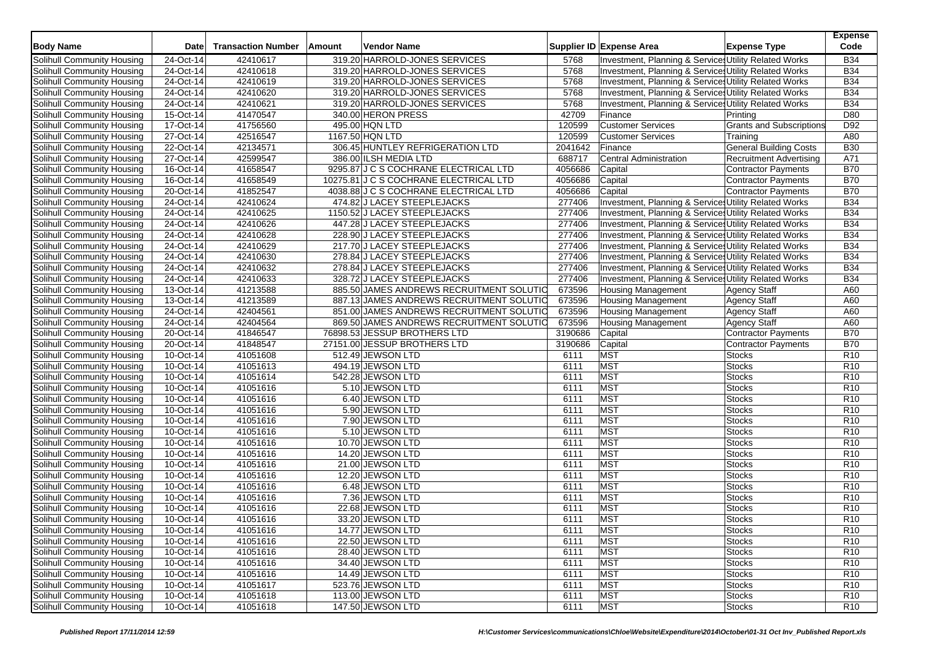| <b>Body Name</b>                  | <b>Date</b> | <b>Transaction Number</b> | Amount | Vendor Name                              |         | Supplier ID Expense Area                              | <b>Expense Type</b>             | <b>Expense</b><br>Code |
|-----------------------------------|-------------|---------------------------|--------|------------------------------------------|---------|-------------------------------------------------------|---------------------------------|------------------------|
| Solihull Community Housing        | 24-Oct-14   | 42410617                  |        | 319.20 HARROLD-JONES SERVICES            | 5768    | Investment, Planning & Services Utility Related Works |                                 | <b>B34</b>             |
| Solihull Community Housing        | 24-Oct-14   | 42410618                  |        | 319.20 HARROLD-JONES SERVICES            | 5768    | Investment, Planning & Services Utility Related Works |                                 | <b>B34</b>             |
| Solihull Community Housing        | 24-Oct-14   | 42410619                  |        | 319.20 HARROLD-JONES SERVICES            | 5768    | Investment, Planning & Services Utility Related Works |                                 | <b>B34</b>             |
| Solihull Community Housing        | 24-Oct-14   | 42410620                  |        | 319.20 HARROLD-JONES SERVICES            | 5768    | Investment, Planning & Services Utility Related Works |                                 | <b>B34</b>             |
| Solihull Community Housing        | 24-Oct-14   | 42410621                  |        | 319.20 HARROLD-JONES SERVICES            | 5768    | Investment, Planning & Services Utility Related Works |                                 | <b>B34</b>             |
| Solihull Community Housing        | 15-Oct-14   | 41470547                  |        | 340.00 HERON PRESS                       | 42709   | Finance                                               | Printing                        | D80                    |
| Solihull Community Housing        | 17-Oct-14   | 41756560                  |        | 495.00 HQN LTD                           | 120599  | <b>Customer Services</b>                              | <b>Grants and Subscriptions</b> | D92                    |
| Solihull Community Housing        | 27-Oct-14   | 42516547                  |        | 1167.50 HQN LTD                          | 120599  | <b>Customer Services</b>                              | Training                        | A80                    |
| Solihull Community Housing        | 22-Oct-14   | 42134571                  |        | 306.45 HUNTLEY REFRIGERATION LTD         | 2041642 | Finance                                               | <b>General Building Costs</b>   | <b>B30</b>             |
| Solihull Community Housing        | 27-Oct-14   | 42599547                  |        | 386.00 ILSH MEDIA LTD                    | 688717  | Central Administration                                | Recruitment Advertising         | A71                    |
| Solihull Community Housing        | 16-Oct-14   | 41658547                  |        | 9295.87 J C S COCHRANE ELECTRICAL LTD    | 4056686 | Capital                                               | <b>Contractor Payments</b>      | <b>B70</b>             |
| Solihull Community Housing        | 16-Oct-14   | 41658549                  |        | 10275.81 J C S COCHRANE ELECTRICAL LTD   | 4056686 | Capital                                               | Contractor Payments             | <b>B70</b>             |
| Solihull Community Housing        | 20-Oct-14   | 41852547                  |        | 4038.88 J C S COCHRANE ELECTRICAL LTD    | 4056686 | Capital                                               | Contractor Payments             | <b>B70</b>             |
| Solihull Community Housing        | 24-Oct-14   | 42410624                  |        | 474.82 J LACEY STEEPLEJACKS              | 277406  | Investment, Planning & Services Utility Related Works |                                 | <b>B34</b>             |
| Solihull Community Housing        | 24-Oct-14   | 42410625                  |        | 1150.52 J LACEY STEEPLEJACKS             | 277406  | Investment, Planning & Services Utility Related Works |                                 | <b>B34</b>             |
| Solihull Community Housing        | 24-Oct-14   | 42410626                  |        | 447.28 J LACEY STEEPLEJACKS              | 277406  | Investment, Planning & Services Utility Related Works |                                 | <b>B34</b>             |
| Solihull Community Housing        | 24-Oct-14   | 42410628                  |        | 228.90 J LACEY STEEPLEJACKS              | 277406  | Investment, Planning & Services Utility Related Works |                                 | <b>B34</b>             |
| Solihull Community Housing        | 24-Oct-14   | 42410629                  |        | 217.70 J LACEY STEEPLEJACKS              | 277406  | Investment, Planning & Service Utility Related Works  |                                 | <b>B34</b>             |
| Solihull Community Housing        | 24-Oct-14   | 42410630                  |        | 278.84 J LACEY STEEPLEJACKS              | 277406  | Investment, Planning & Services Utility Related Works |                                 | <b>B34</b>             |
| Solihull Community Housing        | 24-Oct-14   | 42410632                  |        | 278.84 J LACEY STEEPLEJACKS              | 277406  | Investment, Planning & Services Utility Related Works |                                 | <b>B34</b>             |
| Solihull Community Housing        | 24-Oct-14   | 42410633                  |        | 328.72 J LACEY STEEPLEJACKS              | 277406  | Investment, Planning & Services Utility Related Works |                                 | <b>B34</b>             |
| Solihull Community Housing        | 13-Oct-14   | 41213588                  |        | 885.50 JAMES ANDREWS RECRUITMENT SOLUTIO | 673596  | <b>Housing Management</b>                             | <b>Agency Staff</b>             | A60                    |
| Solihull Community Housing        | 13-Oct-14   | 41213589                  |        | 887.13 JAMES ANDREWS RECRUITMENT SOLUTIC | 673596  | <b>Housing Management</b>                             | <b>Agency Staff</b>             | A60                    |
| Solihull Community Housing        | 24-Oct-14   | 42404561                  |        | 851.00 JAMES ANDREWS RECRUITMENT SOLUTIO | 673596  | <b>Housing Management</b>                             | <b>Agency Staff</b>             | A60                    |
| Solihull Community Housing        | 24-Oct-14   | 42404564                  |        | 869.50 JAMES ANDREWS RECRUITMENT SOLUTIO | 673596  | Housing Management                                    | <b>Agency Staff</b>             | A60                    |
| Solihull Community Housing        | 20-Oct-14   | 41846547                  |        | 76898.53 JESSUP BROTHERS LTD             | 3190686 | Capital                                               | <b>Contractor Payments</b>      | <b>B70</b>             |
| Solihull Community Housing        | 20-Oct-14   | 41848547                  |        | 27151.00 JESSUP BROTHERS LTD             | 3190686 | Capital                                               | Contractor Payments             | <b>B70</b>             |
| Solihull Community Housing        | 10-Oct-14   | 41051608                  |        | 512.49 JEWSON LTD                        | 6111    | <b>MST</b>                                            | <b>Stocks</b>                   | R <sub>10</sub>        |
| Solihull Community Housing        | 10-Oct-14   | 41051613                  |        | 494.19 JEWSON LTD                        | 6111    | <b>MST</b>                                            | Stocks                          | R <sub>10</sub>        |
| Solihull Community Housing        | 10-Oct-14   | 41051614                  |        | 542.28 JEWSON LTD                        | 6111    | <b>MST</b>                                            | <b>Stocks</b>                   | R <sub>10</sub>        |
| Solihull Community Housing        | 10-Oct-14   | 41051616                  |        | 5.10 JEWSON LTD                          | 6111    | <b>MST</b>                                            | Stocks                          | R <sub>10</sub>        |
| Solihull Community Housing        | 10-Oct-14   | 41051616                  |        | 6.40 JEWSON LTD                          | 6111    | <b>MST</b>                                            | Stocks                          | R <sub>10</sub>        |
| Solihull Community Housing        | 10-Oct-14   | 41051616                  |        | 5.90 JEWSON LTD                          | 6111    | <b>MST</b>                                            | <b>Stocks</b>                   | R <sub>10</sub>        |
| Solihull Community Housing        | 10-Oct-14   | 41051616                  |        | 7.90 JEWSON LTD                          | 6111    | <b>MST</b>                                            | <b>Stocks</b>                   | R <sub>10</sub>        |
| Solihull Community Housing        | 10-Oct-14   | 41051616                  |        | 5.10 JEWSON LTD                          | 6111    | <b>MST</b>                                            | Stocks                          | R <sub>10</sub>        |
| Solihull Community Housing        | 10-Oct-14   | 41051616                  |        | 10.70 JEWSON LTD                         | 6111    | <b>MST</b>                                            | Stocks                          | R <sub>10</sub>        |
| Solihull Community Housing        | 10-Oct-14   | 41051616                  |        | 14.20 JEWSON LTD                         | 6111    | MST                                                   | Stocks                          | R <sub>10</sub>        |
| Solihull Community Housing        | 10-Oct-14   | 41051616                  |        | 21.00 JEWSON LTD                         | 6111    | MST                                                   | Stocks                          | R <sub>10</sub>        |
| Solihull Community Housing        | 10-Oct-14   | 41051616                  |        | 12.20 JEWSON LTD                         | 6111    | <b>MST</b>                                            | Stocks                          | R <sub>10</sub>        |
| Solihull Community Housing        | 10-Oct-14   | 41051616                  |        | 6.48 JEWSON LTD                          | 6111    | <b>MST</b>                                            | <b>Stocks</b>                   | R <sub>10</sub>        |
| Solihull Community Housing        | 10-Oct-14   | 41051616                  |        | 7.36 JEWSON LTD                          | 6111    | <b>MST</b>                                            | Stocks                          | R <sub>10</sub>        |
| Solihull Community Housing        | 10-Oct-14   | 41051616                  |        | 22.68 JEWSON LTD                         | 6111    | <b>MST</b>                                            | Stocks                          | R <sub>10</sub>        |
| Solihull Community Housing        | 10-Oct-14   | 41051616                  |        | 33.20 JEWSON LTD                         | 6111    | <b>MST</b>                                            | <b>Stocks</b>                   | R <sub>10</sub>        |
| Solihull Community Housing        | 10-Oct-14   | 41051616                  |        | 14.77 JEWSON LTD                         | 6111    | <b>MST</b>                                            | <b>Stocks</b>                   | R <sub>10</sub>        |
| Solihull Community Housing        | 10-Oct-14   | 41051616                  |        | 22.50 JEWSON LTD                         | 6111    | <b>MST</b>                                            | <b>Stocks</b>                   | R <sub>10</sub>        |
| Solihull Community Housing        | 10-Oct-14   | 41051616                  |        | 28.40 JEWSON LTD                         | 6111    | <b>MST</b>                                            | <b>Stocks</b>                   | R <sub>10</sub>        |
| Solihull Community Housing        | 10-Oct-14   | 41051616                  |        | 34.40 JEWSON LTD                         | 6111    | <b>MST</b>                                            | <b>Stocks</b>                   | R <sub>10</sub>        |
| Solihull Community Housing        | 10-Oct-14   | 41051616                  |        | 14.49 JEWSON LTD                         | 6111    | <b>MST</b>                                            | <b>Stocks</b>                   | R <sub>10</sub>        |
| Solihull Community Housing        | 10-Oct-14   | 41051617                  |        | 523.76 JEWSON LTD                        | 6111    | <b>MST</b>                                            | <b>Stocks</b>                   | R <sub>10</sub>        |
| <b>Solihull Community Housing</b> | 10-Oct-14   | 41051618                  |        | 113.00 JEWSON LTD                        | 6111    | <b>MST</b>                                            | <b>Stocks</b>                   | R <sub>10</sub>        |
| Solihull Community Housing        | 10-Oct-14   | 41051618                  |        | 147.50 JEWSON LTD                        | 6111    | <b>MST</b>                                            | <b>Stocks</b>                   | R <sub>10</sub>        |
|                                   |             |                           |        |                                          |         |                                                       |                                 |                        |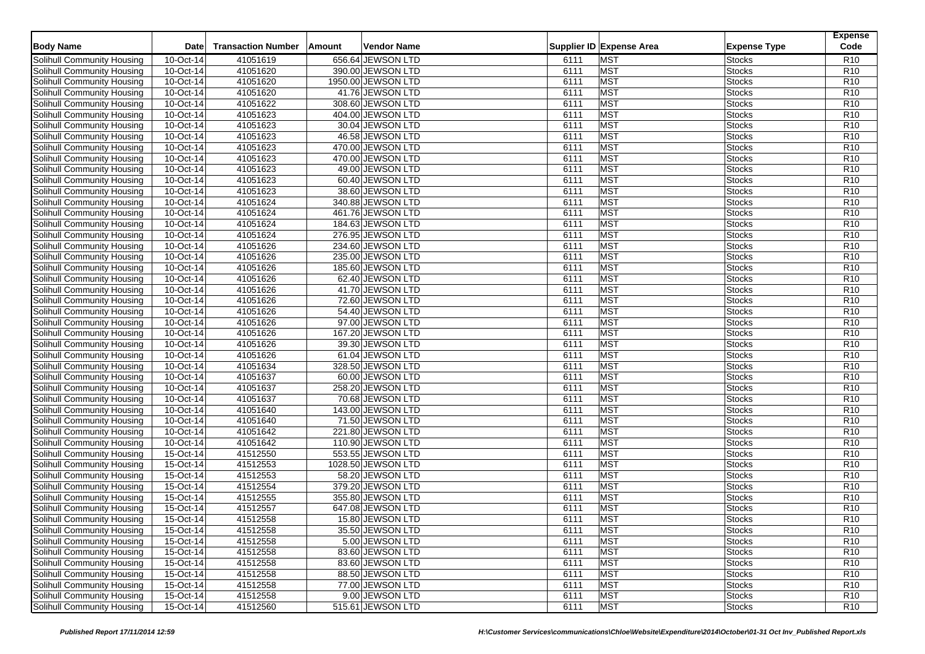| <b>Body Name</b>                  | <b>Date</b> | <b>Transaction Number</b> | Amount | Vendor Name        |      | Supplier ID Expense Area | <b>Expense Type</b> | <b>Expense</b><br>Code |
|-----------------------------------|-------------|---------------------------|--------|--------------------|------|--------------------------|---------------------|------------------------|
| Solihull Community Housing        | 10-Oct-14   | 41051619                  |        | 656.64 JEWSON LTD  | 6111 | <b>MST</b>               | <b>Stocks</b>       | R <sub>10</sub>        |
| Solihull Community Housing        | 10-Oct-14   | 41051620                  |        | 390.00 JEWSON LTD  | 6111 | <b>MST</b>               | <b>Stocks</b>       | R <sub>10</sub>        |
| Solihull Community Housing        | 10-Oct-14   | 41051620                  |        | 1950.00 JEWSON LTD | 6111 | <b>MST</b>               | <b>Stocks</b>       | R <sub>10</sub>        |
| Solihull Community Housing        | 10-Oct-14   | 41051620                  |        | 41.76 JEWSON LTD   | 6111 | <b>MST</b>               | <b>Stocks</b>       | R <sub>10</sub>        |
| Solihull Community Housing        | 10-Oct-14   | 41051622                  |        | 308.60 JEWSON LTD  | 6111 | <b>MST</b>               | <b>Stocks</b>       | R <sub>10</sub>        |
| Solihull Community Housing        | 10-Oct-14   | 41051623                  |        | 404.00 JEWSON LTD  | 6111 | <b>MST</b>               | <b>Stocks</b>       | R <sub>10</sub>        |
| Solihull Community Housing        | 10-Oct-14   | 41051623                  |        | 30.04 JEWSON LTD   | 6111 | <b>MST</b>               | <b>Stocks</b>       | R <sub>10</sub>        |
| Solihull Community Housing        | 10-Oct-14   | 41051623                  |        | 46.58 JEWSON LTD   | 6111 | <b>MST</b>               | <b>Stocks</b>       | R <sub>10</sub>        |
| Solihull Community Housing        | 10-Oct-14   | 41051623                  |        | 470.00 JEWSON LTD  | 6111 | <b>MST</b>               | <b>Stocks</b>       | R <sub>10</sub>        |
| Solihull Community Housing        | 10-Oct-14   | 41051623                  |        | 470.00 JEWSON LTD  | 6111 | <b>MST</b>               | <b>Stocks</b>       | R <sub>10</sub>        |
| Solihull Community Housing        | 10-Oct-14   | 41051623                  |        | 49.00 JEWSON LTD   | 6111 | <b>MST</b>               | <b>Stocks</b>       | R <sub>10</sub>        |
| Solihull Community Housing        | 10-Oct-14   | 41051623                  |        | 60.40 JEWSON LTD   | 6111 | <b>MST</b>               | <b>Stocks</b>       | R <sub>10</sub>        |
| Solihull Community Housing        | 10-Oct-14   | 41051623                  |        | 38.60 JEWSON LTD   | 6111 | <b>MST</b>               | <b>Stocks</b>       | R <sub>10</sub>        |
| Solihull Community Housing        | 10-Oct-14   | 41051624                  |        | 340.88 JEWSON LTD  | 6111 | <b>MST</b>               | <b>Stocks</b>       | R <sub>10</sub>        |
| <b>Solihull Community Housing</b> | 10-Oct-14   | 41051624                  |        | 461.76 JEWSON LTD  | 6111 | <b>MST</b>               | <b>Stocks</b>       | R <sub>10</sub>        |
| Solihull Community Housing        | 10-Oct-14   | 41051624                  |        | 184.63 JEWSON LTD  | 6111 | <b>MST</b>               | <b>Stocks</b>       | R <sub>10</sub>        |
| Solihull Community Housing        | 10-Oct-14   | 41051624                  |        | 276.95 JEWSON LTD  | 6111 | <b>MST</b>               | <b>Stocks</b>       | R <sub>10</sub>        |
| Solihull Community Housing        | 10-Oct-14   | 41051626                  |        | 234.60 JEWSON LTD  | 6111 | <b>MST</b>               | <b>Stocks</b>       | R <sub>10</sub>        |
| Solihull Community Housing        | 10-Oct-14   | 41051626                  |        | 235.00 JEWSON LTD  | 6111 | <b>MST</b>               | <b>Stocks</b>       | R <sub>10</sub>        |
| Solihull Community Housing        | 10-Oct-14   | 41051626                  |        | 185.60 JEWSON LTD  | 6111 | <b>MST</b>               | <b>Stocks</b>       | R <sub>10</sub>        |
| Solihull Community Housing        | 10-Oct-14   | 41051626                  |        | 62.40 JEWSON LTD   | 6111 | <b>MST</b>               | <b>Stocks</b>       | R <sub>10</sub>        |
| <b>Solihull Community Housing</b> | 10-Oct-14   | 41051626                  |        | 41.70 JEWSON LTD   | 6111 | <b>MST</b>               | <b>Stocks</b>       | R <sub>10</sub>        |
| Solihull Community Housing        | 10-Oct-14   | 41051626                  |        | 72.60 JEWSON LTD   | 6111 | <b>MST</b>               | <b>Stocks</b>       | R <sub>10</sub>        |
| Solihull Community Housing        | 10-Oct-14   | 41051626                  |        | 54.40 JEWSON LTD   | 6111 | <b>MST</b>               | <b>Stocks</b>       | R <sub>10</sub>        |
| Solihull Community Housing        | 10-Oct-14   | 41051626                  |        | 97.00 JEWSON LTD   | 6111 | <b>MST</b>               | <b>Stocks</b>       | R <sub>10</sub>        |
| Solihull Community Housing        | 10-Oct-14   | 41051626                  |        | 167.20 JEWSON LTD  | 6111 | <b>MST</b>               | <b>Stocks</b>       | R <sub>10</sub>        |
| Solihull Community Housing        | 10-Oct-14   | 41051626                  |        | 39.30 JEWSON LTD   | 6111 | <b>MST</b>               | Stocks              | R <sub>10</sub>        |
| Solihull Community Housing        | 10-Oct-14   | 41051626                  |        | 61.04 JEWSON LTD   | 6111 | <b>MST</b>               | Stocks              | R10                    |
| Solihull Community Housing        | 10-Oct-14   | 41051634                  |        | 328.50 JEWSON LTD  | 6111 | <b>MST</b>               | Stocks              | R <sub>10</sub>        |
| Solihull Community Housing        | 10-Oct-14   | 41051637                  |        | 60.00 JEWSON LTD   | 6111 | <b>MST</b>               | <b>Stocks</b>       | R <sub>10</sub>        |
| Solihull Community Housing        | 10-Oct-14   | 41051637                  |        | 258.20 JEWSON LTD  | 6111 | <b>MST</b>               | Stocks              | R <sub>10</sub>        |
| Solihull Community Housing        | 10-Oct-14   | 41051637                  |        | 70.68 JEWSON LTD   | 6111 | <b>MST</b>               | Stocks              | R <sub>10</sub>        |
| Solihull Community Housing        | 10-Oct-14   | 41051640                  |        | 143.00 JEWSON LTD  | 6111 | <b>MST</b>               | Stocks              | R <sub>10</sub>        |
| Solihull Community Housing        | 10-Oct-14   | 41051640                  |        | 71.50 JEWSON LTD   | 6111 | <b>MST</b>               | <b>Stocks</b>       | R <sub>10</sub>        |
| Solihull Community Housing        | 10-Oct-14   | 41051642                  |        | 221.80 JEWSON LTD  | 6111 | <b>MST</b>               | Stocks              | R <sub>10</sub>        |
| Solihull Community Housing        | 10-Oct-14   | 41051642                  |        | 110.90 JEWSON LTD  | 6111 | <b>MST</b>               | Stocks              | R <sub>10</sub>        |
| Solihull Community Housing        | 15-Oct-14   | 41512550                  |        | 553.55 JEWSON LTD  | 6111 | <b>MST</b>               | Stocks              | R <sub>10</sub>        |
| Solihull Community Housing        | 15-Oct-14   | 41512553                  |        | 1028.50 JEWSON LTD | 6111 | MST                      | Stocks              | R <sub>10</sub>        |
| Solihull Community Housing        | 15-Oct-14   | 41512553                  |        | 58.20 JEWSON LTD   | 6111 | <b>MST</b>               | Stocks              | R <sub>10</sub>        |
| Solihull Community Housing        | 15-Oct-14   | 41512554                  |        | 379.20 JEWSON LTD  | 6111 | <b>MST</b>               | <b>Stocks</b>       | R <sub>10</sub>        |
| Solihull Community Housing        | 15-Oct-14   | 41512555                  |        | 355.80 JEWSON LTD  | 6111 | <b>MST</b>               | Stocks              | R <sub>10</sub>        |
| Solihull Community Housing        | 15-Oct-14   | 41512557                  |        | 647.08 JEWSON LTD  | 6111 | <b>MST</b>               | <b>Stocks</b>       | R <sub>10</sub>        |
| Solihull Community Housing        | 15-Oct-14   | 41512558                  |        | 15.80 JEWSON LTD   | 6111 | <b>MST</b>               | <b>Stocks</b>       | R <sub>10</sub>        |
| Solihull Community Housing        | 15-Oct-14   | 41512558                  |        | 35.50 JEWSON LTD   | 6111 | <b>MST</b>               | <b>Stocks</b>       | R <sub>10</sub>        |
| Solihull Community Housing        | 15-Oct-14   | 41512558                  |        | 5.00 JEWSON LTD    | 6111 | <b>MST</b>               | <b>Stocks</b>       | R <sub>10</sub>        |
| Solihull Community Housing        | 15-Oct-14   | 41512558                  |        | 83.60 JEWSON LTD   | 6111 | <b>MST</b>               | <b>Stocks</b>       | R <sub>10</sub>        |
| Solihull Community Housing        | 15-Oct-14   | 41512558                  |        | 83.60 JEWSON LTD   | 6111 | <b>MST</b>               | <b>Stocks</b>       | R <sub>10</sub>        |
| Solihull Community Housing        | 15-Oct-14   | 41512558                  |        | 88.50 JEWSON LTD   | 6111 | <b>MST</b>               | <b>Stocks</b>       | R <sub>10</sub>        |
| Solihull Community Housing        | 15-Oct-14   | 41512558                  |        | 77.00 JEWSON LTD   | 6111 | <b>MST</b>               | <b>Stocks</b>       | R <sub>10</sub>        |
| Solihull Community Housing        | 15-Oct-14   | 41512558                  |        | 9.00 JEWSON LTD    | 6111 | <b>MST</b>               | <b>Stocks</b>       | R <sub>10</sub>        |
| Solihull Community Housing        | 15-Oct-14   | 41512560                  |        | 515.61 JEWSON LTD  | 6111 | <b>MST</b>               | <b>Stocks</b>       | R <sub>10</sub>        |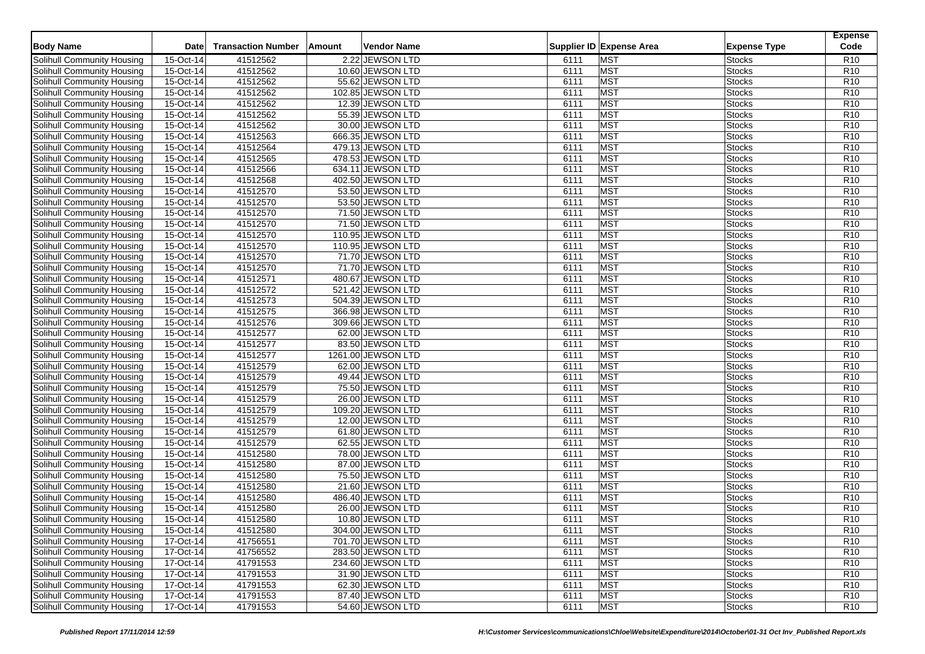| <b>Body Name</b>                                         | <b>Date</b>            | <b>Transaction Number</b> | <b>Vendor Name</b><br>Amount          |              | Supplier ID Expense Area | <b>Expense Type</b>            | <b>Expense</b><br>Code             |
|----------------------------------------------------------|------------------------|---------------------------|---------------------------------------|--------------|--------------------------|--------------------------------|------------------------------------|
| Solihull Community Housing                               | 15-Oct-14              | 41512562                  | 2.22 JEWSON LTD                       | 6111         | <b>MST</b>               | <b>Stocks</b>                  | R <sub>10</sub>                    |
| Solihull Community Housing                               | 15-Oct-14              | 41512562                  | 10.60 JEWSON LTD                      | 6111         | <b>MST</b>               | <b>Stocks</b>                  | R <sub>10</sub>                    |
| Solihull Community Housing                               | 15-Oct-14              | 41512562                  | 55.62 JEWSON LTD                      | 6111         | <b>MST</b>               | <b>Stocks</b>                  | R <sub>10</sub>                    |
| Solihull Community Housing                               | 15-Oct-14              | 41512562                  | 102.85 JEWSON LTD                     | 6111         | <b>MST</b>               | <b>Stocks</b>                  | R <sub>10</sub>                    |
| Solihull Community Housing                               | 15-Oct-14              | 41512562                  | 12.39 JEWSON LTD                      | 6111         | <b>MST</b>               | <b>Stocks</b>                  | R <sub>10</sub>                    |
| Solihull Community Housing                               | 15-Oct-14              | 41512562                  | 55.39 JEWSON LTD                      | 6111         | MST                      | <b>Stocks</b>                  | R <sub>10</sub>                    |
| Solihull Community Housing                               | 15-Oct-14              | 41512562                  | 30.00 JEWSON LTD                      | 6111         | <b>MST</b>               | <b>Stocks</b>                  | R <sub>10</sub>                    |
| Solihull Community Housing                               | 15-Oct-14              | 41512563                  | 666.35 JEWSON LTD                     | 6111         | <b>MST</b>               | <b>Stocks</b>                  | R <sub>10</sub>                    |
| Solihull Community Housing                               | 15-Oct-14              | 41512564                  | 479.13 JEWSON LTD                     | 6111         | <b>MST</b>               | <b>Stocks</b>                  | R <sub>10</sub>                    |
| Solihull Community Housing                               | 15-Oct-14              | 41512565                  | 478.53 JEWSON LTD                     | 6111         | <b>MST</b>               | <b>Stocks</b>                  | R <sub>10</sub>                    |
| Solihull Community Housing                               | 15-Oct-14              | 41512566                  | 634.11 JEWSON LTD                     | 6111         | <b>MST</b>               | <b>Stocks</b>                  | R <sub>10</sub>                    |
| Solihull Community Housing                               | 15-Oct-14              | 41512568                  | 402.50 JEWSON LTD                     | 6111         | MST                      | <b>Stocks</b>                  | R <sub>10</sub>                    |
| Solihull Community Housing                               | 15-Oct-14              | 41512570                  | 53.50 JEWSON LTD                      | 6111         | <b>MST</b>               | <b>Stocks</b>                  | R10                                |
| Solihull Community Housing                               | 15-Oct-14              | 41512570                  | 53.50 JEWSON LTD                      | 6111         | <b>MST</b>               | <b>Stocks</b>                  | R <sub>10</sub>                    |
| Solihull Community Housing                               | 15-Oct-14              | 41512570                  | 71.50 JEWSON LTD                      | 6111         | <b>MST</b>               | <b>Stocks</b>                  | R <sub>10</sub>                    |
|                                                          |                        |                           |                                       |              | <b>MST</b>               |                                |                                    |
| Solihull Community Housing                               | 15-Oct-14<br>15-Oct-14 | 41512570<br>41512570      | 71.50 JEWSON LTD<br>110.95 JEWSON LTD | 6111<br>6111 | <b>MST</b>               | <b>Stocks</b><br><b>Stocks</b> | R <sub>10</sub><br>R <sub>10</sub> |
| Solihull Community Housing<br>Solihull Community Housing | 15-Oct-14              | 41512570                  | 110.95 JEWSON LTD                     | 6111         | <b>MST</b>               | <b>Stocks</b>                  | R <sub>10</sub>                    |
|                                                          |                        | 41512570                  |                                       | 6111         | <b>MST</b>               |                                | R10                                |
| Solihull Community Housing                               | 15-Oct-14              | 41512570                  | 71.70 JEWSON LTD                      |              | MST                      | <b>Stocks</b>                  | R <sub>10</sub>                    |
| Solihull Community Housing                               | 15-Oct-14              |                           | 71.70 JEWSON LTD                      | 6111         |                          | <b>Stocks</b>                  |                                    |
| Solihull Community Housing                               | 15-Oct-14              | 41512571                  | 480.67 JEWSON LTD                     | 6111         | <b>MST</b>               | <b>Stocks</b>                  | R <sub>10</sub>                    |
| Solihull Community Housing                               | 15-Oct-14              | 41512572                  | 521.42 JEWSON LTD                     | 6111         | <b>MST</b>               | <b>Stocks</b>                  | R <sub>10</sub>                    |
| Solihull Community Housing                               | 15-Oct-14              | 41512573                  | 504.39 JEWSON LTD                     | 6111         | <b>MST</b>               | Stocks                         | R <sub>10</sub>                    |
| Solihull Community Housing                               | 15-Oct-14              | 41512575                  | 366.98 JEWSON LTD                     | 6111         | <b>MST</b>               | Stocks                         | R <sub>10</sub>                    |
| Solihull Community Housing                               | 15-Oct-14              | 41512576                  | 309.66 JEWSON LTD                     | 6111         | <b>MST</b>               | <b>Stocks</b>                  | R <sub>10</sub>                    |
| Solihull Community Housing                               | 15-Oct-14              | 41512577                  | 62.00 JEWSON LTD                      | 6111         | MST                      | <b>Stocks</b>                  | R <sub>10</sub>                    |
| Solihull Community Housing                               | 15-Oct-14              | 41512577                  | 83.50 JEWSON LTD                      | 6111         | <b>MST</b>               | Stocks                         | R <sub>10</sub>                    |
| Solihull Community Housing                               | 15-Oct-14              | 41512577                  | 1261.00 JEWSON LTD                    | 6111         | <b>MST</b>               | Stocks                         | R <sub>10</sub>                    |
| Solihull Community Housing                               | 15-Oct-14              | 41512579                  | 62.00 JEWSON LTD                      | 6111         | <b>MST</b>               | Stocks                         | R <sub>10</sub>                    |
| Solihull Community Housing                               | 15-Oct-14              | 41512579                  | 49.44 JEWSON LTD                      | 6111         | <b>MST</b>               | Stocks                         | R <sub>10</sub>                    |
| Solihull Community Housing                               | 15-Oct-14              | 41512579                  | 75.50 JEWSON LTD                      | 6111         | <b>MST</b>               | <b>Stocks</b>                  | R <sub>10</sub>                    |
| Solihull Community Housing                               | 15-Oct-14              | 41512579                  | 26.00 JEWSON LTD                      | 6111         | <b>MST</b>               | Stocks                         | R <sub>10</sub>                    |
| Solihull Community Housing                               | 15-Oct-14              | 41512579                  | 109.20 JEWSON LTD                     | 6111         | <b>MST</b>               | Stocks                         | R <sub>10</sub>                    |
| Solihull Community Housing                               | 15-Oct-14              | 41512579                  | 12.00 JEWSON LTD                      | 6111         | <b>MST</b>               | <b>Stocks</b>                  | R <sub>10</sub>                    |
| Solihull Community Housing                               | 15-Oct-14              | 41512579                  | 61.80 JEWSON LTD                      | 6111         | <b>MST</b>               | Stocks                         | R <sub>10</sub>                    |
| <b>Solihull Community Housing</b>                        | 15-Oct-14              | 41512579                  | 62.55 JEWSON LTD                      | 6111         | <b>MST</b>               | <b>Stocks</b>                  | R <sub>10</sub>                    |
| Solihull Community Housing                               | 15-Oct-14              | 41512580                  | 78.00 JEWSON LTD                      | 6111         | <b>MST</b>               | Stocks                         | R <sub>10</sub>                    |
| Solihull Community Housing                               | 15-Oct-14              | 41512580                  | 87.00 JEWSON LTD                      | 6111         | <b>MST</b>               | Stocks                         | R <sub>10</sub>                    |
| Solihull Community Housing                               | 15-Oct-14              | 41512580                  | 75.50 JEWSON LTD                      | 6111         | <b>MST</b>               | Stocks                         | R <sub>10</sub>                    |
| Solihull Community Housing                               | 15-Oct-14              | 41512580                  | 21.60 JEWSON LTD                      | 6111         | <b>MST</b>               | Stocks                         | R <sub>10</sub>                    |
| Solihull Community Housing                               | 15-Oct-14              | 41512580                  | 486.40 JEWSON LTD                     | 6111         | <b>MST</b>               | Stocks                         | R <sub>10</sub>                    |
| Solihull Community Housing                               | 15-Oct-14              | 41512580                  | 26.00 JEWSON LTD                      | 6111         | <b>MST</b>               | Stocks                         | R <sub>10</sub>                    |
| <b>Solihull Community Housing</b>                        | 15-Oct-14              | 41512580                  | 10.80 JEWSON LTD                      | 6111         | <b>MST</b>               | <b>Stocks</b>                  | R <sub>10</sub>                    |
| Solihull Community Housing                               | 15-Oct-14              | 41512580                  | 304.00 JEWSON LTD                     | 6111         | <b>MST</b>               | <b>Stocks</b>                  | R <sub>10</sub>                    |
| Solihull Community Housing                               | 17-Oct-14              | 41756551                  | 701.70 JEWSON LTD                     | 6111         | <b>MST</b>               | <b>Stocks</b>                  | R <sub>10</sub>                    |
| Solihull Community Housing                               | 17-Oct-14              | 41756552                  | 283.50 JEWSON LTD                     | 6111         | <b>MST</b>               | <b>Stocks</b>                  | R <sub>10</sub>                    |
| Solihull Community Housing                               | 17-Oct-14              | 41791553                  | 234.60 JEWSON LTD                     | 6111         | <b>MST</b>               | <b>Stocks</b>                  | R <sub>10</sub>                    |
| Solihull Community Housing                               | 17-Oct-14              | 41791553                  | 31.90 JEWSON LTD                      | 6111         | <b>MST</b>               | <b>Stocks</b>                  | R <sub>10</sub>                    |
| Solihull Community Housing                               | 17-Oct-14              | 41791553                  | 62.30 JEWSON LTD                      | 6111         | <b>MST</b>               | <b>Stocks</b>                  | R <sub>10</sub>                    |
| Solihull Community Housing                               | 17-Oct-14              | 41791553                  | 87.40 JEWSON LTD                      | 6111         | <b>MST</b>               | <b>Stocks</b>                  | R <sub>10</sub>                    |
| Solihull Community Housing                               | 17-Oct-14              | 41791553                  | 54.60 JEWSON LTD                      | 6111         | MST                      | <b>Stocks</b>                  | R <sub>10</sub>                    |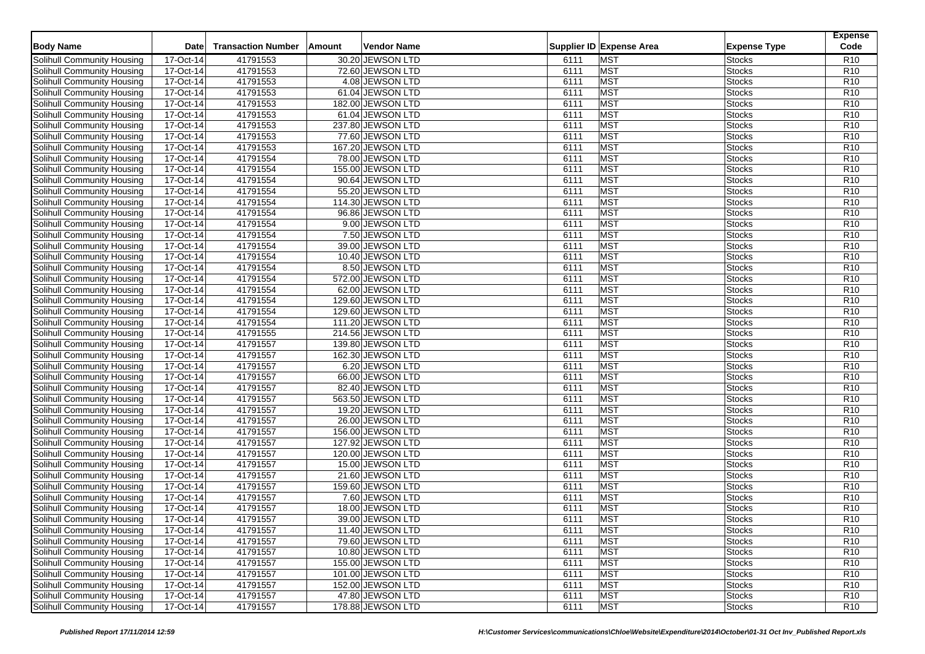| <b>Body Name</b>                                         | <b>Date</b>            | <b>Transaction Number</b> | <b>Vendor Name</b><br>Amount |      | Supplier ID Expense Area | <b>Expense Type</b> | <b>Expense</b><br>Code |
|----------------------------------------------------------|------------------------|---------------------------|------------------------------|------|--------------------------|---------------------|------------------------|
| Solihull Community Housing                               | 17-Oct-14              | 41791553                  | 30.20 JEWSON LTD             | 6111 | <b>MST</b>               | <b>Stocks</b>       | R <sub>10</sub>        |
| Solihull Community Housing                               | 17-Oct-14              | 41791553                  | 72.60 JEWSON LTD             | 6111 | <b>MST</b>               | Stocks              | R <sub>10</sub>        |
| Solihull Community Housing                               | 17-Oct-14              | 41791553                  | 4.08 JEWSON LTD              | 6111 | <b>MST</b>               | <b>Stocks</b>       | R <sub>10</sub>        |
| Solihull Community Housing                               | 17-Oct-14              | 41791553                  | 61.04 JEWSON LTD             | 6111 | <b>MST</b>               | Stocks              | R <sub>10</sub>        |
| Solihull Community Housing                               | 17-Oct-14              | 41791553                  | 182.00 JEWSON LTD            | 6111 | <b>MST</b>               | <b>Stocks</b>       | R <sub>10</sub>        |
| Solihull Community Housing                               | 17-Oct-14              | 41791553                  | 61.04 JEWSON LTD             | 6111 | MST                      | <b>Stocks</b>       | R <sub>10</sub>        |
| Solihull Community Housing                               | 17-Oct-14              | 41791553                  | 237.80 JEWSON LTD            | 6111 | <b>MST</b>               | Stocks              | R <sub>10</sub>        |
| Solihull Community Housing                               | 17-Oct-14              | 41791553                  | 77.60 JEWSON LTD             | 6111 | <b>MST</b>               | <b>Stocks</b>       | R <sub>10</sub>        |
| Solihull Community Housing                               | 17-Oct-14              | 41791553                  | 167.20 JEWSON LTD            | 6111 | <b>MST</b>               | <b>Stocks</b>       | R <sub>10</sub>        |
| Solihull Community Housing                               | 17-Oct-14              | 41791554                  | 78.00 JEWSON LTD             | 6111 | <b>MST</b>               | Stocks              | R <sub>10</sub>        |
| Solihull Community Housing                               | 17-Oct-14              | 41791554                  | 155.00 JEWSON LTD            | 6111 | <b>MST</b>               | <b>Stocks</b>       | R <sub>10</sub>        |
| Solihull Community Housing                               | 17-Oct-14              | 41791554                  | 90.64 JEWSON LTD             | 6111 | MST                      | <b>Stocks</b>       | R <sub>10</sub>        |
| Solihull Community Housing                               | 17-Oct-14              | 41791554                  | 55.20 JEWSON LTD             | 6111 | <b>MST</b>               | Stocks              | R <sub>10</sub>        |
| Solihull Community Housing                               | 17-Oct-14              | 41791554                  | 114.30 JEWSON LTD            | 6111 | <b>MST</b>               | Stocks              | R <sub>10</sub>        |
| Solihull Community Housing                               | 17-Oct-14              | 41791554                  | 96.86 JEWSON LTD             | 6111 | <b>MST</b>               | Stocks              | R <sub>10</sub>        |
| Solihull Community Housing                               | 17-Oct-14              | 41791554                  | 9.00 JEWSON LTD              | 6111 | <b>MST</b>               | Stocks              | R <sub>10</sub>        |
|                                                          | 17-Oct-14              | 41791554                  | 7.50 JEWSON LTD              | 6111 | <b>MST</b>               | <b>Stocks</b>       | R <sub>10</sub>        |
| Solihull Community Housing<br>Solihull Community Housing | 17-Oct-14              | 41791554                  | 39.00 JEWSON LTD             | 6111 | <b>MST</b>               | Stocks              | R <sub>10</sub>        |
|                                                          |                        | 41791554                  |                              | 6111 | <b>MST</b>               |                     | R <sub>10</sub>        |
| Solihull Community Housing                               | 17-Oct-14              | 41791554                  | 10.40 JEWSON LTD             |      | <b>MST</b>               | Stocks<br>Stocks    | R <sub>10</sub>        |
| Solihull Community Housing                               | 17-Oct-14<br>17-Oct-14 |                           | 8.50 JEWSON LTD              | 6111 |                          |                     |                        |
| Solihull Community Housing                               |                        | 41791554                  | 572.00 JEWSON LTD            | 6111 | <b>MST</b>               | <b>Stocks</b>       | R <sub>10</sub>        |
| Solihull Community Housing                               | 17-Oct-14              | 41791554                  | 62.00 JEWSON LTD             | 6111 | <b>MST</b>               | Stocks              | R <sub>10</sub>        |
| Solihull Community Housing                               | 17-Oct-14              | 41791554                  | 129.60 JEWSON LTD            | 6111 | <b>MST</b>               | Stocks              | R <sub>10</sub>        |
| Solihull Community Housing                               | 17-Oct-14              | 41791554                  | 129.60 JEWSON LTD            | 6111 | <b>MST</b>               | Stocks              | R <sub>10</sub>        |
| Solihull Community Housing                               | 17-Oct-14              | 41791554                  | 111.20 JEWSON LTD            | 6111 | <b>MST</b>               | <b>Stocks</b>       | R <sub>10</sub>        |
| Solihull Community Housing                               | 17-Oct-14              | 41791555                  | 214.56 JEWSON LTD            | 6111 | MST                      | Stocks              | R <sub>10</sub>        |
| Solihull Community Housing                               | 17-Oct-14              | 41791557                  | 139.80 JEWSON LTD            | 6111 | <b>MST</b>               | Stocks              | R <sub>10</sub>        |
| Solihull Community Housing                               | 17-Oct-14              | 41791557                  | 162.30 JEWSON LTD            | 6111 | <b>MST</b>               | Stocks              | R <sub>10</sub>        |
| Solihull Community Housing                               | 17-Oct-14              | 41791557                  | 6.20 JEWSON LTD              | 6111 | <b>MST</b>               | Stocks              | R <sub>10</sub>        |
| Solihull Community Housing                               | 17-Oct-14              | 41791557                  | 66.00 JEWSON LTD             | 6111 | <b>MST</b>               | Stocks              | R <sub>10</sub>        |
| Solihull Community Housing                               | 17-Oct-14              | 41791557                  | 82.40 JEWSON LTD             | 6111 | <b>MST</b>               | <b>Stocks</b>       | R <sub>10</sub>        |
| Solihull Community Housing                               | 17-Oct-14              | 41791557                  | 563.50 JEWSON LTD            | 6111 | <b>MST</b>               | Stocks              | R <sub>10</sub>        |
| Solihull Community Housing                               | 17-Oct-14              | 41791557                  | 19.20 JEWSON LTD             | 6111 | <b>MST</b>               | <b>Stocks</b>       | R <sub>10</sub>        |
| Solihull Community Housing                               | 17-Oct-14              | 41791557                  | 26.00 JEWSON LTD             | 6111 | <b>MST</b>               | <b>Stocks</b>       | R <sub>10</sub>        |
| Solihull Community Housing                               | 17-Oct-14              | 41791557                  | 156.00 JEWSON LTD            | 6111 | <b>MST</b>               | <b>Stocks</b>       | R <sub>10</sub>        |
| <b>Solihull Community Housing</b>                        | 17-Oct-14              | 41791557                  | 127.92 JEWSON LTD            | 6111 | <b>MST</b>               | <b>Stocks</b>       | R <sub>10</sub>        |
| Solihull Community Housing                               | 17-Oct-14              | 41791557                  | 120.00 JEWSON LTD            | 6111 | <b>MST</b>               | <b>Stocks</b>       | R <sub>10</sub>        |
| Solihull Community Housing                               | 17-Oct-14              | 41791557                  | 15.00 JEWSON LTD             | 6111 | <b>MST</b>               | Stocks              | R <sub>10</sub>        |
| Solihull Community Housing                               | 17-Oct-14              | 41791557                  | 21.60 JEWSON LTD             | 6111 | <b>MST</b>               | <b>Stocks</b>       | R <sub>10</sub>        |
| Solihull Community Housing                               | 17-Oct-14              | 41791557                  | 159.60 JEWSON LTD            | 6111 | <b>MST</b>               | <b>Stocks</b>       | R <sub>10</sub>        |
| Solihull Community Housing                               | 17-Oct-14              | 41791557                  | 7.60 JEWSON LTD              | 6111 | <b>MST</b>               | <b>Stocks</b>       | R <sub>10</sub>        |
| Solihull Community Housing                               | 17-Oct-14              | 41791557                  | 18.00 JEWSON LTD             | 6111 | <b>MST</b>               | <b>Stocks</b>       | R <sub>10</sub>        |
| <b>Solihull Community Housing</b>                        | 17-Oct-14              | 41791557                  | 39.00 JEWSON LTD             | 6111 | <b>MST</b>               | <b>Stocks</b>       | R <sub>10</sub>        |
| Solihull Community Housing                               | 17-Oct-14              | 41791557                  | 11.40 JEWSON LTD             | 6111 | <b>MST</b>               | <b>Stocks</b>       | R <sub>10</sub>        |
| Solihull Community Housing                               | 17-Oct-14              | 41791557                  | 79.60 JEWSON LTD             | 6111 | <b>MST</b>               | <b>Stocks</b>       | R <sub>10</sub>        |
| Solihull Community Housing                               | 17-Oct-14              | 41791557                  | 10.80 JEWSON LTD             | 6111 | <b>MST</b>               | <b>Stocks</b>       | R <sub>10</sub>        |
| Solihull Community Housing                               | 17-Oct-14              | 41791557                  | 155.00 JEWSON LTD            | 6111 | <b>MST</b>               | <b>Stocks</b>       | R <sub>10</sub>        |
| Solihull Community Housing                               | 17-Oct-14              | 41791557                  | 101.00 JEWSON LTD            | 6111 | <b>MST</b>               | <b>Stocks</b>       | R <sub>10</sub>        |
| Solihull Community Housing                               | 17-Oct-14              | 41791557                  | 152.00 JEWSON LTD            | 6111 | <b>MST</b>               | <b>Stocks</b>       | R <sub>10</sub>        |
| Solihull Community Housing                               | 17-Oct-14              | 41791557                  | 47.80 JEWSON LTD             | 6111 | <b>MST</b>               | <b>Stocks</b>       | R <sub>10</sub>        |
| Solihull Community Housing                               | 17-Oct-14              | 41791557                  | 178.88 JEWSON LTD            | 6111 | MST                      | <b>Stocks</b>       | R <sub>10</sub>        |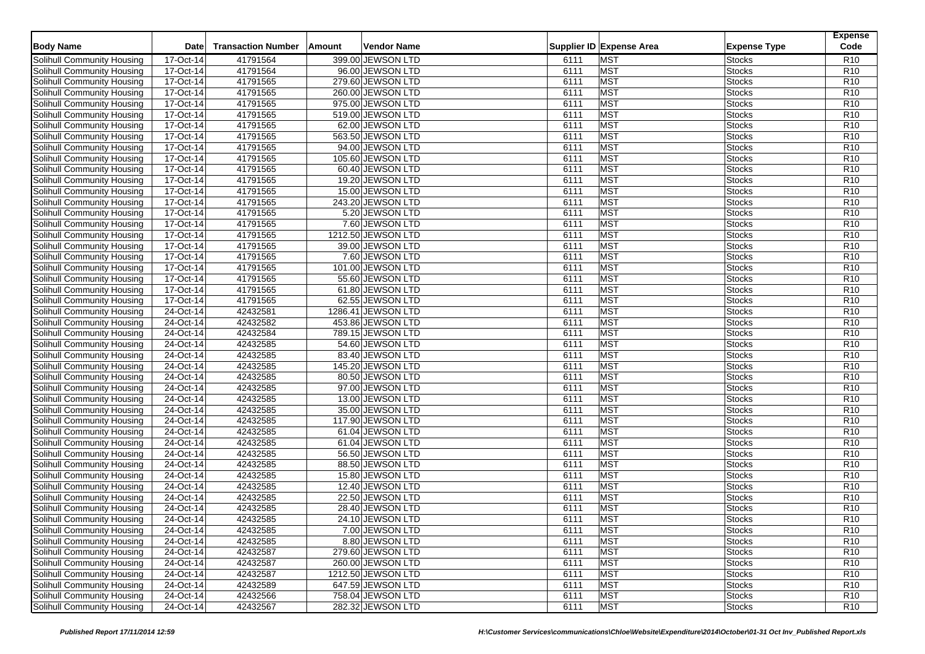| <b>Body Name</b>                                         | <b>Date</b>            | <b>Transaction Number</b> | Amount | <b>Vendor Name</b>                    |              | Supplier ID Expense Area | <b>Expense Type</b>            | <b>Expense</b><br>Code             |
|----------------------------------------------------------|------------------------|---------------------------|--------|---------------------------------------|--------------|--------------------------|--------------------------------|------------------------------------|
| Solihull Community Housing                               | 17-Oct-14              | 41791564                  |        | 399.00 JEWSON LTD                     | 6111         | <b>MST</b>               | <b>Stocks</b>                  | R <sub>10</sub>                    |
| Solihull Community Housing                               | 17-Oct-14              | 41791564                  |        | 96.00 JEWSON LTD                      | 6111         | <b>MST</b>               | <b>Stocks</b>                  | R <sub>10</sub>                    |
| Solihull Community Housing                               | 17-Oct-14              | 41791565                  |        | 279.60 JEWSON LTD                     | 6111         | <b>MST</b>               | <b>Stocks</b>                  | R <sub>10</sub>                    |
| Solihull Community Housing                               | 17-Oct-14              | 41791565                  |        | 260.00 JEWSON LTD                     | 6111         | <b>MST</b>               | <b>Stocks</b>                  | R <sub>10</sub>                    |
| Solihull Community Housing                               | 17-Oct-14              | 41791565                  |        | 975.00 JEWSON LTD                     | 6111         | <b>MST</b>               | <b>Stocks</b>                  | R <sub>10</sub>                    |
| Solihull Community Housing                               | 17-Oct-14              | 41791565                  |        | 519.00 JEWSON LTD                     | 6111         | MST                      | <b>Stocks</b>                  | R <sub>10</sub>                    |
| Solihull Community Housing                               | 17-Oct-14              | 41791565                  |        | 62.00 JEWSON LTD                      | 6111         | <b>MST</b>               | <b>Stocks</b>                  | R <sub>10</sub>                    |
| Solihull Community Housing                               | 17-Oct-14              | 41791565                  |        | 563.50 JEWSON LTD                     | 6111         | <b>MST</b>               | <b>Stocks</b>                  | R <sub>10</sub>                    |
| Solihull Community Housing                               | 17-Oct-14              | 41791565                  |        | 94.00 JEWSON LTD                      | 6111         | <b>MST</b>               | <b>Stocks</b>                  | R <sub>10</sub>                    |
| Solihull Community Housing                               | 17-Oct-14              | 41791565                  |        | 105.60 JEWSON LTD                     | 6111         | <b>MST</b>               | <b>Stocks</b>                  | R <sub>10</sub>                    |
| Solihull Community Housing                               | 17-Oct-14              | 41791565                  |        | 60.40 JEWSON LTD                      | 6111         | <b>MST</b>               | <b>Stocks</b>                  | R <sub>10</sub>                    |
| Solihull Community Housing                               | 17-Oct-14              | 41791565                  |        | 19.20 JEWSON LTD                      | 6111         | MST                      | <b>Stocks</b>                  | R <sub>10</sub>                    |
| Solihull Community Housing                               | 17-Oct-14              | 41791565                  |        | 15.00 JEWSON LTD                      | 6111         | <b>MST</b>               | <b>Stocks</b>                  | R <sub>10</sub>                    |
| Solihull Community Housing                               | 17-Oct-14              | 41791565                  |        | 243.20 JEWSON LTD                     | 6111         | <b>MST</b>               | <b>Stocks</b>                  | R <sub>10</sub>                    |
| Solihull Community Housing                               | 17-Oct-14              | 41791565                  |        | 5.20 JEWSON LTD                       | 6111         | <b>MST</b>               | <b>Stocks</b>                  | R <sub>10</sub>                    |
|                                                          |                        |                           |        |                                       |              | <b>MST</b>               |                                |                                    |
| Solihull Community Housing                               | 17-Oct-14<br>17-Oct-14 | 41791565<br>41791565      |        | 7.60 JEWSON LTD<br>1212.50 JEWSON LTD | 6111<br>6111 | <b>MST</b>               | <b>Stocks</b><br><b>Stocks</b> | R <sub>10</sub><br>R <sub>10</sub> |
| Solihull Community Housing<br>Solihull Community Housing | 17-Oct-14              | 41791565                  |        | 39.00 JEWSON LTD                      | 6111         | <b>MST</b>               | <b>Stocks</b>                  | R <sub>10</sub>                    |
| Solihull Community Housing                               |                        | 41791565                  |        |                                       | 6111         | <b>MST</b>               |                                | R10                                |
|                                                          | 17-Oct-14              |                           |        | 7.60 JEWSON LTD<br>101.00 JEWSON LTD  |              | <b>MST</b>               | <b>Stocks</b>                  | R <sub>10</sub>                    |
| Solihull Community Housing                               | 17-Oct-14<br>17-Oct-14 | 41791565                  |        |                                       | 6111         |                          | Stocks                         |                                    |
| Solihull Community Housing                               |                        | 41791565                  |        | 55.60 JEWSON LTD                      | 6111         | <b>MST</b>               | <b>Stocks</b>                  | R <sub>10</sub>                    |
| Solihull Community Housing                               | 17-Oct-14              | 41791565                  |        | 61.80 JEWSON LTD                      | 6111         | <b>MST</b>               | Stocks                         | R <sub>10</sub>                    |
| Solihull Community Housing                               | 17-Oct-14              | 41791565                  |        | 62.55 JEWSON LTD                      | 6111         | <b>MST</b>               | Stocks                         | R <sub>10</sub>                    |
| Solihull Community Housing                               | 24-Oct-14              | 42432581                  |        | 1286.41 JEWSON LTD                    | 6111         | <b>MST</b>               | Stocks                         | R <sub>10</sub>                    |
| Solihull Community Housing                               | 24-Oct-14              | 42432582                  |        | 453.86 JEWSON LTD                     | 6111         | <b>MST</b>               | <b>Stocks</b>                  | R <sub>10</sub>                    |
| Solihull Community Housing                               | 24-Oct-14              | 42432584                  |        | 789.15 JEWSON LTD                     | 6111         | <b>MST</b>               | Stocks                         | R <sub>10</sub>                    |
| Solihull Community Housing                               | 24-Oct-14              | 42432585                  |        | 54.60 JEWSON LTD                      | 6111         | <b>MST</b>               | Stocks                         | R <sub>10</sub>                    |
| Solihull Community Housing                               | 24-Oct-14              | 42432585                  |        | 83.40 JEWSON LTD                      | 6111         | <b>MST</b>               | Stocks                         | R <sub>10</sub>                    |
| Solihull Community Housing                               | 24-Oct-14              | 42432585                  |        | 145.20 JEWSON LTD                     | 6111         | <b>MST</b>               | Stocks                         | R <sub>10</sub>                    |
| Solihull Community Housing                               | 24-Oct-14              | 42432585                  |        | 80.50 JEWSON LTD                      | 6111         | <b>MST</b>               | Stocks                         | R <sub>10</sub>                    |
| Solihull Community Housing                               | 24-Oct-14              | 42432585                  |        | 97.00 JEWSON LTD                      | 6111         | <b>MST</b>               | <b>Stocks</b>                  | R <sub>10</sub>                    |
| Solihull Community Housing                               | 24-Oct-14              | 42432585                  |        | 13.00 JEWSON LTD                      | 6111         | <b>MST</b>               | Stocks                         | R <sub>10</sub>                    |
| Solihull Community Housing                               | 24-Oct-14              | 42432585                  |        | 35.00 JEWSON LTD                      | 6111         | <b>MST</b>               | Stocks                         | R <sub>10</sub>                    |
| Solihull Community Housing                               | 24-Oct-14              | 42432585                  |        | 117.90 JEWSON LTD                     | 6111         | <b>MST</b>               | <b>Stocks</b>                  | R <sub>10</sub>                    |
| Solihull Community Housing                               | 24-Oct-14              | 42432585                  |        | 61.04 JEWSON LTD                      | 6111         | <b>MST</b>               | Stocks                         | R <sub>10</sub>                    |
| <b>Solihull Community Housing</b>                        | 24-Oct-14              | 42432585                  |        | 61.04 JEWSON LTD                      | 6111         | <b>MST</b>               | <b>Stocks</b>                  | R <sub>10</sub>                    |
| Solihull Community Housing                               | 24-Oct-14              | 42432585                  |        | 56.50 JEWSON LTD                      | 6111         | <b>MST</b>               | Stocks                         | R <sub>10</sub>                    |
| Solihull Community Housing                               | 24-Oct-14              | 42432585                  |        | 88.50 JEWSON LTD                      | 6111         | <b>MST</b>               | Stocks                         | R <sub>10</sub>                    |
| Solihull Community Housing                               | 24-Oct-14              | 42432585                  |        | 15.80 JEWSON LTD                      | 6111         | <b>MST</b>               | Stocks                         | R <sub>10</sub>                    |
| Solihull Community Housing                               | 24-Oct-14              | 42432585                  |        | 12.40 JEWSON LTD                      | 6111         | <b>MST</b>               | Stocks                         | R <sub>10</sub>                    |
| Solihull Community Housing                               | 24-Oct-14              | 42432585                  |        | 22.50 JEWSON LTD                      | 6111         | <b>MST</b>               | Stocks                         | R <sub>10</sub>                    |
| Solihull Community Housing                               | 24-Oct-14              | 42432585                  |        | 28.40 JEWSON LTD                      | 6111         | <b>MST</b>               | Stocks                         | R <sub>10</sub>                    |
| <b>Solihull Community Housing</b>                        | 24-Oct-14              | 42432585                  |        | 24.10 JEWSON LTD                      | 6111         | <b>MST</b>               | <b>Stocks</b>                  | R <sub>10</sub>                    |
| Solihull Community Housing                               | 24-Oct-14              | 42432585                  |        | 7.00 JEWSON LTD                       | 6111         | <b>MST</b>               | <b>Stocks</b>                  | R <sub>10</sub>                    |
| Solihull Community Housing                               | $24-Oct-14$            | 42432585                  |        | 8.80 JEWSON LTD                       | 6111         | <b>MST</b>               | <b>Stocks</b>                  | R <sub>10</sub>                    |
| Solihull Community Housing                               | 24-Oct-14              | 42432587                  |        | 279.60 JEWSON LTD                     | 6111         | <b>MST</b>               | <b>Stocks</b>                  | R <sub>10</sub>                    |
| Solihull Community Housing                               | 24-Oct-14              | 42432587                  |        | 260.00 JEWSON LTD                     | 6111         | <b>MST</b>               | <b>Stocks</b>                  | R <sub>10</sub>                    |
| Solihull Community Housing                               | 24-Oct-14              | 42432587                  |        | 1212.50 JEWSON LTD                    | 6111         | <b>MST</b>               | <b>Stocks</b>                  | R <sub>10</sub>                    |
| Solihull Community Housing                               | 24-Oct-14              | 42432589                  |        | 647.59 JEWSON LTD                     | 6111         | <b>MST</b>               | <b>Stocks</b>                  | R <sub>10</sub>                    |
| Solihull Community Housing                               | 24-Oct-14              | 42432566                  |        | 758.04 JEWSON LTD                     | 6111         | <b>MST</b>               | <b>Stocks</b>                  | R <sub>10</sub>                    |
| Solihull Community Housing                               | 24-Oct-14              | 42432567                  |        | 282.32 JEWSON LTD                     | 6111         | <b>MST</b>               | <b>Stocks</b>                  | R <sub>10</sub>                    |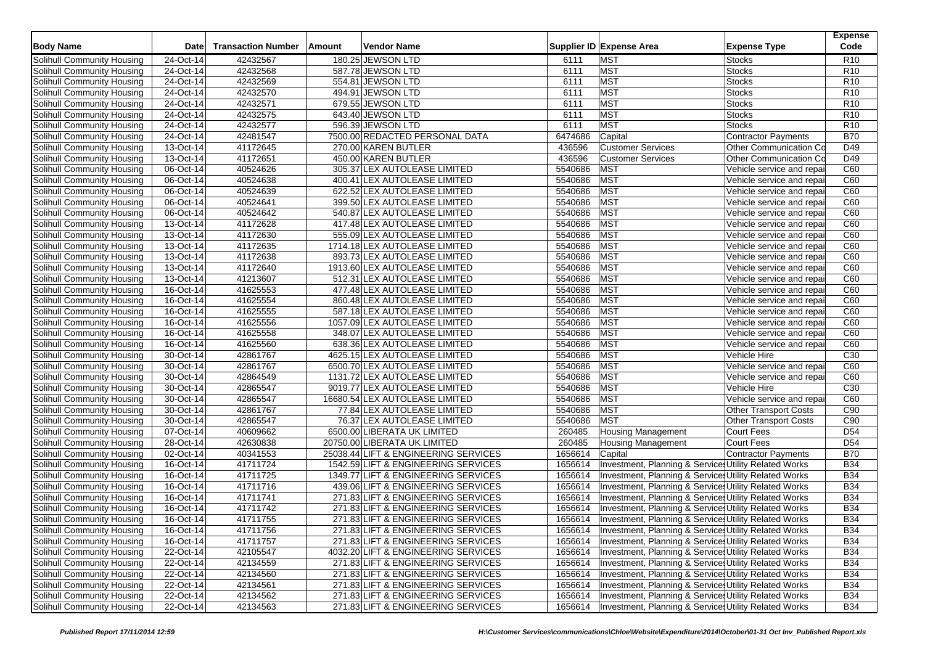| <b>MST</b><br>Solihull Community Housing<br>24-Oct-14<br>42432567<br>180.25 JEWSON LTD<br>R <sub>10</sub><br>6111<br><b>Stocks</b><br>24-Oct-14<br>42432568<br>587.78 JEWSON LTD<br>6111<br><b>MST</b><br><b>Stocks</b><br>R <sub>10</sub><br>Solihull Community Housing<br><b>MST</b><br>24-Oct-14<br>42432569<br>6111<br><b>Stocks</b><br>Solihull Community Housing<br>554.81 JEWSON LTD<br>R <sub>10</sub><br><b>MST</b><br>42432570<br>6111<br>R <sub>10</sub><br>Solihull Community Housing<br>24-Oct-14<br>494.91 JEWSON LTD<br><b>Stocks</b><br><b>MST</b><br>Solihull Community Housing<br>24-Oct-14<br>42432571<br>679.55 JEWSON LTD<br>6111<br><b>Stocks</b><br>R <sub>10</sub><br><b>MST</b><br>24-Oct-14<br>42432575<br>643.40 JEWSON LTD<br><b>Stocks</b><br>Solihull Community Housing<br>6111<br>R <sub>10</sub><br>42432577<br><b>MST</b><br>24-Oct-14<br>596.39 JEWSON LTD<br>6111<br><b>Stocks</b><br>R <sub>10</sub><br>Solihull Community Housing<br>24-Oct-14<br>42481547<br>6474686<br><b>B70</b><br>Solihull Community Housing<br>7500.00 REDACTED PERSONAL DATA<br>Capital<br>Contractor Payments<br>$13-Oct-14$<br>41172645<br>Solihull Community Housing<br>270.00 KAREN BUTLER<br>436596<br><b>Customer Services</b><br><b>Other Communication Co.</b><br>D49<br>13-Oct-14<br>41172651<br>450.00 KAREN BUTLER<br>436596<br><b>Customer Services</b><br>D49<br>Solihull Community Housing<br>Other Communication Co<br>06-Oct-14<br>40524626<br>305.37 LEX AUTOLEASE LIMITED<br>5540686<br><b>MST</b><br>Solihull Community Housing<br>Vehicle service and repai<br>C60<br><b>MST</b><br>$06-Cct-14$<br>40524638<br>400.41 LEX AUTOLEASE LIMITED<br>5540686<br>C60<br>Solihull Community Housing<br>Vehicle service and repai<br><b>MST</b><br>40524639<br>622.52 LEX AUTOLEASE LIMITED<br>5540686<br>C60<br>Solihull Community Housing<br>06-Oct-14<br>Vehicle service and repai<br><b>MST</b><br>06-Oct-14<br>40524641<br>399.50 LEX AUTOLEASE LIMITED<br>5540686<br>C60<br>Solihull Community Housing<br>Vehicle service and repai<br>06-Oct-14<br>40524642<br>540.87 LEX AUTOLEASE LIMITED<br>5540686<br><b>MST</b><br>C60<br>Solihull Community Housing<br>Vehicle service and repai<br>41172628<br>5540686<br><b>MST</b><br>C60<br>Solihull Community Housing<br>13-Oct-14<br>417.48 LEX AUTOLEASE LIMITED<br>Vehicle service and repai<br><b>MST</b><br>Solihull Community Housing<br>13-Oct-14<br>41172630<br>555.09 LEX AUTOLEASE LIMITED<br>5540686<br>Vehicle service and repai<br>C60<br><b>MST</b><br>13-Oct-14<br>41172635<br>1714.18 LEX AUTOLEASE LIMITED<br>5540686<br>C60<br>Solihull Community Housing<br>Vehicle service and repai<br><b>MST</b><br>41172638<br>5540686<br>C60<br>Solihull Community Housing<br>13-Oct-14<br>893.73 LEX AUTOLEASE LIMITED<br>Vehicle service and repai<br><b>MST</b><br>13-Oct-14<br>41172640<br>5540686<br>C60<br>Solihull Community Housing<br>1913.60 LEX AUTOLEASE LIMITED<br>Vehicle service and repai<br>5540686<br>13-Oct-14<br>41213607<br>512.31 LEX AUTOLEASE LIMITED<br><b>MST</b><br>C60<br>Solihull Community Housing<br>Vehicle service and repai<br>41625553<br>5540686<br><b>MST</b><br>Solihull Community Housing<br>16-Oct-14<br>477.48 LEX AUTOLEASE LIMITED<br>Vehicle service and repai<br>C60<br><b>MST</b><br>16-Oct-14<br>41625554<br>860.48 LEX AUTOLEASE LIMITED<br>5540686<br>C60<br>Solihull Community Housing<br>Vehicle service and repai<br>41625555<br>5540686<br><b>MST</b><br>Solihull Community Housing<br>16-Oct-14<br>587.18 LEX AUTOLEASE LIMITED<br>C60<br>Vehicle service and repai<br><b>MST</b><br>Solihull Community Housing<br>16-Oct-14<br>41625556<br>5540686<br>C60<br>1057.09 LEX AUTOLEASE LIMITED<br>Vehicle service and repai<br><b>MST</b><br>41625558<br>5540686<br>C60<br>16-Oct-14<br>348.07 LEX AUTOLEASE LIMITED<br>Vehicle service and repai<br>16-Oct-14<br>41625560<br>5540686<br><b>MST</b><br>C60<br>638.36 LEX AUTOLEASE LIMITED<br>Vehicle service and repai<br>42861767<br>5540686<br><b>MST</b><br>C <sub>30</sub><br>30-Oct-14<br>4625.15 LEX AUTOLEASE LIMITED<br>Vehicle Hire<br><b>MST</b><br>30-Oct-14<br>42861767<br>5540686<br>C60<br>6500.70 LEX AUTOLEASE LIMITED<br>Vehicle service and repai<br>5540686<br><b>MST</b><br>Solihull Community Housing<br>30-Oct-14<br>42864549<br>1131.72 LEX AUTOLEASE LIMITED<br>Vehicle service and repai<br>C60<br><b>MST</b><br>30-Oct-14<br>42865547<br>5540686<br>Vehicle Hire<br>C <sub>30</sub><br>9019.77 LEX AUTOLEASE LIMITED<br><b>MST</b><br>30-Oct-14<br>42865547<br>5540686<br>C60<br>16680.54 LEX AUTOLEASE LIMITED<br>Vehicle service and repai<br>30-Oct-14<br>42861767<br>77.84 LEX AUTOLEASE LIMITED<br>5540686<br><b>MST</b><br><b>Other Transport Costs</b><br>C90<br><b>MST</b><br>30-Oct-14<br>42865547<br>76.37 LEX AUTOLEASE LIMITED<br>5540686<br><b>Other Transport Costs</b><br>C90<br>40609662<br>07-Oct-14<br>6500.00 LIBERATA UK LIMITED<br>260485<br>Court Fees<br>D <sub>54</sub><br>Solihull Community Housing<br><b>Housing Management</b><br>42630838<br><b>Court Fees</b><br>28-Oct-14<br>20750.00 LIBERATA UK LIMITED<br>260485<br>D <sub>54</sub><br><b>Solihull Community Housing</b><br><b>Housing Management</b><br>02-Oct-14<br>1656614<br><b>B70</b><br>40341553<br>25038.44 LIFT & ENGINEERING SERVICES<br>Capital<br>Contractor Payments<br><b>B34</b><br>16-Oct-14<br>41711724<br>1542.59 LIFT & ENGINEERING SERVICES<br>1656614<br>Investment, Planning & Services Utility Related Works<br>Solihull Community Housing<br>16-Oct-14<br>41711725<br>1349.77 LIFT & ENGINEERING SERVICES<br>1656614<br>Investment, Planning & Services Utility Related Works<br><b>B34</b><br>Solihull Community Housing<br>Investment, Planning & Services Utility Related Works<br>Solihull Community Housing<br>16-Oct-14<br>41711716<br>439.06 LIFT & ENGINEERING SERVICES<br>1656614<br><b>B34</b><br>271.83 LIFT & ENGINEERING SERVICES<br>Investment, Planning & Services Utility Related Works | <b>Body Name</b>           | Date      | <b>Transaction Number</b> | Amount | Vendor Name |         | Supplier ID Expense Area | <b>Expense Type</b> | <b>Expense</b><br>Code |
|----------------------------------------------------------------------------------------------------------------------------------------------------------------------------------------------------------------------------------------------------------------------------------------------------------------------------------------------------------------------------------------------------------------------------------------------------------------------------------------------------------------------------------------------------------------------------------------------------------------------------------------------------------------------------------------------------------------------------------------------------------------------------------------------------------------------------------------------------------------------------------------------------------------------------------------------------------------------------------------------------------------------------------------------------------------------------------------------------------------------------------------------------------------------------------------------------------------------------------------------------------------------------------------------------------------------------------------------------------------------------------------------------------------------------------------------------------------------------------------------------------------------------------------------------------------------------------------------------------------------------------------------------------------------------------------------------------------------------------------------------------------------------------------------------------------------------------------------------------------------------------------------------------------------------------------------------------------------------------------------------------------------------------------------------------------------------------------------------------------------------------------------------------------------------------------------------------------------------------------------------------------------------------------------------------------------------------------------------------------------------------------------------------------------------------------------------------------------------------------------------------------------------------------------------------------------------------------------------------------------------------------------------------------------------------------------------------------------------------------------------------------------------------------------------------------------------------------------------------------------------------------------------------------------------------------------------------------------------------------------------------------------------------------------------------------------------------------------------------------------------------------------------------------------------------------------------------------------------------------------------------------------------------------------------------------------------------------------------------------------------------------------------------------------------------------------------------------------------------------------------------------------------------------------------------------------------------------------------------------------------------------------------------------------------------------------------------------------------------------------------------------------------------------------------------------------------------------------------------------------------------------------------------------------------------------------------------------------------------------------------------------------------------------------------------------------------------------------------------------------------------------------------------------------------------------------------------------------------------------------------------------------------------------------------------------------------------------------------------------------------------------------------------------------------------------------------------------------------------------------------------------------------------------------------------------------------------------------------------------------------------------------------------------------------------------------------------------------------------------------------------------------------------------------------------------------------------------------------------------------------------------------------------------------------------------------------------------------------------------------------------------------------------------------------------------------------------------------------------------------------------------------------------------------------------------------------------------------------------------------------------------------------------------------------------------------------------------------------------------------------------------------------------------------------------------------------------------------------------------------------------------------------------------------------------------------------------------------------------------------------------------------------------------------------------------------------------------------------------------------------------------------------------------------------------------------------------------------------------------------------------------------------------------------------------------------------------------------------------------------------------------------------------|----------------------------|-----------|---------------------------|--------|-------------|---------|--------------------------|---------------------|------------------------|
|                                                                                                                                                                                                                                                                                                                                                                                                                                                                                                                                                                                                                                                                                                                                                                                                                                                                                                                                                                                                                                                                                                                                                                                                                                                                                                                                                                                                                                                                                                                                                                                                                                                                                                                                                                                                                                                                                                                                                                                                                                                                                                                                                                                                                                                                                                                                                                                                                                                                                                                                                                                                                                                                                                                                                                                                                                                                                                                                                                                                                                                                                                                                                                                                                                                                                                                                                                                                                                                                                                                                                                                                                                                                                                                                                                                                                                                                                                                                                                                                                                                                                                                                                                                                                                                                                                                                                                                                                                                                                                                                                                                                                                                                                                                                                                                                                                                                                                                                                                                                                                                                                                                                                                                                                                                                                                                                                                                                                                                                                                                                                                                                                                                                                                                                                                                                                                                                                                                                                                                                                                  |                            |           |                           |        |             |         |                          |                     |                        |
|                                                                                                                                                                                                                                                                                                                                                                                                                                                                                                                                                                                                                                                                                                                                                                                                                                                                                                                                                                                                                                                                                                                                                                                                                                                                                                                                                                                                                                                                                                                                                                                                                                                                                                                                                                                                                                                                                                                                                                                                                                                                                                                                                                                                                                                                                                                                                                                                                                                                                                                                                                                                                                                                                                                                                                                                                                                                                                                                                                                                                                                                                                                                                                                                                                                                                                                                                                                                                                                                                                                                                                                                                                                                                                                                                                                                                                                                                                                                                                                                                                                                                                                                                                                                                                                                                                                                                                                                                                                                                                                                                                                                                                                                                                                                                                                                                                                                                                                                                                                                                                                                                                                                                                                                                                                                                                                                                                                                                                                                                                                                                                                                                                                                                                                                                                                                                                                                                                                                                                                                                                  |                            |           |                           |        |             |         |                          |                     |                        |
|                                                                                                                                                                                                                                                                                                                                                                                                                                                                                                                                                                                                                                                                                                                                                                                                                                                                                                                                                                                                                                                                                                                                                                                                                                                                                                                                                                                                                                                                                                                                                                                                                                                                                                                                                                                                                                                                                                                                                                                                                                                                                                                                                                                                                                                                                                                                                                                                                                                                                                                                                                                                                                                                                                                                                                                                                                                                                                                                                                                                                                                                                                                                                                                                                                                                                                                                                                                                                                                                                                                                                                                                                                                                                                                                                                                                                                                                                                                                                                                                                                                                                                                                                                                                                                                                                                                                                                                                                                                                                                                                                                                                                                                                                                                                                                                                                                                                                                                                                                                                                                                                                                                                                                                                                                                                                                                                                                                                                                                                                                                                                                                                                                                                                                                                                                                                                                                                                                                                                                                                                                  |                            |           |                           |        |             |         |                          |                     |                        |
|                                                                                                                                                                                                                                                                                                                                                                                                                                                                                                                                                                                                                                                                                                                                                                                                                                                                                                                                                                                                                                                                                                                                                                                                                                                                                                                                                                                                                                                                                                                                                                                                                                                                                                                                                                                                                                                                                                                                                                                                                                                                                                                                                                                                                                                                                                                                                                                                                                                                                                                                                                                                                                                                                                                                                                                                                                                                                                                                                                                                                                                                                                                                                                                                                                                                                                                                                                                                                                                                                                                                                                                                                                                                                                                                                                                                                                                                                                                                                                                                                                                                                                                                                                                                                                                                                                                                                                                                                                                                                                                                                                                                                                                                                                                                                                                                                                                                                                                                                                                                                                                                                                                                                                                                                                                                                                                                                                                                                                                                                                                                                                                                                                                                                                                                                                                                                                                                                                                                                                                                                                  |                            |           |                           |        |             |         |                          |                     |                        |
|                                                                                                                                                                                                                                                                                                                                                                                                                                                                                                                                                                                                                                                                                                                                                                                                                                                                                                                                                                                                                                                                                                                                                                                                                                                                                                                                                                                                                                                                                                                                                                                                                                                                                                                                                                                                                                                                                                                                                                                                                                                                                                                                                                                                                                                                                                                                                                                                                                                                                                                                                                                                                                                                                                                                                                                                                                                                                                                                                                                                                                                                                                                                                                                                                                                                                                                                                                                                                                                                                                                                                                                                                                                                                                                                                                                                                                                                                                                                                                                                                                                                                                                                                                                                                                                                                                                                                                                                                                                                                                                                                                                                                                                                                                                                                                                                                                                                                                                                                                                                                                                                                                                                                                                                                                                                                                                                                                                                                                                                                                                                                                                                                                                                                                                                                                                                                                                                                                                                                                                                                                  |                            |           |                           |        |             |         |                          |                     |                        |
|                                                                                                                                                                                                                                                                                                                                                                                                                                                                                                                                                                                                                                                                                                                                                                                                                                                                                                                                                                                                                                                                                                                                                                                                                                                                                                                                                                                                                                                                                                                                                                                                                                                                                                                                                                                                                                                                                                                                                                                                                                                                                                                                                                                                                                                                                                                                                                                                                                                                                                                                                                                                                                                                                                                                                                                                                                                                                                                                                                                                                                                                                                                                                                                                                                                                                                                                                                                                                                                                                                                                                                                                                                                                                                                                                                                                                                                                                                                                                                                                                                                                                                                                                                                                                                                                                                                                                                                                                                                                                                                                                                                                                                                                                                                                                                                                                                                                                                                                                                                                                                                                                                                                                                                                                                                                                                                                                                                                                                                                                                                                                                                                                                                                                                                                                                                                                                                                                                                                                                                                                                  |                            |           |                           |        |             |         |                          |                     |                        |
|                                                                                                                                                                                                                                                                                                                                                                                                                                                                                                                                                                                                                                                                                                                                                                                                                                                                                                                                                                                                                                                                                                                                                                                                                                                                                                                                                                                                                                                                                                                                                                                                                                                                                                                                                                                                                                                                                                                                                                                                                                                                                                                                                                                                                                                                                                                                                                                                                                                                                                                                                                                                                                                                                                                                                                                                                                                                                                                                                                                                                                                                                                                                                                                                                                                                                                                                                                                                                                                                                                                                                                                                                                                                                                                                                                                                                                                                                                                                                                                                                                                                                                                                                                                                                                                                                                                                                                                                                                                                                                                                                                                                                                                                                                                                                                                                                                                                                                                                                                                                                                                                                                                                                                                                                                                                                                                                                                                                                                                                                                                                                                                                                                                                                                                                                                                                                                                                                                                                                                                                                                  |                            |           |                           |        |             |         |                          |                     |                        |
|                                                                                                                                                                                                                                                                                                                                                                                                                                                                                                                                                                                                                                                                                                                                                                                                                                                                                                                                                                                                                                                                                                                                                                                                                                                                                                                                                                                                                                                                                                                                                                                                                                                                                                                                                                                                                                                                                                                                                                                                                                                                                                                                                                                                                                                                                                                                                                                                                                                                                                                                                                                                                                                                                                                                                                                                                                                                                                                                                                                                                                                                                                                                                                                                                                                                                                                                                                                                                                                                                                                                                                                                                                                                                                                                                                                                                                                                                                                                                                                                                                                                                                                                                                                                                                                                                                                                                                                                                                                                                                                                                                                                                                                                                                                                                                                                                                                                                                                                                                                                                                                                                                                                                                                                                                                                                                                                                                                                                                                                                                                                                                                                                                                                                                                                                                                                                                                                                                                                                                                                                                  |                            |           |                           |        |             |         |                          |                     |                        |
|                                                                                                                                                                                                                                                                                                                                                                                                                                                                                                                                                                                                                                                                                                                                                                                                                                                                                                                                                                                                                                                                                                                                                                                                                                                                                                                                                                                                                                                                                                                                                                                                                                                                                                                                                                                                                                                                                                                                                                                                                                                                                                                                                                                                                                                                                                                                                                                                                                                                                                                                                                                                                                                                                                                                                                                                                                                                                                                                                                                                                                                                                                                                                                                                                                                                                                                                                                                                                                                                                                                                                                                                                                                                                                                                                                                                                                                                                                                                                                                                                                                                                                                                                                                                                                                                                                                                                                                                                                                                                                                                                                                                                                                                                                                                                                                                                                                                                                                                                                                                                                                                                                                                                                                                                                                                                                                                                                                                                                                                                                                                                                                                                                                                                                                                                                                                                                                                                                                                                                                                                                  |                            |           |                           |        |             |         |                          |                     |                        |
|                                                                                                                                                                                                                                                                                                                                                                                                                                                                                                                                                                                                                                                                                                                                                                                                                                                                                                                                                                                                                                                                                                                                                                                                                                                                                                                                                                                                                                                                                                                                                                                                                                                                                                                                                                                                                                                                                                                                                                                                                                                                                                                                                                                                                                                                                                                                                                                                                                                                                                                                                                                                                                                                                                                                                                                                                                                                                                                                                                                                                                                                                                                                                                                                                                                                                                                                                                                                                                                                                                                                                                                                                                                                                                                                                                                                                                                                                                                                                                                                                                                                                                                                                                                                                                                                                                                                                                                                                                                                                                                                                                                                                                                                                                                                                                                                                                                                                                                                                                                                                                                                                                                                                                                                                                                                                                                                                                                                                                                                                                                                                                                                                                                                                                                                                                                                                                                                                                                                                                                                                                  |                            |           |                           |        |             |         |                          |                     |                        |
|                                                                                                                                                                                                                                                                                                                                                                                                                                                                                                                                                                                                                                                                                                                                                                                                                                                                                                                                                                                                                                                                                                                                                                                                                                                                                                                                                                                                                                                                                                                                                                                                                                                                                                                                                                                                                                                                                                                                                                                                                                                                                                                                                                                                                                                                                                                                                                                                                                                                                                                                                                                                                                                                                                                                                                                                                                                                                                                                                                                                                                                                                                                                                                                                                                                                                                                                                                                                                                                                                                                                                                                                                                                                                                                                                                                                                                                                                                                                                                                                                                                                                                                                                                                                                                                                                                                                                                                                                                                                                                                                                                                                                                                                                                                                                                                                                                                                                                                                                                                                                                                                                                                                                                                                                                                                                                                                                                                                                                                                                                                                                                                                                                                                                                                                                                                                                                                                                                                                                                                                                                  |                            |           |                           |        |             |         |                          |                     |                        |
|                                                                                                                                                                                                                                                                                                                                                                                                                                                                                                                                                                                                                                                                                                                                                                                                                                                                                                                                                                                                                                                                                                                                                                                                                                                                                                                                                                                                                                                                                                                                                                                                                                                                                                                                                                                                                                                                                                                                                                                                                                                                                                                                                                                                                                                                                                                                                                                                                                                                                                                                                                                                                                                                                                                                                                                                                                                                                                                                                                                                                                                                                                                                                                                                                                                                                                                                                                                                                                                                                                                                                                                                                                                                                                                                                                                                                                                                                                                                                                                                                                                                                                                                                                                                                                                                                                                                                                                                                                                                                                                                                                                                                                                                                                                                                                                                                                                                                                                                                                                                                                                                                                                                                                                                                                                                                                                                                                                                                                                                                                                                                                                                                                                                                                                                                                                                                                                                                                                                                                                                                                  |                            |           |                           |        |             |         |                          |                     |                        |
|                                                                                                                                                                                                                                                                                                                                                                                                                                                                                                                                                                                                                                                                                                                                                                                                                                                                                                                                                                                                                                                                                                                                                                                                                                                                                                                                                                                                                                                                                                                                                                                                                                                                                                                                                                                                                                                                                                                                                                                                                                                                                                                                                                                                                                                                                                                                                                                                                                                                                                                                                                                                                                                                                                                                                                                                                                                                                                                                                                                                                                                                                                                                                                                                                                                                                                                                                                                                                                                                                                                                                                                                                                                                                                                                                                                                                                                                                                                                                                                                                                                                                                                                                                                                                                                                                                                                                                                                                                                                                                                                                                                                                                                                                                                                                                                                                                                                                                                                                                                                                                                                                                                                                                                                                                                                                                                                                                                                                                                                                                                                                                                                                                                                                                                                                                                                                                                                                                                                                                                                                                  |                            |           |                           |        |             |         |                          |                     |                        |
|                                                                                                                                                                                                                                                                                                                                                                                                                                                                                                                                                                                                                                                                                                                                                                                                                                                                                                                                                                                                                                                                                                                                                                                                                                                                                                                                                                                                                                                                                                                                                                                                                                                                                                                                                                                                                                                                                                                                                                                                                                                                                                                                                                                                                                                                                                                                                                                                                                                                                                                                                                                                                                                                                                                                                                                                                                                                                                                                                                                                                                                                                                                                                                                                                                                                                                                                                                                                                                                                                                                                                                                                                                                                                                                                                                                                                                                                                                                                                                                                                                                                                                                                                                                                                                                                                                                                                                                                                                                                                                                                                                                                                                                                                                                                                                                                                                                                                                                                                                                                                                                                                                                                                                                                                                                                                                                                                                                                                                                                                                                                                                                                                                                                                                                                                                                                                                                                                                                                                                                                                                  |                            |           |                           |        |             |         |                          |                     |                        |
|                                                                                                                                                                                                                                                                                                                                                                                                                                                                                                                                                                                                                                                                                                                                                                                                                                                                                                                                                                                                                                                                                                                                                                                                                                                                                                                                                                                                                                                                                                                                                                                                                                                                                                                                                                                                                                                                                                                                                                                                                                                                                                                                                                                                                                                                                                                                                                                                                                                                                                                                                                                                                                                                                                                                                                                                                                                                                                                                                                                                                                                                                                                                                                                                                                                                                                                                                                                                                                                                                                                                                                                                                                                                                                                                                                                                                                                                                                                                                                                                                                                                                                                                                                                                                                                                                                                                                                                                                                                                                                                                                                                                                                                                                                                                                                                                                                                                                                                                                                                                                                                                                                                                                                                                                                                                                                                                                                                                                                                                                                                                                                                                                                                                                                                                                                                                                                                                                                                                                                                                                                  |                            |           |                           |        |             |         |                          |                     |                        |
|                                                                                                                                                                                                                                                                                                                                                                                                                                                                                                                                                                                                                                                                                                                                                                                                                                                                                                                                                                                                                                                                                                                                                                                                                                                                                                                                                                                                                                                                                                                                                                                                                                                                                                                                                                                                                                                                                                                                                                                                                                                                                                                                                                                                                                                                                                                                                                                                                                                                                                                                                                                                                                                                                                                                                                                                                                                                                                                                                                                                                                                                                                                                                                                                                                                                                                                                                                                                                                                                                                                                                                                                                                                                                                                                                                                                                                                                                                                                                                                                                                                                                                                                                                                                                                                                                                                                                                                                                                                                                                                                                                                                                                                                                                                                                                                                                                                                                                                                                                                                                                                                                                                                                                                                                                                                                                                                                                                                                                                                                                                                                                                                                                                                                                                                                                                                                                                                                                                                                                                                                                  |                            |           |                           |        |             |         |                          |                     |                        |
|                                                                                                                                                                                                                                                                                                                                                                                                                                                                                                                                                                                                                                                                                                                                                                                                                                                                                                                                                                                                                                                                                                                                                                                                                                                                                                                                                                                                                                                                                                                                                                                                                                                                                                                                                                                                                                                                                                                                                                                                                                                                                                                                                                                                                                                                                                                                                                                                                                                                                                                                                                                                                                                                                                                                                                                                                                                                                                                                                                                                                                                                                                                                                                                                                                                                                                                                                                                                                                                                                                                                                                                                                                                                                                                                                                                                                                                                                                                                                                                                                                                                                                                                                                                                                                                                                                                                                                                                                                                                                                                                                                                                                                                                                                                                                                                                                                                                                                                                                                                                                                                                                                                                                                                                                                                                                                                                                                                                                                                                                                                                                                                                                                                                                                                                                                                                                                                                                                                                                                                                                                  |                            |           |                           |        |             |         |                          |                     |                        |
|                                                                                                                                                                                                                                                                                                                                                                                                                                                                                                                                                                                                                                                                                                                                                                                                                                                                                                                                                                                                                                                                                                                                                                                                                                                                                                                                                                                                                                                                                                                                                                                                                                                                                                                                                                                                                                                                                                                                                                                                                                                                                                                                                                                                                                                                                                                                                                                                                                                                                                                                                                                                                                                                                                                                                                                                                                                                                                                                                                                                                                                                                                                                                                                                                                                                                                                                                                                                                                                                                                                                                                                                                                                                                                                                                                                                                                                                                                                                                                                                                                                                                                                                                                                                                                                                                                                                                                                                                                                                                                                                                                                                                                                                                                                                                                                                                                                                                                                                                                                                                                                                                                                                                                                                                                                                                                                                                                                                                                                                                                                                                                                                                                                                                                                                                                                                                                                                                                                                                                                                                                  |                            |           |                           |        |             |         |                          |                     |                        |
|                                                                                                                                                                                                                                                                                                                                                                                                                                                                                                                                                                                                                                                                                                                                                                                                                                                                                                                                                                                                                                                                                                                                                                                                                                                                                                                                                                                                                                                                                                                                                                                                                                                                                                                                                                                                                                                                                                                                                                                                                                                                                                                                                                                                                                                                                                                                                                                                                                                                                                                                                                                                                                                                                                                                                                                                                                                                                                                                                                                                                                                                                                                                                                                                                                                                                                                                                                                                                                                                                                                                                                                                                                                                                                                                                                                                                                                                                                                                                                                                                                                                                                                                                                                                                                                                                                                                                                                                                                                                                                                                                                                                                                                                                                                                                                                                                                                                                                                                                                                                                                                                                                                                                                                                                                                                                                                                                                                                                                                                                                                                                                                                                                                                                                                                                                                                                                                                                                                                                                                                                                  |                            |           |                           |        |             |         |                          |                     |                        |
|                                                                                                                                                                                                                                                                                                                                                                                                                                                                                                                                                                                                                                                                                                                                                                                                                                                                                                                                                                                                                                                                                                                                                                                                                                                                                                                                                                                                                                                                                                                                                                                                                                                                                                                                                                                                                                                                                                                                                                                                                                                                                                                                                                                                                                                                                                                                                                                                                                                                                                                                                                                                                                                                                                                                                                                                                                                                                                                                                                                                                                                                                                                                                                                                                                                                                                                                                                                                                                                                                                                                                                                                                                                                                                                                                                                                                                                                                                                                                                                                                                                                                                                                                                                                                                                                                                                                                                                                                                                                                                                                                                                                                                                                                                                                                                                                                                                                                                                                                                                                                                                                                                                                                                                                                                                                                                                                                                                                                                                                                                                                                                                                                                                                                                                                                                                                                                                                                                                                                                                                                                  |                            |           |                           |        |             |         |                          |                     |                        |
|                                                                                                                                                                                                                                                                                                                                                                                                                                                                                                                                                                                                                                                                                                                                                                                                                                                                                                                                                                                                                                                                                                                                                                                                                                                                                                                                                                                                                                                                                                                                                                                                                                                                                                                                                                                                                                                                                                                                                                                                                                                                                                                                                                                                                                                                                                                                                                                                                                                                                                                                                                                                                                                                                                                                                                                                                                                                                                                                                                                                                                                                                                                                                                                                                                                                                                                                                                                                                                                                                                                                                                                                                                                                                                                                                                                                                                                                                                                                                                                                                                                                                                                                                                                                                                                                                                                                                                                                                                                                                                                                                                                                                                                                                                                                                                                                                                                                                                                                                                                                                                                                                                                                                                                                                                                                                                                                                                                                                                                                                                                                                                                                                                                                                                                                                                                                                                                                                                                                                                                                                                  |                            |           |                           |        |             |         |                          |                     |                        |
|                                                                                                                                                                                                                                                                                                                                                                                                                                                                                                                                                                                                                                                                                                                                                                                                                                                                                                                                                                                                                                                                                                                                                                                                                                                                                                                                                                                                                                                                                                                                                                                                                                                                                                                                                                                                                                                                                                                                                                                                                                                                                                                                                                                                                                                                                                                                                                                                                                                                                                                                                                                                                                                                                                                                                                                                                                                                                                                                                                                                                                                                                                                                                                                                                                                                                                                                                                                                                                                                                                                                                                                                                                                                                                                                                                                                                                                                                                                                                                                                                                                                                                                                                                                                                                                                                                                                                                                                                                                                                                                                                                                                                                                                                                                                                                                                                                                                                                                                                                                                                                                                                                                                                                                                                                                                                                                                                                                                                                                                                                                                                                                                                                                                                                                                                                                                                                                                                                                                                                                                                                  |                            |           |                           |        |             |         |                          |                     |                        |
|                                                                                                                                                                                                                                                                                                                                                                                                                                                                                                                                                                                                                                                                                                                                                                                                                                                                                                                                                                                                                                                                                                                                                                                                                                                                                                                                                                                                                                                                                                                                                                                                                                                                                                                                                                                                                                                                                                                                                                                                                                                                                                                                                                                                                                                                                                                                                                                                                                                                                                                                                                                                                                                                                                                                                                                                                                                                                                                                                                                                                                                                                                                                                                                                                                                                                                                                                                                                                                                                                                                                                                                                                                                                                                                                                                                                                                                                                                                                                                                                                                                                                                                                                                                                                                                                                                                                                                                                                                                                                                                                                                                                                                                                                                                                                                                                                                                                                                                                                                                                                                                                                                                                                                                                                                                                                                                                                                                                                                                                                                                                                                                                                                                                                                                                                                                                                                                                                                                                                                                                                                  |                            |           |                           |        |             |         |                          |                     |                        |
|                                                                                                                                                                                                                                                                                                                                                                                                                                                                                                                                                                                                                                                                                                                                                                                                                                                                                                                                                                                                                                                                                                                                                                                                                                                                                                                                                                                                                                                                                                                                                                                                                                                                                                                                                                                                                                                                                                                                                                                                                                                                                                                                                                                                                                                                                                                                                                                                                                                                                                                                                                                                                                                                                                                                                                                                                                                                                                                                                                                                                                                                                                                                                                                                                                                                                                                                                                                                                                                                                                                                                                                                                                                                                                                                                                                                                                                                                                                                                                                                                                                                                                                                                                                                                                                                                                                                                                                                                                                                                                                                                                                                                                                                                                                                                                                                                                                                                                                                                                                                                                                                                                                                                                                                                                                                                                                                                                                                                                                                                                                                                                                                                                                                                                                                                                                                                                                                                                                                                                                                                                  |                            |           |                           |        |             |         |                          |                     |                        |
|                                                                                                                                                                                                                                                                                                                                                                                                                                                                                                                                                                                                                                                                                                                                                                                                                                                                                                                                                                                                                                                                                                                                                                                                                                                                                                                                                                                                                                                                                                                                                                                                                                                                                                                                                                                                                                                                                                                                                                                                                                                                                                                                                                                                                                                                                                                                                                                                                                                                                                                                                                                                                                                                                                                                                                                                                                                                                                                                                                                                                                                                                                                                                                                                                                                                                                                                                                                                                                                                                                                                                                                                                                                                                                                                                                                                                                                                                                                                                                                                                                                                                                                                                                                                                                                                                                                                                                                                                                                                                                                                                                                                                                                                                                                                                                                                                                                                                                                                                                                                                                                                                                                                                                                                                                                                                                                                                                                                                                                                                                                                                                                                                                                                                                                                                                                                                                                                                                                                                                                                                                  |                            |           |                           |        |             |         |                          |                     |                        |
|                                                                                                                                                                                                                                                                                                                                                                                                                                                                                                                                                                                                                                                                                                                                                                                                                                                                                                                                                                                                                                                                                                                                                                                                                                                                                                                                                                                                                                                                                                                                                                                                                                                                                                                                                                                                                                                                                                                                                                                                                                                                                                                                                                                                                                                                                                                                                                                                                                                                                                                                                                                                                                                                                                                                                                                                                                                                                                                                                                                                                                                                                                                                                                                                                                                                                                                                                                                                                                                                                                                                                                                                                                                                                                                                                                                                                                                                                                                                                                                                                                                                                                                                                                                                                                                                                                                                                                                                                                                                                                                                                                                                                                                                                                                                                                                                                                                                                                                                                                                                                                                                                                                                                                                                                                                                                                                                                                                                                                                                                                                                                                                                                                                                                                                                                                                                                                                                                                                                                                                                                                  |                            |           |                           |        |             |         |                          |                     |                        |
|                                                                                                                                                                                                                                                                                                                                                                                                                                                                                                                                                                                                                                                                                                                                                                                                                                                                                                                                                                                                                                                                                                                                                                                                                                                                                                                                                                                                                                                                                                                                                                                                                                                                                                                                                                                                                                                                                                                                                                                                                                                                                                                                                                                                                                                                                                                                                                                                                                                                                                                                                                                                                                                                                                                                                                                                                                                                                                                                                                                                                                                                                                                                                                                                                                                                                                                                                                                                                                                                                                                                                                                                                                                                                                                                                                                                                                                                                                                                                                                                                                                                                                                                                                                                                                                                                                                                                                                                                                                                                                                                                                                                                                                                                                                                                                                                                                                                                                                                                                                                                                                                                                                                                                                                                                                                                                                                                                                                                                                                                                                                                                                                                                                                                                                                                                                                                                                                                                                                                                                                                                  | Solihull Community Housing |           |                           |        |             |         |                          |                     |                        |
|                                                                                                                                                                                                                                                                                                                                                                                                                                                                                                                                                                                                                                                                                                                                                                                                                                                                                                                                                                                                                                                                                                                                                                                                                                                                                                                                                                                                                                                                                                                                                                                                                                                                                                                                                                                                                                                                                                                                                                                                                                                                                                                                                                                                                                                                                                                                                                                                                                                                                                                                                                                                                                                                                                                                                                                                                                                                                                                                                                                                                                                                                                                                                                                                                                                                                                                                                                                                                                                                                                                                                                                                                                                                                                                                                                                                                                                                                                                                                                                                                                                                                                                                                                                                                                                                                                                                                                                                                                                                                                                                                                                                                                                                                                                                                                                                                                                                                                                                                                                                                                                                                                                                                                                                                                                                                                                                                                                                                                                                                                                                                                                                                                                                                                                                                                                                                                                                                                                                                                                                                                  | Solihull Community Housing |           |                           |        |             |         |                          |                     |                        |
|                                                                                                                                                                                                                                                                                                                                                                                                                                                                                                                                                                                                                                                                                                                                                                                                                                                                                                                                                                                                                                                                                                                                                                                                                                                                                                                                                                                                                                                                                                                                                                                                                                                                                                                                                                                                                                                                                                                                                                                                                                                                                                                                                                                                                                                                                                                                                                                                                                                                                                                                                                                                                                                                                                                                                                                                                                                                                                                                                                                                                                                                                                                                                                                                                                                                                                                                                                                                                                                                                                                                                                                                                                                                                                                                                                                                                                                                                                                                                                                                                                                                                                                                                                                                                                                                                                                                                                                                                                                                                                                                                                                                                                                                                                                                                                                                                                                                                                                                                                                                                                                                                                                                                                                                                                                                                                                                                                                                                                                                                                                                                                                                                                                                                                                                                                                                                                                                                                                                                                                                                                  | Solihull Community Housing |           |                           |        |             |         |                          |                     |                        |
|                                                                                                                                                                                                                                                                                                                                                                                                                                                                                                                                                                                                                                                                                                                                                                                                                                                                                                                                                                                                                                                                                                                                                                                                                                                                                                                                                                                                                                                                                                                                                                                                                                                                                                                                                                                                                                                                                                                                                                                                                                                                                                                                                                                                                                                                                                                                                                                                                                                                                                                                                                                                                                                                                                                                                                                                                                                                                                                                                                                                                                                                                                                                                                                                                                                                                                                                                                                                                                                                                                                                                                                                                                                                                                                                                                                                                                                                                                                                                                                                                                                                                                                                                                                                                                                                                                                                                                                                                                                                                                                                                                                                                                                                                                                                                                                                                                                                                                                                                                                                                                                                                                                                                                                                                                                                                                                                                                                                                                                                                                                                                                                                                                                                                                                                                                                                                                                                                                                                                                                                                                  | Solihull Community Housing |           |                           |        |             |         |                          |                     |                        |
|                                                                                                                                                                                                                                                                                                                                                                                                                                                                                                                                                                                                                                                                                                                                                                                                                                                                                                                                                                                                                                                                                                                                                                                                                                                                                                                                                                                                                                                                                                                                                                                                                                                                                                                                                                                                                                                                                                                                                                                                                                                                                                                                                                                                                                                                                                                                                                                                                                                                                                                                                                                                                                                                                                                                                                                                                                                                                                                                                                                                                                                                                                                                                                                                                                                                                                                                                                                                                                                                                                                                                                                                                                                                                                                                                                                                                                                                                                                                                                                                                                                                                                                                                                                                                                                                                                                                                                                                                                                                                                                                                                                                                                                                                                                                                                                                                                                                                                                                                                                                                                                                                                                                                                                                                                                                                                                                                                                                                                                                                                                                                                                                                                                                                                                                                                                                                                                                                                                                                                                                                                  |                            |           |                           |        |             |         |                          |                     |                        |
|                                                                                                                                                                                                                                                                                                                                                                                                                                                                                                                                                                                                                                                                                                                                                                                                                                                                                                                                                                                                                                                                                                                                                                                                                                                                                                                                                                                                                                                                                                                                                                                                                                                                                                                                                                                                                                                                                                                                                                                                                                                                                                                                                                                                                                                                                                                                                                                                                                                                                                                                                                                                                                                                                                                                                                                                                                                                                                                                                                                                                                                                                                                                                                                                                                                                                                                                                                                                                                                                                                                                                                                                                                                                                                                                                                                                                                                                                                                                                                                                                                                                                                                                                                                                                                                                                                                                                                                                                                                                                                                                                                                                                                                                                                                                                                                                                                                                                                                                                                                                                                                                                                                                                                                                                                                                                                                                                                                                                                                                                                                                                                                                                                                                                                                                                                                                                                                                                                                                                                                                                                  | Solihull Community Housing |           |                           |        |             |         |                          |                     |                        |
|                                                                                                                                                                                                                                                                                                                                                                                                                                                                                                                                                                                                                                                                                                                                                                                                                                                                                                                                                                                                                                                                                                                                                                                                                                                                                                                                                                                                                                                                                                                                                                                                                                                                                                                                                                                                                                                                                                                                                                                                                                                                                                                                                                                                                                                                                                                                                                                                                                                                                                                                                                                                                                                                                                                                                                                                                                                                                                                                                                                                                                                                                                                                                                                                                                                                                                                                                                                                                                                                                                                                                                                                                                                                                                                                                                                                                                                                                                                                                                                                                                                                                                                                                                                                                                                                                                                                                                                                                                                                                                                                                                                                                                                                                                                                                                                                                                                                                                                                                                                                                                                                                                                                                                                                                                                                                                                                                                                                                                                                                                                                                                                                                                                                                                                                                                                                                                                                                                                                                                                                                                  | Solihull Community Housing |           |                           |        |             |         |                          |                     |                        |
|                                                                                                                                                                                                                                                                                                                                                                                                                                                                                                                                                                                                                                                                                                                                                                                                                                                                                                                                                                                                                                                                                                                                                                                                                                                                                                                                                                                                                                                                                                                                                                                                                                                                                                                                                                                                                                                                                                                                                                                                                                                                                                                                                                                                                                                                                                                                                                                                                                                                                                                                                                                                                                                                                                                                                                                                                                                                                                                                                                                                                                                                                                                                                                                                                                                                                                                                                                                                                                                                                                                                                                                                                                                                                                                                                                                                                                                                                                                                                                                                                                                                                                                                                                                                                                                                                                                                                                                                                                                                                                                                                                                                                                                                                                                                                                                                                                                                                                                                                                                                                                                                                                                                                                                                                                                                                                                                                                                                                                                                                                                                                                                                                                                                                                                                                                                                                                                                                                                                                                                                                                  | Solihull Community Housing |           |                           |        |             |         |                          |                     |                        |
|                                                                                                                                                                                                                                                                                                                                                                                                                                                                                                                                                                                                                                                                                                                                                                                                                                                                                                                                                                                                                                                                                                                                                                                                                                                                                                                                                                                                                                                                                                                                                                                                                                                                                                                                                                                                                                                                                                                                                                                                                                                                                                                                                                                                                                                                                                                                                                                                                                                                                                                                                                                                                                                                                                                                                                                                                                                                                                                                                                                                                                                                                                                                                                                                                                                                                                                                                                                                                                                                                                                                                                                                                                                                                                                                                                                                                                                                                                                                                                                                                                                                                                                                                                                                                                                                                                                                                                                                                                                                                                                                                                                                                                                                                                                                                                                                                                                                                                                                                                                                                                                                                                                                                                                                                                                                                                                                                                                                                                                                                                                                                                                                                                                                                                                                                                                                                                                                                                                                                                                                                                  | Solihull Community Housing |           |                           |        |             |         |                          |                     |                        |
|                                                                                                                                                                                                                                                                                                                                                                                                                                                                                                                                                                                                                                                                                                                                                                                                                                                                                                                                                                                                                                                                                                                                                                                                                                                                                                                                                                                                                                                                                                                                                                                                                                                                                                                                                                                                                                                                                                                                                                                                                                                                                                                                                                                                                                                                                                                                                                                                                                                                                                                                                                                                                                                                                                                                                                                                                                                                                                                                                                                                                                                                                                                                                                                                                                                                                                                                                                                                                                                                                                                                                                                                                                                                                                                                                                                                                                                                                                                                                                                                                                                                                                                                                                                                                                                                                                                                                                                                                                                                                                                                                                                                                                                                                                                                                                                                                                                                                                                                                                                                                                                                                                                                                                                                                                                                                                                                                                                                                                                                                                                                                                                                                                                                                                                                                                                                                                                                                                                                                                                                                                  |                            |           |                           |        |             |         |                          |                     |                        |
|                                                                                                                                                                                                                                                                                                                                                                                                                                                                                                                                                                                                                                                                                                                                                                                                                                                                                                                                                                                                                                                                                                                                                                                                                                                                                                                                                                                                                                                                                                                                                                                                                                                                                                                                                                                                                                                                                                                                                                                                                                                                                                                                                                                                                                                                                                                                                                                                                                                                                                                                                                                                                                                                                                                                                                                                                                                                                                                                                                                                                                                                                                                                                                                                                                                                                                                                                                                                                                                                                                                                                                                                                                                                                                                                                                                                                                                                                                                                                                                                                                                                                                                                                                                                                                                                                                                                                                                                                                                                                                                                                                                                                                                                                                                                                                                                                                                                                                                                                                                                                                                                                                                                                                                                                                                                                                                                                                                                                                                                                                                                                                                                                                                                                                                                                                                                                                                                                                                                                                                                                                  |                            |           |                           |        |             |         |                          |                     |                        |
|                                                                                                                                                                                                                                                                                                                                                                                                                                                                                                                                                                                                                                                                                                                                                                                                                                                                                                                                                                                                                                                                                                                                                                                                                                                                                                                                                                                                                                                                                                                                                                                                                                                                                                                                                                                                                                                                                                                                                                                                                                                                                                                                                                                                                                                                                                                                                                                                                                                                                                                                                                                                                                                                                                                                                                                                                                                                                                                                                                                                                                                                                                                                                                                                                                                                                                                                                                                                                                                                                                                                                                                                                                                                                                                                                                                                                                                                                                                                                                                                                                                                                                                                                                                                                                                                                                                                                                                                                                                                                                                                                                                                                                                                                                                                                                                                                                                                                                                                                                                                                                                                                                                                                                                                                                                                                                                                                                                                                                                                                                                                                                                                                                                                                                                                                                                                                                                                                                                                                                                                                                  | Solihull Community Housing |           |                           |        |             |         |                          |                     |                        |
|                                                                                                                                                                                                                                                                                                                                                                                                                                                                                                                                                                                                                                                                                                                                                                                                                                                                                                                                                                                                                                                                                                                                                                                                                                                                                                                                                                                                                                                                                                                                                                                                                                                                                                                                                                                                                                                                                                                                                                                                                                                                                                                                                                                                                                                                                                                                                                                                                                                                                                                                                                                                                                                                                                                                                                                                                                                                                                                                                                                                                                                                                                                                                                                                                                                                                                                                                                                                                                                                                                                                                                                                                                                                                                                                                                                                                                                                                                                                                                                                                                                                                                                                                                                                                                                                                                                                                                                                                                                                                                                                                                                                                                                                                                                                                                                                                                                                                                                                                                                                                                                                                                                                                                                                                                                                                                                                                                                                                                                                                                                                                                                                                                                                                                                                                                                                                                                                                                                                                                                                                                  |                            |           |                           |        |             |         |                          |                     |                        |
|                                                                                                                                                                                                                                                                                                                                                                                                                                                                                                                                                                                                                                                                                                                                                                                                                                                                                                                                                                                                                                                                                                                                                                                                                                                                                                                                                                                                                                                                                                                                                                                                                                                                                                                                                                                                                                                                                                                                                                                                                                                                                                                                                                                                                                                                                                                                                                                                                                                                                                                                                                                                                                                                                                                                                                                                                                                                                                                                                                                                                                                                                                                                                                                                                                                                                                                                                                                                                                                                                                                                                                                                                                                                                                                                                                                                                                                                                                                                                                                                                                                                                                                                                                                                                                                                                                                                                                                                                                                                                                                                                                                                                                                                                                                                                                                                                                                                                                                                                                                                                                                                                                                                                                                                                                                                                                                                                                                                                                                                                                                                                                                                                                                                                                                                                                                                                                                                                                                                                                                                                                  |                            |           |                           |        |             |         |                          |                     |                        |
|                                                                                                                                                                                                                                                                                                                                                                                                                                                                                                                                                                                                                                                                                                                                                                                                                                                                                                                                                                                                                                                                                                                                                                                                                                                                                                                                                                                                                                                                                                                                                                                                                                                                                                                                                                                                                                                                                                                                                                                                                                                                                                                                                                                                                                                                                                                                                                                                                                                                                                                                                                                                                                                                                                                                                                                                                                                                                                                                                                                                                                                                                                                                                                                                                                                                                                                                                                                                                                                                                                                                                                                                                                                                                                                                                                                                                                                                                                                                                                                                                                                                                                                                                                                                                                                                                                                                                                                                                                                                                                                                                                                                                                                                                                                                                                                                                                                                                                                                                                                                                                                                                                                                                                                                                                                                                                                                                                                                                                                                                                                                                                                                                                                                                                                                                                                                                                                                                                                                                                                                                                  |                            |           |                           |        |             |         |                          |                     |                        |
|                                                                                                                                                                                                                                                                                                                                                                                                                                                                                                                                                                                                                                                                                                                                                                                                                                                                                                                                                                                                                                                                                                                                                                                                                                                                                                                                                                                                                                                                                                                                                                                                                                                                                                                                                                                                                                                                                                                                                                                                                                                                                                                                                                                                                                                                                                                                                                                                                                                                                                                                                                                                                                                                                                                                                                                                                                                                                                                                                                                                                                                                                                                                                                                                                                                                                                                                                                                                                                                                                                                                                                                                                                                                                                                                                                                                                                                                                                                                                                                                                                                                                                                                                                                                                                                                                                                                                                                                                                                                                                                                                                                                                                                                                                                                                                                                                                                                                                                                                                                                                                                                                                                                                                                                                                                                                                                                                                                                                                                                                                                                                                                                                                                                                                                                                                                                                                                                                                                                                                                                                                  | Solihull Community Housing | 16-Oct-14 | 41711741                  |        |             | 1656614 |                          |                     | <b>B34</b>             |
| 16-Oct-14<br>41711742<br>271.83 LIFT & ENGINEERING SERVICES<br>1656614<br><b>B34</b><br>Investment, Planning & Services Utility Related Works                                                                                                                                                                                                                                                                                                                                                                                                                                                                                                                                                                                                                                                                                                                                                                                                                                                                                                                                                                                                                                                                                                                                                                                                                                                                                                                                                                                                                                                                                                                                                                                                                                                                                                                                                                                                                                                                                                                                                                                                                                                                                                                                                                                                                                                                                                                                                                                                                                                                                                                                                                                                                                                                                                                                                                                                                                                                                                                                                                                                                                                                                                                                                                                                                                                                                                                                                                                                                                                                                                                                                                                                                                                                                                                                                                                                                                                                                                                                                                                                                                                                                                                                                                                                                                                                                                                                                                                                                                                                                                                                                                                                                                                                                                                                                                                                                                                                                                                                                                                                                                                                                                                                                                                                                                                                                                                                                                                                                                                                                                                                                                                                                                                                                                                                                                                                                                                                                    | Solihull Community Housing |           |                           |        |             |         |                          |                     |                        |
| 41711755<br>1656614<br><b>B34</b><br>16-Oct-14<br>271.83 LIFT & ENGINEERING SERVICES<br>Investment, Planning & Service, Utility Related Works                                                                                                                                                                                                                                                                                                                                                                                                                                                                                                                                                                                                                                                                                                                                                                                                                                                                                                                                                                                                                                                                                                                                                                                                                                                                                                                                                                                                                                                                                                                                                                                                                                                                                                                                                                                                                                                                                                                                                                                                                                                                                                                                                                                                                                                                                                                                                                                                                                                                                                                                                                                                                                                                                                                                                                                                                                                                                                                                                                                                                                                                                                                                                                                                                                                                                                                                                                                                                                                                                                                                                                                                                                                                                                                                                                                                                                                                                                                                                                                                                                                                                                                                                                                                                                                                                                                                                                                                                                                                                                                                                                                                                                                                                                                                                                                                                                                                                                                                                                                                                                                                                                                                                                                                                                                                                                                                                                                                                                                                                                                                                                                                                                                                                                                                                                                                                                                                                    | Solihull Community Housing |           |                           |        |             |         |                          |                     |                        |
| Investment, Planning & Services Utility Related Works<br>271.83 LIFT & ENGINEERING SERVICES<br>16-Oct-14<br>41711756<br>1656614<br><b>B34</b>                                                                                                                                                                                                                                                                                                                                                                                                                                                                                                                                                                                                                                                                                                                                                                                                                                                                                                                                                                                                                                                                                                                                                                                                                                                                                                                                                                                                                                                                                                                                                                                                                                                                                                                                                                                                                                                                                                                                                                                                                                                                                                                                                                                                                                                                                                                                                                                                                                                                                                                                                                                                                                                                                                                                                                                                                                                                                                                                                                                                                                                                                                                                                                                                                                                                                                                                                                                                                                                                                                                                                                                                                                                                                                                                                                                                                                                                                                                                                                                                                                                                                                                                                                                                                                                                                                                                                                                                                                                                                                                                                                                                                                                                                                                                                                                                                                                                                                                                                                                                                                                                                                                                                                                                                                                                                                                                                                                                                                                                                                                                                                                                                                                                                                                                                                                                                                                                                    | Solihull Community Housing |           |                           |        |             |         |                          |                     |                        |
| 16-Oct-14<br>41711757<br>Investment, Planning & Services Utility Related Works<br><b>B34</b><br>271.83 LIFT & ENGINEERING SERVICES<br>1656614                                                                                                                                                                                                                                                                                                                                                                                                                                                                                                                                                                                                                                                                                                                                                                                                                                                                                                                                                                                                                                                                                                                                                                                                                                                                                                                                                                                                                                                                                                                                                                                                                                                                                                                                                                                                                                                                                                                                                                                                                                                                                                                                                                                                                                                                                                                                                                                                                                                                                                                                                                                                                                                                                                                                                                                                                                                                                                                                                                                                                                                                                                                                                                                                                                                                                                                                                                                                                                                                                                                                                                                                                                                                                                                                                                                                                                                                                                                                                                                                                                                                                                                                                                                                                                                                                                                                                                                                                                                                                                                                                                                                                                                                                                                                                                                                                                                                                                                                                                                                                                                                                                                                                                                                                                                                                                                                                                                                                                                                                                                                                                                                                                                                                                                                                                                                                                                                                    | Solihull Community Housing |           |                           |        |             |         |                          |                     |                        |
| 22-Oct-14<br>42105547<br>1656614<br>Investment, Planning & Services Utility Related Works<br>4032.20 LIFT & ENGINEERING SERVICES<br><b>B34</b>                                                                                                                                                                                                                                                                                                                                                                                                                                                                                                                                                                                                                                                                                                                                                                                                                                                                                                                                                                                                                                                                                                                                                                                                                                                                                                                                                                                                                                                                                                                                                                                                                                                                                                                                                                                                                                                                                                                                                                                                                                                                                                                                                                                                                                                                                                                                                                                                                                                                                                                                                                                                                                                                                                                                                                                                                                                                                                                                                                                                                                                                                                                                                                                                                                                                                                                                                                                                                                                                                                                                                                                                                                                                                                                                                                                                                                                                                                                                                                                                                                                                                                                                                                                                                                                                                                                                                                                                                                                                                                                                                                                                                                                                                                                                                                                                                                                                                                                                                                                                                                                                                                                                                                                                                                                                                                                                                                                                                                                                                                                                                                                                                                                                                                                                                                                                                                                                                   | Solihull Community Housing |           |                           |        |             |         |                          |                     |                        |
| 22-Oct-14<br>42134559<br>271.83 LIFT & ENGINEERING SERVICES<br>1656614<br>Investment, Planning & Services Utility Related Works<br><b>B34</b>                                                                                                                                                                                                                                                                                                                                                                                                                                                                                                                                                                                                                                                                                                                                                                                                                                                                                                                                                                                                                                                                                                                                                                                                                                                                                                                                                                                                                                                                                                                                                                                                                                                                                                                                                                                                                                                                                                                                                                                                                                                                                                                                                                                                                                                                                                                                                                                                                                                                                                                                                                                                                                                                                                                                                                                                                                                                                                                                                                                                                                                                                                                                                                                                                                                                                                                                                                                                                                                                                                                                                                                                                                                                                                                                                                                                                                                                                                                                                                                                                                                                                                                                                                                                                                                                                                                                                                                                                                                                                                                                                                                                                                                                                                                                                                                                                                                                                                                                                                                                                                                                                                                                                                                                                                                                                                                                                                                                                                                                                                                                                                                                                                                                                                                                                                                                                                                                                    | Solihull Community Housing |           |                           |        |             |         |                          |                     |                        |
| 22-Oct-14<br>Investment, Planning & Services Utility Related Works<br>42134560<br>271.83 LIFT & ENGINEERING SERVICES<br>1656614<br><b>B34</b>                                                                                                                                                                                                                                                                                                                                                                                                                                                                                                                                                                                                                                                                                                                                                                                                                                                                                                                                                                                                                                                                                                                                                                                                                                                                                                                                                                                                                                                                                                                                                                                                                                                                                                                                                                                                                                                                                                                                                                                                                                                                                                                                                                                                                                                                                                                                                                                                                                                                                                                                                                                                                                                                                                                                                                                                                                                                                                                                                                                                                                                                                                                                                                                                                                                                                                                                                                                                                                                                                                                                                                                                                                                                                                                                                                                                                                                                                                                                                                                                                                                                                                                                                                                                                                                                                                                                                                                                                                                                                                                                                                                                                                                                                                                                                                                                                                                                                                                                                                                                                                                                                                                                                                                                                                                                                                                                                                                                                                                                                                                                                                                                                                                                                                                                                                                                                                                                                    | Solihull Community Housing |           |                           |        |             |         |                          |                     |                        |
| 22-Oct-14<br>42134561<br>271.83 LIFT & ENGINEERING SERVICES<br>1656614<br>Investment, Planning & Services Utility Related Works<br><b>B34</b>                                                                                                                                                                                                                                                                                                                                                                                                                                                                                                                                                                                                                                                                                                                                                                                                                                                                                                                                                                                                                                                                                                                                                                                                                                                                                                                                                                                                                                                                                                                                                                                                                                                                                                                                                                                                                                                                                                                                                                                                                                                                                                                                                                                                                                                                                                                                                                                                                                                                                                                                                                                                                                                                                                                                                                                                                                                                                                                                                                                                                                                                                                                                                                                                                                                                                                                                                                                                                                                                                                                                                                                                                                                                                                                                                                                                                                                                                                                                                                                                                                                                                                                                                                                                                                                                                                                                                                                                                                                                                                                                                                                                                                                                                                                                                                                                                                                                                                                                                                                                                                                                                                                                                                                                                                                                                                                                                                                                                                                                                                                                                                                                                                                                                                                                                                                                                                                                                    | Solihull Community Housing |           |                           |        |             |         |                          |                     |                        |
| 22-Oct-14<br>42134562<br>271.83 LIFT & ENGINEERING SERVICES<br>1656614<br>Investment, Planning & Services Utility Related Works<br><b>B34</b>                                                                                                                                                                                                                                                                                                                                                                                                                                                                                                                                                                                                                                                                                                                                                                                                                                                                                                                                                                                                                                                                                                                                                                                                                                                                                                                                                                                                                                                                                                                                                                                                                                                                                                                                                                                                                                                                                                                                                                                                                                                                                                                                                                                                                                                                                                                                                                                                                                                                                                                                                                                                                                                                                                                                                                                                                                                                                                                                                                                                                                                                                                                                                                                                                                                                                                                                                                                                                                                                                                                                                                                                                                                                                                                                                                                                                                                                                                                                                                                                                                                                                                                                                                                                                                                                                                                                                                                                                                                                                                                                                                                                                                                                                                                                                                                                                                                                                                                                                                                                                                                                                                                                                                                                                                                                                                                                                                                                                                                                                                                                                                                                                                                                                                                                                                                                                                                                                    | Solihull Community Housing |           |                           |        |             |         |                          |                     |                        |
| 22-Oct-14<br>Investment, Planning & Services Utility Related Works<br>42134563<br>271.83 LIFT & ENGINEERING SERVICES<br>1656614<br><b>B34</b>                                                                                                                                                                                                                                                                                                                                                                                                                                                                                                                                                                                                                                                                                                                                                                                                                                                                                                                                                                                                                                                                                                                                                                                                                                                                                                                                                                                                                                                                                                                                                                                                                                                                                                                                                                                                                                                                                                                                                                                                                                                                                                                                                                                                                                                                                                                                                                                                                                                                                                                                                                                                                                                                                                                                                                                                                                                                                                                                                                                                                                                                                                                                                                                                                                                                                                                                                                                                                                                                                                                                                                                                                                                                                                                                                                                                                                                                                                                                                                                                                                                                                                                                                                                                                                                                                                                                                                                                                                                                                                                                                                                                                                                                                                                                                                                                                                                                                                                                                                                                                                                                                                                                                                                                                                                                                                                                                                                                                                                                                                                                                                                                                                                                                                                                                                                                                                                                                    | Solihull Community Housing |           |                           |        |             |         |                          |                     |                        |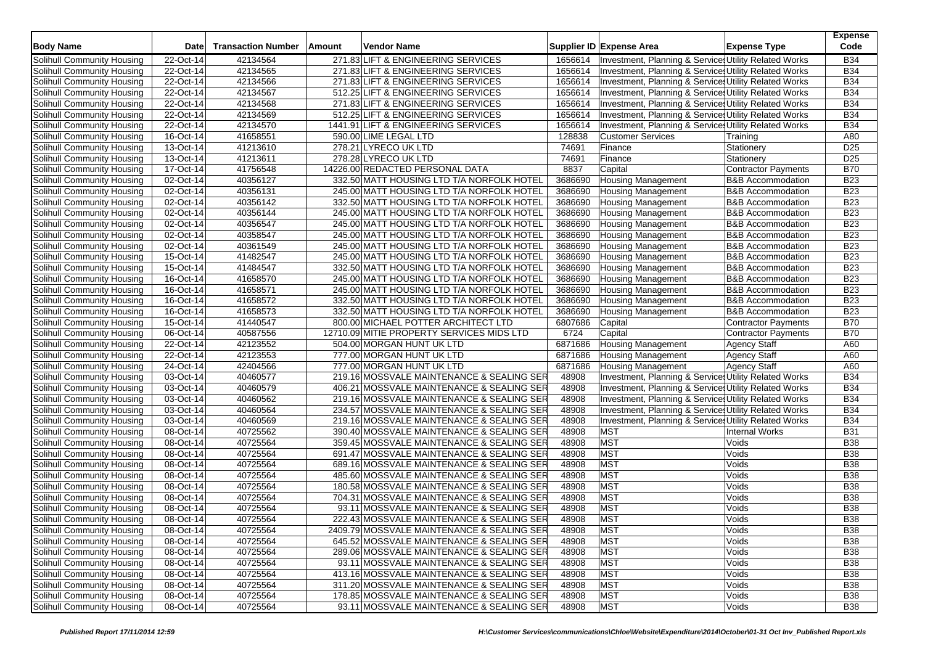| <b>Body Name</b>                                         | Date        | <b>Transaction Number</b> | Amount | <b>Vendor Name</b>                         |         | Supplier ID Expense Area                              | <b>Expense Type</b>          | <b>Expense</b><br>Code |
|----------------------------------------------------------|-------------|---------------------------|--------|--------------------------------------------|---------|-------------------------------------------------------|------------------------------|------------------------|
| Solihull Community Housing                               | 22-Oct-14   | 42134564                  |        | 271.83 LIFT & ENGINEERING SERVICES         | 1656614 | Investment, Planning & Service: Utility Related Works |                              | <b>B34</b>             |
| Solihull Community Housing                               | 22-Oct-14   | 42134565                  |        | 271.83 LIFT & ENGINEERING SERVICES         | 1656614 | Investment, Planning & Services Utility Related Works |                              | <b>B34</b>             |
| Solihull Community Housing                               | 22-Oct-14   | 42134566                  |        | 271.83 LIFT & ENGINEERING SERVICES         | 1656614 | Investment, Planning & Service: Utility Related Works |                              | <b>B34</b>             |
| Solihull Community Housing                               | 22-Oct-14   | 42134567                  |        | 512.25 LIFT & ENGINEERING SERVICES         | 1656614 | Investment, Planning & Service: Utility Related Works |                              | <b>B34</b>             |
| Solihull Community Housing                               | 22-Oct-14   | 42134568                  |        | 271.83 LIFT & ENGINEERING SERVICES         | 1656614 | Investment, Planning & Service: Utility Related Works |                              | <b>B34</b>             |
| Solihull Community Housing                               | 22-Oct-14   | 42134569                  |        | 512.25 LIFT & ENGINEERING SERVICES         | 1656614 | Investment, Planning & Services Utility Related Works |                              | <b>B34</b>             |
| Solihull Community Housing                               | 22-Oct-14   | 42134570                  |        | 1441.91 LIFT & ENGINEERING SERVICES        | 1656614 | Investment, Planning & Service: Utility Related Works |                              | <b>B34</b>             |
| Solihull Community Housing                               | 16-Oct-14   | 41658551                  |        | 590.00 LIME LEGAL LTD                      | 128838  | <b>Customer Services</b>                              | Training                     | A80                    |
| Solihull Community Housing                               | 13-Oct-14   | 41213610                  |        | 278.21 LYRECO UK LTD                       | 74691   | Finance                                               | Stationery                   | D <sub>25</sub>        |
| Solihull Community Housing                               | 13-Oct-14   | 41213611                  |        | 278.28 LYRECO UK LTD                       | 74691   | Finance                                               | Stationery                   | D <sub>25</sub>        |
| Solihull Community Housing                               | 17-Oct-14   | 41756548                  |        | 14226.00 REDACTED PERSONAL DATA            | 8837    | Capital                                               | <b>Contractor Payments</b>   | <b>B70</b>             |
| Solihull Community Housing                               | 02-Oct-14   | 40356127                  |        | 332.50 MATT HOUSING LTD T/A NORFOLK HOTEL  | 3686690 | <b>Housing Management</b>                             | <b>B&amp;B</b> Accommodation | <b>B23</b>             |
| Solihull Community Housing                               | 02-Oct-14   | 40356131                  |        | 245.00 MATT HOUSING LTD T/A NORFOLK HOTEL  | 3686690 | <b>Housing Management</b>                             | <b>B&amp;B Accommodation</b> | <b>B23</b>             |
| Solihull Community Housing                               | 02-Oct-14   | 40356142                  |        | 332.50 MATT HOUSING LTD T/A NORFOLK HOTEL  | 3686690 | <b>Housing Management</b>                             | <b>B&amp;B Accommodation</b> | <b>B23</b>             |
| Solihull Community Housing                               | 02-Oct-14   | 40356144                  |        | 245.00 MATT HOUSING LTD T/A NORFOLK HOTEL  | 3686690 | <b>Housing Management</b>                             | <b>B&amp;B Accommodation</b> | <b>B23</b>             |
| Solihull Community Housing                               | 02-Oct-14   | 40356547                  |        | 245.00 MATT HOUSING LTD T/A NORFOLK HOTEL  | 3686690 | <b>Housing Management</b>                             | <b>B&amp;B Accommodation</b> | <b>B23</b>             |
| Solihull Community Housing                               | 02-Oct-14   | 40358547                  |        | 245.00 MATT HOUSING LTD T/A NORFOLK HOTEL  | 3686690 | <b>Housing Management</b>                             | <b>B&amp;B Accommodation</b> | <b>B23</b>             |
| Solihull Community Housing                               | 02-Oct-14   | 40361549                  |        | 245.00 MATT HOUSING LTD T/A NORFOLK HOTEL  | 3686690 | <b>Housing Management</b>                             | <b>B&amp;B Accommodation</b> | <b>B23</b>             |
| Solihull Community Housing                               | 15-Oct-14   | 41482547                  |        | 245.00 MATT HOUSING LTD T/A NORFOLK HOTEL  | 3686690 | <b>Housing Management</b>                             | <b>B&amp;B Accommodation</b> | <b>B23</b>             |
| Solihull Community Housing                               | 15-Oct-14   | 41484547                  |        | 332.50 MATT HOUSING LTD T/A NORFOLK HOTEL  | 3686690 | <b>Housing Management</b>                             | <b>B&amp;B Accommodation</b> | <b>B23</b>             |
| Solihull Community Housing                               | $16-Oct-14$ | 41658570                  |        | 245.00 MATT HOUSING LTD T/A NORFOLK HOTEL  | 3686690 | <b>Housing Management</b>                             | <b>B&amp;B Accommodation</b> | <b>B23</b>             |
| Solihull Community Housing                               | 16-Oct-14   | 41658571                  |        | 245.00 MATT HOUSING LTD T/A NORFOLK HOTEL  | 3686690 | <b>Housing Management</b>                             | <b>B&amp;B Accommodation</b> | <b>B23</b>             |
| Solihull Community Housing                               | 16-Oct-14   | 41658572                  |        | 332.50 MATT HOUSING LTD T/A NORFOLK HOTEL  | 3686690 | <b>Housing Management</b>                             | <b>B&amp;B Accommodation</b> | <b>B23</b>             |
| Solihull Community Housing                               | $16-Ort-14$ | 41658573                  |        | 332.50 MATT HOUSING LTD T/A NORFOLK HOTEL  | 3686690 | <b>Housing Management</b>                             | <b>B&amp;B</b> Accommodation | <b>B23</b>             |
| Solihull Community Housing                               | 15-Oct-14   | 41440547                  |        | 800.00 MICHAEL POTTER ARCHITECT LTD        | 6807686 | Capital                                               | <b>Contractor Payments</b>   | <b>B70</b>             |
| Solihull Community Housing                               | 06-Oct-14   | 40587556                  |        | 12710.09 MITIE PROPERTY SERVICES MIDS LTD  | 6724    | Capital                                               | <b>Contractor Payments</b>   | <b>B70</b>             |
| Solihull Community Housing                               | 22-Oct-14   | 42123552                  |        | 504.00 MORGAN HUNT UK LTD                  | 6871686 | <b>Housing Management</b>                             | <b>Agency Staff</b>          | A60                    |
| Solihull Community Housing                               | 22-Oct-14   | 42123553                  |        | 777.00 MORGAN HUNT UK LTD                  | 6871686 | Housing Management                                    | <b>Agency Staff</b>          | A60                    |
| Solihull Community Housing                               | 24-Oct-14   | 42404566                  |        | 777.00 MORGAN HUNT UK LTD                  | 6871686 | Housing Management                                    | <b>Agency Staff</b>          | A60                    |
| Solihull Community Housing                               | 03-Oct-14   | 40460577                  |        | 219.16 MOSSVALE MAINTENANCE & SEALING SER  | 48908   | Investment, Planning & Services Utility Related Works |                              | <b>B34</b>             |
| Solihull Community Housing                               | 03-Oct-14   | 40460579                  |        | 406.21 MOSSVALE MAINTENANCE & SEALING SER  | 48908   | Investment, Planning & Service: Utility Related Works |                              | <b>B34</b>             |
| Solihull Community Housing                               | 03-Oct-14   | 40460562                  |        | 219.16 MOSSVALE MAINTENANCE & SEALING SER  | 48908   | Investment, Planning & Services Utility Related Works |                              | <b>B34</b>             |
| Solihull Community Housing                               | 03-Oct-14   | 40460564                  |        | 234.57 MOSSVALE MAINTENANCE & SEALING SER  | 48908   | Investment, Planning & Service Utility Related Works  |                              | <b>B34</b>             |
| Solihull Community Housing                               | 03-Oct-14   | 40460569                  |        | 219.16 MOSSVALE MAINTENANCE & SEALING SER  | 48908   | Investment, Planning & Services Utility Related Works |                              | <b>B34</b>             |
| Solihull Community Housing                               | 08-Oct-14   | 40725562                  |        | 390.40 MOSSVALE MAINTENANCE & SEALING SER  | 48908   | <b>MST</b>                                            | <b>Internal Works</b>        | <b>B31</b>             |
|                                                          | 08-Oct-14   | 40725564                  |        | 359.45 MOSSVALE MAINTENANCE & SEALING SER  | 48908   | <b>MST</b>                                            | Voids                        | <b>B38</b>             |
| Solihull Community Housing<br>Solihull Community Housing | 08-Oct-14   | 40725564                  |        | 691.47 MOSSVALE MAINTENANCE & SEALING SER  | 48908   | <b>MST</b>                                            | Voids                        | <b>B38</b>             |
|                                                          |             | 40725564                  |        | 689.16 MOSSVALE MAINTENANCE & SEALING SER  | 48908   | <b>MST</b>                                            | Voids                        | <b>B38</b>             |
| Solihull Community Housing<br>Solihull Community Housing | 08-Oct-14   |                           |        |                                            | 48908   | <b>MST</b>                                            |                              | <b>B38</b>             |
|                                                          | 08-Oct-14   | 40725564                  |        | 485.60 MOSSVALE MAINTENANCE & SEALING SER  |         | <b>MST</b>                                            | Voids                        | <b>B38</b>             |
| Solihull Community Housing                               | 08-Oct-14   | 40725564                  |        | 180.58 MOSSVALE MAINTENANCE & SEALING SER  | 48908   | <b>MST</b>                                            | Voids                        |                        |
| Solihull Community Housing                               | 08-Oct-14   | 40725564                  |        | 704.31 MOSSVALE MAINTENANCE & SEALING SER  | 48908   |                                                       | Voids                        | <b>B38</b>             |
| Solihull Community Housing                               | 08-Oct-14   | 40725564                  |        | 93.11 MOSSVALE MAINTENANCE & SEALING SER   | 48908   | <b>MST</b>                                            | Voids                        | <b>B38</b>             |
| Solihull Community Housing                               | 08-Oct-14   | 40725564                  |        | 222.43 MOSSVALE MAINTENANCE & SEALING SER  | 48908   | <b>MST</b>                                            | Voids                        | <b>B38</b>             |
| Solihull Community Housing                               | 08-Oct-14   | 40725564                  |        | 2409.79 MOSSVALE MAINTENANCE & SEALING SER | 48908   | <b>MST</b>                                            | Voids                        | <b>B38</b>             |
| Solihull Community Housing                               | 08-Oct-14   | 40725564                  |        | 645.52 MOSSVALE MAINTENANCE & SEALING SER  | 48908   | <b>MST</b>                                            | Voids                        | <b>B38</b>             |
| Solihull Community Housing                               | 08-Oct-14   | 40725564                  |        | 289.06 MOSSVALE MAINTENANCE & SEALING SER  | 48908   | <b>MST</b>                                            | Voids                        | <b>B38</b>             |
| Solihull Community Housing                               | 08-Oct-14   | 40725564                  |        | 93.11 MOSSVALE MAINTENANCE & SEALING SER   | 48908   | <b>MST</b>                                            | Voids                        | <b>B38</b>             |
| Solihull Community Housing                               | 08-Oct-14   | 40725564                  |        | 413.16 MOSSVALE MAINTENANCE & SEALING SER  | 48908   | <b>MST</b>                                            | Voids                        | <b>B38</b>             |
| Solihull Community Housing                               | 08-Oct-14   | 40725564                  |        | 311.20 MOSSVALE MAINTENANCE & SEALING SER  | 48908   | <b>MST</b>                                            | Voids                        | <b>B38</b>             |
| <b>Solihull Community Housing</b>                        | 08-Oct-14   | 40725564                  |        | 178.85 MOSSVALE MAINTENANCE & SEALING SER  | 48908   | <b>MST</b>                                            | Voids                        | <b>B38</b>             |
| Solihull Community Housing                               | 08-Oct-14   | 40725564                  |        | 93.11 MOSSVALE MAINTENANCE & SEALING SER   | 48908   | <b>MST</b>                                            | Voids                        | <b>B38</b>             |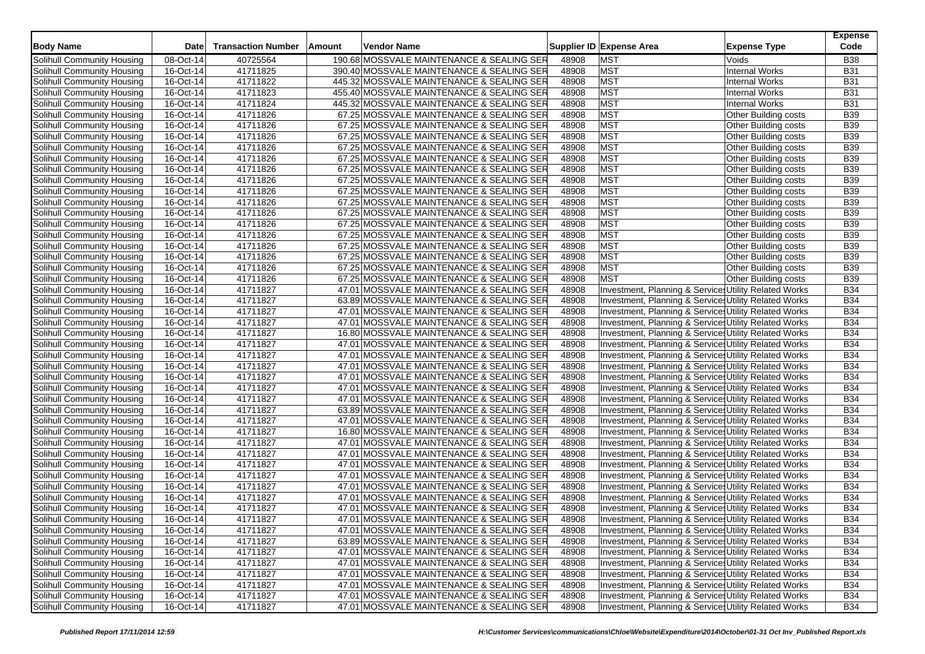| <b>Body Name</b>           | Date       | <b>Transaction Number</b> | Vendor Name<br>Amount                                                                |                | Supplier ID Expense Area<br><b>Expense Type</b>       | <b>Expense</b><br>Code   |
|----------------------------|------------|---------------------------|--------------------------------------------------------------------------------------|----------------|-------------------------------------------------------|--------------------------|
| Solihull Community Housing | 08-Oct-14  | 40725564                  | 190.68 MOSSVALE MAINTENANCE & SEALING SER                                            | 48908          | <b>MST</b><br>Voids                                   | <b>B38</b>               |
| Solihull Community Housing | 16-Oct-14  | 41711825                  | 390.40 MOSSVALE MAINTENANCE & SEALING SER                                            | 48908          | <b>MST</b><br><b>Internal Works</b>                   | <b>B31</b>               |
| Solihull Community Housing | 16-Oct-14  | 41711822                  | 445.32 MOSSVALE MAINTENANCE & SEALING SER                                            | 48908          | <b>MST</b><br><b>Internal Works</b>                   | <b>B31</b>               |
| Solihull Community Housing | 16-Oct-14  | 41711823                  | 455.40 MOSSVALE MAINTENANCE & SEALING SER                                            | 48908          | <b>MST</b><br><b>Internal Works</b>                   | <b>B31</b>               |
| Solihull Community Housing | 16-Oct-14  | 41711824                  | 445.32 MOSSVALE MAINTENANCE & SEALING SER                                            | 48908          | <b>MST</b><br><b>Internal Works</b>                   | <b>B31</b>               |
| Solihull Community Housing | 16-Oct-14  | 41711826                  | 67.25 MOSSVALE MAINTENANCE & SEALING SER                                             | 48908          | <b>MST</b><br>Other Building costs                    | <b>B39</b>               |
| Solihull Community Housing | 16-Oct-14  | 41711826                  | 67.25 MOSSVALE MAINTENANCE & SEALING SER                                             | 48908          | <b>MST</b><br>Other Building costs                    | <b>B39</b>               |
| Solihull Community Housing | 16-Oct-14  | 41711826                  | 67.25 MOSSVALE MAINTENANCE & SEALING SER                                             | 48908          | <b>MST</b><br>Other Building costs                    | <b>B39</b>               |
| Solihull Community Housing | 16-Oct-14  | 41711826                  | 67.25 MOSSVALE MAINTENANCE & SEALING SER                                             | 48908          | <b>MST</b><br>Other Building costs                    | <b>B39</b>               |
| Solihull Community Housing | 16-Oct-14  | 41711826                  | 67.25 MOSSVALE MAINTENANCE & SEALING SER                                             | 48908          | <b>MST</b><br>Other Building costs                    | <b>B39</b>               |
| Solihull Community Housing | 16-Oct-14  | 41711826                  | 67.25 MOSSVALE MAINTENANCE & SEALING SER                                             | 48908          | <b>MST</b>                                            | <b>B39</b>               |
| Solihull Community Housing | $16-Or-14$ |                           |                                                                                      |                | Other Building costs<br><b>MST</b>                    |                          |
|                            | 16-Oct-14  | 41711826<br>41711826      | 67.25 MOSSVALE MAINTENANCE & SEALING SER<br>67.25 MOSSVALE MAINTENANCE & SEALING SER | 48908<br>48908 | <b>Other Building costs</b><br><b>MST</b>             | <b>B39</b><br><b>B39</b> |
| Solihull Community Housing |            |                           |                                                                                      |                | Other Building costs                                  |                          |
| Solihull Community Housing | 16-Oct-14  | 41711826                  | 67.25 MOSSVALE MAINTENANCE & SEALING SER                                             | 48908          | <b>MST</b><br>Other Building costs                    | <b>B39</b>               |
| Solihull Community Housing | 16-Oct-14  | 41711826                  | 67.25 MOSSVALE MAINTENANCE & SEALING SER                                             | 48908          | <b>MST</b><br>Other Building costs                    | <b>B39</b>               |
| Solihull Community Housing | 16-Oct-14  | 41711826                  | 67.25 MOSSVALE MAINTENANCE & SEALING SER                                             | 48908          | <b>MST</b><br>Other Building costs                    | <b>B39</b>               |
| Solihull Community Housing | 16-Oct-14  | 41711826                  | 67.25 MOSSVALE MAINTENANCE & SEALING SER                                             | 48908          | <b>MST</b><br>Other Building costs                    | <b>B39</b>               |
| Solihull Community Housing | 16-Oct-14  | 41711826                  | 67.25 MOSSVALE MAINTENANCE & SEALING SER                                             | 48908          | <b>MST</b><br>Other Building costs                    | <b>B39</b>               |
| Solihull Community Housing | 16-Oct-14  | 41711826                  | 67.25 MOSSVALE MAINTENANCE & SEALING SER                                             | 48908          | <b>MST</b><br>Other Building costs                    | <b>B39</b>               |
| Solihull Community Housing | 16-Oct-14  | 41711826                  | 67.25 MOSSVALE MAINTENANCE & SEALING SER                                             | 48908          | <b>MST</b><br>Other Building costs                    | <b>B39</b>               |
| Solihull Community Housing | 16-Oct-14  | 41711826                  | 67.25 MOSSVALE MAINTENANCE & SEALING SER                                             | 48908          | <b>MST</b><br><b>Other Building costs</b>             | <b>B39</b>               |
| Solihull Community Housing | 16-Oct-14  | 41711827                  | 47.01 MOSSVALE MAINTENANCE & SEALING SER                                             | 48908          | Investment, Planning & Service: Utility Related Works | <b>B34</b>               |
| Solihull Community Housing | 16-Oct-14  | 41711827                  | 63.89 MOSSVALE MAINTENANCE & SEALING SER                                             | 48908          | Investment, Planning & Services Utility Related Works | <b>B34</b>               |
| Solihull Community Housing | 16-Oct-14  | 41711827                  | 47.01 MOSSVALE MAINTENANCE & SEALING SER                                             | 48908          | Investment, Planning & Service: Utility Related Works | <b>B34</b>               |
| Solihull Community Housing | 16-Oct-14  | 41711827                  | 47.01 MOSSVALE MAINTENANCE & SEALING SER                                             | 48908          | Investment, Planning & Services Utility Related Works | <b>B34</b>               |
| Solihull Community Housing | 16-Oct-14  | 41711827                  | 16.80 MOSSVALE MAINTENANCE & SEALING SER                                             | 48908          | Investment, Planning & Service: Utility Related Works | <b>B34</b>               |
| Solihull Community Housing | 16-Oct-14  | 41711827                  | 47.01 MOSSVALE MAINTENANCE & SEALING SER                                             | 48908          | Investment, Planning & Services Utility Related Works | <b>B34</b>               |
| Solihull Community Housing | 16-Oct-14  | 41711827                  | 47.01 MOSSVALE MAINTENANCE & SEALING SER                                             | 48908          | Investment, Planning & Service: Utility Related Works | <b>B34</b>               |
| Solihull Community Housing | 16-Oct-14  | 41711827                  | 47.01 MOSSVALE MAINTENANCE & SEALING SER                                             | 48908          | Investment, Planning & Services Utility Related Works | <b>B34</b>               |
| Solihull Community Housing | 16-Oct-14  | 41711827                  | 47.01 MOSSVALE MAINTENANCE & SEALING SER                                             | 48908          | Investment, Planning & Services Utility Related Works | <b>B34</b>               |
| Solihull Community Housing | 16-Oct-14  | 41711827                  | 47.01 MOSSVALE MAINTENANCE & SEALING SER                                             | 48908          | Investment, Planning & Service: Utility Related Works | <b>B34</b>               |
| Solihull Community Housing | 16-Oct-14  | 41711827                  | 47.01 MOSSVALE MAINTENANCE & SEALING SER                                             | 48908          | Investment, Planning & Services Utility Related Works | <b>B34</b>               |
| Solihull Community Housing | 16-Oct-14  | 41711827                  | 63.89 MOSSVALE MAINTENANCE & SEALING SER                                             | 48908          | Investment, Planning & Services Utility Related Works | <b>B34</b>               |
| Solihull Community Housing | 16-Oct-14  | 41711827                  | 47.01  MOSSVALE MAINTENANCE & SEALING SER                                            | 48908          | Investment, Planning & Service: Utility Related Works | <b>B34</b>               |
| Solihull Community Housing | 16-Oct-14  | 41711827                  | 16.80 MOSSVALE MAINTENANCE & SEALING SER                                             | 48908          | Investment, Planning & Services Utility Related Works | <b>B34</b>               |
| Solihull Community Housing | 16-Oct-14  | 41711827                  | 47.01 MOSSVALE MAINTENANCE & SEALING SER                                             | 48908          | Investment, Planning & Services Utility Related Works | <b>B34</b>               |
| Solihull Community Housing | 16-Oct-14  | 41711827                  | 47.01 MOSSVALE MAINTENANCE & SEALING SER                                             | 48908          | Investment, Planning & Service: Utility Related Works | <b>B34</b>               |
| Solihull Community Housing | 16-Oct-14  | 41711827                  | 47.01 MOSSVALE MAINTENANCE & SEALING SER                                             | 48908          | Investment, Planning & Service: Utility Related Works | <b>B34</b>               |
| Solihull Community Housing | 16-Oct-14  | 41711827                  | 47.01 MOSSVALE MAINTENANCE & SEALING SER                                             | 48908          | Investment, Planning & Services Utility Related Works | <b>B34</b>               |
| Solihull Community Housing | 16-Oct-14  | 41711827                  | 47.01 MOSSVALE MAINTENANCE & SEALING SER                                             | 48908          | Investment, Planning & Service: Utility Related Works | <b>B34</b>               |
| Solihull Community Housing | 16-Oct-14  | 41711827                  | 47.01 MOSSVALE MAINTENANCE & SEALING SER                                             | 48908          | Investment, Planning & Service: Utility Related Works | <b>B34</b>               |
| Solihull Community Housing | 16-Oct-14  | 41711827                  | 47.01 MOSSVALE MAINTENANCE & SEALING SER                                             | 48908          | Investment, Planning & Services Utility Related Works | <b>B34</b>               |
| Solihull Community Housing | 16-Oct-14  | 41711827                  | 47.01 MOSSVALE MAINTENANCE & SEALING SER                                             | 48908          | Investment, Planning & Service, Utility Related Works | <b>B34</b>               |
| Solihull Community Housing | 16-Oct-14  | 41711827                  | 47.01 MOSSVALE MAINTENANCE & SEALING SER                                             | 48908          | Investment, Planning & Services Utility Related Works | <b>B34</b>               |
| Solihull Community Housing | 16-Oct-14  | 41711827                  | 63.89 MOSSVALE MAINTENANCE & SEALING SER                                             | 48908          | Investment, Planning & Services Utility Related Works | <b>B34</b>               |
| Solihull Community Housing | 16-Oct-14  | 41711827                  | 47.01 MOSSVALE MAINTENANCE & SEALING SER                                             | 48908          | Investment, Planning & Services Utility Related Works | <b>B34</b>               |
| Solihull Community Housing | 16-Oct-14  | 41711827                  | 47.01 MOSSVALE MAINTENANCE & SEALING SER                                             | 48908          | Investment, Planning & Service Utility Related Works  | <b>B34</b>               |
| Solihull Community Housing | 16-Oct-14  | 41711827                  | 47.01 MOSSVALE MAINTENANCE & SEALING SER                                             | 48908          | Investment, Planning & Services Utility Related Works | <b>B34</b>               |
| Solihull Community Housing | 16-Oct-14  | 41711827                  | 47.01 MOSSVALE MAINTENANCE & SEALING SER                                             | 48908          | Investment, Planning & Services Utility Related Works | <b>B34</b>               |
| Solihull Community Housing | 16-Oct-14  | 41711827                  | 47.01 MOSSVALE MAINTENANCE & SEALING SER                                             | 48908          | Investment, Planning & Services Utility Related Works | <b>B34</b>               |
| Solihull Community Housing | 16-Oct-14  | 41711827                  | 47.01 MOSSVALE MAINTENANCE & SEALING SER                                             | 48908          | Investment, Planning & Services Utility Related Works | <b>B34</b>               |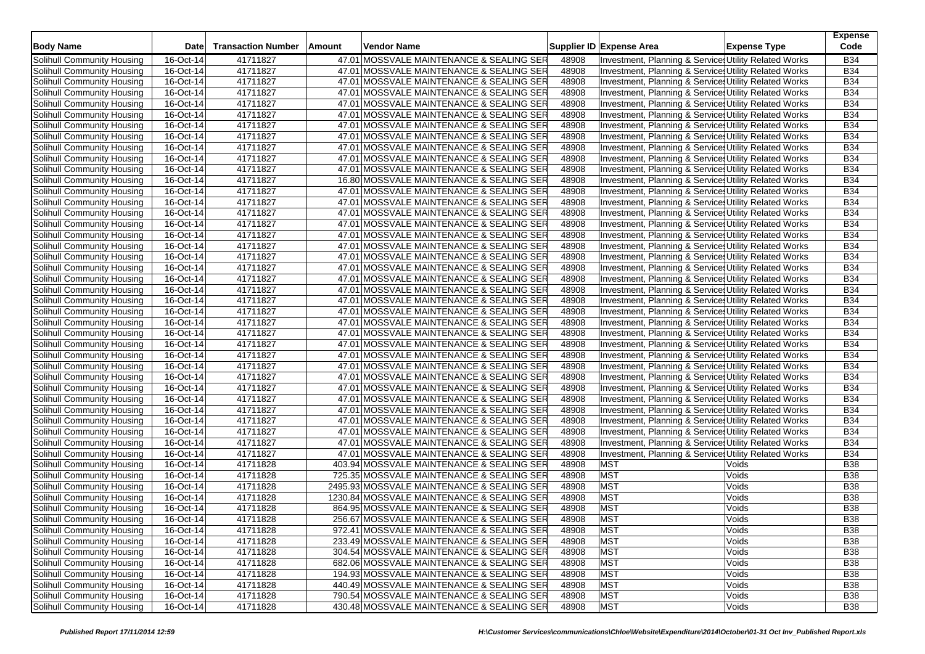| <b>Body Name</b>                                                | Date                   | <b>Transaction Number</b> | Amount | Vendor Name                                                                            |                | Supplier ID Expense Area                              | <b>Expense Type</b> | <b>Expense</b><br>Code   |
|-----------------------------------------------------------------|------------------------|---------------------------|--------|----------------------------------------------------------------------------------------|----------------|-------------------------------------------------------|---------------------|--------------------------|
| Solihull Community Housing                                      | 16-Oct-14              | 41711827                  |        | 47.01 MOSSVALE MAINTENANCE & SEALING SER                                               | 48908          | Investment, Planning & Service: Utility Related Works |                     | <b>B34</b>               |
| Solihull Community Housing                                      | 16-Oct-14              | 41711827                  |        | 47.01 MOSSVALE MAINTENANCE & SEALING SER                                               | 48908          | Investment, Planning & Service: Utility Related Works |                     | <b>B34</b>               |
| Solihull Community Housing                                      | 16-Oct-14              | 41711827                  |        | 47.01 MOSSVALE MAINTENANCE & SEALING SER                                               | 48908          | Investment, Planning & Service: Utility Related Works |                     | <b>B34</b>               |
| Solihull Community Housing                                      | 16-Oct-14              | 41711827                  |        | 47.01 MOSSVALE MAINTENANCE & SEALING SER                                               | 48908          | Investment, Planning & Service: Utility Related Works |                     | <b>B34</b>               |
| Solihull Community Housing                                      | 16-Oct-14              | 41711827                  |        | 47.01 MOSSVALE MAINTENANCE & SEALING SER                                               | 48908          | Investment, Planning & Service: Utility Related Works |                     | <b>B34</b>               |
| Solihull Community Housing                                      | 16-Oct-14              | 41711827                  |        | 47.01 MOSSVALE MAINTENANCE & SEALING SER                                               | 48908          | Investment, Planning & Services Utility Related Works |                     | <b>B34</b>               |
| Solihull Community Housing                                      | 16-Oct-14              | 41711827                  |        | 47.01 MOSSVALE MAINTENANCE & SEALING SER                                               | 48908          | Investment, Planning & Service: Utility Related Works |                     | <b>B34</b>               |
| Solihull Community Housing                                      | 16-Oct-14              | 41711827                  |        | 47.01 MOSSVALE MAINTENANCE & SEALING SER                                               | 48908          | Investment, Planning & Service Utility Related Works  |                     | <b>B34</b>               |
| Solihull Community Housing                                      | 16-Oct-14              | 41711827                  |        | 47.01 MOSSVALE MAINTENANCE & SEALING SER                                               | 48908          | Investment, Planning & Services Utility Related Works |                     | <b>B34</b>               |
| Solihull Community Housing                                      | 16-Oct-14              | 41711827                  |        | 47.01 MOSSVALE MAINTENANCE & SEALING SER                                               | 48908          | Investment, Planning & Services Utility Related Works |                     | <b>B34</b>               |
| Solihull Community Housing                                      | 16-Oct-14              | 41711827                  |        | 47.01 MOSSVALE MAINTENANCE & SEALING SER                                               | 48908          | Investment, Planning & Service: Utility Related Works |                     | <b>B34</b>               |
| Solihull Community Housing                                      | 16-Oct-14              | 41711827                  |        | 16.80 MOSSVALE MAINTENANCE & SEALING SER                                               | 48908          | Investment, Planning & Service: Utility Related Works |                     | <b>B34</b>               |
| Solihull Community Housing                                      | 16-Oct-14              | 41711827                  |        | 47.01 MOSSVALE MAINTENANCE & SEALING SER                                               | 48908          | Investment, Planning & Services Utility Related Works |                     | <b>B34</b>               |
| Solihull Community Housing                                      | 16-Oct-14              | 41711827                  |        | 47.01 MOSSVALE MAINTENANCE & SEALING SER                                               | 48908          | Investment, Planning & Service: Utility Related Works |                     | <b>B34</b>               |
| Solihull Community Housing                                      | 16-Oct-14              | 41711827                  |        | 47.01 MOSSVALE MAINTENANCE & SEALING SER                                               | 48908          | Investment, Planning & Services Utility Related Works |                     | <b>B34</b>               |
| Solihull Community Housing                                      | 16-Oct-14              | 41711827                  |        | 47.01 MOSSVALE MAINTENANCE & SEALING SER                                               | 48908          | Investment, Planning & Services Utility Related Works |                     | <b>B34</b>               |
| Solihull Community Housing                                      | 16-Oct-14              | 41711827                  |        | 47.01 MOSSVALE MAINTENANCE & SEALING SER                                               | 48908          | Investment, Planning & Services Utility Related Works |                     | <b>B34</b>               |
| Solihull Community Housing                                      | 16-Oct-14              | 41711827                  |        | 47.01 MOSSVALE MAINTENANCE & SEALING SER                                               | 48908          | Investment, Planning & Service Utility Related Works  |                     | <b>B34</b>               |
| Solihull Community Housing                                      | 16-Oct-14              | 41711827                  |        | 47.01 MOSSVALE MAINTENANCE & SEALING SER                                               | 48908          | Investment, Planning & Service: Utility Related Works |                     | <b>B34</b>               |
| Solihull Community Housing                                      | 16-Oct-14              | 41711827                  |        | 47.01 MOSSVALE MAINTENANCE & SEALING SER                                               | 48908          | Investment, Planning & Services Utility Related Works |                     | <b>B34</b>               |
| Solihull Community Housing                                      | 16-Oct-14              | 41711827                  |        | 47.01 MOSSVALE MAINTENANCE & SEALING SER                                               | 48908          | Investment, Planning & Service: Utility Related Works |                     | <b>B34</b>               |
| Solihull Community Housing                                      | 16-Oct-14              | 41711827                  |        | 47.01 MOSSVALE MAINTENANCE & SEALING SER                                               | 48908          | Investment, Planning & Service: Utility Related Works |                     | <b>B34</b>               |
| Solihull Community Housing                                      | 16-Oct-14              | 41711827                  |        | 47.01 MOSSVALE MAINTENANCE & SEALING SER                                               | 48908          | Investment, Planning & Services Utility Related Works |                     | <b>B34</b>               |
| Solihull Community Housing                                      | 16-Oct-14              | 41711827                  |        | 47.01 MOSSVALE MAINTENANCE & SEALING SER                                               | 48908          | Investment, Planning & Service: Utility Related Works |                     | <b>B34</b>               |
| Solihull Community Housing                                      | 16-Oct-14              | 41711827                  |        | 47.01 MOSSVALE MAINTENANCE & SEALING SER                                               | 48908          | Investment, Planning & Services Utility Related Works |                     | <b>B34</b>               |
| Solihull Community Housing                                      | 16-Oct-14              | 41711827                  |        | 47.01 MOSSVALE MAINTENANCE & SEALING SER                                               | 48908          | Investment, Planning & Services Utility Related Works |                     | <b>B34</b>               |
| Solihull Community Housing                                      | 16-Oct-14              | 41711827                  |        | 47.01 MOSSVALE MAINTENANCE & SEALING SER                                               | 48908          | Investment, Planning & Service, Utility Related Works |                     | <b>B34</b>               |
| Solihull Community Housing                                      | 16-Oct-14              | 41711827                  |        | 47.01 MOSSVALE MAINTENANCE & SEALING SER                                               | 48908          | Investment, Planning & Services Utility Related Works |                     | <b>B34</b>               |
| Solihull Community Housing                                      | 16-Oct-14              | 41711827                  |        | 47.01 MOSSVALE MAINTENANCE & SEALING SER                                               | 48908          | Investment, Planning & Services Utility Related Works |                     | <b>B34</b>               |
| Solihull Community Housing                                      | 16-Oct-14              | 41711827                  |        | 47.01 MOSSVALE MAINTENANCE & SEALING SER                                               | 48908          | Investment, Planning & Services Utility Related Works |                     | <b>B34</b>               |
| Solihull Community Housing                                      | 16-Oct-14              | 41711827                  |        | 47.01 MOSSVALE MAINTENANCE & SEALING SER                                               | 48908          | Investment, Planning & Services Utility Related Works |                     | <b>B34</b>               |
| Solihull Community Housing                                      | 16-Oct-14              | 41711827                  |        | 47.01 MOSSVALE MAINTENANCE & SEALING SER                                               | 48908          | Investment, Planning & Service: Utility Related Works |                     | <b>B34</b>               |
| Solihull Community Housing                                      | 16-Oct-14              | 41711827                  |        | 47.01 MOSSVALE MAINTENANCE & SEALING SER                                               | 48908          | Investment, Planning & Service: Utility Related Works |                     | <b>B34</b>               |
| Solihull Community Housing                                      | 16-Oct-14              | 41711827                  |        | 47.01 MOSSVALE MAINTENANCE & SEALING SER                                               | 48908          | Investment, Planning & Service: Utility Related Works |                     | <b>B34</b>               |
| Solihull Community Housing                                      | 16-Oct-14              | 41711827                  |        | 47.01 MOSSVALE MAINTENANCE & SEALING SER                                               | 48908          | Investment, Planning & Service: Utility Related Works |                     | <b>B34</b>               |
| Solihull Community Housing                                      | 16-Oct-14              | 41711827                  |        | 47.01 MOSSVALE MAINTENANCE & SEALING SER                                               | 48908          | Investment, Planning & Service, Utility Related Works |                     | <b>B34</b>               |
| Solihull Community Housing                                      | 16-Oct-14              | 41711827                  |        | 47.01 MOSSVALE MAINTENANCE & SEALING SER                                               | 48908          | Investment, Planning & Service Utility Related Works  |                     | <b>B34</b>               |
| Solihull Community Housing                                      | 16-Oct-14              | 41711828                  |        | 403.94 MOSSVALE MAINTENANCE & SEALING SER                                              | 48908          | <b>MST</b>                                            | Voids               | <b>B38</b>               |
| Solihull Community Housing                                      | 16-Oct-14              | 41711828                  |        | 725.35 MOSSVALE MAINTENANCE & SEALING SER                                              | 48908          | <b>MST</b>                                            | Voids               | <b>B38</b>               |
| Solihull Community Housing                                      | 16-Oct-14              | 41711828                  |        | 2495.93 MOSSVALE MAINTENANCE & SEALING SER                                             | 48908          | <b>MST</b>                                            | Voids               | <b>B38</b>               |
| Solihull Community Housing                                      | 16-Oct-14              | 41711828                  |        | 1230.84 MOSSVALE MAINTENANCE & SEALING SER                                             | 48908          | <b>MST</b>                                            | Voids               | <b>B38</b>               |
| Solihull Community Housing                                      | 16-Oct-14              | 41711828                  |        | 864.95 MOSSVALE MAINTENANCE & SEALING SER                                              | 48908          | <b>MST</b>                                            | Voids               | <b>B38</b>               |
|                                                                 | 16-Oct-14              | 41711828                  |        | 256.67 MOSSVALE MAINTENANCE & SEALING SER                                              | 48908          | <b>MST</b>                                            | Voids               | <b>B38</b>               |
| Solihull Community Housing<br>Solihull Community Housing        | 16-Oct-14              | 41711828                  |        | 972.41 MOSSVALE MAINTENANCE & SEALING SER                                              | 48908          | <b>MST</b>                                            | Voids               | <b>B38</b>               |
| Solihull Community Housing                                      |                        |                           |        | 233.49 MOSSVALE MAINTENANCE & SEALING SER                                              |                |                                                       |                     | <b>B38</b>               |
| Solihull Community Housing                                      | 16-Oct-14<br>16-Oct-14 | 41711828<br>41711828      |        | 304.54 MOSSVALE MAINTENANCE & SEALING SER                                              | 48908          | <b>MST</b><br><b>MST</b>                              | Voids<br>Voids      |                          |
|                                                                 |                        | 41711828                  |        |                                                                                        | 48908          | <b>MST</b>                                            |                     | B38                      |
| Solihull Community Housing<br>Solihull Community Housing        | 16-Oct-14<br>16-Oct-14 | 41711828                  |        | 682.06 MOSSVALE MAINTENANCE & SEALING SER<br>194.93 MOSSVALE MAINTENANCE & SEALING SER | 48908<br>48908 | <b>MST</b>                                            | Voids<br>Voids      | <b>B38</b><br><b>B38</b> |
|                                                                 |                        |                           |        |                                                                                        |                |                                                       |                     |                          |
| Solihull Community Housing<br><b>Solihull Community Housing</b> | 16-Oct-14<br>16-Oct-14 | 41711828<br>41711828      |        | 440.49 MOSSVALE MAINTENANCE & SEALING SER<br>790.54 MOSSVALE MAINTENANCE & SEALING SER | 48908<br>48908 | <b>MST</b><br><b>MST</b>                              | Voids<br>Voids      | <b>B38</b><br><b>B38</b> |
|                                                                 |                        |                           |        |                                                                                        |                |                                                       |                     |                          |
| Solihull Community Housing                                      | 16-Oct-14              | 41711828                  |        | 430.48 MOSSVALE MAINTENANCE & SEALING SER                                              | 48908          | <b>MST</b>                                            | Voids               | <b>B38</b>               |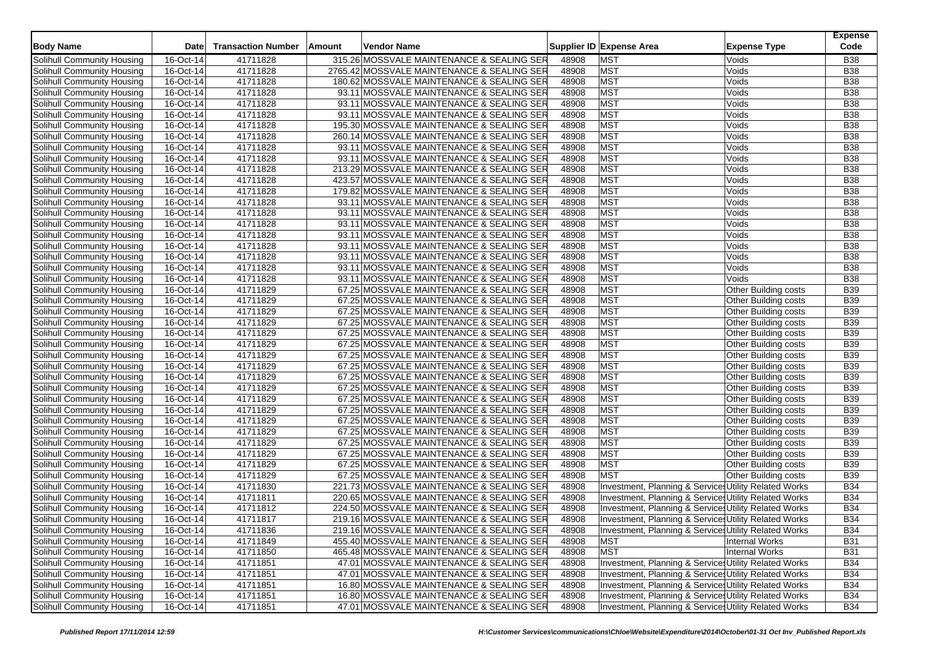|                                                          |             |                           |        |                                            |       |                                                       | <b>Expense</b>           |  |
|----------------------------------------------------------|-------------|---------------------------|--------|--------------------------------------------|-------|-------------------------------------------------------|--------------------------|--|
| <b>Body Name</b>                                         | Date        | <b>Transaction Number</b> | Amount | Vendor Name                                |       | Supplier ID Expense Area<br><b>Expense Type</b>       | Code                     |  |
| Solihull Community Housing                               | 16-Oct-14   | 41711828                  |        | 315.26 MOSSVALE MAINTENANCE & SEALING SER  | 48908 | <b>MST</b><br>Voids                                   | <b>B38</b>               |  |
| Solihull Community Housing                               | 16-Oct-14   | 41711828                  |        | 2765.42 MOSSVALE MAINTENANCE & SEALING SER | 48908 | <b>MST</b><br>Voids                                   | <b>B38</b>               |  |
| Solihull Community Housing                               | 16-Oct-14   | 41711828                  |        | 180.62 MOSSVALE MAINTENANCE & SEALING SER  | 48908 | <b>MST</b><br>Voids                                   | <b>B38</b>               |  |
| Solihull Community Housing                               | 16-Oct-14   | 41711828                  |        | 93.11 MOSSVALE MAINTENANCE & SEALING SER   | 48908 | <b>MST</b><br>Voids                                   | <b>B38</b>               |  |
| Solihull Community Housing                               | 16-Oct-14   | 41711828                  |        | 93.11 MOSSVALE MAINTENANCE & SEALING SER   | 48908 | <b>MST</b><br>Voids                                   | <b>B38</b>               |  |
| Solihull Community Housing                               | 16-Oct-14   | 41711828                  |        | 93.11 MOSSVALE MAINTENANCE & SEALING SER   | 48908 | MST<br>Voids                                          | <b>B38</b>               |  |
| Solihull Community Housing                               | 16-Oct-14   | 41711828                  |        | 195.30 MOSSVALE MAINTENANCE & SEALING SER  | 48908 | <b>MST</b><br>Voids                                   | <b>B38</b>               |  |
| Solihull Community Housing                               | 16-Oct-14   | 41711828                  |        | 260.14 MOSSVALE MAINTENANCE & SEALING SER  | 48908 | <b>MST</b><br>Voids                                   | <b>B38</b>               |  |
| Solihull Community Housing                               | 16-Oct-14   | 41711828                  |        | 93.11 MOSSVALE MAINTENANCE & SEALING SER   | 48908 | <b>MST</b><br>Voids                                   | <b>B38</b>               |  |
| Solihull Community Housing                               | 16-Oct-14   | 41711828                  |        | 93.11 MOSSVALE MAINTENANCE & SEALING SER   | 48908 | <b>MST</b><br>Voids                                   | <b>B38</b>               |  |
| Solihull Community Housing                               | 16-Oct-14   | 41711828                  |        | 213.29 MOSSVALE MAINTENANCE & SEALING SER  | 48908 | <b>MST</b><br>Voids                                   | <b>B38</b>               |  |
| Solihull Community Housing                               | 16-Oct-14   | 41711828                  |        | 423.57 MOSSVALE MAINTENANCE & SEALING SER  | 48908 | <b>MST</b><br>Voids                                   | <b>B38</b>               |  |
| Solihull Community Housing                               | 16-Oct-14   | 41711828                  |        | 179.82 MOSSVALE MAINTENANCE & SEALING SER  | 48908 | <b>MST</b><br>Voids                                   | <b>B38</b>               |  |
| Solihull Community Housing                               | 16-Oct-14   | 41711828                  |        | 93.11 MOSSVALE MAINTENANCE & SEALING SER   | 48908 | <b>MST</b><br>Voids                                   | <b>B38</b>               |  |
| Solihull Community Housing                               | 16-Oct-14   | 41711828                  |        | 93.11 MOSSVALE MAINTENANCE & SEALING SER   | 48908 | <b>MST</b><br>Voids                                   | <b>B38</b>               |  |
| Solihull Community Housing                               | 16-Oct-14   | 41711828                  |        | 93.11 MOSSVALE MAINTENANCE & SEALING SER   | 48908 | <b>MST</b><br>Voids                                   | <b>B38</b>               |  |
| Solihull Community Housing                               | 16-Oct-14   | 41711828                  |        | 93.11 MOSSVALE MAINTENANCE & SEALING SER   | 48908 | <b>MST</b><br>Voids                                   | <b>B38</b>               |  |
| Solihull Community Housing                               | 16-Oct-14   | 41711828                  |        | 93.11 MOSSVALE MAINTENANCE & SEALING SER   | 48908 | MST<br>Voids                                          | <b>B38</b>               |  |
| Solihull Community Housing                               | 16-Oct-14   | 41711828                  |        | 93.11 MOSSVALE MAINTENANCE & SEALING SER   | 48908 | <b>MST</b><br>Voids                                   | <b>B38</b>               |  |
| Solihull Community Housing                               | 16-Oct-14   | 41711828                  |        | 93.11 MOSSVALE MAINTENANCE & SEALING SER   | 48908 | <b>MST</b><br>Voids                                   | <b>B38</b>               |  |
| Solihull Community Housing                               | 16-Oct-14   | 41711828                  |        | 93.11 MOSSVALE MAINTENANCE & SEALING SER   | 48908 | <b>MST</b><br>Voids                                   | <b>B38</b>               |  |
| Solihull Community Housing                               | 16-Oct-14   | 41711829                  |        | 67.25 MOSSVALE MAINTENANCE & SEALING SER   | 48908 | <b>MST</b><br>Other Building costs                    | <b>B39</b>               |  |
| Solihull Community Housing                               | 16-Oct-14   | 41711829                  |        | 67.25 MOSSVALE MAINTENANCE & SEALING SER   | 48908 | <b>MST</b><br>Other Building costs                    | <b>B39</b>               |  |
| Solihull Community Housing                               | $16-Ort-14$ | 41711829                  |        | 67.25 MOSSVALE MAINTENANCE & SEALING SER   | 48908 | <b>MST</b><br><b>Other Building costs</b>             | <b>B39</b>               |  |
|                                                          | 16-Oct-14   | 41711829                  |        | 67.25 MOSSVALE MAINTENANCE & SEALING SER   | 48908 | <b>MST</b>                                            | <b>B39</b>               |  |
| Solihull Community Housing                               |             | 41711829                  |        | 67.25 MOSSVALE MAINTENANCE & SEALING SER   | 48908 | Other Building costs<br><b>MST</b>                    |                          |  |
| Solihull Community Housing<br>Solihull Community Housing | 16-Oct-14   |                           |        |                                            |       | Other Building costs<br>Other Building costs          | <b>B39</b><br><b>B39</b> |  |
|                                                          | 16-Oct-14   | 41711829                  |        | 67.25 MOSSVALE MAINTENANCE & SEALING SER   | 48908 | <b>MST</b>                                            |                          |  |
| Solihull Community Housing                               | 16-Oct-14   | 41711829                  |        | 67.25 MOSSVALE MAINTENANCE & SEALING SER   | 48908 | <b>MST</b><br>Other Building costs                    | <b>B39</b>               |  |
| Solihull Community Housing                               | 16-Oct-14   | 41711829                  |        | 67.25 MOSSVALE MAINTENANCE & SEALING SER   | 48908 | <b>MST</b><br>Other Building costs                    | <b>B39</b>               |  |
| Solihull Community Housing                               | 16-Oct-14   | 41711829                  |        | 67.25 MOSSVALE MAINTENANCE & SEALING SER   | 48908 | <b>MST</b><br>Other Building costs                    | <b>B39</b>               |  |
| Solihull Community Housing                               | 16-Oct-14   | 41711829                  |        | 67.25 MOSSVALE MAINTENANCE & SEALING SER   | 48908 | <b>MST</b><br>Other Building costs                    | <b>B39</b>               |  |
| Solihull Community Housing                               | 16-Oct-14   | 41711829                  |        | 67.25 MOSSVALE MAINTENANCE & SEALING SER   | 48908 | <b>MST</b><br>Other Building costs                    | <b>B39</b>               |  |
| Solihull Community Housing                               | 16-Oct-14   | 41711829                  |        | 67.25 MOSSVALE MAINTENANCE & SEALING SER   | 48908 | <b>MST</b><br><b>Other Building costs</b>             | <b>B39</b>               |  |
| Solihull Community Housing                               | 16-Oct-14   | 41711829                  |        | 67.25 MOSSVALE MAINTENANCE & SEALING SER   | 48908 | <b>MST</b><br>Other Building costs                    | <b>B39</b>               |  |
| Solihull Community Housing                               | 16-Oct-14   | 41711829                  |        | 67.25 MOSSVALE MAINTENANCE & SEALING SER   | 48908 | MST<br>Other Building costs                           | <b>B39</b>               |  |
| Solihull Community Housing                               | 16-Oct-14   | 41711829                  |        | 67.25 MOSSVALE MAINTENANCE & SEALING SER   | 48908 | <b>MST</b><br>Other Building costs                    | <b>B39</b>               |  |
| Solihull Community Housing                               | 16-Oct-14   | 41711829                  |        | 67.25 MOSSVALE MAINTENANCE & SEALING SER   | 48908 | <b>MST</b><br>Other Building costs                    | <b>B39</b>               |  |
| Solihull Community Housing                               | 16-Oct-14   | 41711829                  |        | 67.25 MOSSVALE MAINTENANCE & SEALING SER   | 48908 | <b>MST</b><br>Other Building costs                    | <b>B39</b>               |  |
| Solihull Community Housing                               | 16-Oct-14   | 41711829                  |        | 67.25 MOSSVALE MAINTENANCE & SEALING SER   | 48908 | <b>MST</b><br><b>Other Building costs</b>             | <b>B39</b>               |  |
| Solihull Community Housing                               | 16-Oct-14   | 41711830                  |        | 221.73 MOSSVALE MAINTENANCE & SEALING SER  | 48908 | Investment, Planning & Service: Utility Related Works | <b>B34</b>               |  |
| Solihull Community Housing                               | 16-Oct-14   | 41711811                  |        | 220.65 MOSSVALE MAINTENANCE & SEALING SER  | 48908 | Investment, Planning & Services Utility Related Works | <b>B34</b>               |  |
| Solihull Community Housing                               | 16-Oct-14   | 41711812                  |        | 224.50 MOSSVALE MAINTENANCE & SEALING SER  | 48908 | Investment, Planning & Services Utility Related Works | <b>B34</b>               |  |
| Solihull Community Housing                               | 16-Oct-14   | 41711817                  |        | 219.16 MOSSVALE MAINTENANCE & SEALING SER  | 48908 | Investment, Planning & Services Utility Related Works | <b>B34</b>               |  |
| Solihull Community Housing                               | 16-Oct-14   | 41711836                  |        | 219.16 MOSSVALE MAINTENANCE & SEALING SER  | 48908 | Investment, Planning & Services Utility Related Works | <b>B34</b>               |  |
| Solihull Community Housing                               | 16-Oct-14   | 41711849                  |        | 455.40 MOSSVALE MAINTENANCE & SEALING SER  | 48908 | <b>MST</b><br><b>Internal Works</b>                   | <b>B31</b>               |  |
| Solihull Community Housing                               | 16-Oct-14   | 41711850                  |        | 465.48 MOSSVALE MAINTENANCE & SEALING SER  | 48908 | Internal Works<br><b>MST</b>                          | <b>B31</b>               |  |
| Solihull Community Housing                               | 16-Oct-14   | 41711851                  |        | 47.01 MOSSVALE MAINTENANCE & SEALING SER   | 48908 | Investment, Planning & Services Utility Related Works | <b>B34</b>               |  |
| Solihull Community Housing                               | 16-Oct-14   | 41711851                  |        | 47.01 MOSSVALE MAINTENANCE & SEALING SER   | 48908 | Investment, Planning & Service Utility Related Works  | <b>B34</b>               |  |
| Solihull Community Housing                               | 16-Oct-14   | 41711851                  |        | 16.80 MOSSVALE MAINTENANCE & SEALING SER   | 48908 | Investment, Planning & Services Utility Related Works | <b>B34</b>               |  |
| <b>Solihull Community Housing</b>                        | 16-Oct-14   | 41711851                  |        | 16.80 MOSSVALE MAINTENANCE & SEALING SER   | 48908 | Investment, Planning & Service Utility Related Works  | <b>B34</b>               |  |
| Solihull Community Housing                               | 16-Oct-14   | 41711851                  |        | 47.01 MOSSVALE MAINTENANCE & SEALING SER   | 48908 | Investment, Planning & Service Utility Related Works  | <b>B34</b>               |  |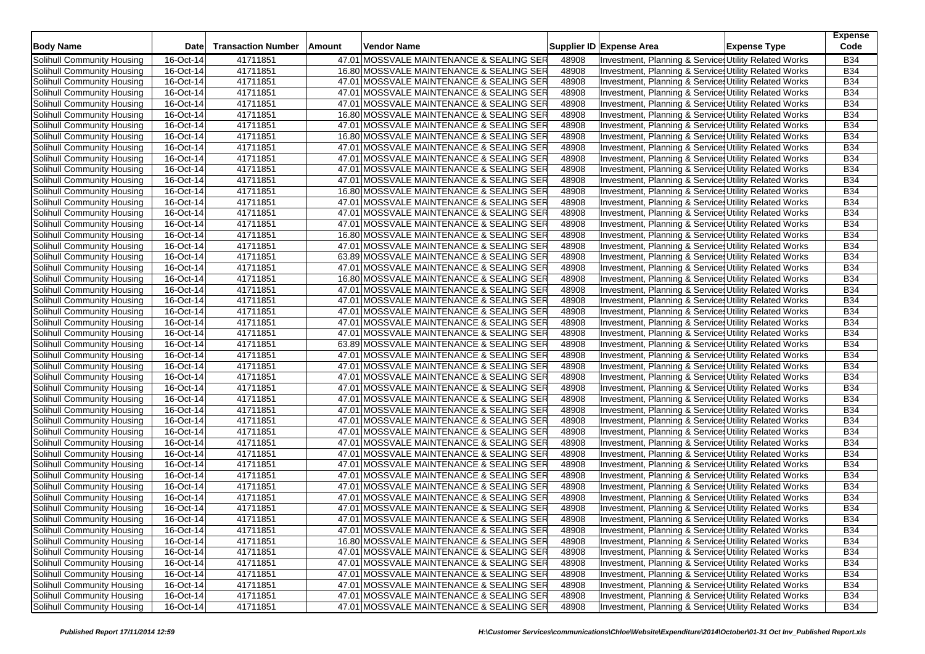| <b>Body Name</b>           | <b>Date</b>             | <b>Transaction Number</b> | Amount | Vendor Name                              |       | Supplier ID Expense Area                                         | <b>Expense Type</b> | <b>Expense</b><br>Code |
|----------------------------|-------------------------|---------------------------|--------|------------------------------------------|-------|------------------------------------------------------------------|---------------------|------------------------|
| Solihull Community Housing | 16-Oct-14               | 41711851                  |        | 47.01 MOSSVALE MAINTENANCE & SEALING SER | 48908 | Investment, Planning & Service: Utility Related Works            |                     | <b>B34</b>             |
| Solihull Community Housing | 16-Oct-14               | 41711851                  |        | 16.80 MOSSVALE MAINTENANCE & SEALING SER | 48908 | Investment, Planning & Service, Utility Related Works            |                     | <b>B34</b>             |
| Solihull Community Housing | 16-Oct-14               | 41711851                  |        | 47.01 MOSSVALE MAINTENANCE & SEALING SER | 48908 | Investment, Planning & Services Utility Related Works            |                     | <b>B34</b>             |
| Solihull Community Housing | 16-Oct-14               | 41711851                  |        | 47.01 MOSSVALE MAINTENANCE & SEALING SER | 48908 | Investment, Planning & Service: Utility Related Works            |                     | <b>B34</b>             |
| Solihull Community Housing | 16-Oct-14               | 41711851                  |        | 47.01 MOSSVALE MAINTENANCE & SEALING SER | 48908 | Investment, Planning & Service: Utility Related Works            |                     | <b>B34</b>             |
| Solihull Community Housing | 16-Oct-14               | 41711851                  |        | 16.80 MOSSVALE MAINTENANCE & SEALING SER | 48908 | Investment, Planning & Service: Utility Related Works            |                     | <b>B34</b>             |
| Solihull Community Housing | 16-Oct-14               | 41711851                  |        | 47.01 MOSSVALE MAINTENANCE & SEALING SER | 48908 | Investment, Planning & Service: Utility Related Works            |                     | <b>B34</b>             |
| Solihull Community Housing | 16-Oct-14               | 41711851                  |        | 16.80 MOSSVALE MAINTENANCE & SEALING SER | 48908 | Investment, Planning & Service: Utility Related Works            |                     | <b>B34</b>             |
| Solihull Community Housing | 16-Oct-14               | 41711851                  |        | 47.01 MOSSVALE MAINTENANCE & SEALING SER | 48908 | Investment, Planning & Services Utility Related Works            |                     | <b>B34</b>             |
| Solihull Community Housing | 16-Oct-14               | 41711851                  |        | 47.01 MOSSVALE MAINTENANCE & SEALING SER | 48908 | Investment, Planning & Service: Utility Related Works            |                     | <b>B34</b>             |
| Solihull Community Housing | 16-Oct-14               | 41711851                  |        | 47.01 MOSSVALE MAINTENANCE & SEALING SER | 48908 | Investment, Planning & Service: Utility Related Works            |                     | <b>B34</b>             |
| Solihull Community Housing | 16-Oct-14               | 41711851                  |        | 47.01 MOSSVALE MAINTENANCE & SEALING SER | 48908 | Investment, Planning & Service: Utility Related Works            |                     | <b>B34</b>             |
| Solihull Community Housing | 16-Oct-14               | 41711851                  |        | 16.80 MOSSVALE MAINTENANCE & SEALING SER | 48908 | Investment, Planning & Service: Utility Related Works            |                     | <b>B34</b>             |
| Solihull Community Housing | 16-Oct-14               | 41711851                  |        | 47.01 MOSSVALE MAINTENANCE & SEALING SER | 48908 | Investment, Planning & Service, Utility Related Works            |                     | <b>B34</b>             |
| Solihull Community Housing | 16-Oct-14               | 41711851                  |        | 47.01 MOSSVALE MAINTENANCE & SEALING SER | 48908 | Investment, Planning & Service, Utility Related Works            |                     | <b>B34</b>             |
| Solihull Community Housing | 16-Oct-14               | 41711851                  |        | 47.01 MOSSVALE MAINTENANCE & SEALING SER | 48908 | Investment, Planning & Service: Utility Related Works            |                     | <b>B34</b>             |
| Solihull Community Housing | 16-Oct-14               | 41711851                  |        | 16.80 MOSSVALE MAINTENANCE & SEALING SER | 48908 | Investment, Planning & Services Utility Related Works            |                     | <b>B34</b>             |
| Solihull Community Housing | 16-Oct-14               | 41711851                  |        | 47.01 MOSSVALE MAINTENANCE & SEALING SER | 48908 | Investment, Planning & Service, Utility Related Works            |                     | <b>B34</b>             |
| Solihull Community Housing | 16-Oct-14               | 41711851                  |        | 63.89 MOSSVALE MAINTENANCE & SEALING SER | 48908 | Investment, Planning & Service: Utility Related Works            |                     | <b>B34</b>             |
| Solihull Community Housing | 16-Oct-14               | 41711851                  |        | 47.01 MOSSVALE MAINTENANCE & SEALING SER | 48908 | Investment, Planning & Service: Utility Related Works            |                     | <b>B34</b>             |
| Solihull Community Housing | 16-Oct-14               | 41711851                  |        | 16.80 MOSSVALE MAINTENANCE & SEALING SER | 48908 | <b>Investment, Planning &amp; Service, Utility Related Works</b> |                     | <b>B34</b>             |
| Solihull Community Housing | 16-Oct-14               | 41711851                  |        | 47.01 MOSSVALE MAINTENANCE & SEALING SER | 48908 | Investment, Planning & Service: Utility Related Works            |                     | <b>B34</b>             |
| Solihull Community Housing | 16-Oct-14               | 41711851                  |        | 47.01 MOSSVALE MAINTENANCE & SEALING SER | 48908 | Investment, Planning & Services Utility Related Works            |                     | <b>B34</b>             |
| Solihull Community Housing | $\overline{16}$ -Oct-14 | 41711851                  |        | 47.01 MOSSVALE MAINTENANCE & SEALING SER | 48908 | Investment, Planning & Service: Utility Related Works            |                     | <b>B34</b>             |
| Solihull Community Housing | 16-Oct-14               | 41711851                  |        | 47.01 MOSSVALE MAINTENANCE & SEALING SER | 48908 | Investment, Planning & Service: Utility Related Works            |                     | <b>B34</b>             |
| Solihull Community Housing | 16-Oct-14               | 41711851                  |        | 47.01 MOSSVALE MAINTENANCE & SEALING SER | 48908 | Investment, Planning & Service: Utility Related Works            |                     | <b>B34</b>             |
| Solihull Community Housing | 16-Oct-14               | 41711851                  |        | 63.89 MOSSVALE MAINTENANCE & SEALING SER | 48908 | Investment, Planning & Service, Utility Related Works            |                     | <b>B34</b>             |
| Solihull Community Housing | 16-Oct-14               | 41711851                  |        | 47.01 MOSSVALE MAINTENANCE & SEALING SER | 48908 | Investment, Planning & Service: Utility Related Works            |                     | <b>B34</b>             |
| Solihull Community Housing | 16-Oct-14               | 41711851                  |        | 47.01 MOSSVALE MAINTENANCE & SEALING SER | 48908 | Investment, Planning & Service: Utility Related Works            |                     | <b>B34</b>             |
| Solihull Community Housing | 16-Oct-14               | 41711851                  |        | 47.01 MOSSVALE MAINTENANCE & SEALING SER | 48908 | Investment, Planning & Service, Utility Related Works            |                     | <b>B34</b>             |
| Solihull Community Housing | 16-Oct-14               | 41711851                  |        | 47.01 MOSSVALE MAINTENANCE & SEALING SER | 48908 | Investment, Planning & Services Utility Related Works            |                     | <b>B34</b>             |
| Solihull Community Housing | 16-Oct-14               | 41711851                  |        | 47.01 MOSSVALE MAINTENANCE & SEALING SER | 48908 | Investment, Planning & Service, Utility Related Works            |                     | B34                    |
| Solihull Community Housing | 16-Oct-14               | 41711851                  |        | 47.01 MOSSVALE MAINTENANCE & SEALING SER | 48908 | Investment, Planning & Service, Utility Related Works            |                     | <b>B34</b>             |
| Solihull Community Housing | 16-Oct-14               | 41711851                  |        | 47.01 MOSSVALE MAINTENANCE & SEALING SER | 48908 | Investment, Planning & Service: Utility Related Works            |                     | <b>B34</b>             |
| Solihull Community Housing | 16-Oct-14               | 41711851                  |        | 47.01 MOSSVALE MAINTENANCE & SEALING SER | 48908 | Investment, Planning & Services Utility Related Works            |                     | B34                    |
| Solihull Community Housing | 16-Oct-14               | 41711851                  |        | 47.01 MOSSVALE MAINTENANCE & SEALING SER | 48908 | Investment, Planning & Service, Utility Related Works            |                     | <b>B34</b>             |
| Solihull Community Housing | 16-Oct-14               | 41711851                  |        | 47.01 MOSSVALE MAINTENANCE & SEALING SER | 48908 | Investment, Planning & Service Utility Related Works             |                     | B34                    |
| Solihull Community Housing | 16-Oct-14               | 41711851                  |        | 47.01 MOSSVALE MAINTENANCE & SEALING SER | 48908 | Investment, Planning & Service: Utility Related Works            |                     | B34                    |
| Solihull Community Housing | 16-Oct-14               | 41711851                  |        | 47.01 MOSSVALE MAINTENANCE & SEALING SER | 48908 | Investment, Planning & Service: Utility Related Works            |                     | <b>B34</b>             |
| Solihull Community Housing | 16-Oct-14               | 41711851                  |        | 47.01 MOSSVALE MAINTENANCE & SEALING SER | 48908 | Investment, Planning & Service, Utility Related Works            |                     | <b>B34</b>             |
| Solihull Community Housing | 16-Oct-14               | 41711851                  |        | 47.01 MOSSVALE MAINTENANCE & SEALING SER | 48908 | Investment, Planning & Service: Utility Related Works            |                     | <b>B34</b>             |
| Solihull Community Housing | 16-Oct-14               | 41711851                  |        | 47.01 MOSSVALE MAINTENANCE & SEALING SER | 48908 | Investment, Planning & Service: Utility Related Works            |                     | <b>B34</b>             |
| Solihull Community Housing | 16-Oct-14               | 41711851                  |        | 47.01 MOSSVALE MAINTENANCE & SEALING SER | 48908 | Investment, Planning & Services Utility Related Works            |                     | B34                    |
| Solihull Community Housing | 16-Oct-14               | 41711851                  |        | 47.01 MOSSVALE MAINTENANCE & SEALING SER | 48908 | Investment, Planning & Services Utility Related Works            |                     | <b>B34</b>             |
| Solihull Community Housing | 16-Oct-14               | 41711851                  |        | 16.80 MOSSVALE MAINTENANCE & SEALING SER | 48908 | Investment, Planning & Services Utility Related Works            |                     | <b>B34</b>             |
| Solihull Community Housing | 16-Oct-14               | 41711851                  |        | 47.01 MOSSVALE MAINTENANCE & SEALING SER | 48908 | Investment, Planning & Service: Utility Related Works            |                     | <b>B34</b>             |
| Solihull Community Housing | 16-Oct-14               | 41711851                  |        | 47.01 MOSSVALE MAINTENANCE & SEALING SER | 48908 | Investment, Planning & Services Utility Related Works            |                     | <b>B34</b>             |
| Solihull Community Housing | 16-Oct-14               | 41711851                  |        | 47.01 MOSSVALE MAINTENANCE & SEALING SER | 48908 | Investment, Planning & Service Utility Related Works             |                     | <b>B34</b>             |
| Solihull Community Housing | 16-Oct-14               | 41711851                  |        | 47.01 MOSSVALE MAINTENANCE & SEALING SER | 48908 | Investment, Planning & Services Utility Related Works            |                     | <b>B34</b>             |
| Solihull Community Housing | 16-Oct-14               | 41711851                  |        | 47.01 MOSSVALE MAINTENANCE & SEALING SER | 48908 | Investment, Planning & Service Utility Related Works             |                     | <b>B34</b>             |
| Solihull Community Housing | 16-Oct-14               | 41711851                  |        | 47.01 MOSSVALE MAINTENANCE & SEALING SER | 48908 | Investment, Planning & Services Utility Related Works            |                     | <b>B34</b>             |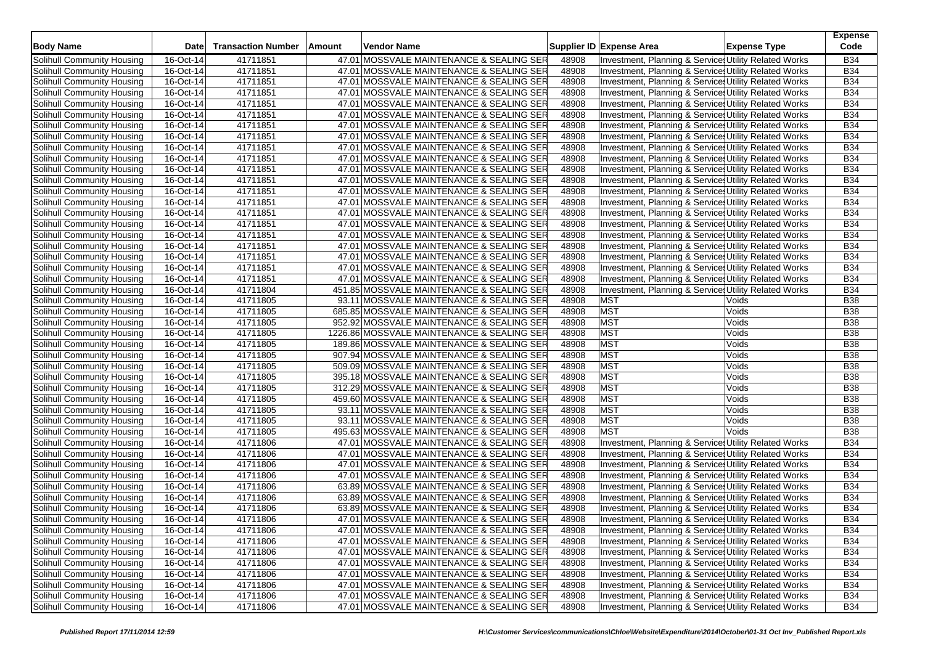| <b>Body Name</b>           | Date      | <b>Transaction Number</b> | Amount | Vendor Name                                |       | Supplier ID Expense Area | <b>Expense Type</b>                                   | <b>Expense</b><br>Code |
|----------------------------|-----------|---------------------------|--------|--------------------------------------------|-------|--------------------------|-------------------------------------------------------|------------------------|
| Solihull Community Housing | 16-Oct-14 | 41711851                  |        | 47.01 MOSSVALE MAINTENANCE & SEALING SER   | 48908 |                          | Investment, Planning & Service: Utility Related Works | <b>B34</b>             |
| Solihull Community Housing | 16-Oct-14 | 41711851                  |        | 47.01 MOSSVALE MAINTENANCE & SEALING SER   | 48908 |                          | Investment, Planning & Service: Utility Related Works | <b>B34</b>             |
| Solihull Community Housing | 16-Oct-14 | 41711851                  |        | 47.01 MOSSVALE MAINTENANCE & SEALING SER   | 48908 |                          | Investment, Planning & Service: Utility Related Works | <b>B34</b>             |
| Solihull Community Housing | 16-Oct-14 | 41711851                  |        | 47.01 MOSSVALE MAINTENANCE & SEALING SER   | 48908 |                          | Investment, Planning & Service: Utility Related Works | <b>B34</b>             |
| Solihull Community Housing | 16-Oct-14 | 41711851                  |        | 47.01 MOSSVALE MAINTENANCE & SEALING SER   | 48908 |                          | Investment, Planning & Service: Utility Related Works | <b>B34</b>             |
| Solihull Community Housing | 16-Oct-14 | 41711851                  |        | 47.01 MOSSVALE MAINTENANCE & SEALING SER   | 48908 |                          | Investment, Planning & Services Utility Related Works | <b>B34</b>             |
| Solihull Community Housing | 16-Oct-14 | 41711851                  |        | 47.01 MOSSVALE MAINTENANCE & SEALING SER   | 48908 |                          | Investment, Planning & Service: Utility Related Works | <b>B34</b>             |
| Solihull Community Housing | 16-Oct-14 | 41711851                  |        | 47.01 MOSSVALE MAINTENANCE & SEALING SER   | 48908 |                          | Investment, Planning & Services Utility Related Works | <b>B34</b>             |
| Solihull Community Housing | 16-Oct-14 | 41711851                  |        | 47.01 MOSSVALE MAINTENANCE & SEALING SER   | 48908 |                          | Investment, Planning & Services Utility Related Works | <b>B34</b>             |
| Solihull Community Housing | 16-Oct-14 | 41711851                  |        | 47.01 MOSSVALE MAINTENANCE & SEALING SER   | 48908 |                          | Investment, Planning & Services Utility Related Works | <b>B34</b>             |
| Solihull Community Housing | 16-Oct-14 | 41711851                  |        | 47.01 MOSSVALE MAINTENANCE & SEALING SER   | 48908 |                          | Investment, Planning & Service, Utility Related Works | <b>B34</b>             |
| Solihull Community Housing | 16-Oct-14 | 41711851                  |        | 47.01 MOSSVALE MAINTENANCE & SEALING SER   | 48908 |                          | Investment, Planning & Service: Utility Related Works | <b>B34</b>             |
| Solihull Community Housing | 16-Oct-14 | 41711851                  |        | 47.01 MOSSVALE MAINTENANCE & SEALING SER   | 48908 |                          | Investment, Planning & Services Utility Related Works | <b>B34</b>             |
| Solihull Community Housing | 16-Oct-14 | 41711851                  |        | 47.01 MOSSVALE MAINTENANCE & SEALING SER   | 48908 |                          | Investment, Planning & Service: Utility Related Works | <b>B34</b>             |
| Solihull Community Housing | 16-Oct-14 | 41711851                  |        | 47.01 MOSSVALE MAINTENANCE & SEALING SER   | 48908 |                          | Investment, Planning & Services Utility Related Works | <b>B34</b>             |
| Solihull Community Housing | 16-Oct-14 | 41711851                  |        | 47.01 MOSSVALE MAINTENANCE & SEALING SER   | 48908 |                          | Investment, Planning & Services Utility Related Works | <b>B34</b>             |
| Solihull Community Housing | 16-Oct-14 | 41711851                  |        | 47.01 MOSSVALE MAINTENANCE & SEALING SER   | 48908 |                          | Investment, Planning & Services Utility Related Works | <b>B34</b>             |
| Solihull Community Housing | 16-Oct-14 | 41711851                  |        | 47.01 MOSSVALE MAINTENANCE & SEALING SER   | 48908 |                          | Investment, Planning & Service Utility Related Works  | <b>B34</b>             |
| Solihull Community Housing | 16-Oct-14 | 41711851                  |        | 47.01 MOSSVALE MAINTENANCE & SEALING SER   | 48908 |                          | Investment, Planning & Services Utility Related Works | <b>B34</b>             |
| Solihull Community Housing | 16-Oct-14 | 41711851                  |        | 47.01 MOSSVALE MAINTENANCE & SEALING SER   | 48908 |                          | Investment, Planning & Services Utility Related Works | <b>B34</b>             |
| Solihull Community Housing | 16-Oct-14 | 41711851                  |        | 47.01 MOSSVALE MAINTENANCE & SEALING SER   | 48908 |                          | Investment, Planning & Service: Utility Related Works | <b>B34</b>             |
| Solihull Community Housing | 16-Oct-14 | 41711804                  |        | 451.85 MOSSVALE MAINTENANCE & SEALING SER  | 48908 |                          | Investment, Planning & Services Utility Related Works | <b>B34</b>             |
| Solihull Community Housing | 16-Oct-14 | 41711805                  |        | 93.11 MOSSVALE MAINTENANCE & SEALING SER   | 48908 | <b>MST</b>               | Voids                                                 | <b>B38</b>             |
| Solihull Community Housing | 16-Oct-14 | 41711805                  |        | 685.85 MOSSVALE MAINTENANCE & SEALING SER  | 48908 | <b>MST</b>               | Voids                                                 | <b>B38</b>             |
| Solihull Community Housing | 16-Oct-14 | 41711805                  |        | 952.92 MOSSVALE MAINTENANCE & SEALING SER  | 48908 | <b>MST</b>               | Voids                                                 | <b>B38</b>             |
| Solihull Community Housing | 16-Oct-14 | 41711805                  |        | 1226.86 MOSSVALE MAINTENANCE & SEALING SER | 48908 | <b>MST</b>               | Voids                                                 | <b>B38</b>             |
| Solihull Community Housing | 16-Oct-14 | 41711805                  |        | 189.86 MOSSVALE MAINTENANCE & SEALING SER  | 48908 | <b>MST</b>               | Voids                                                 | <b>B38</b>             |
| Solihull Community Housing | 16-Oct-14 | 41711805                  |        | 907.94 MOSSVALE MAINTENANCE & SEALING SER  | 48908 | <b>MST</b>               | Voids                                                 | <b>B38</b>             |
| Solihull Community Housing | 16-Oct-14 | 41711805                  |        | 509.09 MOSSVALE MAINTENANCE & SEALING SER  | 48908 | <b>MST</b>               | Voids                                                 | <b>B38</b>             |
| Solihull Community Housing | 16-Oct-14 | 41711805                  |        | 395.18 MOSSVALE MAINTENANCE & SEALING SER  | 48908 | <b>MST</b>               | Voids                                                 | <b>B38</b>             |
| Solihull Community Housing | 16-Oct-14 | 41711805                  |        | 312.29 MOSSVALE MAINTENANCE & SEALING SER  | 48908 | <b>MST</b>               | Voids                                                 | <b>B38</b>             |
| Solihull Community Housing | 16-Oct-14 | 41711805                  |        | 459.60 MOSSVALE MAINTENANCE & SEALING SER  | 48908 | <b>MST</b>               | Voids                                                 | <b>B38</b>             |
| Solihull Community Housing | 16-Oct-14 | 41711805                  |        | 93.11 MOSSVALE MAINTENANCE & SEALING SER   | 48908 | <b>MST</b>               | Voids                                                 | <b>B38</b>             |
| Solihull Community Housing | 16-Oct-14 | 41711805                  |        | 93.11 MOSSVALE MAINTENANCE & SEALING SER   | 48908 | <b>MST</b>               | Voids                                                 | <b>B38</b>             |
| Solihull Community Housing | 16-Oct-14 | 41711805                  |        | 495.63 MOSSVALE MAINTENANCE & SEALING SER  | 48908 | <b>MST</b>               | Voids                                                 | <b>B38</b>             |
| Solihull Community Housing | 16-Oct-14 | 41711806                  |        | 47.01 MOSSVALE MAINTENANCE & SEALING SER   | 48908 |                          | Investment, Planning & Services Utility Related Works | <b>B34</b>             |
| Solihull Community Housing | 16-Oct-14 | 41711806                  |        | 47.01 MOSSVALE MAINTENANCE & SEALING SER   | 48908 |                          | Investment, Planning & Service: Utility Related Works | <b>B34</b>             |
| Solihull Community Housing | 16-Oct-14 | 41711806                  |        | 47.01 MOSSVALE MAINTENANCE & SEALING SER   | 48908 |                          | Investment, Planning & Services Utility Related Works | B34                    |
| Solihull Community Housing | 16-Oct-14 | 41711806                  |        | 47.01 MOSSVALE MAINTENANCE & SEALING SER   | 48908 |                          | Investment, Planning & Services Utility Related Works | <b>B34</b>             |
| Solihull Community Housing | 16-Oct-14 | 41711806                  |        | 63.89 MOSSVALE MAINTENANCE & SEALING SER   | 48908 |                          | Investment, Planning & Service: Utility Related Works | <b>B34</b>             |
| Solihull Community Housing | 16-Oct-14 | 41711806                  |        | 63.89 MOSSVALE MAINTENANCE & SEALING SER   | 48908 |                          | Investment, Planning & Services Utility Related Works | <b>B34</b>             |
| Solihull Community Housing | 16-Oct-14 | 41711806                  |        | 63.89 MOSSVALE MAINTENANCE & SEALING SER   | 48908 |                          | Investment, Planning & Service: Utility Related Works | <b>B34</b>             |
| Solihull Community Housing | 16-Oct-14 | 41711806                  |        | 47.01 MOSSVALE MAINTENANCE & SEALING SER   | 48908 |                          | Investment, Planning & Services Utility Related Works | B34                    |
| Solihull Community Housing | 16-Oct-14 | 41711806                  |        | 47.01 MOSSVALE MAINTENANCE & SEALING SER   | 48908 |                          | Investment, Planning & Services Utility Related Works | <b>B34</b>             |
| Solihull Community Housing | 16-Oct-14 | 41711806                  |        | 47.01 MOSSVALE MAINTENANCE & SEALING SER   | 48908 |                          | Investment, Planning & Services Utility Related Works | <b>B34</b>             |
| Solihull Community Housing | 16-Oct-14 | 41711806                  |        | 47.01 MOSSVALE MAINTENANCE & SEALING SER   | 48908 |                          | Investment, Planning & Services Utility Related Works | B34                    |
| Solihull Community Housing | 16-Oct-14 | 41711806                  |        | 47.01 MOSSVALE MAINTENANCE & SEALING SER   | 48908 |                          | Investment, Planning & Services Utility Related Works | <b>B34</b>             |
| Solihull Community Housing | 16-Oct-14 | 41711806                  |        | 47.01 MOSSVALE MAINTENANCE & SEALING SER   | 48908 |                          | Investment, Planning & Service Utility Related Works  | <b>B34</b>             |
| Solihull Community Housing | 16-Oct-14 | 41711806                  |        | 47.01 MOSSVALE MAINTENANCE & SEALING SER   | 48908 |                          | Investment, Planning & Services Utility Related Works | <b>B34</b>             |
| Solihull Community Housing | 16-Oct-14 | 41711806                  |        | 47.01 MOSSVALE MAINTENANCE & SEALING SER   | 48908 |                          | Investment, Planning & Service Utility Related Works  | <b>B34</b>             |
| Solihull Community Housing | 16-Oct-14 | 41711806                  |        | 47.01 MOSSVALE MAINTENANCE & SEALING SER   | 48908 |                          | Investment, Planning & Services Utility Related Works | <b>B34</b>             |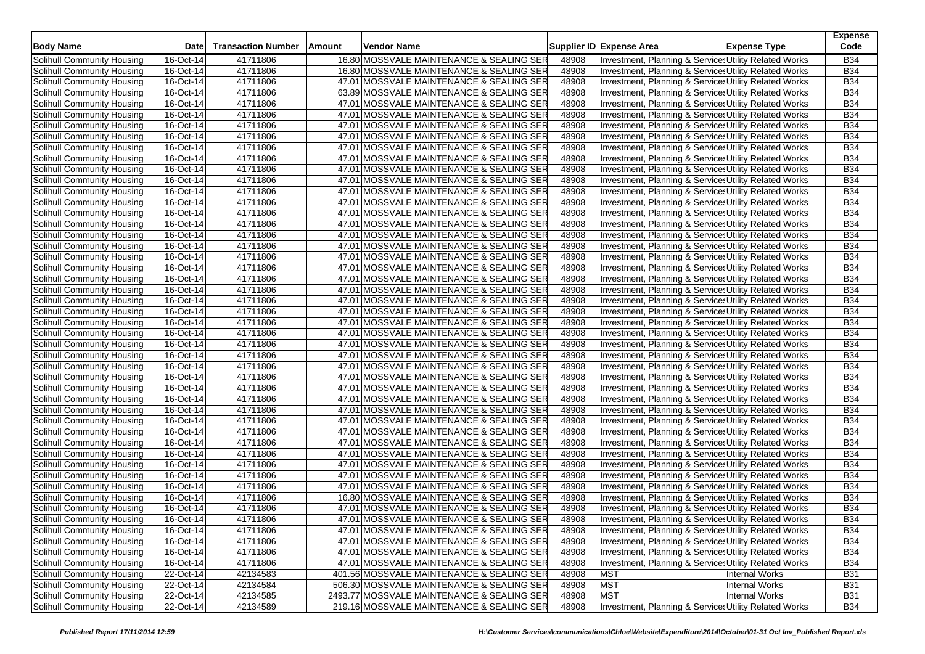| <b>Body Name</b>                  | <b>Date</b>             | <b>Transaction Number</b> | Amount | Vendor Name                                |       | Supplier ID Expense Area                                         | <b>Expense Type</b>   | <b>Expense</b><br>Code |
|-----------------------------------|-------------------------|---------------------------|--------|--------------------------------------------|-------|------------------------------------------------------------------|-----------------------|------------------------|
| Solihull Community Housing        | 16-Oct-14               | 41711806                  |        | 16.80 MOSSVALE MAINTENANCE & SEALING SER   | 48908 | Investment, Planning & Service: Utility Related Works            |                       | <b>B34</b>             |
| Solihull Community Housing        | 16-Oct-14               | 41711806                  |        | 16.80 MOSSVALE MAINTENANCE & SEALING SER   | 48908 | Investment, Planning & Service, Utility Related Works            |                       | <b>B34</b>             |
| Solihull Community Housing        | 16-Oct-14               | 41711806                  |        | 47.01 MOSSVALE MAINTENANCE & SEALING SER   | 48908 | Investment, Planning & Services Utility Related Works            |                       | <b>B34</b>             |
| Solihull Community Housing        | 16-Oct-14               | 41711806                  |        | 63.89 MOSSVALE MAINTENANCE & SEALING SER   | 48908 | Investment, Planning & Service: Utility Related Works            |                       | <b>B34</b>             |
| Solihull Community Housing        | 16-Oct-14               | 41711806                  |        | 47.01 MOSSVALE MAINTENANCE & SEALING SER   | 48908 | Investment, Planning & Service: Utility Related Works            |                       | <b>B34</b>             |
| Solihull Community Housing        | 16-Oct-14               | 41711806                  |        | 47.01 MOSSVALE MAINTENANCE & SEALING SER   | 48908 | Investment, Planning & Service: Utility Related Works            |                       | <b>B34</b>             |
| Solihull Community Housing        | 16-Oct-14               | 41711806                  |        | 47.01 MOSSVALE MAINTENANCE & SEALING SER   | 48908 | Investment, Planning & Service: Utility Related Works            |                       | <b>B34</b>             |
| Solihull Community Housing        | 16-Oct-14               | 41711806                  |        | 47.01 MOSSVALE MAINTENANCE & SEALING SER   | 48908 | Investment, Planning & Service: Utility Related Works            |                       | <b>B34</b>             |
| Solihull Community Housing        | 16-Oct-14               | 41711806                  |        | 47.01 MOSSVALE MAINTENANCE & SEALING SER   | 48908 | Investment, Planning & Services Utility Related Works            |                       | <b>B34</b>             |
| Solihull Community Housing        | 16-Oct-14               | 41711806                  |        | 47.01 MOSSVALE MAINTENANCE & SEALING SER   | 48908 | Investment, Planning & Service: Utility Related Works            |                       | <b>B34</b>             |
| Solihull Community Housing        | 16-Oct-14               | 41711806                  |        | 47.01 MOSSVALE MAINTENANCE & SEALING SER   | 48908 | Investment, Planning & Service: Utility Related Works            |                       | <b>B34</b>             |
| Solihull Community Housing        | 16-Oct-14               | 41711806                  |        | 47.01 MOSSVALE MAINTENANCE & SEALING SER   | 48908 | Investment, Planning & Service: Utility Related Works            |                       | <b>B34</b>             |
| Solihull Community Housing        | 16-Oct-14               | 41711806                  |        | 47.01 MOSSVALE MAINTENANCE & SEALING SER   | 48908 | Investment, Planning & Service: Utility Related Works            |                       | <b>B34</b>             |
| Solihull Community Housing        | 16-Oct-14               | 41711806                  |        | 47.01 MOSSVALE MAINTENANCE & SEALING SER   | 48908 | Investment, Planning & Service, Utility Related Works            |                       | <b>B34</b>             |
| Solihull Community Housing        | 16-Oct-14               | 41711806                  |        | 47.01 MOSSVALE MAINTENANCE & SEALING SER   | 48908 | Investment, Planning & Service, Utility Related Works            |                       | <b>B34</b>             |
| Solihull Community Housing        | 16-Oct-14               | 41711806                  |        | 47.01 MOSSVALE MAINTENANCE & SEALING SER   | 48908 | Investment, Planning & Service: Utility Related Works            |                       | <b>B34</b>             |
| Solihull Community Housing        | 16-Oct-14               | 41711806                  |        | 47.01 MOSSVALE MAINTENANCE & SEALING SER   | 48908 | Investment, Planning & Services Utility Related Works            |                       | <b>B34</b>             |
| Solihull Community Housing        | 16-Oct-14               | 41711806                  |        | 47.01 MOSSVALE MAINTENANCE & SEALING SER   | 48908 | Investment, Planning & Service, Utility Related Works            |                       | <b>B34</b>             |
| Solihull Community Housing        | 16-Oct-14               | 41711806                  |        | 47.01 MOSSVALE MAINTENANCE & SEALING SER   | 48908 | Investment, Planning & Service: Utility Related Works            |                       | <b>B34</b>             |
| Solihull Community Housing        | 16-Oct-14               | 41711806                  |        | 47.01 MOSSVALE MAINTENANCE & SEALING SER   | 48908 | Investment, Planning & Service: Utility Related Works            |                       | <b>B34</b>             |
| Solihull Community Housing        | 16-Oct-14               | 41711806                  |        | 47.01 MOSSVALE MAINTENANCE & SEALING SER   | 48908 | <b>Investment, Planning &amp; Service, Utility Related Works</b> |                       | <b>B34</b>             |
| Solihull Community Housing        | 16-Oct-14               | 41711806                  |        | 47.01 MOSSVALE MAINTENANCE & SEALING SER   | 48908 | Investment, Planning & Service: Utility Related Works            |                       | <b>B34</b>             |
| Solihull Community Housing        | 16-Oct-14               | 41711806                  |        | 47.01 MOSSVALE MAINTENANCE & SEALING SER   | 48908 | Investment, Planning & Services Utility Related Works            |                       | <b>B34</b>             |
| Solihull Community Housing        | $\overline{16}$ -Oct-14 | 41711806                  |        | 47.01 MOSSVALE MAINTENANCE & SEALING SER   | 48908 | Investment, Planning & Service: Utility Related Works            |                       | <b>B34</b>             |
| Solihull Community Housing        | 16-Oct-14               | 41711806                  |        | 47.01 MOSSVALE MAINTENANCE & SEALING SER   | 48908 | Investment, Planning & Service: Utility Related Works            |                       | <b>B34</b>             |
| Solihull Community Housing        | 16-Oct-14               | 41711806                  |        | 47.01 MOSSVALE MAINTENANCE & SEALING SER   | 48908 | Investment, Planning & Service: Utility Related Works            |                       | <b>B34</b>             |
| Solihull Community Housing        | 16-Oct-14               | 41711806                  |        | 47.01 MOSSVALE MAINTENANCE & SEALING SER   | 48908 | Investment, Planning & Service, Utility Related Works            |                       | <b>B34</b>             |
| Solihull Community Housing        | 16-Oct-14               | 41711806                  |        | 47.01 MOSSVALE MAINTENANCE & SEALING SER   | 48908 | Investment, Planning & Service: Utility Related Works            |                       | <b>B34</b>             |
| Solihull Community Housing        | 16-Oct-14               | 41711806                  |        | 47.01 MOSSVALE MAINTENANCE & SEALING SER   | 48908 | Investment, Planning & Service: Utility Related Works            |                       | <b>B34</b>             |
| Solihull Community Housing        | 16-Oct-14               | 41711806                  |        | 47.01 MOSSVALE MAINTENANCE & SEALING SER   | 48908 | Investment, Planning & Service, Utility Related Works            |                       | <b>B34</b>             |
| Solihull Community Housing        | 16-Oct-14               | 41711806                  |        | 47.01 MOSSVALE MAINTENANCE & SEALING SER   | 48908 | Investment, Planning & Services Utility Related Works            |                       | <b>B34</b>             |
| Solihull Community Housing        | 16-Oct-14               | 41711806                  |        | 47.01 MOSSVALE MAINTENANCE & SEALING SER   | 48908 | Investment, Planning & Service, Utility Related Works            |                       | B34                    |
| Solihull Community Housing        | 16-Oct-14               | 41711806                  |        | 47.01 MOSSVALE MAINTENANCE & SEALING SER   | 48908 | Investment, Planning & Service, Utility Related Works            |                       | <b>B34</b>             |
| Solihull Community Housing        | 16-Oct-14               | 41711806                  |        | 47.01 MOSSVALE MAINTENANCE & SEALING SER   | 48908 | Investment, Planning & Service: Utility Related Works            |                       | <b>B34</b>             |
| Solihull Community Housing        | 16-Oct-14               | 41711806                  |        | 47.01 MOSSVALE MAINTENANCE & SEALING SER   | 48908 | Investment, Planning & Services Utility Related Works            |                       | B34                    |
| Solihull Community Housing        | 16-Oct-14               | 41711806                  |        | 47.01 MOSSVALE MAINTENANCE & SEALING SER   | 48908 | Investment, Planning & Service, Utility Related Works            |                       | <b>B34</b>             |
| Solihull Community Housing        | 16-Oct-14               | 41711806                  |        | 47.01 MOSSVALE MAINTENANCE & SEALING SER   | 48908 | Investment, Planning & Services Utility Related Works            |                       | B34                    |
| Solihull Community Housing        | 16-Oct-14               | 41711806                  |        | 47.01 MOSSVALE MAINTENANCE & SEALING SER   | 48908 | Investment, Planning & Service: Utility Related Works            |                       | B34                    |
| Solihull Community Housing        | 16-Oct-14               | 41711806                  |        | 47.01 MOSSVALE MAINTENANCE & SEALING SER   | 48908 | Investment, Planning & Service: Utility Related Works            |                       | <b>B34</b>             |
| Solihull Community Housing        | 16-Oct-14               | 41711806                  |        | 47.01 MOSSVALE MAINTENANCE & SEALING SER   | 48908 | Investment, Planning & Service, Utility Related Works            |                       | <b>B34</b>             |
| Solihull Community Housing        | 16-Oct-14               | 41711806                  |        | 16.80 MOSSVALE MAINTENANCE & SEALING SER   | 48908 | Investment, Planning & Service: Utility Related Works            |                       | <b>B34</b>             |
| Solihull Community Housing        | 16-Oct-14               | 41711806                  |        | 47.01 MOSSVALE MAINTENANCE & SEALING SER   | 48908 | Investment, Planning & Service: Utility Related Works            |                       | <b>B34</b>             |
| Solihull Community Housing        | 16-Oct-14               | 41711806                  |        | 47.01 MOSSVALE MAINTENANCE & SEALING SER   | 48908 | Investment, Planning & Services Utility Related Works            |                       | B34                    |
| Solihull Community Housing        | 16-Oct-14               | 41711806                  |        | 47.01 MOSSVALE MAINTENANCE & SEALING SER   | 48908 | Investment, Planning & Services Utility Related Works            |                       | <b>B34</b>             |
| Solihull Community Housing        | 16-Oct-14               | 41711806                  |        | 47.01 MOSSVALE MAINTENANCE & SEALING SER   | 48908 | Investment, Planning & Services Utility Related Works            |                       | <b>B34</b>             |
| Solihull Community Housing        | 16-Oct-14               | 41711806                  |        | 47.01 MOSSVALE MAINTENANCE & SEALING SER   | 48908 | Investment, Planning & Service: Utility Related Works            |                       | B34                    |
| Solihull Community Housing        | 16-Oct-14               | 41711806                  |        | 47.01 MOSSVALE MAINTENANCE & SEALING SER   | 48908 | Investment, Planning & Services Utility Related Works            |                       | <b>B34</b>             |
| Solihull Community Housing        | 22-Oct-14               | 42134583                  |        | 401.56 MOSSVALE MAINTENANCE & SEALING SER  | 48908 | <b>MST</b>                                                       | <b>Internal Works</b> | <b>B31</b>             |
| Solihull Community Housing        | 22-Oct-14               | 42134584                  |        | 506.30 MOSSVALE MAINTENANCE & SEALING SER  | 48908 | <b>MST</b>                                                       | <b>Internal Works</b> | <b>B31</b>             |
| <b>Solihull Community Housing</b> | 22-Oct-14               | 42134585                  |        | 2493.77 MOSSVALE MAINTENANCE & SEALING SER | 48908 | <b>MST</b>                                                       | Internal Works        | <b>B31</b>             |
| Solihull Community Housing        | 22-Oct-14               | 42134589                  |        | 219.16 MOSSVALE MAINTENANCE & SEALING SER  | 48908 | Investment, Planning & Services Utility Related Works            |                       | <b>B34</b>             |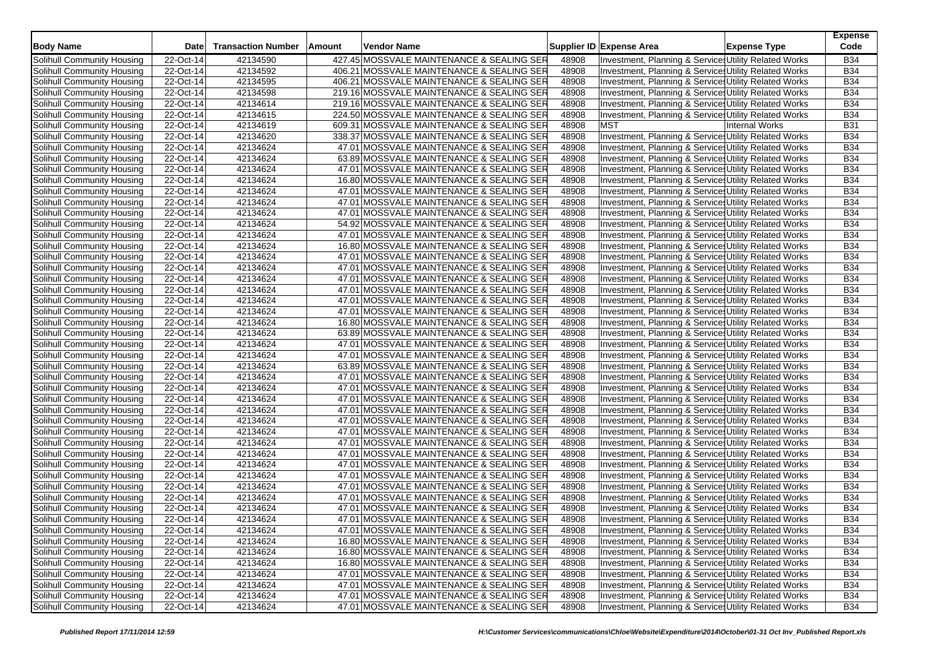| <b>Body Name</b>           | <b>Date</b> | <b>Transaction Number</b> | Amount | Vendor Name                               |       | Supplier ID Expense Area | <b>Expense Type</b>                                              | <b>Expense</b><br>Code |
|----------------------------|-------------|---------------------------|--------|-------------------------------------------|-------|--------------------------|------------------------------------------------------------------|------------------------|
| Solihull Community Housing | 22-Oct-14   | 42134590                  |        | 427.45 MOSSVALE MAINTENANCE & SEALING SER | 48908 |                          | Investment, Planning & Service: Utility Related Works            | <b>B34</b>             |
| Solihull Community Housing | 22-Oct-14   | 42134592                  |        | 406.21 MOSSVALE MAINTENANCE & SEALING SER | 48908 |                          | Investment, Planning & Service, Utility Related Works            | <b>B34</b>             |
| Solihull Community Housing | 22-Oct-14   | 42134595                  |        | 406.21 MOSSVALE MAINTENANCE & SEALING SER | 48908 |                          | Investment, Planning & Services Utility Related Works            | <b>B34</b>             |
| Solihull Community Housing | 22-Oct-14   | 42134598                  |        | 219.16 MOSSVALE MAINTENANCE & SEALING SER | 48908 |                          | Investment, Planning & Services Utility Related Works            | <b>B34</b>             |
| Solihull Community Housing | 22-Oct-14   | 42134614                  |        | 219.16 MOSSVALE MAINTENANCE & SEALING SER | 48908 |                          | Investment, Planning & Service: Utility Related Works            | <b>B34</b>             |
| Solihull Community Housing | 22-Oct-14   | 42134615                  |        | 224.50 MOSSVALE MAINTENANCE & SEALING SER | 48908 |                          |                                                                  | <b>B34</b>             |
|                            |             |                           |        |                                           |       |                          | Investment, Planning & Service Utility Related Works             |                        |
| Solihull Community Housing | 22-Oct-14   | 42134619                  |        | 609.31 MOSSVALE MAINTENANCE & SEALING SER | 48908 | <b>MST</b>               | <b>Internal Works</b>                                            | <b>B31</b>             |
| Solihull Community Housing | 22-Oct-14   | 42134620                  |        | 338.37 MOSSVALE MAINTENANCE & SEALING SER | 48908 |                          | Investment, Planning & Service: Utility Related Works            | <b>B34</b>             |
| Solihull Community Housing | 22-Oct-14   | 42134624                  |        | 47.01 MOSSVALE MAINTENANCE & SEALING SER  | 48908 |                          | Investment, Planning & Service Utility Related Works             | <b>B34</b>             |
| Solihull Community Housing | 22-Oct-14   | 42134624                  |        | 63.89 MOSSVALE MAINTENANCE & SEALING SER  | 48908 |                          | Investment, Planning & Service: Utility Related Works            | <b>B34</b>             |
| Solihull Community Housing | 22-Oct-14   | 42134624                  |        | 47.01 MOSSVALE MAINTENANCE & SEALING SER  | 48908 |                          | Investment, Planning & Service: Utility Related Works            | <b>B34</b>             |
| Solihull Community Housing | 22-Oct-14   | 42134624                  |        | 16.80 MOSSVALE MAINTENANCE & SEALING SER  | 48908 |                          | Investment, Planning & Service: Utility Related Works            | <b>B34</b>             |
| Solihull Community Housing | 22-Oct-14   | 42134624                  |        | 47.01 MOSSVALE MAINTENANCE & SEALING SER  | 48908 |                          | Investment, Planning & Service: Utility Related Works            | <b>B34</b>             |
| Solihull Community Housing | 22-Oct-14   | 42134624                  |        | 47.01 MOSSVALE MAINTENANCE & SEALING SER  | 48908 |                          | Investment, Planning & Service, Utility Related Works            | <b>B34</b>             |
| Solihull Community Housing | 22-Oct-14   | 42134624                  |        | 47.01 MOSSVALE MAINTENANCE & SEALING SER  | 48908 |                          | Investment, Planning & Service, Utility Related Works            | <b>B34</b>             |
| Solihull Community Housing | 22-Oct-14   | 42134624                  |        | 54.92 MOSSVALE MAINTENANCE & SEALING SER  | 48908 |                          | Investment, Planning & Service: Utility Related Works            | <b>B34</b>             |
| Solihull Community Housing | 22-Oct-14   | 42134624                  |        | 47.01 MOSSVALE MAINTENANCE & SEALING SER  | 48908 |                          | Investment, Planning & Services Utility Related Works            | <b>B34</b>             |
| Solihull Community Housing | 22-Oct-14   | 42134624                  |        | 16.80 MOSSVALE MAINTENANCE & SEALING SER  | 48908 |                          | Investment, Planning & Service, Utility Related Works            | <b>B34</b>             |
| Solihull Community Housing | 22-Oct-14   | 42134624                  |        | 47.01 MOSSVALE MAINTENANCE & SEALING SER  | 48908 |                          | Investment, Planning & Service: Utility Related Works            | <b>B34</b>             |
| Solihull Community Housing | 22-Oct-14   | 42134624                  |        | 47.01 MOSSVALE MAINTENANCE & SEALING SER  | 48908 |                          | Investment, Planning & Service: Utility Related Works            | <b>B34</b>             |
| Solihull Community Housing | 22-Oct-14   | 42134624                  |        | 47.01 MOSSVALE MAINTENANCE & SEALING SER  | 48908 |                          | <b>Investment, Planning &amp; Service, Utility Related Works</b> | <b>B34</b>             |
| Solihull Community Housing | 22-Oct-14   | 42134624                  |        | 47.01 MOSSVALE MAINTENANCE & SEALING SER  | 48908 |                          | Investment, Planning & Service: Utility Related Works            | <b>B34</b>             |
| Solihull Community Housing | 22-Oct-14   | 42134624                  |        | 47.01 MOSSVALE MAINTENANCE & SEALING SER  | 48908 |                          | Investment, Planning & Services Utility Related Works            | <b>B34</b>             |
| Solihull Community Housing | 22-Oct-14   | 42134624                  |        | 47.01 MOSSVALE MAINTENANCE & SEALING SER  | 48908 |                          | Investment, Planning & Service: Utility Related Works            | <b>B34</b>             |
| Solihull Community Housing | 22-Oct-14   | 42134624                  |        | 16.80 MOSSVALE MAINTENANCE & SEALING SER  | 48908 |                          | Investment, Planning & Service: Utility Related Works            | <b>B34</b>             |
| Solihull Community Housing | 22-Oct-14   | 42134624                  |        | 63.89 MOSSVALE MAINTENANCE & SEALING SER  | 48908 |                          | Investment, Planning & Service: Utility Related Works            | <b>B34</b>             |
| Solihull Community Housing | 22-Oct-14   | 42134624                  |        | 47.01 MOSSVALE MAINTENANCE & SEALING SER  | 48908 |                          | Investment, Planning & Service, Utility Related Works            | <b>B34</b>             |
| Solihull Community Housing | 22-Oct-14   | 42134624                  |        | 47.01 MOSSVALE MAINTENANCE & SEALING SER  | 48908 |                          | Investment, Planning & Service: Utility Related Works            | <b>B34</b>             |
| Solihull Community Housing | 22-Oct-14   | 42134624                  |        | 63.89 MOSSVALE MAINTENANCE & SEALING SER  | 48908 |                          | Investment, Planning & Service: Utility Related Works            | <b>B34</b>             |
| Solihull Community Housing | 22-Oct-14   | 42134624                  |        | 47.01 MOSSVALE MAINTENANCE & SEALING SER  | 48908 |                          | Investment, Planning & Service, Utility Related Works            | <b>B34</b>             |
| Solihull Community Housing | 22-Oct-14   | 42134624                  |        | 47.01 MOSSVALE MAINTENANCE & SEALING SER  | 48908 |                          | Investment, Planning & Services Utility Related Works            | <b>B34</b>             |
| Solihull Community Housing | 22-Oct-14   | 42134624                  |        | 47.01 MOSSVALE MAINTENANCE & SEALING SER  | 48908 |                          | Investment, Planning & Service: Utility Related Works            | B34                    |
| Solihull Community Housing | 22-Oct-14   | 42134624                  |        | 47.01 MOSSVALE MAINTENANCE & SEALING SER  | 48908 |                          | Investment, Planning & Service, Utility Related Works            | <b>B34</b>             |
| Solihull Community Housing | 22-Oct-14   | 42134624                  |        | 47.01 MOSSVALE MAINTENANCE & SEALING SER  | 48908 |                          | Investment, Planning & Service: Utility Related Works            | <b>B34</b>             |
| Solihull Community Housing | 22-Oct-14   | 42134624                  |        | 47.01 MOSSVALE MAINTENANCE & SEALING SER  | 48908 |                          | Investment, Planning & Services Utility Related Works            | <b>B34</b>             |
| Solihull Community Housing | 22-Oct-14   | 42134624                  |        | 47.01 MOSSVALE MAINTENANCE & SEALING SER  | 48908 |                          | Investment, Planning & Service, Utility Related Works            | <b>B34</b>             |
| Solihull Community Housing | 22-Oct-14   | 42134624                  |        | 47.01 MOSSVALE MAINTENANCE & SEALING SER  | 48908 |                          | Investment, Planning & Services Utility Related Works            | <b>B34</b>             |
| Solihull Community Housing | 22-Oct-14   | 42134624                  |        | 47.01 MOSSVALE MAINTENANCE & SEALING SER  | 48908 |                          | Investment, Planning & Service: Utility Related Works            | B34                    |
| Solihull Community Housing | 22-Oct-14   | 42134624                  |        | 47.01 MOSSVALE MAINTENANCE & SEALING SER  | 48908 |                          | Investment, Planning & Service: Utility Related Works            | <b>B34</b>             |
| Solihull Community Housing | 22-Oct-14   | 42134624                  |        | 47.01 MOSSVALE MAINTENANCE & SEALING SER  | 48908 |                          | <b>Investment, Planning &amp; Service, Utility Related Works</b> | <b>B34</b>             |
| Solihull Community Housing | 22-Oct-14   | 42134624                  |        | 47.01 MOSSVALE MAINTENANCE & SEALING SER  | 48908 |                          | Investment, Planning & Service: Utility Related Works            | <b>B34</b>             |
| Solihull Community Housing | 22-Oct-14   | 42134624                  |        | 47.01 MOSSVALE MAINTENANCE & SEALING SER  | 48908 |                          | Investment, Planning & Service: Utility Related Works            | <b>B34</b>             |
| Solihull Community Housing | 22-Oct-14   | 42134624                  |        | 47.01 MOSSVALE MAINTENANCE & SEALING SER  | 48908 |                          | Investment, Planning & Services Utility Related Works            | B34                    |
| Solihull Community Housing | 22-Oct-14   | 42134624                  |        | 47.01 MOSSVALE MAINTENANCE & SEALING SER  | 48908 |                          | Investment, Planning & Services Utility Related Works            | <b>B34</b>             |
| Solihull Community Housing | 22-Oct-14   | 42134624                  |        | 16.80 MOSSVALE MAINTENANCE & SEALING SER  | 48908 |                          | Investment, Planning & Services Utility Related Works            | <b>B34</b>             |
| Solihull Community Housing | 22-Oct-14   | 42134624                  |        | 16.80 MOSSVALE MAINTENANCE & SEALING SER  | 48908 |                          | Investment, Planning & Services Utility Related Works            | B34                    |
| Solihull Community Housing | 22-Oct-14   | 42134624                  |        | 16.80 MOSSVALE MAINTENANCE & SEALING SER  | 48908 |                          | Investment, Planning & Services Utility Related Works            | <b>B34</b>             |
| Solihull Community Housing | 22-Oct-14   | 42134624                  |        | 47.01 MOSSVALE MAINTENANCE & SEALING SER  | 48908 |                          | Investment, Planning & Service Utility Related Works             | <b>B34</b>             |
| Solihull Community Housing | 22-Oct-14   | 42134624                  |        | 47.01 MOSSVALE MAINTENANCE & SEALING SER  | 48908 |                          | Investment, Planning & Services Utility Related Works            | <b>B34</b>             |
| Solihull Community Housing | 22-Oct-14   | 42134624                  |        | 47.01 MOSSVALE MAINTENANCE & SEALING SER  | 48908 |                          | Investment, Planning & Service Utility Related Works             | <b>B34</b>             |
| Solihull Community Housing | 22-Oct-14   | 42134624                  |        | 47.01 MOSSVALE MAINTENANCE & SEALING SER  | 48908 |                          | Investment, Planning & Services Utility Related Works            | <b>B34</b>             |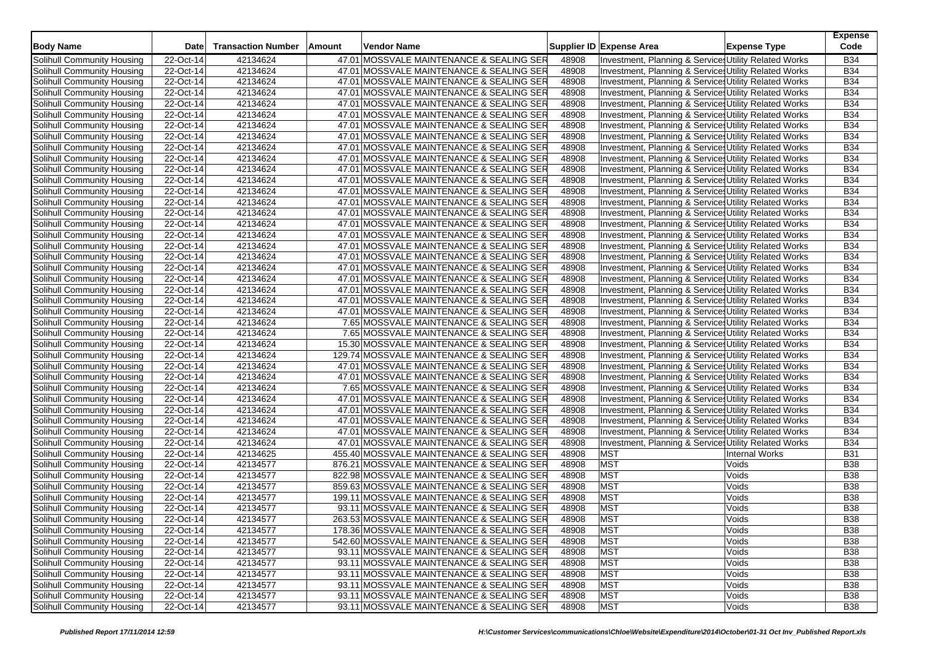| <b>Body Name</b>                  | Date        | <b>Transaction Number</b> | Amount | Vendor Name                               |       | Supplier ID Expense Area                              | <b>Expense Type</b> | <b>Expense</b><br>Code |
|-----------------------------------|-------------|---------------------------|--------|-------------------------------------------|-------|-------------------------------------------------------|---------------------|------------------------|
| Solihull Community Housing        | 22-Oct-14   | 42134624                  |        | 47.01 MOSSVALE MAINTENANCE & SEALING SER  | 48908 | Investment, Planning & Service: Utility Related Works |                     | <b>B34</b>             |
| Solihull Community Housing        | 22-Oct-14   | 42134624                  |        | 47.01 MOSSVALE MAINTENANCE & SEALING SER  | 48908 | Investment, Planning & Service: Utility Related Works |                     | <b>B34</b>             |
| Solihull Community Housing        | 22-Oct-14   | 42134624                  |        | 47.01 MOSSVALE MAINTENANCE & SEALING SER  | 48908 | Investment, Planning & Service: Utility Related Works |                     | <b>B34</b>             |
| Solihull Community Housing        | 22-Oct-14   | 42134624                  |        | 47.01 MOSSVALE MAINTENANCE & SEALING SER  | 48908 | Investment, Planning & Service: Utility Related Works |                     | <b>B34</b>             |
| Solihull Community Housing        | 22-Oct-14   | 42134624                  |        | 47.01 MOSSVALE MAINTENANCE & SEALING SER  | 48908 | Investment, Planning & Service: Utility Related Works |                     | <b>B34</b>             |
| Solihull Community Housing        | 22-Oct-14   | 42134624                  |        | 47.01 MOSSVALE MAINTENANCE & SEALING SER  | 48908 | Investment, Planning & Services Utility Related Works |                     | <b>B34</b>             |
| Solihull Community Housing        | 22-Oct-14   | 42134624                  |        | 47.01 MOSSVALE MAINTENANCE & SEALING SER  | 48908 | Investment, Planning & Service: Utility Related Works |                     | <b>B34</b>             |
| Solihull Community Housing        | 22-Oct-14   | 42134624                  |        | 47.01 MOSSVALE MAINTENANCE & SEALING SER  | 48908 | Investment, Planning & Service Utility Related Works  |                     | <b>B34</b>             |
| Solihull Community Housing        | 22-Oct-14   | 42134624                  |        | 47.01 MOSSVALE MAINTENANCE & SEALING SER  | 48908 | Investment, Planning & Services Utility Related Works |                     | <b>B34</b>             |
| Solihull Community Housing        | 22-Oct-14   | 42134624                  |        | 47.01 MOSSVALE MAINTENANCE & SEALING SER  | 48908 | Investment, Planning & Service: Utility Related Works |                     | <b>B34</b>             |
| Solihull Community Housing        | 22-Oct-14   | 42134624                  |        | 47.01 MOSSVALE MAINTENANCE & SEALING SER  | 48908 | Investment, Planning & Service: Utility Related Works |                     | <b>B34</b>             |
| Solihull Community Housing        | 22-Oct-14   | 42134624                  |        | 47.01 MOSSVALE MAINTENANCE & SEALING SER  | 48908 | Investment, Planning & Service: Utility Related Works |                     | <b>B34</b>             |
| Solihull Community Housing        | 22-Oct-14   | 42134624                  |        | 47.01 MOSSVALE MAINTENANCE & SEALING SER  | 48908 | Investment, Planning & Services Utility Related Works |                     | <b>B34</b>             |
| Solihull Community Housing        | 22-Oct-14   | 42134624                  |        | 47.01 MOSSVALE MAINTENANCE & SEALING SER  | 48908 | Investment, Planning & Service: Utility Related Works |                     | <b>B34</b>             |
| Solihull Community Housing        | 22-Oct-14   | 42134624                  |        | 47.01 MOSSVALE MAINTENANCE & SEALING SER  | 48908 | Investment, Planning & Services Utility Related Works |                     | <b>B34</b>             |
| Solihull Community Housing        | 22-Oct-14   | 42134624                  |        | 47.01 MOSSVALE MAINTENANCE & SEALING SER  | 48908 | Investment, Planning & Service: Utility Related Works |                     | <b>B34</b>             |
| Solihull Community Housing        | 22-Oct-14   | 42134624                  |        | 47.01 MOSSVALE MAINTENANCE & SEALING SER  | 48908 | Investment, Planning & Services Utility Related Works |                     | <b>B34</b>             |
| Solihull Community Housing        | 22-Oct-14   | 42134624                  |        | 47.01 MOSSVALE MAINTENANCE & SEALING SER  | 48908 | Investment, Planning & Service Utility Related Works  |                     | <b>B34</b>             |
| Solihull Community Housing        | 22-Oct-14   | 42134624                  |        | 47.01 MOSSVALE MAINTENANCE & SEALING SER  | 48908 | Investment, Planning & Service: Utility Related Works |                     | <b>B34</b>             |
| Solihull Community Housing        | 22-Oct-14   | 42134624                  |        | 47.01 MOSSVALE MAINTENANCE & SEALING SER  | 48908 | Investment, Planning & Services Utility Related Works |                     | <b>B34</b>             |
| Solihull Community Housing        | 22-Oct-14   | 42134624                  |        | 47.01 MOSSVALE MAINTENANCE & SEALING SER  | 48908 | Investment, Planning & Service: Utility Related Works |                     | <b>B34</b>             |
| Solihull Community Housing        | 22-Oct-14   | 42134624                  |        | 47.01 MOSSVALE MAINTENANCE & SEALING SER  | 48908 | Investment, Planning & Service: Utility Related Works |                     | <b>B34</b>             |
| Solihull Community Housing        | 22-Oct-14   | 42134624                  |        | 47.01 MOSSVALE MAINTENANCE & SEALING SER  | 48908 | Investment, Planning & Services Utility Related Works |                     | <b>B34</b>             |
| Solihull Community Housing        | $22-Oct-14$ | 42134624                  |        | 47.01 MOSSVALE MAINTENANCE & SEALING SER  | 48908 | Investment, Planning & Service: Utility Related Works |                     | <b>B34</b>             |
| Solihull Community Housing        | 22-Oct-14   | 42134624                  |        | 7.65 MOSSVALE MAINTENANCE & SEALING SER   | 48908 | Investment, Planning & Services Utility Related Works |                     | <b>B34</b>             |
| Solihull Community Housing        | 22-Oct-14   | 42134624                  |        | 7.65 MOSSVALE MAINTENANCE & SEALING SER   | 48908 | Investment, Planning & Services Utility Related Works |                     | <b>B34</b>             |
| Solihull Community Housing        | 22-Oct-14   | 42134624                  |        | 15.30 MOSSVALE MAINTENANCE & SEALING SER  | 48908 | Investment, Planning & Service, Utility Related Works |                     | <b>B34</b>             |
| Solihull Community Housing        | 22-Oct-14   | 42134624                  |        | 129.74 MOSSVALE MAINTENANCE & SEALING SER | 48908 | Investment, Planning & Service: Utility Related Works |                     | <b>B34</b>             |
| Solihull Community Housing        | 22-Oct-14   | 42134624                  |        | 47.01 MOSSVALE MAINTENANCE & SEALING SER  | 48908 | Investment, Planning & Services Utility Related Works |                     | <b>B34</b>             |
| Solihull Community Housing        | 22-Oct-14   | 42134624                  |        | 47.01 MOSSVALE MAINTENANCE & SEALING SER  | 48908 | Investment, Planning & Services Utility Related Works |                     | <b>B34</b>             |
| Solihull Community Housing        | 22-Oct-14   | 42134624                  |        | 7.65 MOSSVALE MAINTENANCE & SEALING SER   | 48908 | Investment, Planning & Services Utility Related Works |                     | <b>B34</b>             |
| Solihull Community Housing        | 22-Oct-14   | 42134624                  |        | 47.01 MOSSVALE MAINTENANCE & SEALING SER  | 48908 | Investment, Planning & Service: Utility Related Works |                     | <b>B34</b>             |
| Solihull Community Housing        | 22-Oct-14   | 42134624                  |        | 47.01 MOSSVALE MAINTENANCE & SEALING SER  | 48908 | Investment, Planning & Service: Utility Related Works |                     | <b>B34</b>             |
| Solihull Community Housing        | 22-Oct-14   | 42134624                  |        | 47.01 MOSSVALE MAINTENANCE & SEALING SER  | 48908 | Investment, Planning & Service Utility Related Works  |                     | <b>B34</b>             |
| Solihull Community Housing        | 22-Oct-14   | 42134624                  |        | 47.01 MOSSVALE MAINTENANCE & SEALING SER  | 48908 | Investment, Planning & Services Utility Related Works |                     | <b>B34</b>             |
| Solihull Community Housing        | 22-Oct-14   | 42134624                  |        | 47.01 MOSSVALE MAINTENANCE & SEALING SER  | 48908 | Investment, Planning & Services Utility Related Works |                     | <b>B34</b>             |
| Solihull Community Housing        | 22-Oct-14   | 42134625                  |        | 455.40 MOSSVALE MAINTENANCE & SEALING SER | 48908 | <b>MST</b>                                            | Internal Works      | <b>B31</b>             |
| Solihull Community Housing        | 22-Oct-14   | 42134577                  |        | 876.21 MOSSVALE MAINTENANCE & SEALING SER | 48908 | <b>MST</b>                                            | Voids               | <b>B38</b>             |
| Solihull Community Housing        | 22-Oct-14   | 42134577                  |        | 822.98 MOSSVALE MAINTENANCE & SEALING SER | 48908 | <b>MST</b>                                            | Voids               | <b>B38</b>             |
| Solihull Community Housing        | 22-Oct-14   | 42134577                  |        | 859.63 MOSSVALE MAINTENANCE & SEALING SER | 48908 | <b>MST</b>                                            | Voids               | <b>B38</b>             |
| Solihull Community Housing        | 22-Oct-14   | 42134577                  |        | 199.11 MOSSVALE MAINTENANCE & SEALING SER | 48908 | <b>MST</b>                                            | Voids               | <b>B38</b>             |
| Solihull Community Housing        | 22-Oct-14   | 42134577                  |        | 93.11 MOSSVALE MAINTENANCE & SEALING SER  | 48908 | <b>MST</b>                                            | Voids               | <b>B38</b>             |
| Solihull Community Housing        | 22-Oct-14   | 42134577                  |        | 263.53 MOSSVALE MAINTENANCE & SEALING SER | 48908 | <b>MST</b>                                            | Voids               | <b>B38</b>             |
| Solihull Community Housing        | 22-Oct-14   | 42134577                  |        | 178.36 MOSSVALE MAINTENANCE & SEALING SER | 48908 | <b>MST</b>                                            | Voids               | <b>B38</b>             |
| Solihull Community Housing        | 22-Oct-14   | 42134577                  |        | 542.60 MOSSVALE MAINTENANCE & SEALING SER | 48908 | <b>MST</b>                                            | Voids               | <b>B38</b>             |
| Solihull Community Housing        | 22-Oct-14   | 42134577                  |        | 93.11 MOSSVALE MAINTENANCE & SEALING SER  | 48908 | <b>MST</b>                                            | Voids               | B38                    |
| Solihull Community Housing        | 22-Oct-14   | 42134577                  |        | 93.11 MOSSVALE MAINTENANCE & SEALING SER  | 48908 | <b>MST</b>                                            | Voids               | <b>B38</b>             |
| Solihull Community Housing        | 22-Oct-14   | 42134577                  |        | 93.11 MOSSVALE MAINTENANCE & SEALING SER  | 48908 | <b>MST</b>                                            | Voids               | <b>B38</b>             |
| Solihull Community Housing        | 22-Oct-14   | 42134577                  |        | 93.11 MOSSVALE MAINTENANCE & SEALING SER  | 48908 | <b>MST</b>                                            | Voids               | <b>B38</b>             |
| <b>Solihull Community Housing</b> | 22-Oct-14   | 42134577                  |        | 93.11 MOSSVALE MAINTENANCE & SEALING SER  | 48908 | <b>MST</b>                                            | Voids               | <b>B38</b>             |
| Solihull Community Housing        | 22-Oct-14   | 42134577                  |        | 93.11 MOSSVALE MAINTENANCE & SEALING SER  | 48908 | <b>MST</b>                                            | Voids               | <b>B38</b>             |
|                                   |             |                           |        |                                           |       |                                                       |                     |                        |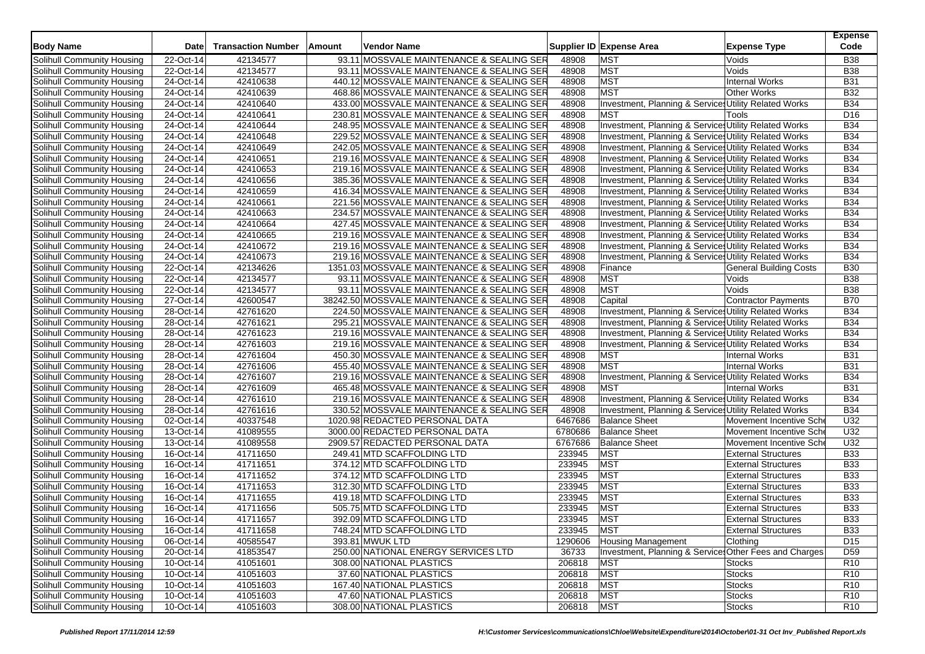| <b>Body Name</b>                  | Date      | <b>Transaction Number</b> | Amount | Vendor Name                                 |         | Supplier ID Expense Area                               | <b>Expense Type</b>           | <b>Expense</b><br>Code |
|-----------------------------------|-----------|---------------------------|--------|---------------------------------------------|---------|--------------------------------------------------------|-------------------------------|------------------------|
| Solihull Community Housing        | 22-Oct-14 | 42134577                  |        | 93.11 MOSSVALE MAINTENANCE & SEALING SER    | 48908   | <b>MST</b>                                             | Voids                         | <b>B38</b>             |
| Solihull Community Housing        | 22-Oct-14 | 42134577                  |        | 93.11 MOSSVALE MAINTENANCE & SEALING SER    | 48908   | <b>MST</b>                                             | Voids                         | <b>B38</b>             |
| Solihull Community Housing        | 24-Oct-14 | 42410638                  |        | 440.12 MOSSVALE MAINTENANCE & SEALING SER   | 48908   | <b>MST</b>                                             | <b>Internal Works</b>         | <b>B31</b>             |
| Solihull Community Housing        | 24-Oct-14 | 42410639                  |        | 468.86 MOSSVALE MAINTENANCE & SEALING SER   | 48908   | <b>MST</b>                                             | <b>Other Works</b>            | <b>B32</b>             |
| Solihull Community Housing        | 24-Oct-14 | 42410640                  |        | 433.00 MOSSVALE MAINTENANCE & SEALING SER   | 48908   | Investment, Planning & Service: Utility Related Works  |                               | <b>B34</b>             |
| Solihull Community Housing        | 24-Oct-14 | 42410641                  |        | 230.81 MOSSVALE MAINTENANCE & SEALING SER   | 48908   | <b>MST</b>                                             | Tools                         | D <sub>16</sub>        |
| Solihull Community Housing        | 24-Oct-14 | 42410644                  |        | 248.95 MOSSVALE MAINTENANCE & SEALING SER   | 48908   | Investment, Planning & Services Utility Related Works  |                               | <b>B34</b>             |
| Solihull Community Housing        | 24-Oct-14 | 42410648                  |        | 229.52 MOSSVALE MAINTENANCE & SEALING SER   | 48908   | Investment, Planning & Service: Utility Related Works  |                               | <b>B34</b>             |
| Solihull Community Housing        | 24-Oct-14 | 42410649                  |        | 242.05 MOSSVALE MAINTENANCE & SEALING SER   | 48908   | Investment, Planning & Services Utility Related Works  |                               | <b>B34</b>             |
| Solihull Community Housing        | 24-Oct-14 | 42410651                  |        | 219.16 MOSSVALE MAINTENANCE & SEALING SER   | 48908   | Investment, Planning & Service: Utility Related Works  |                               | <b>B34</b>             |
| Solihull Community Housing        | 24-Oct-14 | 42410653                  |        | 219.16 MOSSVALE MAINTENANCE & SEALING SER   | 48908   |                                                        |                               | <b>B34</b>             |
|                                   | 24-Oct-14 | 42410656                  |        |                                             | 48908   | Investment, Planning & Services Utility Related Works  |                               | <b>B34</b>             |
| Solihull Community Housing        |           |                           |        | 385.36 MOSSVALE MAINTENANCE & SEALING SER   |         | Investment, Planning & Service: Utility Related Works  |                               | <b>B34</b>             |
| Solihull Community Housing        | 24-Oct-14 | 42410659                  |        | 416.34 MOSSVALE MAINTENANCE & SEALING SER   | 48908   | Investment, Planning & Services Utility Related Works  |                               |                        |
| Solihull Community Housing        | 24-Oct-14 | 42410661                  |        | 221.56 MOSSVALE MAINTENANCE & SEALING SER   | 48908   | Investment, Planning & Service: Utility Related Works  |                               | <b>B34</b>             |
| Solihull Community Housing        | 24-Oct-14 | 42410663                  |        | 234.57 MOSSVALE MAINTENANCE & SEALING SER   | 48908   | Investment, Planning & Services Utility Related Works  |                               | <b>B34</b>             |
| Solihull Community Housing        | 24-Oct-14 | 42410664                  |        | 427.45 MOSSVALE MAINTENANCE & SEALING SER   | 48908   | Investment, Planning & Services Utility Related Works  |                               | <b>B34</b>             |
| Solihull Community Housing        | 24-Oct-14 | 42410665                  |        | 219.16 MOSSVALE MAINTENANCE & SEALING SER   | 48908   | Investment, Planning & Services Utility Related Works  |                               | <b>B34</b>             |
| Solihull Community Housing        | 24-Oct-14 | 42410672                  |        | 219.16 MOSSVALE MAINTENANCE & SEALING SER   | 48908   | Investment, Planning & Services Utility Related Works  |                               | <b>B34</b>             |
| Solihull Community Housing        | 24-Oct-14 | 42410673                  |        | 219.16 MOSSVALE MAINTENANCE & SEALING SER   | 48908   | Investment, Planning & Services Utility Related Works  |                               | <b>B34</b>             |
| Solihull Community Housing        | 22-Oct-14 | 42134626                  |        | 1351.03 MOSSVALE MAINTENANCE & SEALING SER  | 48908   | Finance                                                | <b>General Building Costs</b> | <b>B30</b>             |
| Solihull Community Housing        | 22-Oct-14 | 42134577                  |        | 93.11 MOSSVALE MAINTENANCE & SEALING SER    | 48908   | <b>MST</b>                                             | Voids                         | <b>B38</b>             |
| Solihull Community Housing        | 22-Oct-14 | 42134577                  |        | 93.11 MOSSVALE MAINTENANCE & SEALING SER    | 48908   | <b>MST</b>                                             | Voids                         | <b>B38</b>             |
| Solihull Community Housing        | 27-Oct-14 | 42600547                  |        | 38242.50 MOSSVALE MAINTENANCE & SEALING SER | 48908   | Capital                                                | Contractor Payments           | <b>B70</b>             |
| Solihull Community Housing        | 28-Oct-14 | 42761620                  |        | 224.50 MOSSVALE MAINTENANCE & SEALING SER   | 48908   | Investment, Planning & Service: Utility Related Works  |                               | <b>B34</b>             |
| Solihull Community Housing        | 28-Oct-14 | 42761621                  |        | 295.21 MOSSVALE MAINTENANCE & SEALING SER   | 48908   | Investment, Planning & Services Utility Related Works  |                               | <b>B34</b>             |
| Solihull Community Housing        | 28-Oct-14 | 42761623                  |        | 219.16 MOSSVALE MAINTENANCE & SEALING SER   | 48908   | Investment, Planning & Services Utility Related Works  |                               | <b>B34</b>             |
| Solihull Community Housing        | 28-Oct-14 | 42761603                  |        | 219.16 MOSSVALE MAINTENANCE & SEALING SER   | 48908   | Investment, Planning & Services Utility Related Works  |                               | <b>B34</b>             |
| Solihull Community Housing        | 28-Oct-14 | 42761604                  |        | 450.30 MOSSVALE MAINTENANCE & SEALING SER   | 48908   | <b>MST</b>                                             | <b>Internal Works</b>         | <b>B31</b>             |
| Solihull Community Housing        | 28-Oct-14 | 42761606                  |        | 455.40 MOSSVALE MAINTENANCE & SEALING SER   | 48908   | <b>MST</b>                                             | <b>Internal Works</b>         | <b>B31</b>             |
| Solihull Community Housing        | 28-Oct-14 | 42761607                  |        | 219.16 MOSSVALE MAINTENANCE & SEALING SER   | 48908   | Investment, Planning & Services Utility Related Works  |                               | <b>B34</b>             |
| Solihull Community Housing        | 28-Oct-14 | 42761609                  |        | 465.48 MOSSVALE MAINTENANCE & SEALING SER   | 48908   | <b>MST</b>                                             | <b>Internal Works</b>         | <b>B31</b>             |
| Solihull Community Housing        | 28-Oct-14 | 42761610                  |        | 219.16 MOSSVALE MAINTENANCE & SEALING SER   | 48908   | Investment, Planning & Service Utility Related Works   |                               | <b>B34</b>             |
| Solihull Community Housing        | 28-Oct-14 | 42761616                  |        | 330.52 MOSSVALE MAINTENANCE & SEALING SER   | 48908   | Investment, Planning & Service: Utility Related Works  |                               | <b>B34</b>             |
| Solihull Community Housing        | 02-Oct-14 | 40337548                  |        | 1020.98 REDACTED PERSONAL DATA              | 6467686 | <b>Balance Sheet</b>                                   | Movement Incentive Sche       | U32                    |
| Solihull Community Housing        | 13-Oct-14 | 41089555                  |        | 3000.00 REDACTED PERSONAL DATA              | 6780686 | <b>Balance Sheet</b>                                   | Movement Incentive Sch        | U32                    |
| Solihull Community Housing        | 13-Oct-14 | 41089558                  |        | 2909.57 REDACTED PERSONAL DATA              | 6767686 | <b>Balance Sheet</b>                                   | Movement Incentive Sch        | U32                    |
| Solihull Community Housing        | 16-Oct-14 | 41711650                  |        | 249.41 MTD SCAFFOLDING LTD                  | 233945  | <b>MST</b>                                             | <b>External Structures</b>    | <b>B33</b>             |
| Solihull Community Housing        | 16-Oct-14 | 41711651                  |        | 374.12 MTD SCAFFOLDING LTD                  | 233945  | <b>MST</b>                                             | <b>External Structures</b>    | <b>B33</b>             |
| Solihull Community Housing        | 16-Oct-14 | 41711652                  |        | 374.12 MTD SCAFFOLDING LTD                  | 233945  | <b>MST</b>                                             | <b>External Structures</b>    | <b>B33</b>             |
| Solihull Community Housing        | 16-Oct-14 | 41711653                  |        | 312.30 MTD SCAFFOLDING LTD                  | 233945  | <b>MST</b>                                             | <b>External Structures</b>    | <b>B33</b>             |
| Solihull Community Housing        | 16-Oct-14 | 41711655                  |        | 419.18 MTD SCAFFOLDING LTD                  | 233945  | <b>MST</b>                                             | <b>External Structures</b>    | <b>B33</b>             |
| Solihull Community Housing        | 16-Oct-14 | 41711656                  |        | 505.75 MTD SCAFFOLDING LTD                  | 233945  | <b>MST</b>                                             | <b>External Structures</b>    | <b>B33</b>             |
| Solihull Community Housing        | 16-Oct-14 | 41711657                  |        | 392.09 MTD SCAFFOLDING LTD                  | 233945  | <b>MST</b>                                             | <b>External Structures</b>    | <b>B33</b>             |
| Solihull Community Housing        | 16-Oct-14 | 41711658                  |        | 748.24 MTD SCAFFOLDING LTD                  | 233945  | <b>MST</b>                                             | <b>External Structures</b>    | <b>B33</b>             |
| Solihull Community Housing        | 06-Oct-14 | 40585547                  |        | 393.81 MWUK LTD                             | 1290606 | <b>Housing Management</b>                              | Clothing                      | D <sub>15</sub>        |
| Solihull Community Housing        | 20-Oct-14 | 41853547                  |        | 250.00 NATIONAL ENERGY SERVICES LTD         | 36733   | Investment, Planning & Services Other Fees and Charges |                               | D <sub>59</sub>        |
| Solihull Community Housing        | 10-Oct-14 | 41051601                  |        | 308.00 NATIONAL PLASTICS                    | 206818  | <b>MST</b>                                             | <b>Stocks</b>                 | R <sub>10</sub>        |
| Solihull Community Housing        | 10-Oct-14 | 41051603                  |        | 37.60 NATIONAL PLASTICS                     | 206818  | <b>MST</b>                                             | <b>Stocks</b>                 | R <sub>10</sub>        |
| Solihull Community Housing        | 10-Oct-14 | 41051603                  |        | 167.40 NATIONAL PLASTICS                    | 206818  | <b>MST</b>                                             | <b>Stocks</b>                 | R <sub>10</sub>        |
| <b>Solihull Community Housing</b> | 10-Oct-14 | 41051603                  |        | 47.60 NATIONAL PLASTICS                     | 206818  | <b>MST</b>                                             | <b>Stocks</b>                 | R <sub>10</sub>        |
| Solihull Community Housing        | 10-Oct-14 | 41051603                  |        | 308.00 NATIONAL PLASTICS                    | 206818  | <b>MST</b>                                             | <b>Stocks</b>                 | R <sub>10</sub>        |
|                                   |           |                           |        |                                             |         |                                                        |                               |                        |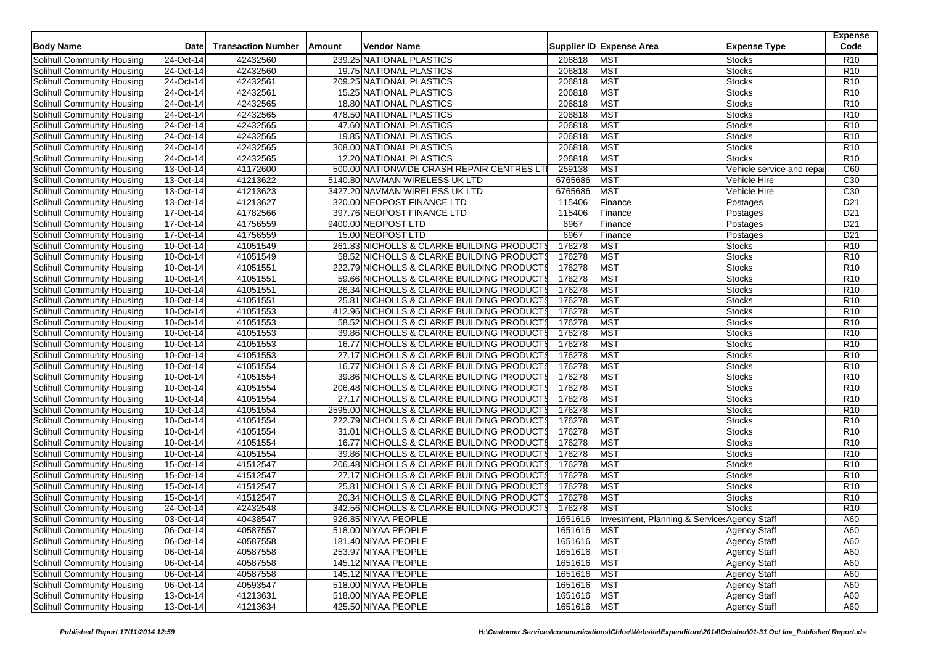| <b>Body Name</b>           | <b>Date</b>            | <b>Transaction Number</b> | Amount | Vendor Name                                         |                                             |                  | Supplier ID Expense Area                     | <b>Expense Type</b>            | <b>Expense</b><br>Code |
|----------------------------|------------------------|---------------------------|--------|-----------------------------------------------------|---------------------------------------------|------------------|----------------------------------------------|--------------------------------|------------------------|
|                            |                        |                           |        |                                                     |                                             |                  |                                              |                                |                        |
| Solihull Community Housing | 24-Oct-14<br>24-Oct-14 | 42432560                  |        | 239.25 NATIONAL PLASTICS                            |                                             | 206818           | <b>MST</b>                                   | <b>Stocks</b>                  | R <sub>10</sub>        |
| Solihull Community Housing | 24-Oct-14              | 42432560<br>42432561      |        | 19.75 NATIONAL PLASTICS<br>209.25 NATIONAL PLASTICS |                                             | 206818<br>206818 | <b>MST</b><br><b>MST</b>                     | <b>Stocks</b><br><b>Stocks</b> | R <sub>10</sub>        |
| Solihull Community Housing |                        |                           |        |                                                     |                                             |                  |                                              |                                | R <sub>10</sub>        |
| Solihull Community Housing | 24-Oct-14              | 42432561                  |        | 15.25 NATIONAL PLASTICS                             |                                             | 206818           | <b>MST</b>                                   | Stocks                         | R <sub>10</sub>        |
| Solihull Community Housing | 24-Oct-14              | 42432565                  |        | 18.80 NATIONAL PLASTICS                             |                                             | 206818           | <b>MST</b>                                   | Stocks                         | R <sub>10</sub>        |
| Solihull Community Housing | 24-Oct-14              | 42432565                  |        | 478.50 NATIONAL PLASTICS                            |                                             | 206818           | <b>MST</b>                                   | <b>Stocks</b>                  | R <sub>10</sub>        |
| Solihull Community Housing | 24-Oct-14              | 42432565                  |        | 47.60 NATIONAL PLASTICS                             |                                             | 206818           | <b>MST</b>                                   | Stocks                         | R <sub>10</sub>        |
| Solihull Community Housing | 24-Oct-14              | 42432565                  |        | 19.85 NATIONAL PLASTICS                             |                                             | 206818           | <b>MST</b>                                   | <b>Stocks</b>                  | R <sub>10</sub>        |
| Solihull Community Housing | 24-Oct-14              | 42432565                  |        | 308.00 NATIONAL PLASTICS                            |                                             | 206818           | <b>MST</b>                                   | Stocks                         | R <sub>10</sub>        |
| Solihull Community Housing | 24-Oct-14              | 42432565                  |        | 12.20 NATIONAL PLASTICS                             |                                             | 206818           | <b>MST</b>                                   | <b>Stocks</b>                  | R <sub>10</sub>        |
| Solihull Community Housing | 13-Oct-14              | 41172600                  |        |                                                     | 500.00 NATIONWIDE CRASH REPAIR CENTRES LT   | 259138           | <b>MST</b>                                   | Vehicle service and repai      | C60                    |
| Solihull Community Housing | 13-Oct-14              | 41213622                  |        | 5140.80 NAVMAN WIRELESS UK LTD                      |                                             | 6765686          | <b>MST</b>                                   | Vehicle Hire                   | C <sub>30</sub>        |
| Solihull Community Housing | 13-Oct-14              | 41213623                  |        | 3427.20 NAVMAN WIRELESS UK LTD                      |                                             | 6765686          | <b>MST</b>                                   | Vehicle Hire                   | C <sub>30</sub>        |
| Solihull Community Housing | 13-Oct-14              | 41213627                  |        | 320.00 NEOPOST FINANCE LTD                          |                                             | 115406           | Finance                                      | Postages                       | D <sub>21</sub>        |
| Solihull Community Housing | 17-Oct-14              | 41782566                  |        | 397.76 NEOPOST FINANCE LTD                          |                                             | 115406           | Finance                                      | Postages                       | D <sub>21</sub>        |
| Solihull Community Housing | 17-Oct-14              | 41756559                  |        | 9400.00 NEOPOST LTD                                 |                                             | 6967             | Finance                                      | Postages                       | D <sub>21</sub>        |
| Solihull Community Housing | 17-Oct-14              | 41756559                  |        | 15.00 NEOPOST LTD                                   |                                             | 6967             | Finance                                      | Postages                       | D <sub>21</sub>        |
| Solihull Community Housing | 10-Oct-14              | 41051549                  |        |                                                     | 261.83 NICHOLLS & CLARKE BUILDING PRODUCTS  | 176278           | <b>MST</b>                                   | <b>Stocks</b>                  | R <sub>10</sub>        |
| Solihull Community Housing | 10-Oct-14              | 41051549                  |        |                                                     | 58.52 NICHOLLS & CLARKE BUILDING PRODUCTS   | 176278           | <b>MST</b>                                   | <b>Stocks</b>                  | R <sub>10</sub>        |
| Solihull Community Housing | 10-Oct-14              | 41051551                  |        |                                                     | 222.79 NICHOLLS & CLARKE BUILDING PRODUCTS  | 176278           | <b>MST</b>                                   | <b>Stocks</b>                  | R <sub>10</sub>        |
| Solihull Community Housing | 10-Oct-14              | 41051551                  |        |                                                     | 59.66 NICHOLLS & CLARKE BUILDING PRODUCTS   | 176278           | <b>MST</b>                                   | <b>Stocks</b>                  | R <sub>10</sub>        |
| Solihull Community Housing | 10-Oct-14              | 41051551                  |        |                                                     | 26.34 NICHOLLS & CLARKE BUILDING PRODUCTS   | 176278           | <b>MST</b>                                   | <b>Stocks</b>                  | R <sub>10</sub>        |
| Solihull Community Housing | 10-Oct-14              | 41051551                  |        |                                                     | 25.81 NICHOLLS & CLARKE BUILDING PRODUCTS   | 176278           | <b>MST</b>                                   | <b>Stocks</b>                  | R <sub>10</sub>        |
| Solihull Community Housing | 10-Oct-14              | 41051553                  |        |                                                     | 412.96 NICHOLLS & CLARKE BUILDING PRODUCTS  | 176278           | <b>MST</b>                                   | <b>Stocks</b>                  | R <sub>10</sub>        |
| Solihull Community Housing | 10-Oct-14              | 41051553                  |        |                                                     | 58.52 NICHOLLS & CLARKE BUILDING PRODUCTS   | 176278           | <b>MST</b>                                   | <b>Stocks</b>                  | R <sub>10</sub>        |
| Solihull Community Housing | 10-Oct-14              | 41051553                  |        |                                                     | 39.86 NICHOLLS & CLARKE BUILDING PRODUCTS   | 176278           | <b>MST</b>                                   | <b>Stocks</b>                  | R <sub>10</sub>        |
| Solihull Community Housing | 10-Oct-14              | 41051553                  |        |                                                     | 16.77 NICHOLLS & CLARKE BUILDING PRODUCTS   | 176278           | <b>MST</b>                                   | <b>Stocks</b>                  | R <sub>10</sub>        |
| Solihull Community Housing | 10-Oct-14              | 41051553                  |        |                                                     | 27.17 NICHOLLS & CLARKE BUILDING PRODUCTS   | 176278           | <b>MST</b>                                   | <b>Stocks</b>                  | R <sub>10</sub>        |
| Solihull Community Housing | 10-Oct-14              | 41051554                  |        |                                                     | 16.77 NICHOLLS & CLARKE BUILDING PRODUCTS   | 176278           | <b>MST</b>                                   | Stocks                         | R <sub>10</sub>        |
| Solihull Community Housing | 10-Oct-14              | 41051554                  |        |                                                     | 39.86 NICHOLLS & CLARKE BUILDING PRODUCTS   | 176278           | <b>MST</b>                                   | <b>Stocks</b>                  | R <sub>10</sub>        |
| Solihull Community Housing | 10-Oct-14              | 41051554                  |        |                                                     | 206.48 NICHOLLS & CLARKE BUILDING PRODUCTS  | 176278           | <b>MST</b>                                   | <b>Stocks</b>                  | R <sub>10</sub>        |
| Solihull Community Housing | 10-Oct-14              | 41051554                  |        |                                                     | 27.17 NICHOLLS & CLARKE BUILDING PRODUCTS   | 176278           | <b>MST</b>                                   | Stocks                         | R <sub>10</sub>        |
| Solihull Community Housing | 10-Oct-14              | 41051554                  |        |                                                     | 2595.00 NICHOLLS & CLARKE BUILDING PRODUCTS | 176278           | <b>MST</b>                                   | Stocks                         | R <sub>10</sub>        |
| Solihull Community Housing | 10-Oct-14              | 41051554                  |        |                                                     | 222.79 NICHOLLS & CLARKE BUILDING PRODUCTS  | 176278           | <b>MST</b>                                   | <b>Stocks</b>                  | R <sub>10</sub>        |
| Solihull Community Housing | 10-Oct-14              | 41051554                  |        |                                                     | 31.01 NICHOLLS & CLARKE BUILDING PRODUCTS   | 176278           | <b>MST</b>                                   | <b>Stocks</b>                  | R <sub>10</sub>        |
| Solihull Community Housing | 10-Oct-14              | 41051554                  |        |                                                     | 16.77 NICHOLLS & CLARKE BUILDING PRODUCTS   | 176278           | <b>MST</b>                                   | Stocks                         | R <sub>10</sub>        |
| Solihull Community Housing | 10-Oct-14              | 41051554                  |        |                                                     | 39.86 NICHOLLS & CLARKE BUILDING PRODUCTS   | 176278           | MST                                          | <b>Stocks</b>                  | R <sub>10</sub>        |
| Solihull Community Housing | 15-Oct-14              | 41512547                  |        |                                                     | 206.48 NICHOLLS & CLARKE BUILDING PRODUCTS  | 176278           | <b>MST</b>                                   | Stocks                         | R <sub>10</sub>        |
| Solihull Community Housing | 15-Oct-14              | 41512547                  |        |                                                     | 27.17 NICHOLLS & CLARKE BUILDING PRODUCTS   | 176278           | <b>MST</b>                                   | <b>Stocks</b>                  | R <sub>10</sub>        |
| Solihull Community Housing | 15-Oct-14              | 41512547                  |        |                                                     | 25.81 NICHOLLS & CLARKE BUILDING PRODUCTS   | 176278           | <b>MST</b>                                   | <b>Stocks</b>                  | R <sub>10</sub>        |
| Solihull Community Housing | 15-Oct-14              | 41512547                  |        |                                                     | 26.34 NICHOLLS & CLARKE BUILDING PRODUCTS   | 176278           | <b>MST</b>                                   | <b>Stocks</b>                  | R <sub>10</sub>        |
| Solihull Community Housing | 24-Oct-14              | 42432548                  |        |                                                     | 342.56 NICHOLLS & CLARKE BUILDING PRODUCTS  | 176278           | <b>MST</b>                                   | <b>Stocks</b>                  | R <sub>10</sub>        |
| Solihull Community Housing | 03-Oct-14              | 40438547                  |        | 926.85 NIYAA PEOPLE                                 |                                             | 1651616          | Investment, Planning & Service, Agency Staff |                                | A60                    |
| Solihull Community Housing | 06-Oct-14              | 40587557                  |        | 518.00 NIYAA PEOPLE                                 |                                             | 1651616 MST      |                                              | <b>Agency Staff</b>            | A60                    |
| Solihull Community Housing | 06-Oct-14              | 40587558                  |        | 181.40 NIYAA PEOPLE                                 |                                             | 1651616 MST      |                                              | <b>Agency Staff</b>            | A60                    |
| Solihull Community Housing | 06-Oct-14              | 40587558                  |        | 253.97 NIYAA PEOPLE                                 |                                             | 1651616 MST      |                                              | <b>Agency Staff</b>            | A60                    |
| Solihull Community Housing | 06-Oct-14              | 40587558                  |        | 145.12 NIYAA PEOPLE                                 |                                             | 1651616 MST      |                                              | <b>Agency Staff</b>            | A60                    |
| Solihull Community Housing | 06-Oct-14              | 40587558                  |        | 145.12 NIYAA PEOPLE                                 |                                             | 1651616 MST      |                                              | Agency Staff                   | A60                    |
| Solihull Community Housing | 06-Oct-14              | 40593547                  |        | 518.00 NIYAA PEOPLE                                 |                                             | 1651616 MST      |                                              | <b>Agency Staff</b>            | A60                    |
| Solihull Community Housing | 13-Oct-14              | 41213631                  |        | 518.00 NIYAA PEOPLE                                 |                                             | 1651616 MST      |                                              | <b>Agency Staff</b>            | A60                    |
| Solihull Community Housing | 13-Oct-14              | 41213634                  |        | 425.50 NIYAA PEOPLE                                 |                                             | 1651616 MST      |                                              |                                | A60                    |
|                            |                        |                           |        |                                                     |                                             |                  |                                              | Agency Staff                   |                        |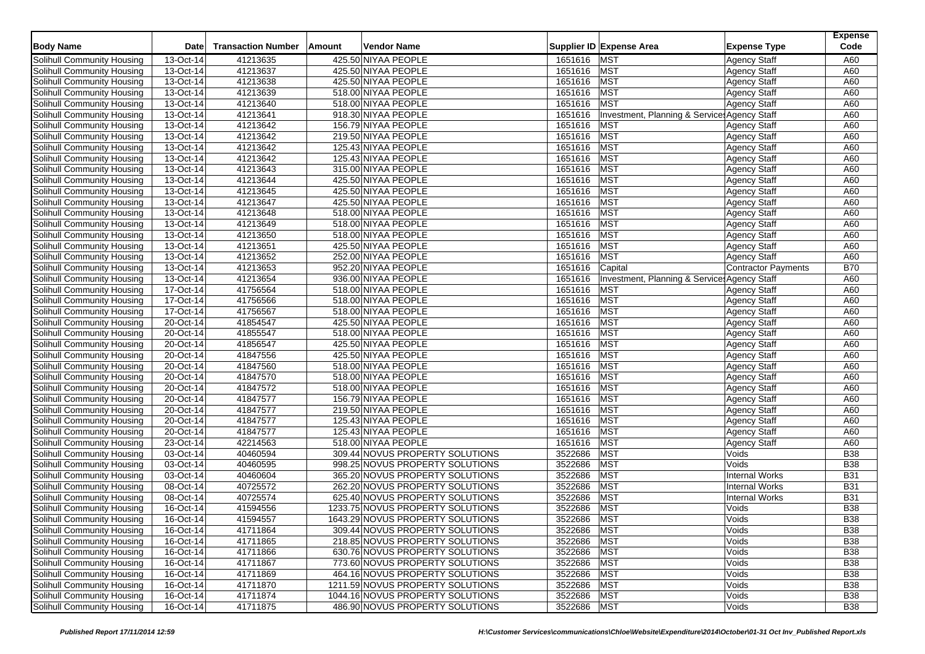| <b>Body Name</b>                  | <b>Date</b> | <b>Transaction Number</b> | Amount | Vendor Name                      |             | Supplier ID Expense Area                                | <b>Expense Type</b>   | <b>Expense</b><br>Code |
|-----------------------------------|-------------|---------------------------|--------|----------------------------------|-------------|---------------------------------------------------------|-----------------------|------------------------|
| Solihull Community Housing        | 13-Oct-14   | 41213635                  |        | 425.50 NIYAA PEOPLE              | 1651616     | <b>MST</b>                                              | <b>Agency Staff</b>   | A60                    |
| Solihull Community Housing        | 13-Oct-14   | 41213637                  |        | 425.50 NIYAA PEOPLE              | 1651616     | <b>MST</b>                                              | <b>Agency Staff</b>   | A60                    |
|                                   |             | 41213638                  |        | 425.50 NIYAA PEOPLE              | 1651616     | <b>MST</b>                                              |                       | A60                    |
| Solihull Community Housing        | 13-Oct-14   |                           |        |                                  |             |                                                         | <b>Agency Staff</b>   |                        |
| Solihull Community Housing        | 13-Oct-14   | 41213639                  |        | 518.00 NIYAA PEOPLE              | 1651616     | <b>MST</b>                                              | <b>Agency Staff</b>   | A60                    |
| Solihull Community Housing        | 13-Oct-14   | 41213640                  |        | 518.00 NIYAA PEOPLE              | 1651616     | <b>MST</b>                                              | <b>Agency Staff</b>   | A60                    |
| Solihull Community Housing        | 13-Oct-14   | 41213641                  |        | 918.30 NIYAA PEOPLE              | 1651616     | <b>Investment, Planning &amp; Service: Agency Staff</b> |                       | A60                    |
| Solihull Community Housing        | 13-Oct-14   | 41213642                  |        | 156.79 NIYAA PEOPLE              | 1651616     | <b>MST</b>                                              | <b>Agency Staff</b>   | A60                    |
| Solihull Community Housing        | 13-Oct-14   | 41213642                  |        | 219.50 NIYAA PEOPLE              | 1651616     | <b>MST</b>                                              | <b>Agency Staff</b>   | A60                    |
| Solihull Community Housing        | 13-Oct-14   | 41213642                  |        | 125.43 NIYAA PEOPLE              | 1651616     | <b>MST</b>                                              | <b>Agency Staff</b>   | A60                    |
| Solihull Community Housing        | 13-Oct-14   | 41213642                  |        | 125.43 NIYAA PEOPLE              | 1651616     | <b>MST</b>                                              | <b>Agency Staff</b>   | A60                    |
| Solihull Community Housing        | 13-Oct-14   | 41213643                  |        | 315.00 NIYAA PEOPLE              | 1651616     | <b>MST</b>                                              | <b>Agency Staff</b>   | A60                    |
| Solihull Community Housing        | 13-Oct-14   | 41213644                  |        | 425.50 NIYAA PEOPLE              | 1651616     | <b>MST</b>                                              | <b>Agency Staff</b>   | A60                    |
| Solihull Community Housing        | 13-Oct-14   | 41213645                  |        | 425.50 NIYAA PEOPLE              | 1651616     | <b>MST</b>                                              | <b>Agency Staff</b>   | A60                    |
| Solihull Community Housing        | 13-Oct-14   | 41213647                  |        | 425.50 NIYAA PEOPLE              | 1651616     | <b>MST</b>                                              | <b>Agency Staff</b>   | A60                    |
| Solihull Community Housing        | 13-Oct-14   | 41213648                  |        | 518.00 NIYAA PEOPLE              | 1651616     | <b>MST</b>                                              | <b>Agency Staff</b>   | A60                    |
| Solihull Community Housing        | 13-Oct-14   | 41213649                  |        | 518.00 NIYAA PEOPLE              | 1651616     | <b>MST</b>                                              | <b>Agency Staff</b>   | A60                    |
| Solihull Community Housing        | 13-Oct-14   | 41213650                  |        | 518.00 NIYAA PEOPLE              | 1651616     | <b>MST</b>                                              | <b>Agency Staff</b>   | A60                    |
| Solihull Community Housing        | 13-Oct-14   | 41213651                  |        | 425.50 NIYAA PEOPLE              | 1651616     | <b>MST</b>                                              | <b>Agency Staff</b>   | A60                    |
| Solihull Community Housing        | 13-Oct-14   | 41213652                  |        | 252.00 NIYAA PEOPLE              | 1651616     | <b>MST</b>                                              | <b>Agency Staff</b>   | A60                    |
| Solihull Community Housing        | 13-Oct-14   | 41213653                  |        | 952.20 NIYAA PEOPLE              | 1651616     | Capital                                                 | Contractor Payments   | <b>B70</b>             |
| Solihull Community Housing        | 13-Oct-14   | 41213654                  |        | 936.00 NIYAA PEOPLE              | 1651616     | Investment, Planning & Service: Agency Staff            |                       | A60                    |
| Solihull Community Housing        | 17-Oct-14   | 41756564                  |        | 518.00 NIYAA PEOPLE              | 1651616     | <b>MST</b>                                              | <b>Agency Staff</b>   | A60                    |
| Solihull Community Housing        | 17-Oct-14   | 41756566                  |        | 518.00 NIYAA PEOPLE              | 1651616     | <b>MST</b>                                              | <b>Agency Staff</b>   | A60                    |
| Solihull Community Housing        | 17-Oct-14   | 41756567                  |        | 518.00 NIYAA PEOPLE              | 1651616     | <b>MST</b>                                              | <b>Agency Staff</b>   | A60                    |
| Solihull Community Housing        | 20-Oct-14   | 41854547                  |        | 425.50 NIYAA PEOPLE              | 1651616     | <b>MST</b>                                              | <b>Agency Staff</b>   | A60                    |
| Solihull Community Housing        | 20-Oct-14   | 41855547                  |        | 518.00 NIYAA PEOPLE              | 1651616     | <b>MST</b>                                              | <b>Agency Staff</b>   | A60                    |
| Solihull Community Housing        | 20-Oct-14   | 41856547                  |        | 425.50 NIYAA PEOPLE              | 1651616     | <b>MST</b>                                              | <b>Agency Staff</b>   | A60                    |
| Solihull Community Housing        | 20-Oct-14   | 41847556                  |        | 425.50 NIYAA PEOPLE              | 1651616     | <b>MST</b>                                              | <b>Agency Staff</b>   | A60                    |
| Solihull Community Housing        | 20-Oct-14   | 41847560                  |        | 518.00 NIYAA PEOPLE              | 1651616     | <b>MST</b>                                              | <b>Agency Staff</b>   | A60                    |
| Solihull Community Housing        | 20-Oct-14   | 41847570                  |        | 518.00 NIYAA PEOPLE              | 1651616     | <b>MST</b>                                              | <b>Agency Staff</b>   | A60                    |
| Solihull Community Housing        | 20-Oct-14   | 41847572                  |        | 518.00 NIYAA PEOPLE              | 1651616     | <b>MST</b>                                              | <b>Agency Staff</b>   | A60                    |
| Solihull Community Housing        | 20-Oct-14   | 41847577                  |        | 156.79 NIYAA PEOPLE              | 1651616     | <b>MST</b>                                              | <b>Agency Staff</b>   | A60                    |
| Solihull Community Housing        | 20-Oct-14   | 41847577                  |        | 219.50 NIYAA PEOPLE              | 1651616     | <b>MST</b>                                              | <b>Agency Staff</b>   | A60                    |
| Solihull Community Housing        | 20-Oct-14   | 41847577                  |        | 125.43 NIYAA PEOPLE              | 1651616     | <b>MST</b>                                              | <b>Agency Staff</b>   | A60                    |
| Solihull Community Housing        | 20-Oct-14   | 41847577                  |        | 125.43 NIYAA PEOPLE              | 1651616     | <b>MST</b>                                              | <b>Agency Staff</b>   | A60                    |
| Solihull Community Housing        | 23-Oct-14   | 42214563                  |        | 518.00 NIYAA PEOPLE              | 1651616     | <b>MST</b>                                              | <b>Agency Staff</b>   | A60                    |
| Solihull Community Housing        | 03-Oct-14   | 40460594                  |        | 309.44 NOVUS PROPERTY SOLUTIONS  | 3522686     | <b>MST</b>                                              | Voids                 | <b>B38</b>             |
| Solihull Community Housing        | 03-Oct-14   | 40460595                  |        | 998.25 NOVUS PROPERTY SOLUTIONS  | 3522686     | <b>MST</b>                                              | Voids                 | <b>B38</b>             |
| Solihull Community Housing        | 03-Oct-14   | 40460604                  |        | 365.20 NOVUS PROPERTY SOLUTIONS  | 3522686     | <b>MST</b>                                              | <b>Internal Works</b> | <b>B31</b>             |
| Solihull Community Housing        | 08-Oct-14   | 40725572                  |        | 262.20 NOVUS PROPERTY SOLUTIONS  | 3522686     | <b>MST</b>                                              | <b>Internal Works</b> | <b>B31</b>             |
| Solihull Community Housing        | 08-Oct-14   | 40725574                  |        | 625.40 NOVUS PROPERTY SOLUTIONS  | 3522686     | <b>MST</b>                                              | <b>Internal Works</b> | <b>B31</b>             |
| Solihull Community Housing        | 16-Oct-14   | 41594556                  |        | 1233.75 NOVUS PROPERTY SOLUTIONS | 3522686     | <b>MST</b>                                              | Voids                 | <b>B38</b>             |
| Solihull Community Housing        | 16-Oct-14   | 41594557                  |        | 1643.29 NOVUS PROPERTY SOLUTIONS | 3522686     | <b>MST</b>                                              | Voids                 | <b>B38</b>             |
| Solihull Community Housing        | 16-Oct-14   | 41711864                  |        | 309.44 NOVUS PROPERTY SOLUTIONS  | 3522686 MST |                                                         | Voids                 | <b>B38</b>             |
| Solihull Community Housing        | 16-Oct-14   | 41711865                  |        | 218.85 NOVUS PROPERTY SOLUTIONS  | 3522686     | <b>MST</b>                                              | Voids                 | <b>B38</b>             |
| Solihull Community Housing        | 16-Oct-14   | 41711866                  |        | 630.76 NOVUS PROPERTY SOLUTIONS  | 3522686     | <b>MST</b>                                              | Voids                 | <b>B38</b>             |
| Solihull Community Housing        | 16-Oct-14   | 41711867                  |        | 773.60 NOVUS PROPERTY SOLUTIONS  | 3522686     | <b>MST</b>                                              | Voids                 | <b>B38</b>             |
| Solihull Community Housing        | 16-Oct-14   | 41711869                  |        | 464.16 NOVUS PROPERTY SOLUTIONS  | 3522686     | <b>MST</b>                                              | Voids                 | <b>B38</b>             |
| Solihull Community Housing        | 16-Oct-14   | 41711870                  |        | 1211.59 NOVUS PROPERTY SOLUTIONS | 3522686     | <b>MST</b>                                              | Voids                 | <b>B38</b>             |
| <b>Solihull Community Housing</b> | 16-Oct-14   | 41711874                  |        | 1044.16 NOVUS PROPERTY SOLUTIONS | 3522686     | <b>MST</b>                                              | Voids                 | <b>B38</b>             |
| Solihull Community Housing        | 16-Oct-14   | 41711875                  |        | 486.90 NOVUS PROPERTY SOLUTIONS  | 3522686     | <b>MST</b>                                              | Voids                 | <b>B38</b>             |
|                                   |             |                           |        |                                  |             |                                                         |                       |                        |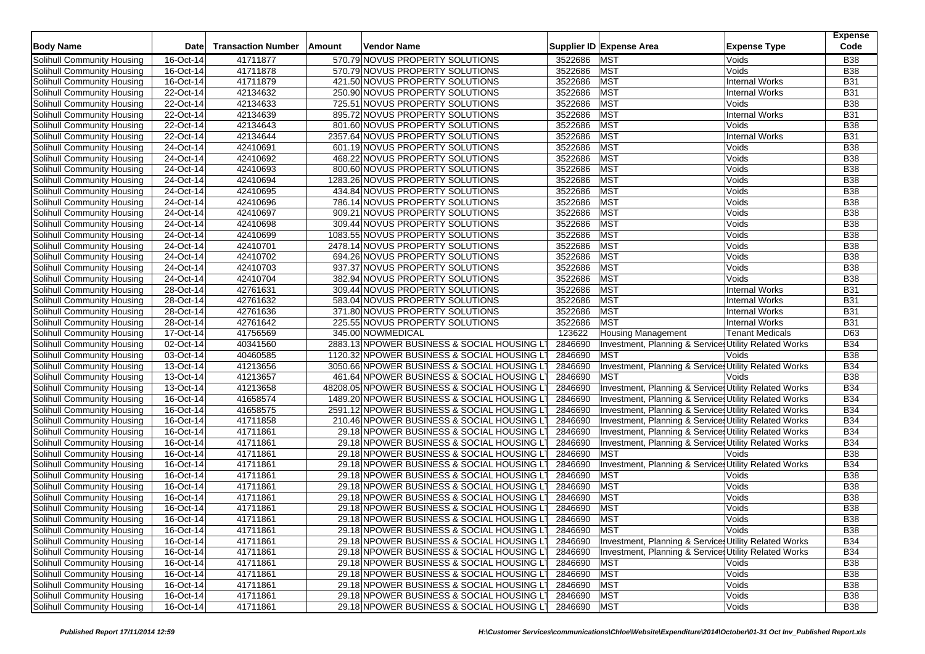| <b>Body Name</b>                  | Date        | <b>Transaction Number</b> | Amount | Vendor Name                                                                            |             | Supplier ID Expense Area                              | <b>Expense Type</b>    | <b>Expense</b><br>Code |
|-----------------------------------|-------------|---------------------------|--------|----------------------------------------------------------------------------------------|-------------|-------------------------------------------------------|------------------------|------------------------|
| Solihull Community Housing        | 16-Oct-14   | 41711877                  |        | 570.79 NOVUS PROPERTY SOLUTIONS                                                        | 3522686     | <b>MST</b>                                            | Voids                  | <b>B38</b>             |
| Solihull Community Housing        | 16-Oct-14   | 41711878                  |        | 570.79 NOVUS PROPERTY SOLUTIONS                                                        | 3522686     | <b>MST</b>                                            | Voids                  | <b>B38</b>             |
| Solihull Community Housing        | $16-Oct-14$ | 41711879                  |        | 421.50 NOVUS PROPERTY SOLUTIONS                                                        | 3522686     | <b>MST</b>                                            | Internal Works         | <b>B31</b>             |
| Solihull Community Housing        | 22-Oct-14   | 42134632                  |        | 250.90 NOVUS PROPERTY SOLUTIONS                                                        | 3522686     | <b>MST</b>                                            | <b>Internal Works</b>  | <b>B31</b>             |
| Solihull Community Housing        | 22-Oct-14   | 42134633                  |        | 725.51 NOVUS PROPERTY SOLUTIONS                                                        | 3522686     | <b>MST</b>                                            | Voids                  | <b>B38</b>             |
| Solihull Community Housing        | 22-Oct-14   | 42134639                  |        | 895.72 NOVUS PROPERTY SOLUTIONS                                                        | 3522686     | <b>MST</b>                                            | <b>Internal Works</b>  | <b>B31</b>             |
| Solihull Community Housing        | 22-Oct-14   | 42134643                  |        | 801.60 NOVUS PROPERTY SOLUTIONS                                                        | 3522686     | <b>MST</b>                                            | Voids                  | <b>B38</b>             |
| Solihull Community Housing        | 22-Oct-14   | 42134644                  |        | 2357.64 NOVUS PROPERTY SOLUTIONS                                                       | 3522686     | <b>MST</b>                                            | <b>Internal Works</b>  | <b>B31</b>             |
| Solihull Community Housing        | 24-Oct-14   | 42410691                  |        | 601.19 NOVUS PROPERTY SOLUTIONS                                                        | 3522686     | <b>MST</b>                                            | Voids                  | <b>B38</b>             |
| Solihull Community Housing        | 24-Oct-14   | 42410692                  |        | 468.22 NOVUS PROPERTY SOLUTIONS                                                        | 3522686     | <b>MST</b>                                            | Voids                  | <b>B38</b>             |
| Solihull Community Housing        | 24-Oct-14   | 42410693                  |        | 800.60 NOVUS PROPERTY SOLUTIONS                                                        | 3522686     | <b>MST</b>                                            | Voids                  | <b>B38</b>             |
| Solihull Community Housing        | 24-Oct-14   | 42410694                  |        | 1283.26 NOVUS PROPERTY SOLUTIONS                                                       | 3522686     | <b>MST</b>                                            | Voids                  | <b>B38</b>             |
| Solihull Community Housing        | 24-Oct-14   | 42410695                  |        | 434.84 NOVUS PROPERTY SOLUTIONS                                                        | 3522686     | MST                                                   | Voids                  | <b>B38</b>             |
| Solihull Community Housing        | 24-Oct-14   | 42410696                  |        | 786.14 NOVUS PROPERTY SOLUTIONS                                                        | 3522686     | <b>MST</b>                                            | Voids                  | <b>B38</b>             |
| Solihull Community Housing        | 24-Oct-14   | 42410697                  |        | 909.21 NOVUS PROPERTY SOLUTIONS                                                        | 3522686     | <b>MST</b>                                            | Voids                  | <b>B38</b>             |
| Solihull Community Housing        | 24-Oct-14   | 42410698                  |        | 309.44 NOVUS PROPERTY SOLUTIONS                                                        | 3522686     | <b>MST</b>                                            | Voids                  | <b>B38</b>             |
| Solihull Community Housing        | 24-Oct-14   | 42410699                  |        | 1083.55 NOVUS PROPERTY SOLUTIONS                                                       | 3522686     | <b>MST</b>                                            | Voids                  | <b>B38</b>             |
| Solihull Community Housing        | 24-Oct-14   | 42410701                  |        | 2478.14 NOVUS PROPERTY SOLUTIONS                                                       | 3522686     | <b>MST</b>                                            | Voids                  | <b>B38</b>             |
| Solihull Community Housing        | 24-Oct-14   | 42410702                  |        | 694.26 NOVUS PROPERTY SOLUTIONS                                                        | 3522686     | <b>MST</b>                                            | Voids                  | <b>B38</b>             |
| Solihull Community Housing        | 24-Oct-14   | 42410703                  |        | 937.37 NOVUS PROPERTY SOLUTIONS                                                        | 3522686     | <b>MST</b>                                            | Voids                  | <b>B38</b>             |
| Solihull Community Housing        | 24-Oct-14   | 42410704                  |        | 382.94 NOVUS PROPERTY SOLUTIONS                                                        | 3522686     | <b>MST</b>                                            | Voids                  | <b>B38</b>             |
| Solihull Community Housing        | 28-Oct-14   | 42761631                  |        | 309.44 NOVUS PROPERTY SOLUTIONS                                                        | 3522686     | <b>MST</b>                                            | <b>Internal Works</b>  | <b>B31</b>             |
| Solihull Community Housing        | 28-Oct-14   | 42761632                  |        | 583.04 NOVUS PROPERTY SOLUTIONS                                                        | 3522686     | <b>MST</b>                                            | <b>Internal Works</b>  | <b>B31</b>             |
| Solihull Community Housing        | 28-Oct-14   | 42761636                  |        | 371.80 NOVUS PROPERTY SOLUTIONS                                                        | 3522686     | <b>MST</b>                                            | <b>Internal Works</b>  | <b>B31</b>             |
| Solihull Community Housing        | 28-Oct-14   | 42761642                  |        | 225.55 NOVUS PROPERTY SOLUTIONS                                                        | 3522686     | <b>MST</b>                                            | <b>Internal Works</b>  | <b>B31</b>             |
| Solihull Community Housing        | 17-Oct-14   | 41756569                  |        | 345.00 NOWMEDICAL                                                                      | 123622      | <b>Housing Management</b>                             | <b>Tenant Medicals</b> | D63                    |
| Solihull Community Housing        | 02-Oct-14   | 40341560                  |        | 2883.13 NPOWER BUSINESS & SOCIAL HOUSING L                                             | 2846690     | Investment, Planning & Service: Utility Related Works |                        | <b>B34</b>             |
| Solihull Community Housing        | 03-Oct-14   | 40460585                  |        | 1120.32 NPOWER BUSINESS & SOCIAL HOUSING L'                                            | 2846690     | <b>MST</b>                                            | Voids                  | <b>B38</b>             |
| Solihull Community Housing        | 13-Oct-14   | 41213656                  |        | 3050.66 NPOWER BUSINESS & SOCIAL HOUSING LT                                            | 2846690     | Investment, Planning & Services Utility Related Works |                        | <b>B34</b>             |
| Solihull Community Housing        | 13-Oct-14   | 41213657                  |        | 461.64 NPOWER BUSINESS & SOCIAL HOUSING L'                                             | 2846690     | <b>MST</b>                                            | Voids                  | <b>B38</b>             |
| Solihull Community Housing        | 13-Oct-14   | 41213658                  |        | 48208.05 NPOWER BUSINESS & SOCIAL HOUSING LT                                           | 2846690     | Investment, Planning & Service Utility Related Works  |                        | <b>B34</b>             |
| Solihull Community Housing        | 16-Oct-14   | 41658574                  |        | 1489.20 NPOWER BUSINESS & SOCIAL HOUSING LT                                            | 2846690     | Investment, Planning & Services Utility Related Works |                        | <b>B34</b>             |
| Solihull Community Housing        | 16-Oct-14   | 41658575                  |        | 2591.12 NPOWER BUSINESS & SOCIAL HOUSING LT                                            | 2846690     | Investment, Planning & Services Utility Related Works |                        | <b>B34</b>             |
| Solihull Community Housing        | 16-Oct-14   | 41711858                  |        | 210.46 NPOWER BUSINESS & SOCIAL HOUSING LT                                             | 2846690     | Investment, Planning & Services Utility Related Works |                        | <b>B34</b>             |
| Solihull Community Housing        | 16-Oct-14   | 41711861                  |        | 29.18 NPOWER BUSINESS & SOCIAL HOUSING L'                                              | 2846690     | Investment, Planning & Service Utility Related Works  |                        | <b>B34</b>             |
| Solihull Community Housing        | 16-Oct-14   | 41711861                  |        | 29.18 NPOWER BUSINESS & SOCIAL HOUSING LT                                              | 2846690     | Investment, Planning & Service: Utility Related Works |                        | <b>B34</b>             |
| Solihull Community Housing        | 16-Oct-14   | 41711861                  |        | 29.18 NPOWER BUSINESS & SOCIAL HOUSING LT                                              | 2846690     | <b>MST</b>                                            | Voids                  | <b>B38</b>             |
| Solihull Community Housing        | 16-Oct-14   | 41711861                  |        | 29.18 NPOWER BUSINESS & SOCIAL HOUSING L'                                              | 2846690     | Investment, Planning & Service Utility Related Works  |                        | <b>B34</b>             |
| Solihull Community Housing        | 16-Oct-14   | 41711861                  |        | 29.18 NPOWER BUSINESS & SOCIAL HOUSING LT                                              | 2846690     | MST                                                   | Voids                  | <b>B38</b>             |
| Solihull Community Housing        | 16-Oct-14   | 41711861                  |        | 29.18 NPOWER BUSINESS & SOCIAL HOUSING LT                                              | 2846690     | <b>MST</b>                                            | Voids                  | <b>B38</b>             |
| Solihull Community Housing        | 16-Oct-14   | 41711861                  |        | 29.18 NPOWER BUSINESS & SOCIAL HOUSING L'                                              | 2846690     | <b>MST</b>                                            | Voids                  | <b>B38</b>             |
| Solihull Community Housing        | 16-Oct-14   | 41711861                  |        | 29.18 NPOWER BUSINESS & SOCIAL HOUSING LT                                              | 2846690     | <b>MST</b>                                            | Voids                  | <b>B38</b>             |
| Solihull Community Housing        | 16-Oct-14   | 41711861                  |        | 29.18 NPOWER BUSINESS & SOCIAL HOUSING LT                                              | 2846690     | <b>MST</b>                                            | Voids                  | <b>B38</b>             |
| Solihull Community Housing        | 16-Oct-14   | 41711861                  |        | 29.18 NPOWER BUSINESS & SOCIAL HOUSING LT                                              | 2846690 MST |                                                       | Voids                  | <b>B38</b>             |
| Solihull Community Housing        | 16-Oct-14   | 41711861                  |        | 29.18 NPOWER BUSINESS & SOCIAL HOUSING LT                                              | 2846690     | Investment, Planning & Services Utility Related Works |                        | <b>B34</b>             |
| Solihull Community Housing        | 16-Oct-14   | 41711861                  |        | 29.18 NPOWER BUSINESS & SOCIAL HOUSING LT                                              | 2846690     | Investment, Planning & Service: Utility Related Works |                        |                        |
| Solihull Community Housing        | 16-Oct-14   | 41711861                  |        | 29.18 NPOWER BUSINESS & SOCIAL HOUSING LT                                              | 2846690     | <b>MST</b>                                            | Voids                  | B34<br><b>B38</b>      |
| Solihull Community Housing        | 16-Oct-14   | 41711861                  |        | 29.18 NPOWER BUSINESS & SOCIAL HOUSING LT                                              | 2846690     | <b>MST</b>                                            | Voids                  | <b>B38</b>             |
| Solihull Community Housing        | 16-Oct-14   | 41711861                  |        |                                                                                        | 2846690     | <b>MST</b>                                            | Voids                  | <b>B38</b>             |
| <b>Solihull Community Housing</b> | 16-Oct-14   | 41711861                  |        | 29.18 NPOWER BUSINESS & SOCIAL HOUSING LT<br>29.18 NPOWER BUSINESS & SOCIAL HOUSING LT | 2846690 MST |                                                       | Voids                  | <b>B38</b>             |
| Solihull Community Housing        | 16-Oct-14   | 41711861                  |        | 29.18 NPOWER BUSINESS & SOCIAL HOUSING LT                                              |             |                                                       | Voids                  | <b>B38</b>             |
|                                   |             |                           |        |                                                                                        | 2846690 MST |                                                       |                        |                        |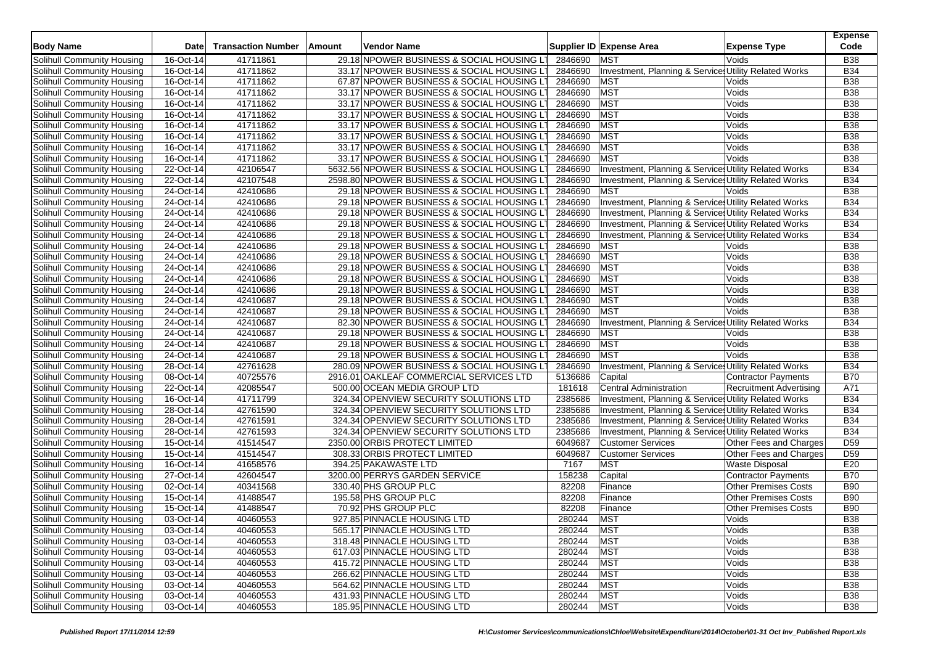| <b>Body Name</b>                  | Date        | <b>Transaction Number</b> | Amount | <b>Vendor Name</b>                          |         | Supplier ID Expense Area                              | <b>Expense Type</b>            | <b>Expense</b><br>Code |
|-----------------------------------|-------------|---------------------------|--------|---------------------------------------------|---------|-------------------------------------------------------|--------------------------------|------------------------|
| Solihull Community Housing        | 16-Oct-14   | 41711861                  |        | 29.18 NPOWER BUSINESS & SOCIAL HOUSING L'   | 2846690 | <b>MST</b>                                            | Voids                          | <b>B38</b>             |
| Solihull Community Housing        | 16-Oct-14   | 41711862                  |        | 33.17 NPOWER BUSINESS & SOCIAL HOUSING L'   | 2846690 | Investment, Planning & Services Utility Related Works |                                | <b>B34</b>             |
| Solihull Community Housing        | $16-Oct-14$ | 41711862                  |        | 67.87 NPOWER BUSINESS & SOCIAL HOUSING LT   | 2846690 | <b>MST</b>                                            | Voids                          | <b>B38</b>             |
| Solihull Community Housing        | 16-Oct-14   | 41711862                  |        | 33.17 NPOWER BUSINESS & SOCIAL HOUSING L'   | 2846690 | <b>MST</b>                                            | Voids                          | <b>B38</b>             |
| Solihull Community Housing        | 16-Oct-14   | 41711862                  |        | 33.17 NPOWER BUSINESS & SOCIAL HOUSING L'   | 2846690 | <b>MST</b>                                            | Voids                          | <b>B38</b>             |
| Solihull Community Housing        | 16-Oct-14   | 41711862                  |        | 33.17 NPOWER BUSINESS & SOCIAL HOUSING LT   | 2846690 | <b>MST</b>                                            | Voids                          | <b>B38</b>             |
| Solihull Community Housing        | 16-Oct-14   | 41711862                  |        | 33.17 NPOWER BUSINESS & SOCIAL HOUSING L'   | 2846690 | <b>MST</b>                                            | Voids                          | <b>B38</b>             |
| Solihull Community Housing        | 16-Oct-14   | 41711862                  |        | 33.17 NPOWER BUSINESS & SOCIAL HOUSING LT   | 2846690 | MST                                                   | Voids                          | <b>B38</b>             |
| Solihull Community Housing        | 16-Oct-14   | 41711862                  |        | 33.17 NPOWER BUSINESS & SOCIAL HOUSING LT   | 2846690 | <b>MST</b>                                            | Voids                          | <b>B38</b>             |
| Solihull Community Housing        | 16-Oct-14   | 41711862                  |        | 33.17 NPOWER BUSINESS & SOCIAL HOUSING L'   | 2846690 | <b>MST</b>                                            | Voids                          | <b>B38</b>             |
| Solihull Community Housing        | 22-Oct-14   | 42106547                  |        | 5632.56 NPOWER BUSINESS & SOCIAL HOUSING L' | 2846690 | Investment, Planning & Service Utility Related Works  |                                | <b>B34</b>             |
| Solihull Community Housing        | 22-Oct-14   | 42107548                  |        | 2598.80 NPOWER BUSINESS & SOCIAL HOUSING LT | 2846690 | Investment, Planning & Services Utility Related Works |                                | <b>B34</b>             |
| Solihull Community Housing        | 24-Oct-14   | 42410686                  |        | 29.18 NPOWER BUSINESS & SOCIAL HOUSING LT   | 2846690 | <b>MST</b>                                            | Voids                          | <b>B38</b>             |
| Solihull Community Housing        | 24-Oct-14   | 42410686                  |        | 29.18 NPOWER BUSINESS & SOCIAL HOUSING LT   | 2846690 | Investment, Planning & Service Utility Related Works  |                                | <b>B34</b>             |
| Solihull Community Housing        | 24-Oct-14   | 42410686                  |        | 29.18 NPOWER BUSINESS & SOCIAL HOUSING LT   | 2846690 | Investment, Planning & Services Utility Related Works |                                | <b>B34</b>             |
| Solihull Community Housing        | 24-Oct-14   | 42410686                  |        | 29.18 NPOWER BUSINESS & SOCIAL HOUSING L'   | 2846690 | Investment, Planning & Service Utility Related Works  |                                | <b>B34</b>             |
| Solihull Community Housing        | 24-Oct-14   | 42410686                  |        | 29.18 NPOWER BUSINESS & SOCIAL HOUSING L'   | 2846690 | Investment, Planning & Service Utility Related Works  |                                | <b>B34</b>             |
| Solihull Community Housing        | 24-Oct-14   | 42410686                  |        | 29.18 NPOWER BUSINESS & SOCIAL HOUSING LT   | 2846690 | <b>MST</b>                                            | Voids                          | <b>B38</b>             |
| Solihull Community Housing        | 24-Oct-14   | 42410686                  |        | 29.18 NPOWER BUSINESS & SOCIAL HOUSING LT   | 2846690 | MST                                                   | Voids                          | <b>B38</b>             |
| Solihull Community Housing        | 24-Oct-14   | 42410686                  |        | 29.18 NPOWER BUSINESS & SOCIAL HOUSING LT   | 2846690 | <b>MST</b>                                            | Voids                          | <b>B38</b>             |
| Solihull Community Housing        | $24-Oct-14$ | 42410686                  |        | 29.18 NPOWER BUSINESS & SOCIAL HOUSING LT   | 2846690 | <b>MST</b>                                            | Voids                          | <b>B38</b>             |
| Solihull Community Housing        | 24-Oct-14   | 42410686                  |        | 29.18 NPOWER BUSINESS & SOCIAL HOUSING L'   | 2846690 | <b>MST</b>                                            | Voids                          | <b>B38</b>             |
| Solihull Community Housing        | 24-Oct-14   | 42410687                  |        | 29.18 NPOWER BUSINESS & SOCIAL HOUSING L'   | 2846690 | <b>MST</b>                                            | Voids                          | <b>B38</b>             |
| Solihull Community Housing        | 24-Oct-14   | 42410687                  |        | 29.18 NPOWER BUSINESS & SOCIAL HOUSING LT   | 2846690 | <b>MST</b>                                            | Voids                          | <b>B38</b>             |
| Solihull Community Housing        | 24-Oct-14   | 42410687                  |        | 82.30 NPOWER BUSINESS & SOCIAL HOUSING LT   | 2846690 | Investment, Planning & Service: Utility Related Works |                                | <b>B34</b>             |
| Solihull Community Housing        | 24-Oct-14   | 42410687                  |        | 29.18 NPOWER BUSINESS & SOCIAL HOUSING L'   | 2846690 | <b>MST</b>                                            | Voids                          | <b>B38</b>             |
| Solihull Community Housing        | 24-Oct-14   | 42410687                  |        | 29.18 NPOWER BUSINESS & SOCIAL HOUSING LT   | 2846690 | <b>MST</b>                                            | Voids                          | <b>B38</b>             |
| Solihull Community Housing        | 24-Oct-14   | 42410687                  |        | 29.18 NPOWER BUSINESS & SOCIAL HOUSING L'   | 2846690 | <b>MST</b>                                            | Voids                          | <b>B38</b>             |
| Solihull Community Housing        | 28-Oct-14   | 42761628                  |        | 280.09 NPOWER BUSINESS & SOCIAL HOUSING LT  | 2846690 | Investment, Planning & Service: Utility Related Works |                                | <b>B34</b>             |
| Solihull Community Housing        | 08-Oct-14   | 40725576                  |        | 2916.01 OAKLEAF COMMERCIAL SERVICES LTD     | 5136686 | Capital                                               | Contractor Payments            | <b>B70</b>             |
| Solihull Community Housing        | 22-Oct-14   | 42085547                  |        | 500.00 OCEAN MEDIA GROUP LTD                | 181618  | Central Administration                                | <b>Recruitment Advertising</b> | A71                    |
| Solihull Community Housing        | 16-Oct-14   | 41711799                  |        | 324.34 OPENVIEW SECURITY SOLUTIONS LTD      | 2385686 | Investment, Planning & Services Utility Related Works |                                | <b>B34</b>             |
| Solihull Community Housing        | 28-Oct-14   | 42761590                  |        | 324.34 OPENVIEW SECURITY SOLUTIONS LTD      | 2385686 | Investment, Planning & Services Utility Related Works |                                | <b>B34</b>             |
| Solihull Community Housing        | 28-Oct-14   | 42761591                  |        | 324.34 OPENVIEW SECURITY SOLUTIONS LTD      | 2385686 | Investment, Planning & Services Utility Related Works |                                | <b>B34</b>             |
| Solihull Community Housing        | 28-Oct-14   | 42761593                  |        | 324.34 OPENVIEW SECURITY SOLUTIONS LTD      | 2385686 | Investment, Planning & Service Utility Related Works  |                                | <b>B34</b>             |
| Solihull Community Housing        | 15-Oct-14   | 41514547                  |        | 2350.00 ORBIS PROTECT LIMITED               | 6049687 | <b>Customer Services</b>                              | Other Fees and Charges         | D <sub>59</sub>        |
| Solihull Community Housing        | 15-Oct-14   | 41514547                  |        | 308.33 ORBIS PROTECT LIMITED                | 6049687 | <b>Customer Services</b>                              | Other Fees and Charges         | D <sub>59</sub>        |
| Solihull Community Housing        | 16-Oct-14   | 41658576                  |        | 394.25 PAKAWASTE LTD                        | 7167    | <b>MST</b>                                            | <b>Waste Disposal</b>          | E20                    |
| Solihull Community Housing        | 27-Oct-14   | 42604547                  |        | 3200.00 PERRYS GARDEN SERVICE               | 158238  | Capital                                               | Contractor Payments            | <b>B70</b>             |
| Solihull Community Housing        | 02-Oct-14   | 40341568                  |        | 330.40 PHS GROUP PLC                        | 82208   | Finance                                               | <b>Other Premises Costs</b>    | <b>B90</b>             |
| Solihull Community Housing        | 15-Oct-14   | 41488547                  |        | 195.58 PHS GROUP PLC                        | 82208   | Finance                                               | <b>Other Premises Costs</b>    | <b>B90</b>             |
| Solihull Community Housing        | 15-Oct-14   | 41488547                  |        | 70.92 PHS GROUP PLC                         | 82208   | Finance                                               | <b>Other Premises Costs</b>    | <b>B90</b>             |
| Solihull Community Housing        | 03-Oct-14   | 40460553                  |        | 927.85 PINNACLE HOUSING LTD                 | 280244  | <b>MST</b>                                            | Voids                          | <b>B38</b>             |
| Solihull Community Housing        | 03-Oct-14   | 40460553                  |        | 565.17 PINNACLE HOUSING LTD                 | 280244  | <b>MST</b>                                            | Voids                          | <b>B38</b>             |
| Solihull Community Housing        | 03-Oct-14   | 40460553                  |        | 318.48 PINNACLE HOUSING LTD                 | 280244  | <b>MST</b>                                            | Voids                          | <b>B38</b>             |
| Solihull Community Housing        | 03-Oct-14   | 40460553                  |        | 617.03 PINNACLE HOUSING LTD                 | 280244  | <b>MST</b>                                            | Voids                          | <b>B38</b>             |
| Solihull Community Housing        | 03-Oct-14   | 40460553                  |        | 415.72 PINNACLE HOUSING LTD                 | 280244  | <b>MST</b>                                            | Voids                          | <b>B38</b>             |
| Solihull Community Housing        | 03-Oct-14   | 40460553                  |        | 266.62 PINNACLE HOUSING LTD                 | 280244  | <b>MST</b>                                            | Voids                          | <b>B38</b>             |
| Solihull Community Housing        | 03-Oct-14   | 40460553                  |        | 564.62 PINNACLE HOUSING LTD                 | 280244  | <b>MST</b>                                            | Voids                          | <b>B38</b>             |
| <b>Solihull Community Housing</b> | 03-Oct-14   | 40460553                  |        | 431.93 PINNACLE HOUSING LTD                 | 280244  | <b>MST</b>                                            | Voids                          | <b>B38</b>             |
| Solihull Community Housing        | 03-Oct-14   | 40460553                  |        | 185.95 PINNACLE HOUSING LTD                 | 280244  | <b>MST</b>                                            | Voids                          | <b>B38</b>             |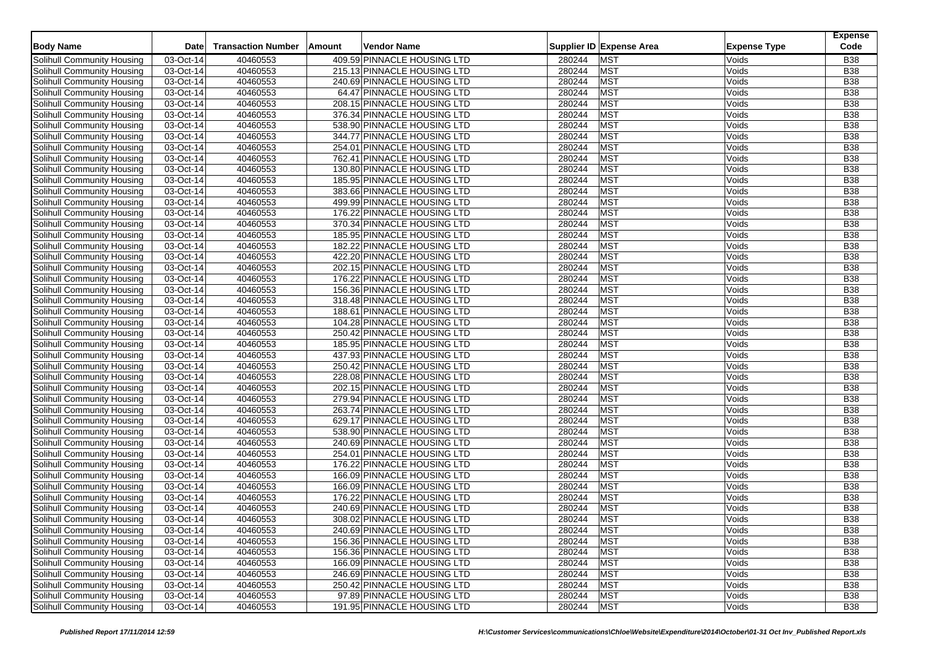| Supplier ID Expense Area<br>Code<br><b>Body Name</b><br><b>Transaction Number</b><br>Amount<br>Vendor Name<br><b>Expense Type</b><br>Date<br>409.59 PINNACLE HOUSING LTD<br><b>MST</b><br>Solihull Community Housing<br>03-Oct-14<br>40460553<br>280244<br><b>B38</b><br>Voids<br>Solihull Community Housing<br>03-Oct-14<br>40460553<br>215.13 PINNACLE HOUSING LTD<br>280244<br><b>MST</b><br>Voids<br><b>B38</b><br><b>MST</b><br>03-Oct-14<br>40460553<br>240.69 PINNACLE HOUSING LTD<br>280244<br>Voids<br><b>B38</b><br>Solihull Community Housing<br><b>MST</b><br>40460553<br>64.47 PINNACLE HOUSING LTD<br>280244<br><b>B38</b><br>Solihull Community Housing<br>03-Oct-14<br>Voids<br>MST<br>Solihull Community Housing<br>$03-Oct-14$<br>40460553<br>208.15 PINNACLE HOUSING LTD<br>280244<br>Voids<br><b>B38</b><br><b>MST</b><br>03-Oct-14<br>40460553<br>376.34 PINNACLE HOUSING LTD<br>280244<br>Voids<br>Solihull Community Housing<br><b>B38</b><br>280244<br><b>MST</b><br>Solihull Community Housing<br>03-Oct-14<br>40460553<br>538.90 PINNACLE HOUSING LTD<br>Voids<br><b>B38</b><br><b>MST</b><br>40460553<br>344.77 PINNACLE HOUSING LTD<br>280244<br><b>B38</b><br>Solihull Community Housing<br>03-Oct-14<br>Voids<br>MST<br>03-Oct-14<br>40460553<br>254.01 PINNACLE HOUSING LTD<br>280244<br><b>B38</b><br>Solihull Community Housing<br>Voids<br><b>MST</b><br>Solihull Community Housing<br>03-Oct-14<br>40460553<br>762.41 PINNACLE HOUSING LTD<br>280244<br><b>B38</b><br>Voids<br><b>MST</b><br>03-Oct-14<br>40460553<br>130.80 PINNACLE HOUSING LTD<br>280244<br>Voids<br>Solihull Community Housing<br><b>B38</b><br><b>MST</b><br>Solihull Community Housing<br>03-Oct-14<br>40460553<br>185.95 PINNACLE HOUSING LTD<br>280244<br>Voids<br><b>B38</b><br><b>MST</b><br>Solihull Community Housing<br>40460553<br>383.66 PINNACLE HOUSING LTD<br>280244<br><b>B38</b><br>03-Oct-14<br>Voids<br>280244<br>MST<br><b>Solihull Community Housing</b><br>03-Oct-14<br>40460553<br>499.99 PINNACLE HOUSING LTD<br>Voids<br><b>B38</b><br>03-Oct-14<br>40460553<br>176.22 PINNACLE HOUSING LTD<br>280244<br><b>MST</b><br><b>B38</b><br>Solihull Community Housing<br>Voids<br><b>MST</b><br>40460553<br>370.34 PINNACLE HOUSING LTD<br>280244<br><b>B38</b><br>Solihull Community Housing<br>03-Oct-14<br>Voids<br><b>MST</b><br>40460553<br>280244<br>Solihull Community Housing<br>03-Oct-14<br>185.95 PINNACLE HOUSING LTD<br>Voids<br><b>B38</b><br><b>MST</b><br>03-Oct-14<br>40460553<br>182.22 PINNACLE HOUSING LTD<br>280244<br><b>B38</b><br>Solihull Community Housing<br>Voids<br>280244<br><b>MST</b><br>Solihull Community Housing<br>40460553<br>422.20 PINNACLE HOUSING LTD<br><b>B38</b><br>03-Oct-14<br>Voids<br>MST<br>03-Oct-14<br>40460553<br>280244<br>Voids<br><b>B38</b><br>Solihull Community Housing<br>202.15 PINNACLE HOUSING LTD<br>280244<br>Solihull Community Housing<br>03-Oct-14<br>40460553<br>176.22 PINNACLE HOUSING LTD<br><b>MST</b><br>Voids<br><b>B38</b><br><b>MST</b><br>40460553<br>280244<br><b>B38</b><br>Solihull Community Housing<br>03-Oct-14<br>156.36 PINNACLE HOUSING LTD<br>Voids<br><b>MST</b><br>Solihull Community Housing<br>03-Oct-14<br>40460553<br>318.48 PINNACLE HOUSING LTD<br>280244<br>Voids<br><b>B38</b><br>280244<br><b>MST</b><br>Solihull Community Housing<br>03-Oct-14<br>40460553<br>188.61 PINNACLE HOUSING LTD<br>Voids<br><b>B38</b><br><b>MST</b><br>Solihull Community Housing<br>40460553<br>104.28 PINNACLE HOUSING LTD<br>280244<br><b>B38</b><br>03-Oct-14<br>Voids<br>MST<br>40460553<br>250.42 PINNACLE HOUSING LTD<br>280244<br>Voids<br><b>B38</b><br>Solihull Community Housing<br>03-Oct-14<br>03-Oct-14<br>40460553<br>185.95 PINNACLE HOUSING LTD<br>280244<br><b>MST</b><br><b>B38</b><br>Solihull Community Housing<br>Voids<br><b>MST</b><br>40460553<br>280244<br><b>B38</b><br>Solihull Community Housing<br>03-Oct-14<br>437.93 PINNACLE HOUSING LTD<br>Voids<br>40460553<br><b>MST</b><br>03-Oct-14<br>250.42 PINNACLE HOUSING LTD<br>280244<br>Voids<br><b>B38</b><br>Solihull Community Housing<br>228.08 PINNACLE HOUSING LTD<br>280244<br><b>MST</b><br>Solihull Community Housing<br>03-Oct-14<br>40460553<br>Voids<br><b>B38</b><br><b>MST</b><br>Solihull Community Housing<br>03-Oct-14<br>40460553<br>202.15 PINNACLE HOUSING LTD<br>280244<br><b>B38</b><br>Voids<br>40460553<br><b>MST</b><br>03-Oct-14<br>279.94 PINNACLE HOUSING LTD<br>280244<br>Voids<br><b>B38</b><br>Solihull Community Housing |
|------------------------------------------------------------------------------------------------------------------------------------------------------------------------------------------------------------------------------------------------------------------------------------------------------------------------------------------------------------------------------------------------------------------------------------------------------------------------------------------------------------------------------------------------------------------------------------------------------------------------------------------------------------------------------------------------------------------------------------------------------------------------------------------------------------------------------------------------------------------------------------------------------------------------------------------------------------------------------------------------------------------------------------------------------------------------------------------------------------------------------------------------------------------------------------------------------------------------------------------------------------------------------------------------------------------------------------------------------------------------------------------------------------------------------------------------------------------------------------------------------------------------------------------------------------------------------------------------------------------------------------------------------------------------------------------------------------------------------------------------------------------------------------------------------------------------------------------------------------------------------------------------------------------------------------------------------------------------------------------------------------------------------------------------------------------------------------------------------------------------------------------------------------------------------------------------------------------------------------------------------------------------------------------------------------------------------------------------------------------------------------------------------------------------------------------------------------------------------------------------------------------------------------------------------------------------------------------------------------------------------------------------------------------------------------------------------------------------------------------------------------------------------------------------------------------------------------------------------------------------------------------------------------------------------------------------------------------------------------------------------------------------------------------------------------------------------------------------------------------------------------------------------------------------------------------------------------------------------------------------------------------------------------------------------------------------------------------------------------------------------------------------------------------------------------------------------------------------------------------------------------------------------------------------------------------------------------------------------------------------------------------------------------------------------------------------------------------------------------------------------------------------------------------------------------------------------------------------------------------------------------------------------------------------------------------------------------------------------------------------------------------------------------------------------------------------------------------------------------------------------------------------------------------------------------------------------------------------------------------------------------------------------------------------------------------------------------------------------------------------------------------------------------------------------------------------------------------------------------------------------------------------------------------------|
|                                                                                                                                                                                                                                                                                                                                                                                                                                                                                                                                                                                                                                                                                                                                                                                                                                                                                                                                                                                                                                                                                                                                                                                                                                                                                                                                                                                                                                                                                                                                                                                                                                                                                                                                                                                                                                                                                                                                                                                                                                                                                                                                                                                                                                                                                                                                                                                                                                                                                                                                                                                                                                                                                                                                                                                                                                                                                                                                                                                                                                                                                                                                                                                                                                                                                                                                                                                                                                                                                                                                                                                                                                                                                                                                                                                                                                                                                                                                                                                                                                                                                                                                                                                                                                                                                                                                                                                                                                                                                                                                                |
|                                                                                                                                                                                                                                                                                                                                                                                                                                                                                                                                                                                                                                                                                                                                                                                                                                                                                                                                                                                                                                                                                                                                                                                                                                                                                                                                                                                                                                                                                                                                                                                                                                                                                                                                                                                                                                                                                                                                                                                                                                                                                                                                                                                                                                                                                                                                                                                                                                                                                                                                                                                                                                                                                                                                                                                                                                                                                                                                                                                                                                                                                                                                                                                                                                                                                                                                                                                                                                                                                                                                                                                                                                                                                                                                                                                                                                                                                                                                                                                                                                                                                                                                                                                                                                                                                                                                                                                                                                                                                                                                                |
|                                                                                                                                                                                                                                                                                                                                                                                                                                                                                                                                                                                                                                                                                                                                                                                                                                                                                                                                                                                                                                                                                                                                                                                                                                                                                                                                                                                                                                                                                                                                                                                                                                                                                                                                                                                                                                                                                                                                                                                                                                                                                                                                                                                                                                                                                                                                                                                                                                                                                                                                                                                                                                                                                                                                                                                                                                                                                                                                                                                                                                                                                                                                                                                                                                                                                                                                                                                                                                                                                                                                                                                                                                                                                                                                                                                                                                                                                                                                                                                                                                                                                                                                                                                                                                                                                                                                                                                                                                                                                                                                                |
|                                                                                                                                                                                                                                                                                                                                                                                                                                                                                                                                                                                                                                                                                                                                                                                                                                                                                                                                                                                                                                                                                                                                                                                                                                                                                                                                                                                                                                                                                                                                                                                                                                                                                                                                                                                                                                                                                                                                                                                                                                                                                                                                                                                                                                                                                                                                                                                                                                                                                                                                                                                                                                                                                                                                                                                                                                                                                                                                                                                                                                                                                                                                                                                                                                                                                                                                                                                                                                                                                                                                                                                                                                                                                                                                                                                                                                                                                                                                                                                                                                                                                                                                                                                                                                                                                                                                                                                                                                                                                                                                                |
|                                                                                                                                                                                                                                                                                                                                                                                                                                                                                                                                                                                                                                                                                                                                                                                                                                                                                                                                                                                                                                                                                                                                                                                                                                                                                                                                                                                                                                                                                                                                                                                                                                                                                                                                                                                                                                                                                                                                                                                                                                                                                                                                                                                                                                                                                                                                                                                                                                                                                                                                                                                                                                                                                                                                                                                                                                                                                                                                                                                                                                                                                                                                                                                                                                                                                                                                                                                                                                                                                                                                                                                                                                                                                                                                                                                                                                                                                                                                                                                                                                                                                                                                                                                                                                                                                                                                                                                                                                                                                                                                                |
|                                                                                                                                                                                                                                                                                                                                                                                                                                                                                                                                                                                                                                                                                                                                                                                                                                                                                                                                                                                                                                                                                                                                                                                                                                                                                                                                                                                                                                                                                                                                                                                                                                                                                                                                                                                                                                                                                                                                                                                                                                                                                                                                                                                                                                                                                                                                                                                                                                                                                                                                                                                                                                                                                                                                                                                                                                                                                                                                                                                                                                                                                                                                                                                                                                                                                                                                                                                                                                                                                                                                                                                                                                                                                                                                                                                                                                                                                                                                                                                                                                                                                                                                                                                                                                                                                                                                                                                                                                                                                                                                                |
|                                                                                                                                                                                                                                                                                                                                                                                                                                                                                                                                                                                                                                                                                                                                                                                                                                                                                                                                                                                                                                                                                                                                                                                                                                                                                                                                                                                                                                                                                                                                                                                                                                                                                                                                                                                                                                                                                                                                                                                                                                                                                                                                                                                                                                                                                                                                                                                                                                                                                                                                                                                                                                                                                                                                                                                                                                                                                                                                                                                                                                                                                                                                                                                                                                                                                                                                                                                                                                                                                                                                                                                                                                                                                                                                                                                                                                                                                                                                                                                                                                                                                                                                                                                                                                                                                                                                                                                                                                                                                                                                                |
|                                                                                                                                                                                                                                                                                                                                                                                                                                                                                                                                                                                                                                                                                                                                                                                                                                                                                                                                                                                                                                                                                                                                                                                                                                                                                                                                                                                                                                                                                                                                                                                                                                                                                                                                                                                                                                                                                                                                                                                                                                                                                                                                                                                                                                                                                                                                                                                                                                                                                                                                                                                                                                                                                                                                                                                                                                                                                                                                                                                                                                                                                                                                                                                                                                                                                                                                                                                                                                                                                                                                                                                                                                                                                                                                                                                                                                                                                                                                                                                                                                                                                                                                                                                                                                                                                                                                                                                                                                                                                                                                                |
|                                                                                                                                                                                                                                                                                                                                                                                                                                                                                                                                                                                                                                                                                                                                                                                                                                                                                                                                                                                                                                                                                                                                                                                                                                                                                                                                                                                                                                                                                                                                                                                                                                                                                                                                                                                                                                                                                                                                                                                                                                                                                                                                                                                                                                                                                                                                                                                                                                                                                                                                                                                                                                                                                                                                                                                                                                                                                                                                                                                                                                                                                                                                                                                                                                                                                                                                                                                                                                                                                                                                                                                                                                                                                                                                                                                                                                                                                                                                                                                                                                                                                                                                                                                                                                                                                                                                                                                                                                                                                                                                                |
|                                                                                                                                                                                                                                                                                                                                                                                                                                                                                                                                                                                                                                                                                                                                                                                                                                                                                                                                                                                                                                                                                                                                                                                                                                                                                                                                                                                                                                                                                                                                                                                                                                                                                                                                                                                                                                                                                                                                                                                                                                                                                                                                                                                                                                                                                                                                                                                                                                                                                                                                                                                                                                                                                                                                                                                                                                                                                                                                                                                                                                                                                                                                                                                                                                                                                                                                                                                                                                                                                                                                                                                                                                                                                                                                                                                                                                                                                                                                                                                                                                                                                                                                                                                                                                                                                                                                                                                                                                                                                                                                                |
|                                                                                                                                                                                                                                                                                                                                                                                                                                                                                                                                                                                                                                                                                                                                                                                                                                                                                                                                                                                                                                                                                                                                                                                                                                                                                                                                                                                                                                                                                                                                                                                                                                                                                                                                                                                                                                                                                                                                                                                                                                                                                                                                                                                                                                                                                                                                                                                                                                                                                                                                                                                                                                                                                                                                                                                                                                                                                                                                                                                                                                                                                                                                                                                                                                                                                                                                                                                                                                                                                                                                                                                                                                                                                                                                                                                                                                                                                                                                                                                                                                                                                                                                                                                                                                                                                                                                                                                                                                                                                                                                                |
|                                                                                                                                                                                                                                                                                                                                                                                                                                                                                                                                                                                                                                                                                                                                                                                                                                                                                                                                                                                                                                                                                                                                                                                                                                                                                                                                                                                                                                                                                                                                                                                                                                                                                                                                                                                                                                                                                                                                                                                                                                                                                                                                                                                                                                                                                                                                                                                                                                                                                                                                                                                                                                                                                                                                                                                                                                                                                                                                                                                                                                                                                                                                                                                                                                                                                                                                                                                                                                                                                                                                                                                                                                                                                                                                                                                                                                                                                                                                                                                                                                                                                                                                                                                                                                                                                                                                                                                                                                                                                                                                                |
|                                                                                                                                                                                                                                                                                                                                                                                                                                                                                                                                                                                                                                                                                                                                                                                                                                                                                                                                                                                                                                                                                                                                                                                                                                                                                                                                                                                                                                                                                                                                                                                                                                                                                                                                                                                                                                                                                                                                                                                                                                                                                                                                                                                                                                                                                                                                                                                                                                                                                                                                                                                                                                                                                                                                                                                                                                                                                                                                                                                                                                                                                                                                                                                                                                                                                                                                                                                                                                                                                                                                                                                                                                                                                                                                                                                                                                                                                                                                                                                                                                                                                                                                                                                                                                                                                                                                                                                                                                                                                                                                                |
|                                                                                                                                                                                                                                                                                                                                                                                                                                                                                                                                                                                                                                                                                                                                                                                                                                                                                                                                                                                                                                                                                                                                                                                                                                                                                                                                                                                                                                                                                                                                                                                                                                                                                                                                                                                                                                                                                                                                                                                                                                                                                                                                                                                                                                                                                                                                                                                                                                                                                                                                                                                                                                                                                                                                                                                                                                                                                                                                                                                                                                                                                                                                                                                                                                                                                                                                                                                                                                                                                                                                                                                                                                                                                                                                                                                                                                                                                                                                                                                                                                                                                                                                                                                                                                                                                                                                                                                                                                                                                                                                                |
|                                                                                                                                                                                                                                                                                                                                                                                                                                                                                                                                                                                                                                                                                                                                                                                                                                                                                                                                                                                                                                                                                                                                                                                                                                                                                                                                                                                                                                                                                                                                                                                                                                                                                                                                                                                                                                                                                                                                                                                                                                                                                                                                                                                                                                                                                                                                                                                                                                                                                                                                                                                                                                                                                                                                                                                                                                                                                                                                                                                                                                                                                                                                                                                                                                                                                                                                                                                                                                                                                                                                                                                                                                                                                                                                                                                                                                                                                                                                                                                                                                                                                                                                                                                                                                                                                                                                                                                                                                                                                                                                                |
|                                                                                                                                                                                                                                                                                                                                                                                                                                                                                                                                                                                                                                                                                                                                                                                                                                                                                                                                                                                                                                                                                                                                                                                                                                                                                                                                                                                                                                                                                                                                                                                                                                                                                                                                                                                                                                                                                                                                                                                                                                                                                                                                                                                                                                                                                                                                                                                                                                                                                                                                                                                                                                                                                                                                                                                                                                                                                                                                                                                                                                                                                                                                                                                                                                                                                                                                                                                                                                                                                                                                                                                                                                                                                                                                                                                                                                                                                                                                                                                                                                                                                                                                                                                                                                                                                                                                                                                                                                                                                                                                                |
|                                                                                                                                                                                                                                                                                                                                                                                                                                                                                                                                                                                                                                                                                                                                                                                                                                                                                                                                                                                                                                                                                                                                                                                                                                                                                                                                                                                                                                                                                                                                                                                                                                                                                                                                                                                                                                                                                                                                                                                                                                                                                                                                                                                                                                                                                                                                                                                                                                                                                                                                                                                                                                                                                                                                                                                                                                                                                                                                                                                                                                                                                                                                                                                                                                                                                                                                                                                                                                                                                                                                                                                                                                                                                                                                                                                                                                                                                                                                                                                                                                                                                                                                                                                                                                                                                                                                                                                                                                                                                                                                                |
|                                                                                                                                                                                                                                                                                                                                                                                                                                                                                                                                                                                                                                                                                                                                                                                                                                                                                                                                                                                                                                                                                                                                                                                                                                                                                                                                                                                                                                                                                                                                                                                                                                                                                                                                                                                                                                                                                                                                                                                                                                                                                                                                                                                                                                                                                                                                                                                                                                                                                                                                                                                                                                                                                                                                                                                                                                                                                                                                                                                                                                                                                                                                                                                                                                                                                                                                                                                                                                                                                                                                                                                                                                                                                                                                                                                                                                                                                                                                                                                                                                                                                                                                                                                                                                                                                                                                                                                                                                                                                                                                                |
|                                                                                                                                                                                                                                                                                                                                                                                                                                                                                                                                                                                                                                                                                                                                                                                                                                                                                                                                                                                                                                                                                                                                                                                                                                                                                                                                                                                                                                                                                                                                                                                                                                                                                                                                                                                                                                                                                                                                                                                                                                                                                                                                                                                                                                                                                                                                                                                                                                                                                                                                                                                                                                                                                                                                                                                                                                                                                                                                                                                                                                                                                                                                                                                                                                                                                                                                                                                                                                                                                                                                                                                                                                                                                                                                                                                                                                                                                                                                                                                                                                                                                                                                                                                                                                                                                                                                                                                                                                                                                                                                                |
|                                                                                                                                                                                                                                                                                                                                                                                                                                                                                                                                                                                                                                                                                                                                                                                                                                                                                                                                                                                                                                                                                                                                                                                                                                                                                                                                                                                                                                                                                                                                                                                                                                                                                                                                                                                                                                                                                                                                                                                                                                                                                                                                                                                                                                                                                                                                                                                                                                                                                                                                                                                                                                                                                                                                                                                                                                                                                                                                                                                                                                                                                                                                                                                                                                                                                                                                                                                                                                                                                                                                                                                                                                                                                                                                                                                                                                                                                                                                                                                                                                                                                                                                                                                                                                                                                                                                                                                                                                                                                                                                                |
|                                                                                                                                                                                                                                                                                                                                                                                                                                                                                                                                                                                                                                                                                                                                                                                                                                                                                                                                                                                                                                                                                                                                                                                                                                                                                                                                                                                                                                                                                                                                                                                                                                                                                                                                                                                                                                                                                                                                                                                                                                                                                                                                                                                                                                                                                                                                                                                                                                                                                                                                                                                                                                                                                                                                                                                                                                                                                                                                                                                                                                                                                                                                                                                                                                                                                                                                                                                                                                                                                                                                                                                                                                                                                                                                                                                                                                                                                                                                                                                                                                                                                                                                                                                                                                                                                                                                                                                                                                                                                                                                                |
|                                                                                                                                                                                                                                                                                                                                                                                                                                                                                                                                                                                                                                                                                                                                                                                                                                                                                                                                                                                                                                                                                                                                                                                                                                                                                                                                                                                                                                                                                                                                                                                                                                                                                                                                                                                                                                                                                                                                                                                                                                                                                                                                                                                                                                                                                                                                                                                                                                                                                                                                                                                                                                                                                                                                                                                                                                                                                                                                                                                                                                                                                                                                                                                                                                                                                                                                                                                                                                                                                                                                                                                                                                                                                                                                                                                                                                                                                                                                                                                                                                                                                                                                                                                                                                                                                                                                                                                                                                                                                                                                                |
|                                                                                                                                                                                                                                                                                                                                                                                                                                                                                                                                                                                                                                                                                                                                                                                                                                                                                                                                                                                                                                                                                                                                                                                                                                                                                                                                                                                                                                                                                                                                                                                                                                                                                                                                                                                                                                                                                                                                                                                                                                                                                                                                                                                                                                                                                                                                                                                                                                                                                                                                                                                                                                                                                                                                                                                                                                                                                                                                                                                                                                                                                                                                                                                                                                                                                                                                                                                                                                                                                                                                                                                                                                                                                                                                                                                                                                                                                                                                                                                                                                                                                                                                                                                                                                                                                                                                                                                                                                                                                                                                                |
|                                                                                                                                                                                                                                                                                                                                                                                                                                                                                                                                                                                                                                                                                                                                                                                                                                                                                                                                                                                                                                                                                                                                                                                                                                                                                                                                                                                                                                                                                                                                                                                                                                                                                                                                                                                                                                                                                                                                                                                                                                                                                                                                                                                                                                                                                                                                                                                                                                                                                                                                                                                                                                                                                                                                                                                                                                                                                                                                                                                                                                                                                                                                                                                                                                                                                                                                                                                                                                                                                                                                                                                                                                                                                                                                                                                                                                                                                                                                                                                                                                                                                                                                                                                                                                                                                                                                                                                                                                                                                                                                                |
|                                                                                                                                                                                                                                                                                                                                                                                                                                                                                                                                                                                                                                                                                                                                                                                                                                                                                                                                                                                                                                                                                                                                                                                                                                                                                                                                                                                                                                                                                                                                                                                                                                                                                                                                                                                                                                                                                                                                                                                                                                                                                                                                                                                                                                                                                                                                                                                                                                                                                                                                                                                                                                                                                                                                                                                                                                                                                                                                                                                                                                                                                                                                                                                                                                                                                                                                                                                                                                                                                                                                                                                                                                                                                                                                                                                                                                                                                                                                                                                                                                                                                                                                                                                                                                                                                                                                                                                                                                                                                                                                                |
|                                                                                                                                                                                                                                                                                                                                                                                                                                                                                                                                                                                                                                                                                                                                                                                                                                                                                                                                                                                                                                                                                                                                                                                                                                                                                                                                                                                                                                                                                                                                                                                                                                                                                                                                                                                                                                                                                                                                                                                                                                                                                                                                                                                                                                                                                                                                                                                                                                                                                                                                                                                                                                                                                                                                                                                                                                                                                                                                                                                                                                                                                                                                                                                                                                                                                                                                                                                                                                                                                                                                                                                                                                                                                                                                                                                                                                                                                                                                                                                                                                                                                                                                                                                                                                                                                                                                                                                                                                                                                                                                                |
|                                                                                                                                                                                                                                                                                                                                                                                                                                                                                                                                                                                                                                                                                                                                                                                                                                                                                                                                                                                                                                                                                                                                                                                                                                                                                                                                                                                                                                                                                                                                                                                                                                                                                                                                                                                                                                                                                                                                                                                                                                                                                                                                                                                                                                                                                                                                                                                                                                                                                                                                                                                                                                                                                                                                                                                                                                                                                                                                                                                                                                                                                                                                                                                                                                                                                                                                                                                                                                                                                                                                                                                                                                                                                                                                                                                                                                                                                                                                                                                                                                                                                                                                                                                                                                                                                                                                                                                                                                                                                                                                                |
|                                                                                                                                                                                                                                                                                                                                                                                                                                                                                                                                                                                                                                                                                                                                                                                                                                                                                                                                                                                                                                                                                                                                                                                                                                                                                                                                                                                                                                                                                                                                                                                                                                                                                                                                                                                                                                                                                                                                                                                                                                                                                                                                                                                                                                                                                                                                                                                                                                                                                                                                                                                                                                                                                                                                                                                                                                                                                                                                                                                                                                                                                                                                                                                                                                                                                                                                                                                                                                                                                                                                                                                                                                                                                                                                                                                                                                                                                                                                                                                                                                                                                                                                                                                                                                                                                                                                                                                                                                                                                                                                                |
|                                                                                                                                                                                                                                                                                                                                                                                                                                                                                                                                                                                                                                                                                                                                                                                                                                                                                                                                                                                                                                                                                                                                                                                                                                                                                                                                                                                                                                                                                                                                                                                                                                                                                                                                                                                                                                                                                                                                                                                                                                                                                                                                                                                                                                                                                                                                                                                                                                                                                                                                                                                                                                                                                                                                                                                                                                                                                                                                                                                                                                                                                                                                                                                                                                                                                                                                                                                                                                                                                                                                                                                                                                                                                                                                                                                                                                                                                                                                                                                                                                                                                                                                                                                                                                                                                                                                                                                                                                                                                                                                                |
|                                                                                                                                                                                                                                                                                                                                                                                                                                                                                                                                                                                                                                                                                                                                                                                                                                                                                                                                                                                                                                                                                                                                                                                                                                                                                                                                                                                                                                                                                                                                                                                                                                                                                                                                                                                                                                                                                                                                                                                                                                                                                                                                                                                                                                                                                                                                                                                                                                                                                                                                                                                                                                                                                                                                                                                                                                                                                                                                                                                                                                                                                                                                                                                                                                                                                                                                                                                                                                                                                                                                                                                                                                                                                                                                                                                                                                                                                                                                                                                                                                                                                                                                                                                                                                                                                                                                                                                                                                                                                                                                                |
|                                                                                                                                                                                                                                                                                                                                                                                                                                                                                                                                                                                                                                                                                                                                                                                                                                                                                                                                                                                                                                                                                                                                                                                                                                                                                                                                                                                                                                                                                                                                                                                                                                                                                                                                                                                                                                                                                                                                                                                                                                                                                                                                                                                                                                                                                                                                                                                                                                                                                                                                                                                                                                                                                                                                                                                                                                                                                                                                                                                                                                                                                                                                                                                                                                                                                                                                                                                                                                                                                                                                                                                                                                                                                                                                                                                                                                                                                                                                                                                                                                                                                                                                                                                                                                                                                                                                                                                                                                                                                                                                                |
|                                                                                                                                                                                                                                                                                                                                                                                                                                                                                                                                                                                                                                                                                                                                                                                                                                                                                                                                                                                                                                                                                                                                                                                                                                                                                                                                                                                                                                                                                                                                                                                                                                                                                                                                                                                                                                                                                                                                                                                                                                                                                                                                                                                                                                                                                                                                                                                                                                                                                                                                                                                                                                                                                                                                                                                                                                                                                                                                                                                                                                                                                                                                                                                                                                                                                                                                                                                                                                                                                                                                                                                                                                                                                                                                                                                                                                                                                                                                                                                                                                                                                                                                                                                                                                                                                                                                                                                                                                                                                                                                                |
|                                                                                                                                                                                                                                                                                                                                                                                                                                                                                                                                                                                                                                                                                                                                                                                                                                                                                                                                                                                                                                                                                                                                                                                                                                                                                                                                                                                                                                                                                                                                                                                                                                                                                                                                                                                                                                                                                                                                                                                                                                                                                                                                                                                                                                                                                                                                                                                                                                                                                                                                                                                                                                                                                                                                                                                                                                                                                                                                                                                                                                                                                                                                                                                                                                                                                                                                                                                                                                                                                                                                                                                                                                                                                                                                                                                                                                                                                                                                                                                                                                                                                                                                                                                                                                                                                                                                                                                                                                                                                                                                                |
| Solihull Community Housing<br>03-Oct-14<br>40460553<br>263.74 PINNACLE HOUSING LTD<br>280244<br><b>MST</b><br><b>B38</b><br>Voids                                                                                                                                                                                                                                                                                                                                                                                                                                                                                                                                                                                                                                                                                                                                                                                                                                                                                                                                                                                                                                                                                                                                                                                                                                                                                                                                                                                                                                                                                                                                                                                                                                                                                                                                                                                                                                                                                                                                                                                                                                                                                                                                                                                                                                                                                                                                                                                                                                                                                                                                                                                                                                                                                                                                                                                                                                                                                                                                                                                                                                                                                                                                                                                                                                                                                                                                                                                                                                                                                                                                                                                                                                                                                                                                                                                                                                                                                                                                                                                                                                                                                                                                                                                                                                                                                                                                                                                                              |
| <b>MST</b><br>280244<br>Solihull Community Housing<br>03-Oct-14<br>40460553<br>629.17 PINNACLE HOUSING LTD<br>Voids<br><b>B38</b>                                                                                                                                                                                                                                                                                                                                                                                                                                                                                                                                                                                                                                                                                                                                                                                                                                                                                                                                                                                                                                                                                                                                                                                                                                                                                                                                                                                                                                                                                                                                                                                                                                                                                                                                                                                                                                                                                                                                                                                                                                                                                                                                                                                                                                                                                                                                                                                                                                                                                                                                                                                                                                                                                                                                                                                                                                                                                                                                                                                                                                                                                                                                                                                                                                                                                                                                                                                                                                                                                                                                                                                                                                                                                                                                                                                                                                                                                                                                                                                                                                                                                                                                                                                                                                                                                                                                                                                                              |
| 40460553<br><b>MST</b><br>03-Oct-14<br>538.90 PINNACLE HOUSING LTD<br>280244<br>Voids<br><b>B38</b><br>Solihull Community Housing                                                                                                                                                                                                                                                                                                                                                                                                                                                                                                                                                                                                                                                                                                                                                                                                                                                                                                                                                                                                                                                                                                                                                                                                                                                                                                                                                                                                                                                                                                                                                                                                                                                                                                                                                                                                                                                                                                                                                                                                                                                                                                                                                                                                                                                                                                                                                                                                                                                                                                                                                                                                                                                                                                                                                                                                                                                                                                                                                                                                                                                                                                                                                                                                                                                                                                                                                                                                                                                                                                                                                                                                                                                                                                                                                                                                                                                                                                                                                                                                                                                                                                                                                                                                                                                                                                                                                                                                              |
| 280244<br><b>MST</b><br>Solihull Community Housing<br>03-Oct-14<br>40460553<br>240.69 PINNACLE HOUSING LTD<br><b>B38</b><br>Voids                                                                                                                                                                                                                                                                                                                                                                                                                                                                                                                                                                                                                                                                                                                                                                                                                                                                                                                                                                                                                                                                                                                                                                                                                                                                                                                                                                                                                                                                                                                                                                                                                                                                                                                                                                                                                                                                                                                                                                                                                                                                                                                                                                                                                                                                                                                                                                                                                                                                                                                                                                                                                                                                                                                                                                                                                                                                                                                                                                                                                                                                                                                                                                                                                                                                                                                                                                                                                                                                                                                                                                                                                                                                                                                                                                                                                                                                                                                                                                                                                                                                                                                                                                                                                                                                                                                                                                                                              |
| <b>MST</b><br>Solihull Community Housing<br>03-Oct-14<br>254.01 PINNACLE HOUSING LTD<br>280244<br>Voids<br>40460553<br><b>B38</b>                                                                                                                                                                                                                                                                                                                                                                                                                                                                                                                                                                                                                                                                                                                                                                                                                                                                                                                                                                                                                                                                                                                                                                                                                                                                                                                                                                                                                                                                                                                                                                                                                                                                                                                                                                                                                                                                                                                                                                                                                                                                                                                                                                                                                                                                                                                                                                                                                                                                                                                                                                                                                                                                                                                                                                                                                                                                                                                                                                                                                                                                                                                                                                                                                                                                                                                                                                                                                                                                                                                                                                                                                                                                                                                                                                                                                                                                                                                                                                                                                                                                                                                                                                                                                                                                                                                                                                                                              |
| 40460553<br><b>MST</b><br><b>B38</b><br>03-Oct-14<br>176.22 PINNACLE HOUSING LTD<br>280244<br>Voids<br>Solihull Community Housing                                                                                                                                                                                                                                                                                                                                                                                                                                                                                                                                                                                                                                                                                                                                                                                                                                                                                                                                                                                                                                                                                                                                                                                                                                                                                                                                                                                                                                                                                                                                                                                                                                                                                                                                                                                                                                                                                                                                                                                                                                                                                                                                                                                                                                                                                                                                                                                                                                                                                                                                                                                                                                                                                                                                                                                                                                                                                                                                                                                                                                                                                                                                                                                                                                                                                                                                                                                                                                                                                                                                                                                                                                                                                                                                                                                                                                                                                                                                                                                                                                                                                                                                                                                                                                                                                                                                                                                                              |
| <b>MST</b><br>Solihull Community Housing<br>03-Oct-14<br>40460553<br>166.09 PINNACLE HOUSING LTD<br>280244<br><b>B38</b><br>Voids                                                                                                                                                                                                                                                                                                                                                                                                                                                                                                                                                                                                                                                                                                                                                                                                                                                                                                                                                                                                                                                                                                                                                                                                                                                                                                                                                                                                                                                                                                                                                                                                                                                                                                                                                                                                                                                                                                                                                                                                                                                                                                                                                                                                                                                                                                                                                                                                                                                                                                                                                                                                                                                                                                                                                                                                                                                                                                                                                                                                                                                                                                                                                                                                                                                                                                                                                                                                                                                                                                                                                                                                                                                                                                                                                                                                                                                                                                                                                                                                                                                                                                                                                                                                                                                                                                                                                                                                              |
| <b>MST</b><br>Solihull Community Housing<br>03-Oct-14<br>40460553<br>166.09 PINNACLE HOUSING LTD<br>280244<br>Voids<br><b>B38</b>                                                                                                                                                                                                                                                                                                                                                                                                                                                                                                                                                                                                                                                                                                                                                                                                                                                                                                                                                                                                                                                                                                                                                                                                                                                                                                                                                                                                                                                                                                                                                                                                                                                                                                                                                                                                                                                                                                                                                                                                                                                                                                                                                                                                                                                                                                                                                                                                                                                                                                                                                                                                                                                                                                                                                                                                                                                                                                                                                                                                                                                                                                                                                                                                                                                                                                                                                                                                                                                                                                                                                                                                                                                                                                                                                                                                                                                                                                                                                                                                                                                                                                                                                                                                                                                                                                                                                                                                              |
| <b>MST</b><br>40460553<br>176.22 PINNACLE HOUSING LTD<br>280244<br><b>B38</b><br>Solihull Community Housing<br>03-Oct-14<br>Voids                                                                                                                                                                                                                                                                                                                                                                                                                                                                                                                                                                                                                                                                                                                                                                                                                                                                                                                                                                                                                                                                                                                                                                                                                                                                                                                                                                                                                                                                                                                                                                                                                                                                                                                                                                                                                                                                                                                                                                                                                                                                                                                                                                                                                                                                                                                                                                                                                                                                                                                                                                                                                                                                                                                                                                                                                                                                                                                                                                                                                                                                                                                                                                                                                                                                                                                                                                                                                                                                                                                                                                                                                                                                                                                                                                                                                                                                                                                                                                                                                                                                                                                                                                                                                                                                                                                                                                                                              |
| 280244<br><b>MST</b><br>Solihull Community Housing<br>03-Oct-14<br>40460553<br>240.69 PINNACLE HOUSING LTD<br>Voids<br><b>B38</b>                                                                                                                                                                                                                                                                                                                                                                                                                                                                                                                                                                                                                                                                                                                                                                                                                                                                                                                                                                                                                                                                                                                                                                                                                                                                                                                                                                                                                                                                                                                                                                                                                                                                                                                                                                                                                                                                                                                                                                                                                                                                                                                                                                                                                                                                                                                                                                                                                                                                                                                                                                                                                                                                                                                                                                                                                                                                                                                                                                                                                                                                                                                                                                                                                                                                                                                                                                                                                                                                                                                                                                                                                                                                                                                                                                                                                                                                                                                                                                                                                                                                                                                                                                                                                                                                                                                                                                                                              |
| <b>Solihull Community Housing</b><br>03-Oct-14<br>40460553<br>308.02 PINNACLE HOUSING LTD<br>280244<br><b>MST</b><br><b>B38</b><br>Voids                                                                                                                                                                                                                                                                                                                                                                                                                                                                                                                                                                                                                                                                                                                                                                                                                                                                                                                                                                                                                                                                                                                                                                                                                                                                                                                                                                                                                                                                                                                                                                                                                                                                                                                                                                                                                                                                                                                                                                                                                                                                                                                                                                                                                                                                                                                                                                                                                                                                                                                                                                                                                                                                                                                                                                                                                                                                                                                                                                                                                                                                                                                                                                                                                                                                                                                                                                                                                                                                                                                                                                                                                                                                                                                                                                                                                                                                                                                                                                                                                                                                                                                                                                                                                                                                                                                                                                                                       |
| Solihull Community Housing<br>240.69 PINNACLE HOUSING LTD<br><b>MST</b><br>03-Oct-14<br>40460553<br>280244<br>Voids<br><b>B38</b>                                                                                                                                                                                                                                                                                                                                                                                                                                                                                                                                                                                                                                                                                                                                                                                                                                                                                                                                                                                                                                                                                                                                                                                                                                                                                                                                                                                                                                                                                                                                                                                                                                                                                                                                                                                                                                                                                                                                                                                                                                                                                                                                                                                                                                                                                                                                                                                                                                                                                                                                                                                                                                                                                                                                                                                                                                                                                                                                                                                                                                                                                                                                                                                                                                                                                                                                                                                                                                                                                                                                                                                                                                                                                                                                                                                                                                                                                                                                                                                                                                                                                                                                                                                                                                                                                                                                                                                                              |
| Solihull Community Housing<br>$\overline{03\text{-}0}$ ct-14<br>40460553<br>156.36 PINNACLE HOUSING LTD<br>280244<br><b>MST</b><br>Voids<br><b>B38</b>                                                                                                                                                                                                                                                                                                                                                                                                                                                                                                                                                                                                                                                                                                                                                                                                                                                                                                                                                                                                                                                                                                                                                                                                                                                                                                                                                                                                                                                                                                                                                                                                                                                                                                                                                                                                                                                                                                                                                                                                                                                                                                                                                                                                                                                                                                                                                                                                                                                                                                                                                                                                                                                                                                                                                                                                                                                                                                                                                                                                                                                                                                                                                                                                                                                                                                                                                                                                                                                                                                                                                                                                                                                                                                                                                                                                                                                                                                                                                                                                                                                                                                                                                                                                                                                                                                                                                                                         |
| Solihull Community Housing<br>03-Oct-14<br>40460553<br>156.36 PINNACLE HOUSING LTD<br>280244<br><b>MST</b><br><b>B38</b><br>Voids                                                                                                                                                                                                                                                                                                                                                                                                                                                                                                                                                                                                                                                                                                                                                                                                                                                                                                                                                                                                                                                                                                                                                                                                                                                                                                                                                                                                                                                                                                                                                                                                                                                                                                                                                                                                                                                                                                                                                                                                                                                                                                                                                                                                                                                                                                                                                                                                                                                                                                                                                                                                                                                                                                                                                                                                                                                                                                                                                                                                                                                                                                                                                                                                                                                                                                                                                                                                                                                                                                                                                                                                                                                                                                                                                                                                                                                                                                                                                                                                                                                                                                                                                                                                                                                                                                                                                                                                              |
| <b>MST</b><br>Solihull Community Housing<br>03-Oct-14<br>40460553<br>166.09 PINNACLE HOUSING LTD<br>280244<br>Voids<br><b>B38</b>                                                                                                                                                                                                                                                                                                                                                                                                                                                                                                                                                                                                                                                                                                                                                                                                                                                                                                                                                                                                                                                                                                                                                                                                                                                                                                                                                                                                                                                                                                                                                                                                                                                                                                                                                                                                                                                                                                                                                                                                                                                                                                                                                                                                                                                                                                                                                                                                                                                                                                                                                                                                                                                                                                                                                                                                                                                                                                                                                                                                                                                                                                                                                                                                                                                                                                                                                                                                                                                                                                                                                                                                                                                                                                                                                                                                                                                                                                                                                                                                                                                                                                                                                                                                                                                                                                                                                                                                              |
| Solihull Community Housing<br>03-Oct-14<br>246.69 PINNACLE HOUSING LTD<br><b>MST</b><br>40460553<br>280244<br>Voids<br><b>B38</b>                                                                                                                                                                                                                                                                                                                                                                                                                                                                                                                                                                                                                                                                                                                                                                                                                                                                                                                                                                                                                                                                                                                                                                                                                                                                                                                                                                                                                                                                                                                                                                                                                                                                                                                                                                                                                                                                                                                                                                                                                                                                                                                                                                                                                                                                                                                                                                                                                                                                                                                                                                                                                                                                                                                                                                                                                                                                                                                                                                                                                                                                                                                                                                                                                                                                                                                                                                                                                                                                                                                                                                                                                                                                                                                                                                                                                                                                                                                                                                                                                                                                                                                                                                                                                                                                                                                                                                                                              |
| Solihull Community Housing<br>03-Oct-14<br>40460553<br>250.42 PINNACLE HOUSING LTD<br>280244<br><b>MST</b><br>Voids<br><b>B38</b>                                                                                                                                                                                                                                                                                                                                                                                                                                                                                                                                                                                                                                                                                                                                                                                                                                                                                                                                                                                                                                                                                                                                                                                                                                                                                                                                                                                                                                                                                                                                                                                                                                                                                                                                                                                                                                                                                                                                                                                                                                                                                                                                                                                                                                                                                                                                                                                                                                                                                                                                                                                                                                                                                                                                                                                                                                                                                                                                                                                                                                                                                                                                                                                                                                                                                                                                                                                                                                                                                                                                                                                                                                                                                                                                                                                                                                                                                                                                                                                                                                                                                                                                                                                                                                                                                                                                                                                                              |
| 03-Oct-14<br>40460553<br>97.89 PINNACLE HOUSING LTD<br><b>MST</b><br><b>B38</b><br>Solihull Community Housing<br>280244<br>Voids                                                                                                                                                                                                                                                                                                                                                                                                                                                                                                                                                                                                                                                                                                                                                                                                                                                                                                                                                                                                                                                                                                                                                                                                                                                                                                                                                                                                                                                                                                                                                                                                                                                                                                                                                                                                                                                                                                                                                                                                                                                                                                                                                                                                                                                                                                                                                                                                                                                                                                                                                                                                                                                                                                                                                                                                                                                                                                                                                                                                                                                                                                                                                                                                                                                                                                                                                                                                                                                                                                                                                                                                                                                                                                                                                                                                                                                                                                                                                                                                                                                                                                                                                                                                                                                                                                                                                                                                               |
| Solihull Community Housing<br>40460553<br>191.95 PINNACLE HOUSING LTD<br><b>MST</b><br><b>B38</b><br>03-Oct-14<br>280244<br>Voids                                                                                                                                                                                                                                                                                                                                                                                                                                                                                                                                                                                                                                                                                                                                                                                                                                                                                                                                                                                                                                                                                                                                                                                                                                                                                                                                                                                                                                                                                                                                                                                                                                                                                                                                                                                                                                                                                                                                                                                                                                                                                                                                                                                                                                                                                                                                                                                                                                                                                                                                                                                                                                                                                                                                                                                                                                                                                                                                                                                                                                                                                                                                                                                                                                                                                                                                                                                                                                                                                                                                                                                                                                                                                                                                                                                                                                                                                                                                                                                                                                                                                                                                                                                                                                                                                                                                                                                                              |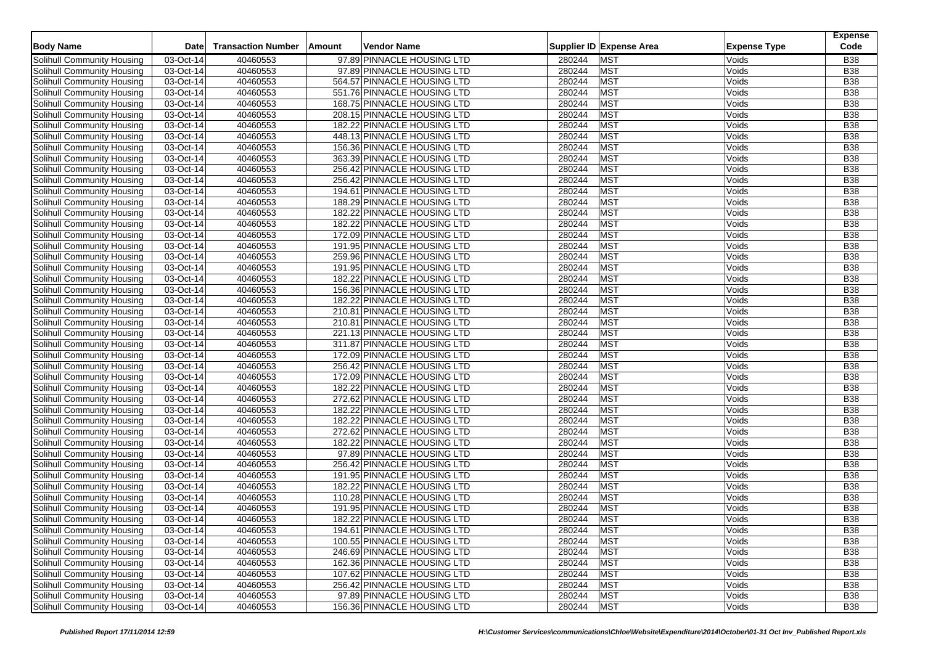|                                                                 | Date                           | <b>Transaction Number</b> | Amount<br>Vendor Name       |        | Supplier ID Expense Area | <b>Expense Type</b> | <b>Expense</b><br>Code |
|-----------------------------------------------------------------|--------------------------------|---------------------------|-----------------------------|--------|--------------------------|---------------------|------------------------|
| <b>Body Name</b>                                                |                                |                           |                             |        |                          |                     |                        |
| Solihull Community Housing                                      | 03-Oct-14                      | 40460553                  | 97.89 PINNACLE HOUSING LTD  | 280244 | <b>MST</b>               | Voids               | <b>B38</b>             |
| Solihull Community Housing                                      | 03-Oct-14                      | 40460553                  | 97.89 PINNACLE HOUSING LTD  | 280244 | <b>MST</b>               | Voids               | <b>B38</b>             |
| Solihull Community Housing                                      | 03-Oct-14                      | 40460553                  | 564.57 PINNACLE HOUSING LTD | 280244 | <b>MST</b>               | Voids               | <b>B38</b>             |
| Solihull Community Housing                                      | 03-Oct-14                      | 40460553                  | 551.76 PINNACLE HOUSING LTD | 280244 | <b>MST</b>               | Voids               | <b>B38</b>             |
| Solihull Community Housing                                      | $03-Oct-14$                    | 40460553                  | 168.75 PINNACLE HOUSING LTD | 280244 | MST                      | Voids               | <b>B38</b>             |
| Solihull Community Housing                                      | 03-Oct-14                      | 40460553                  | 208.15 PINNACLE HOUSING LTD | 280244 | <b>MST</b>               | Voids               | <b>B38</b>             |
| Solihull Community Housing                                      | 03-Oct-14                      | 40460553                  | 182.22 PINNACLE HOUSING LTD | 280244 | <b>MST</b>               | Voids               | <b>B38</b>             |
| Solihull Community Housing                                      | 03-Oct-14                      | 40460553                  | 448.13 PINNACLE HOUSING LTD | 280244 | <b>MST</b>               | Voids               | <b>B38</b>             |
| Solihull Community Housing                                      | 03-Oct-14                      | 40460553                  | 156.36 PINNACLE HOUSING LTD | 280244 | MST                      | Voids               | <b>B38</b>             |
| Solihull Community Housing                                      | 03-Oct-14                      | 40460553                  | 363.39 PINNACLE HOUSING LTD | 280244 | <b>MST</b>               | Voids               | <b>B38</b>             |
| Solihull Community Housing                                      | 03-Oct-14                      | 40460553                  | 256.42 PINNACLE HOUSING LTD | 280244 | <b>MST</b>               | Voids               | <b>B38</b>             |
| Solihull Community Housing                                      | 03-Oct-14                      | 40460553                  | 256.42 PINNACLE HOUSING LTD | 280244 | <b>MST</b>               | Voids               | <b>B38</b>             |
| Solihull Community Housing                                      | 03-Oct-14                      | 40460553                  | 194.61 PINNACLE HOUSING LTD | 280244 | <b>MST</b>               | Voids               | <b>B38</b>             |
| <b>Solihull Community Housing</b>                               | 03-Oct-14                      | 40460553                  | 188.29 PINNACLE HOUSING LTD | 280244 | <b>MST</b>               | Voids               | <b>B38</b>             |
| Solihull Community Housing                                      | 03-Oct-14                      | 40460553                  | 182.22 PINNACLE HOUSING LTD | 280244 | <b>MST</b>               | Voids               | <b>B38</b>             |
| Solihull Community Housing                                      | 03-Oct-14                      | 40460553                  | 182.22 PINNACLE HOUSING LTD | 280244 | <b>MST</b>               | Voids               | <b>B38</b>             |
| Solihull Community Housing                                      | 03-Oct-14                      | 40460553                  | 172.09 PINNACLE HOUSING LTD | 280244 | <b>MST</b>               | Voids               | <b>B38</b>             |
| Solihull Community Housing                                      | 03-Oct-14                      | 40460553                  | 191.95 PINNACLE HOUSING LTD | 280244 | <b>MST</b>               | Voids               | <b>B38</b>             |
| Solihull Community Housing                                      | 03-Oct-14                      | 40460553                  | 259.96 PINNACLE HOUSING LTD | 280244 | <b>MST</b>               | Voids               | <b>B38</b>             |
| Solihull Community Housing                                      | 03-Oct-14                      | 40460553                  | 191.95 PINNACLE HOUSING LTD | 280244 | <b>MST</b>               | Voids               | <b>B38</b>             |
| Solihull Community Housing                                      | 03-Oct-14                      | 40460553                  | 182.22 PINNACLE HOUSING LTD | 280244 | <b>MST</b>               | Voids               | <b>B38</b>             |
| Solihull Community Housing                                      | 03-Oct-14                      | 40460553                  | 156.36 PINNACLE HOUSING LTD | 280244 | <b>MST</b>               | Voids               | <b>B38</b>             |
| Solihull Community Housing                                      | 03-Oct-14                      | 40460553                  | 182.22 PINNACLE HOUSING LTD | 280244 | <b>MST</b>               | Voids               | <b>B38</b>             |
| Solihull Community Housing                                      | 03-Oct-14                      | 40460553                  | 210.81 PINNACLE HOUSING LTD | 280244 | <b>MST</b>               | Voids               | <b>B38</b>             |
| Solihull Community Housing                                      | 03-Oct-14                      | 40460553                  | 210.81 PINNACLE HOUSING LTD | 280244 | <b>MST</b>               | Voids               | <b>B38</b>             |
| Solihull Community Housing                                      | 03-Oct-14                      | 40460553                  | 221.13 PINNACLE HOUSING LTD | 280244 | <b>MST</b>               | Voids               | <b>B38</b>             |
| Solihull Community Housing                                      | 03-Oct-14                      | 40460553                  | 311.87 PINNACLE HOUSING LTD | 280244 | <b>MST</b>               | Voids               | <b>B38</b>             |
| Solihull Community Housing                                      | 03-Oct-14                      | 40460553                  | 172.09 PINNACLE HOUSING LTD | 280244 | <b>MST</b>               | Voids               | <b>B38</b>             |
| Solihull Community Housing                                      | 03-Oct-14                      | 40460553                  | 256.42 PINNACLE HOUSING LTD | 280244 | <b>MST</b>               | Voids               | <b>B38</b>             |
| Solihull Community Housing                                      | 03-Oct-14                      | 40460553                  | 172.09 PINNACLE HOUSING LTD | 280244 | <b>MST</b>               | Voids               | <b>B38</b>             |
| Solihull Community Housing                                      | 03-Oct-14                      | 40460553                  | 182.22 PINNACLE HOUSING LTD | 280244 | <b>MST</b>               | Voids               | <b>B38</b>             |
| Solihull Community Housing                                      | 03-Oct-14                      | 40460553                  | 272.62 PINNACLE HOUSING LTD | 280244 | <b>MST</b>               | Voids               | <b>B38</b>             |
| Solihull Community Housing                                      | 03-Oct-14                      | 40460553                  | 182.22 PINNACLE HOUSING LTD | 280244 | <b>MST</b>               | Voids               | <b>B38</b>             |
| Solihull Community Housing                                      | 03-Oct-14                      | 40460553                  | 182.22 PINNACLE HOUSING LTD | 280244 | <b>MST</b>               | Voids               | <b>B38</b>             |
| Solihull Community Housing                                      | 03-Oct-14                      | 40460553                  | 272.62 PINNACLE HOUSING LTD | 280244 | <b>MST</b>               | Voids               | <b>B38</b>             |
| Solihull Community Housing                                      | 03-Oct-14                      | 40460553                  | 182.22 PINNACLE HOUSING LTD | 280244 | <b>MST</b>               | Voids               | <b>B38</b>             |
| Solihull Community Housing                                      | 03-Oct-14                      | 40460553                  | 97.89 PINNACLE HOUSING LTD  | 280244 | <b>MST</b>               | Voids               | <b>B38</b>             |
| Solihull Community Housing                                      | 03-Oct-14                      | 40460553                  | 256.42 PINNACLE HOUSING LTD | 280244 | <b>MST</b>               | Voids               | <b>B38</b>             |
| Solihull Community Housing                                      | 03-Oct-14                      | 40460553                  | 191.95 PINNACLE HOUSING LTD | 280244 | <b>MST</b>               | Voids               | <b>B38</b>             |
| Solihull Community Housing                                      | 03-Oct-14                      | 40460553                  | 182.22 PINNACLE HOUSING LTD | 280244 | <b>MST</b>               | Voids               | <b>B38</b>             |
|                                                                 | 03-Oct-14                      | 40460553                  | 110.28 PINNACLE HOUSING LTD | 280244 | <b>MST</b>               | Voids               | <b>B38</b>             |
| Solihull Community Housing                                      |                                | 40460553                  | 191.95 PINNACLE HOUSING LTD | 280244 | <b>MST</b>               | Voids               | <b>B38</b>             |
| Solihull Community Housing<br><b>Solihull Community Housing</b> | 03-Oct-14                      | 40460553                  |                             | 280244 | <b>MST</b>               |                     | <b>B38</b>             |
|                                                                 | 03-Oct-14                      |                           | 182.22 PINNACLE HOUSING LTD |        |                          | Voids               |                        |
| Solihull Community Housing                                      | 03-Oct-14                      | 40460553                  | 194.61 PINNACLE HOUSING LTD | 280244 | <b>MST</b>               | Voids               | <b>B38</b>             |
| Solihull Community Housing                                      | $\overline{03\text{-}0}$ ct-14 | 40460553                  | 100.55 PINNACLE HOUSING LTD | 280244 | <b>MST</b>               | Voids               | <b>B38</b>             |
| Solihull Community Housing                                      | 03-Oct-14                      | 40460553                  | 246.69 PINNACLE HOUSING LTD | 280244 | <b>MST</b>               | Voids               | <b>B38</b>             |
| Solihull Community Housing                                      | 03-Oct-14                      | 40460553                  | 162.36 PINNACLE HOUSING LTD | 280244 | <b>MST</b>               | Voids               | <b>B38</b>             |
| Solihull Community Housing                                      | 03-Oct-14                      | 40460553                  | 107.62 PINNACLE HOUSING LTD | 280244 | <b>MST</b>               | Voids               | <b>B38</b>             |
| Solihull Community Housing                                      | 03-Oct-14                      | 40460553                  | 256.42 PINNACLE HOUSING LTD | 280244 | <b>MST</b>               | Voids               | <b>B38</b>             |
| Solihull Community Housing                                      | 03-Oct-14                      | 40460553                  | 97.89 PINNACLE HOUSING LTD  | 280244 | <b>MST</b>               | Voids               | <b>B38</b>             |
| Solihull Community Housing                                      | 03-Oct-14                      | 40460553                  | 156.36 PINNACLE HOUSING LTD | 280244 | <b>MST</b>               | Voids               | <b>B38</b>             |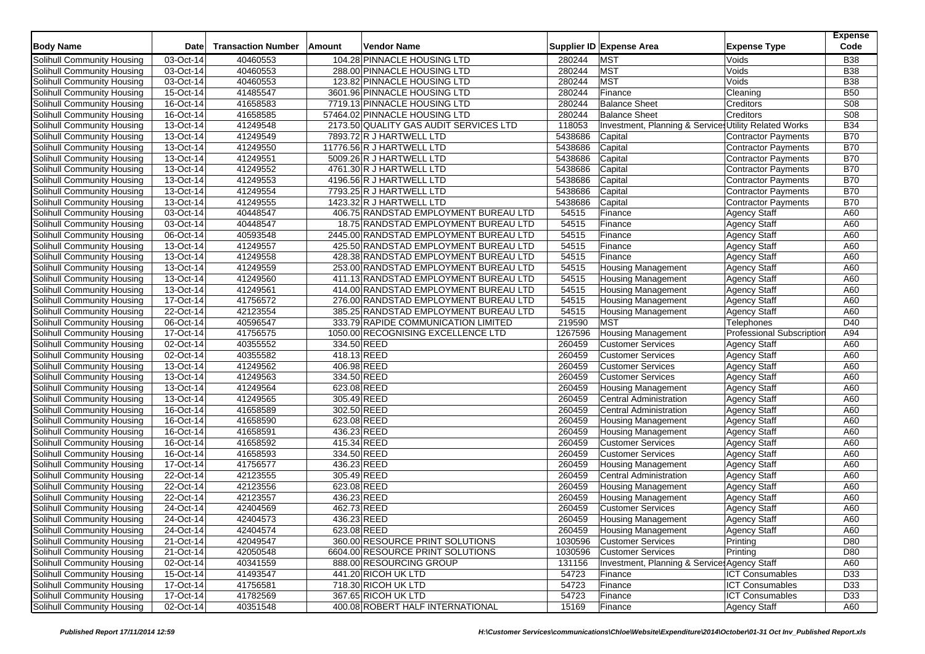| <b>Body Name</b>                                         | <b>Date</b>            | <b>Transaction Number</b> | Amount | Vendor Name                                                                     |                | Supplier ID Expense Area                              | <b>Expense Type</b>                        | <b>Expense</b><br>Code |
|----------------------------------------------------------|------------------------|---------------------------|--------|---------------------------------------------------------------------------------|----------------|-------------------------------------------------------|--------------------------------------------|------------------------|
| Solihull Community Housing                               | 03-Oct-14              | 40460553                  |        | 104.28 PINNACLE HOUSING LTD                                                     | 280244         | <b>MST</b>                                            | Voids                                      | <b>B38</b>             |
| Solihull Community Housing                               | 03-Oct-14              | 40460553                  |        | 288.00 PINNACLE HOUSING LTD                                                     | 280244         | <b>MST</b>                                            | Voids                                      | <b>B38</b>             |
| Solihull Community Housing                               | 03-Oct-14              | 40460553                  |        | 123.82 PINNACLE HOUSING LTD                                                     | 280244         | <b>MST</b>                                            | Voids                                      | <b>B38</b>             |
| Solihull Community Housing                               | 15-Oct-14              | 41485547                  |        | 3601.96 PINNACLE HOUSING LTD                                                    | 280244         | Finance                                               | Cleaning                                   | <b>B50</b>             |
| Solihull Community Housing                               | 16-Oct-14              | 41658583                  |        | 7719.13 PINNACLE HOUSING LTD                                                    | 280244         | <b>Balance Sheet</b>                                  | Creditors                                  | <b>S08</b>             |
| Solihull Community Housing                               | 16-Oct-14              | 41658585                  |        | 57464.02 PINNACLE HOUSING LTD                                                   | 280244         | <b>Balance Sheet</b>                                  | Creditors                                  | S08                    |
| Solihull Community Housing                               | 13-Oct-14              | 41249548                  |        | 2173.50 QUALITY GAS AUDIT SERVICES LTD                                          | 118053         | Investment, Planning & Services Utility Related Works |                                            | <b>B34</b>             |
| Solihull Community Housing                               | 13-Oct-14              | 41249549                  |        | 7893.72 R J HARTWELL LTD                                                        | 5438686        | Capital                                               | Contractor Payments                        | <b>B70</b>             |
| Solihull Community Housing                               | 13-Oct-14              | 41249550                  |        | 11776.56 R J HARTWELL LTD                                                       | 5438686        | Capital                                               | <b>Contractor Payments</b>                 | <b>B70</b>             |
| Solihull Community Housing                               | 13-Oct-14              | 41249551                  |        | 5009.26 R J HARTWELL LTD                                                        | 5438686        | Capital                                               | Contractor Payments                        | <b>B70</b>             |
| Solihull Community Housing                               | 13-Oct-14              | 41249552                  |        | 4761.30 R J HARTWELL LTD                                                        | 5438686        | Capital                                               | <b>Contractor Payments</b>                 | <b>B70</b>             |
| Solihull Community Housing                               | $13-Oct-14$            | 41249553                  |        | 4196.56 R J HARTWELL LTD                                                        | 5438686        | Capital                                               | <b>Contractor Payments</b>                 | <b>B70</b>             |
| Solihull Community Housing                               | 13-Oct-14              | 41249554                  |        | 7793.25 R J HARTWELL LTD                                                        | 5438686        | Capital                                               | Contractor Payments                        | <b>B70</b>             |
| Solihull Community Housing                               | 13-Oct-14              | 41249555                  |        | 1423.32 R J HARTWELL LTD                                                        | 5438686        | Capital                                               | Contractor Payments                        | <b>B70</b>             |
| <b>Solihull Community Housing</b>                        | 03-Oct-14              | 40448547                  |        | 406.75 RANDSTAD EMPLOYMENT BUREAU LTD                                           | 54515          | Finance                                               |                                            | A60                    |
|                                                          |                        |                           |        |                                                                                 |                |                                                       | <b>Agency Staff</b>                        |                        |
| Solihull Community Housing                               | 03-Oct-14              | 40448547<br>40593548      |        | 18.75 RANDSTAD EMPLOYMENT BUREAU LTD                                            | 54515<br>54515 | Finance                                               | <b>Agency Staff</b>                        | A60<br>A60             |
| Solihull Community Housing<br>Solihull Community Housing | 06-Oct-14<br>13-Oct-14 | 41249557                  |        | 2445.00 RANDSTAD EMPLOYMENT BUREAU LTD<br>425.50 RANDSTAD EMPLOYMENT BUREAU LTD | 54515          | Finance<br>Finance                                    | <b>Agency Staff</b><br><b>Agency Staff</b> | A60                    |
| Solihull Community Housing                               |                        |                           |        |                                                                                 |                |                                                       |                                            |                        |
|                                                          | 13-Oct-14              | 41249558                  |        | 428.38 RANDSTAD EMPLOYMENT BUREAU LTD                                           | 54515          | Finance                                               | <b>Agency Staff</b>                        | A60                    |
| Solihull Community Housing                               | 13-Oct-14              | 41249559                  |        | 253.00 RANDSTAD EMPLOYMENT BUREAU LTD                                           | 54515          | <b>Housing Management</b>                             | <b>Agency Staff</b>                        | A60                    |
| Solihull Community Housing                               | 13-Oct-14              | 41249560                  |        | 411.13 RANDSTAD EMPLOYMENT BUREAU LTD                                           | 54515          | Housing Management                                    | <b>Agency Staff</b>                        | A60                    |
| Solihull Community Housing                               | 13-Oct-14              | 41249561                  |        | 414.00 RANDSTAD EMPLOYMENT BUREAU LTD                                           | 54515          | <b>Housing Management</b>                             | <b>Agency Staff</b>                        | A60                    |
| Solihull Community Housing                               | 17-Oct-14              | 41756572                  |        | 276.00 RANDSTAD EMPLOYMENT BUREAU LTD                                           | 54515          | <b>Housing Management</b>                             | <b>Agency Staff</b>                        | A60                    |
| Solihull Community Housing                               | 22-Oct-14              | 42123554                  |        | 385.25 RANDSTAD EMPLOYMENT BUREAU LTD                                           | 54515          | <b>Housing Management</b>                             | <b>Agency Staff</b>                        | A60                    |
| Solihull Community Housing                               | 06-Oct-14              | 40596547                  |        | 333.79 RAPIDE COMMUNICATION LIMITED                                             | 219590         | <b>MST</b>                                            | Telephones                                 | D40                    |
| Solihull Community Housing                               | 17-Oct-14              | 41756575                  |        | 1050.00 RECOGNISING EXCELLENCE LTD                                              | 1267596        | <b>Housing Management</b>                             | <b>Professional Subscription</b>           | A94                    |
| Solihull Community Housing                               | 02-Oct-14              | 40355552                  |        | 334.50 REED                                                                     | 260459         | <b>Customer Services</b>                              | <b>Agency Staff</b>                        | A60                    |
| Solihull Community Housing                               | 02-Oct-14              | 40355582                  |        | 418.13 REED                                                                     | 260459         | <b>Customer Services</b>                              | <b>Agency Staff</b>                        | A60                    |
| Solihull Community Housing                               | 13-Oct-14              | 41249562                  |        | 406.98 REED                                                                     | 260459         | <b>Customer Services</b>                              | <b>Agency Staff</b>                        | A60                    |
| Solihull Community Housing                               | 13-Oct-14              | 41249563                  |        | 334.50 REED                                                                     | 260459         | <b>Customer Services</b>                              | <b>Agency Staff</b>                        | A60                    |
| Solihull Community Housing                               | 13-Oct-14              | 41249564                  |        | 623.08 REED                                                                     | 260459         | <b>Housing Management</b>                             | Agency Staff                               | A60                    |
| Solihull Community Housing                               | 13-Oct-14              | 41249565                  |        | 305.49 REED                                                                     | 260459         | <b>Central Administration</b>                         | <b>Agency Staff</b>                        | A60                    |
| Solihull Community Housing                               | 16-Oct-14              | 41658589                  |        | 302.50 REED                                                                     | 260459         | <b>Central Administration</b>                         | <b>Agency Staff</b>                        | A60                    |
| Solihull Community Housing                               | 16-Oct-14              | 41658590                  |        | 623.08 REED                                                                     | 260459         | <b>Housing Management</b>                             | <b>Agency Staff</b>                        | A60                    |
| Solihull Community Housing                               | 16-Oct-14              | 41658591                  |        | 436.23 REED                                                                     | 260459         | <b>Housing Management</b>                             | <b>Agency Staff</b>                        | A60                    |
| <b>Solihull Community Housing</b>                        | 16-Oct-14              | 41658592                  |        | 415.34 REED                                                                     | 260459         | <b>Customer Services</b>                              | <b>Agency Staff</b>                        | A60                    |
| Solihull Community Housing                               | 16-Oct-14              | 41658593                  |        | 334.50 REED                                                                     | 260459         | <b>Customer Services</b>                              | Agency Staff                               | A60                    |
| Solihull Community Housing                               | 17-Oct-14              | 41756577                  |        | 436.23 REED                                                                     | 260459         | <b>Housing Management</b>                             | <b>Agency Staff</b>                        | A60                    |
| Solihull Community Housing                               | 22-Oct-14              | 42123555                  |        | 305.49 REED                                                                     | 260459         | Central Administration                                | <b>Agency Staff</b>                        | A60                    |
| Solihull Community Housing                               | 22-Oct-14              | 42123556                  |        | 623.08 REED                                                                     | 260459         | <b>Housing Management</b>                             | <b>Agency Staff</b>                        | A60                    |
| Solihull Community Housing                               | 22-Oct-14              | 42123557                  |        | 436.23 REED                                                                     | 260459         | <b>Housing Management</b>                             | <b>Agency Staff</b>                        | A60                    |
| Solihull Community Housing                               | 24-Oct-14              | 42404569                  |        | 462.73 REED                                                                     | 260459         | <b>Customer Services</b>                              | <b>Agency Staff</b>                        | A60                    |
| Solihull Community Housing                               | 24-Oct-14              | 42404573                  |        | 436.23 REED                                                                     | 260459         | <b>Housing Management</b>                             | <b>Agency Staff</b>                        | A60                    |
| Solihull Community Housing                               | 24-Oct-14              | 42404574                  |        | 623.08 REED                                                                     | 260459         | <b>Housing Management</b>                             | Agency Staff                               | A60                    |
| Solihull Community Housing                               | 21-Oct-14              | 42049547                  |        | 360.00 RESOURCE PRINT SOLUTIONS                                                 | 1030596        | <b>Customer Services</b>                              | Printing                                   | D80                    |
| Solihull Community Housing                               | 21-Oct-14              | 42050548                  |        | 6604.00 RESOURCE PRINT SOLUTIONS                                                | 1030596        | <b>Customer Services</b>                              | Printing                                   | D80                    |
| Solihull Community Housing                               | 02-Oct-14              | 40341559                  |        | 888.00 RESOURCING GROUP                                                         | 131156         | Investment, Planning & Service Agency Staff           |                                            | A60                    |
| Solihull Community Housing                               | 15-Oct-14              | 41493547                  |        | 441.20 RICOH UK LTD                                                             | 54723          | Finance                                               | <b>ICT Consumables</b>                     | D33                    |
| Solihull Community Housing                               | 17-Oct-14              | 41756581                  |        | 718.30 RICOH UK LTD                                                             | 54723          | Finance                                               | <b>ICT Consumables</b>                     | D33                    |
| Solihull Community Housing                               | 17-Oct-14              | 41782569                  |        | 367.65 RICOH UK LTD                                                             | 54723          | Finance                                               | <b>ICT Consumables</b>                     | D33                    |
| Solihull Community Housing                               | 02-Oct-14              | 40351548                  |        | 400.08 ROBERT HALF INTERNATIONAL                                                | 15169          | Finance                                               | Agency Staff                               | A60                    |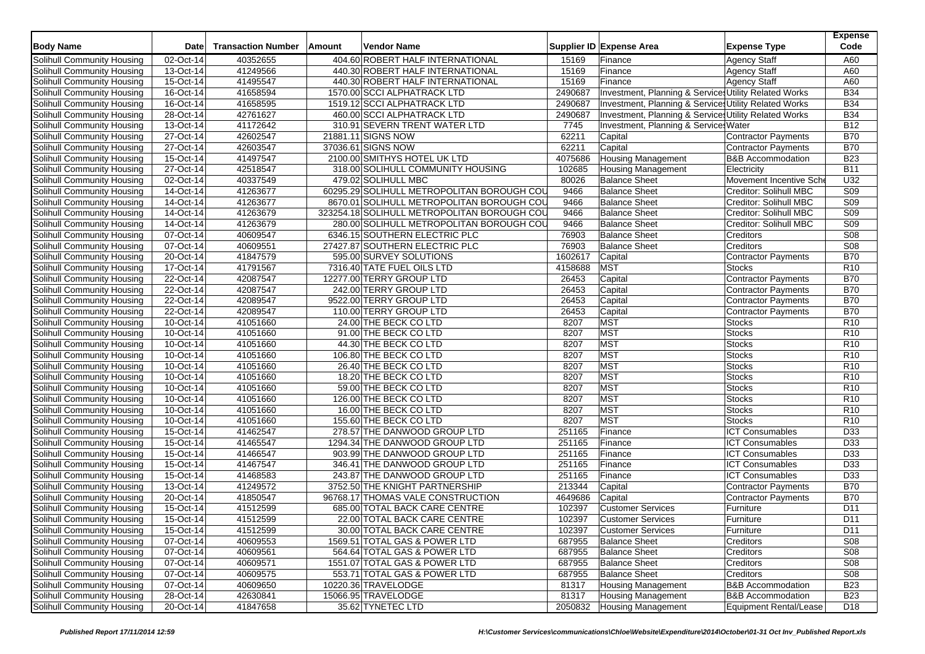| <b>Body Name</b>                  | Date      | <b>Transaction Number</b> | Amount | <b>Vendor Name</b>                          |         | Supplier ID Expense Area                              | <b>Expense Type</b>          | <b>Expense</b><br>Code |
|-----------------------------------|-----------|---------------------------|--------|---------------------------------------------|---------|-------------------------------------------------------|------------------------------|------------------------|
| Solihull Community Housing        | 02-Oct-14 | 40352655                  |        | 404.60 ROBERT HALF INTERNATIONAL            | 15169   | Finance                                               | <b>Agency Staff</b>          | A60                    |
| Solihull Community Housing        | 13-Oct-14 | 41249566                  |        | 440.30 ROBERT HALF INTERNATIONAL            | 15169   | Finance                                               | <b>Agency Staff</b>          | A60                    |
| Solihull Community Housing        | 15-Oct-14 | 41495547                  |        | 440.30 ROBERT HALF INTERNATIONAL            | 15169   | Finance                                               | <b>Agency Staff</b>          | A60                    |
| Solihull Community Housing        | 16-Oct-14 | 41658594                  |        | 1570.00 SCCI ALPHATRACK LTD                 | 2490687 | Investment, Planning & Services Utility Related Works |                              | <b>B34</b>             |
| Solihull Community Housing        | 16-Oct-14 | 41658595                  |        | 1519.12 SCCI ALPHATRACK LTD                 | 2490687 | Investment, Planning & Services Utility Related Works |                              | <b>B34</b>             |
| Solihull Community Housing        | 28-Oct-14 | 42761627                  |        | 460.00 SCCI ALPHATRACK LTD                  | 2490687 | Investment, Planning & Services Utility Related Works |                              | <b>B34</b>             |
| Solihull Community Housing        | 13-Oct-14 | 41172642                  |        | 310.91 SEVERN TRENT WATER LTD               | 7745    | Investment, Planning & Service Water                  |                              | <b>B12</b>             |
| Solihull Community Housing        | 27-Oct-14 | 42602547                  |        | 21881.11 SIGNS NOW                          | 62211   | Capital                                               | <b>Contractor Payments</b>   | <b>B70</b>             |
| Solihull Community Housing        | 27-Oct-14 | 42603547                  |        | 37036.61 SIGNS NOW                          | 62211   | Capital                                               | <b>Contractor Payments</b>   | <b>B70</b>             |
| Solihull Community Housing        | 15-Oct-14 | 41497547                  |        | 2100.00 SMITHYS HOTEL UK LTD                | 4075686 | <b>Housing Management</b>                             | <b>B&amp;B Accommodation</b> | <b>B23</b>             |
| Solihull Community Housing        | 27-Oct-14 | 42518547                  |        | 318.00 SOLIHULL COMMUNITY HOUSING           | 102685  | <b>Housing Management</b>                             | Electricity                  | <b>B11</b>             |
| Solihull Community Housing        | 02-Oct-14 | 40337549                  |        | 479.02 SOLIHULL MBC                         | 80026   | <b>Balance Sheet</b>                                  | Movement Incentive Sch       | U32                    |
| Solihull Community Housing        | 14-Oct-14 | 41263677                  |        | 60295.29 SOLIHULL METROPOLITAN BOROUGH COL  | 9466    | <b>Balance Sheet</b>                                  | Creditor: Solihull MBC       | <b>S09</b>             |
| Solihull Community Housing        | 14-Oct-14 | 41263677                  |        | 8670.01 SOLIHULL METROPOLITAN BOROUGH COU   | 9466    | <b>Balance Sheet</b>                                  | Creditor: Solihull MBC       | <b>S09</b>             |
| Solihull Community Housing        | 14-Oct-14 | 41263679                  |        | 323254.18 SOLIHULL METROPOLITAN BOROUGH COU | 9466    | <b>Balance Sheet</b>                                  | Creditor: Solihull MBC       | <b>S09</b>             |
| Solihull Community Housing        | 14-Oct-14 | 41263679                  |        | 280.00 SOLIHULL METROPOLITAN BOROUGH COU    | 9466    | <b>Balance Sheet</b>                                  | Creditor: Solihull MBC       | S09                    |
| Solihull Community Housing        | 07-Oct-14 | 40609547                  |        | 6346.15 SOUTHERN ELECTRIC PLC               | 76903   | <b>Balance Sheet</b>                                  | Creditors                    | <b>S08</b>             |
| Solihull Community Housing        | 07-Oct-14 | 40609551                  |        | 27427.87 SOUTHERN ELECTRIC PLC              | 76903   | <b>Balance Sheet</b>                                  | Creditors                    | S08                    |
| Solihull Community Housing        | 20-Oct-14 | 41847579                  |        | 595.00 SURVEY SOLUTIONS                     | 1602617 | Capital                                               | Contractor Payments          | <b>B70</b>             |
| Solihull Community Housing        | 17-Oct-14 | 41791567                  |        | 7316.40 TATE FUEL OILS LTD                  | 4158688 | <b>MST</b>                                            | <b>Stocks</b>                | R <sub>10</sub>        |
| Solihull Community Housing        | 22-Oct-14 | 42087547                  |        | 12277.00 TERRY GROUP LTD                    | 26453   | Capital                                               | Contractor Payments          | <b>B70</b>             |
| Solihull Community Housing        | 22-Oct-14 | 42087547                  |        | 242.00 TERRY GROUP LTD                      | 26453   | Capital                                               | Contractor Payments          | <b>B70</b>             |
| Solihull Community Housing        | 22-Oct-14 | 42089547                  |        | 9522.00 TERRY GROUP LTD                     | 26453   | Capital                                               | <b>Contractor Payments</b>   | <b>B70</b>             |
| Solihull Community Housing        | 22-Oct-14 | 42089547                  |        | 110.00 TERRY GROUP LTD                      | 26453   | Capital                                               | <b>Contractor Payments</b>   | <b>B70</b>             |
| Solihull Community Housing        | 10-Oct-14 | 41051660                  |        | 24.00 THE BECK CO LTD                       | 8207    | <b>MST</b>                                            | <b>Stocks</b>                | R <sub>10</sub>        |
| Solihull Community Housing        | 10-Oct-14 | 41051660                  |        | 91.00 THE BECK CO LTD                       | 8207    | <b>MST</b>                                            | <b>Stocks</b>                | R <sub>10</sub>        |
| Solihull Community Housing        | 10-Oct-14 | 41051660                  |        | 44.30 THE BECK CO LTD                       | 8207    | <b>MST</b>                                            | <b>Stocks</b>                | R <sub>10</sub>        |
| Solihull Community Housing        | 10-Oct-14 | 41051660                  |        | 106.80 THE BECK CO LTD                      | 8207    | <b>MST</b>                                            | Stocks                       | R <sub>10</sub>        |
| Solihull Community Housing        | 10-Oct-14 | 41051660                  |        | 26.40 THE BECK CO LTD                       | 8207    | MST                                                   | Stocks                       | R <sub>10</sub>        |
| Solihull Community Housing        | 10-Oct-14 | 41051660                  |        | 18.20 THE BECK CO LTD                       | 8207    | <b>MST</b>                                            | <b>Stocks</b>                | R <sub>10</sub>        |
| Solihull Community Housing        | 10-Oct-14 | 41051660                  |        | 59.00 THE BECK CO LTD                       | 8207    | <b>MST</b>                                            | <b>Stocks</b>                | R <sub>10</sub>        |
| Solihull Community Housing        | 10-Oct-14 | 41051660                  |        | 126.00 THE BECK CO LTD                      | 8207    | <b>MST</b>                                            | Stocks                       | R <sub>10</sub>        |
| Solihull Community Housing        | 10-Oct-14 | 41051660                  |        | 16.00 THE BECK CO LTD                       | 8207    | <b>MST</b>                                            | <b>Stocks</b>                | R <sub>10</sub>        |
| Solihull Community Housing        | 10-Oct-14 | 41051660                  |        | 155.60 THE BECK CO LTD                      | 8207    | <b>MST</b>                                            | <b>Stocks</b>                | R <sub>10</sub>        |
| Solihull Community Housing        | 15-Oct-14 | 41462547                  |        | 278.57 THE DANWOOD GROUP LTD                | 251165  | Finance                                               | <b>ICT Consumables</b>       | D33                    |
| Solihull Community Housing        | 15-Oct-14 | 41465547                  |        | 1294.34 THE DANWOOD GROUP LTD               | 251165  | Finance                                               | <b>ICT Consumables</b>       | D33                    |
| Solihull Community Housing        | 15-Oct-14 | 41466547                  |        | 903.99 THE DANWOOD GROUP LTD                | 251165  | Finance                                               | <b>ICT Consumables</b>       | D33                    |
| Solihull Community Housing        | 15-Oct-14 | 41467547                  |        | 346.41 THE DANWOOD GROUP LTD                | 251165  | Finance                                               | <b>ICT Consumables</b>       | D33                    |
| Solihull Community Housing        | 15-Oct-14 | 41468583                  |        | 243.87 THE DANWOOD GROUP LTD                | 251165  | Finance                                               | <b>ICT Consumables</b>       | D33                    |
| Solihull Community Housing        | 13-Oct-14 | 41249572                  |        | 3752.50 THE KNIGHT PARTNERSHIP              | 213344  | Capital                                               | <b>Contractor Payments</b>   | <b>B70</b>             |
| Solihull Community Housing        | 20-Oct-14 | 41850547                  |        | 96768.17 THOMAS VALE CONSTRUCTION           | 4649686 | Capital                                               | <b>Contractor Payments</b>   | <b>B70</b>             |
| Solihull Community Housing        | 15-Oct-14 | 41512599                  |        | 685.00 TOTAL BACK CARE CENTRE               | 102397  | <b>Customer Services</b>                              | Furniture                    | D <sub>11</sub>        |
| Solihull Community Housing        | 15-Oct-14 | 41512599                  |        | 22.00 TOTAL BACK CARE CENTRE                | 102397  | <b>Customer Services</b>                              | Furniture                    | D <sub>11</sub>        |
| Solihull Community Housing        | 15-Oct-14 | 41512599                  |        | 30.00 TOTAL BACK CARE CENTRE                | 102397  | <b>Customer Services</b>                              | Furniture                    | D11                    |
| Solihull Community Housing        | 07-Oct-14 | 40609553                  |        | 1569.51 TOTAL GAS & POWER LTD               | 687955  | <b>Balance Sheet</b>                                  | Creditors                    | <b>S08</b>             |
| Solihull Community Housing        | 07-Oct-14 | 40609561                  |        | 564.64 TOTAL GAS & POWER LTD                | 687955  | <b>Balance Sheet</b>                                  | Creditors                    | S08                    |
| Solihull Community Housing        | 07-Oct-14 | 40609571                  |        | 1551.07 TOTAL GAS & POWER LTD               | 687955  | <b>Balance Sheet</b>                                  | Creditors                    | <b>S08</b>             |
| Solihull Community Housing        | 07-Oct-14 | 40609575                  |        | 553.71 TOTAL GAS & POWER LTD                | 687955  | <b>Balance Sheet</b>                                  | Creditors                    | <b>S08</b>             |
| Solihull Community Housing        | 07-Oct-14 | 40609650                  |        | 10220.36 TRAVELODGE                         | 81317   | <b>Housing Management</b>                             | <b>B&amp;B</b> Accommodation | <b>B23</b>             |
| <b>Solihull Community Housing</b> | 28-Oct-14 | 42630841                  |        | 15066.95 TRAVELODGE                         | 81317   | <b>Housing Management</b>                             | <b>B&amp;B Accommodation</b> | <b>B23</b>             |
| Solihull Community Housing        | 20-Oct-14 | 41847658                  |        | 35.62 TYNETEC LTD                           | 2050832 | Housing Management                                    | Equipment Rental/Lease       | D18                    |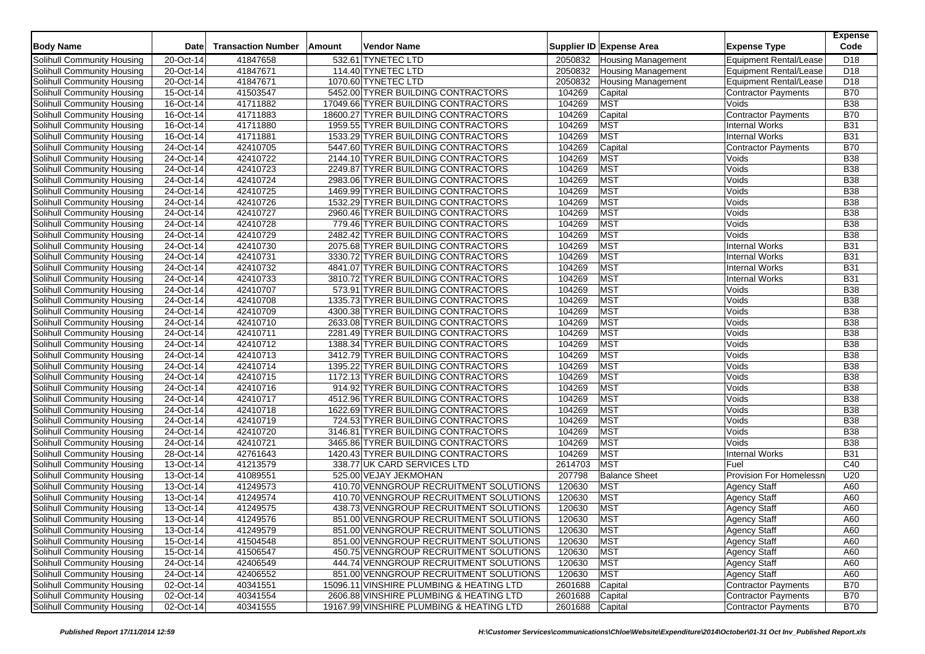| <b>Body Name</b>                  | Date        | <b>Transaction Number</b> | Amount | <b>Vendor Name</b>                       |         | Supplier ID Expense Area  | <b>Expense Type</b>           | <b>Expense</b><br>Code |
|-----------------------------------|-------------|---------------------------|--------|------------------------------------------|---------|---------------------------|-------------------------------|------------------------|
| Solihull Community Housing        | 20-Oct-14   | 41847658                  |        | 532.61 TYNETEC LTD                       | 2050832 | <b>Housing Management</b> | <b>Equipment Rental/Lease</b> | D <sub>18</sub>        |
| Solihull Community Housing        | 20-Oct-14   | 41847671                  |        | 114.40 TYNETEC LTD                       | 2050832 | <b>Housing Management</b> | <b>Equipment Rental/Lease</b> | D <sub>18</sub>        |
| Solihull Community Housing        | 20-Oct-14   | 41847671                  |        | 1070.60 TYNETEC LTD                      | 2050832 | <b>Housing Management</b> | <b>Equipment Rental/Lease</b> | D <sub>18</sub>        |
| Solihull Community Housing        | 15-Oct-14   | 41503547                  |        | 5452.00 TYRER BUILDING CONTRACTORS       | 104269  | Capital                   | <b>Contractor Payments</b>    | <b>B70</b>             |
| Solihull Community Housing        | 16-Oct-14   | 41711882                  |        | 17049.66 TYRER BUILDING CONTRACTORS      | 104269  | <b>MST</b>                | Voids                         | <b>B38</b>             |
| Solihull Community Housing        | 16-Oct-14   | 41711883                  |        | 18600.27 TYRER BUILDING CONTRACTORS      | 104269  | Capital                   | <b>Contractor Payments</b>    | <b>B70</b>             |
| Solihull Community Housing        | 16-Oct-14   | 41711880                  |        | 1959.55 TYRER BUILDING CONTRACTORS       | 104269  | <b>MST</b>                | <b>Internal Works</b>         | <b>B31</b>             |
| Solihull Community Housing        | 16-Oct-14   | 41711881                  |        | 1533.29 TYRER BUILDING CONTRACTORS       | 104269  | <b>MST</b>                | <b>Internal Works</b>         | <b>B31</b>             |
| Solihull Community Housing        | 24-Oct-14   | 42410705                  |        | 5447.60 TYRER BUILDING CONTRACTORS       | 104269  | Capital                   | <b>Contractor Payments</b>    | <b>B70</b>             |
| Solihull Community Housing        | 24-Oct-14   | 42410722                  |        | 2144.10 TYRER BUILDING CONTRACTORS       | 104269  | <b>MST</b>                | Voids                         | <b>B38</b>             |
|                                   | 24-Oct-14   | 42410723                  |        | 2249.87 TYRER BUILDING CONTRACTORS       | 104269  | <b>MST</b>                | Voids                         | <b>B38</b>             |
| Solihull Community Housing        |             | 42410724                  |        | 2983.06 TYRER BUILDING CONTRACTORS       | 104269  | <b>MST</b>                | Voids                         | <b>B38</b>             |
| Solihull Community Housing        | 24-Oct-14   | 42410725                  |        | 1469.99 TYRER BUILDING CONTRACTORS       | 104269  | <b>MST</b>                |                               |                        |
| Solihull Community Housing        | 24-Oct-14   |                           |        |                                          |         |                           | Voids                         | <b>B38</b>             |
| Solihull Community Housing        | 24-Oct-14   | 42410726                  |        | 1532.29 TYRER BUILDING CONTRACTORS       | 104269  | <b>MST</b>                | Voids                         | <b>B38</b>             |
| Solihull Community Housing        | 24-Oct-14   | 42410727                  |        | 2960.46 TYRER BUILDING CONTRACTORS       | 104269  | <b>MST</b>                | Voids                         | <b>B</b> 38            |
| Solihull Community Housing        | 24-Oct-14   | 42410728                  |        | 779.46 TYRER BUILDING CONTRACTORS        | 104269  | <b>MST</b>                | Voids                         | <b>B38</b>             |
| Solihull Community Housing        | 24-Oct-14   | 42410729                  |        | 2482.42 TYRER BUILDING CONTRACTORS       | 104269  | <b>MST</b>                | Voids                         | <b>B38</b>             |
| Solihull Community Housing        | 24-Oct-14   | 42410730                  |        | 2075.68 TYRER BUILDING CONTRACTORS       | 104269  | <b>MST</b>                | <b>Internal Works</b>         | <b>B31</b>             |
| Solihull Community Housing        | 24-Oct-14   | 42410731                  |        | 3330.72 TYRER BUILDING CONTRACTORS       | 104269  | <b>MST</b>                | <b>Internal Works</b>         | <b>B31</b>             |
| Solihull Community Housing        | 24-Oct-14   | 42410732                  |        | 4841.07 TYRER BUILDING CONTRACTORS       | 104269  | <b>MST</b>                | <b>Internal Works</b>         | <b>B31</b>             |
| Solihull Community Housing        | 24-Oct-14   | 42410733                  |        | 3810.72 TYRER BUILDING CONTRACTORS       | 104269  | <b>MST</b>                | <b>Internal Works</b>         | <b>B31</b>             |
| Solihull Community Housing        | 24-Oct-14   | 42410707                  |        | 573.91 TYRER BUILDING CONTRACTORS        | 104269  | <b>MST</b>                | Voids                         | <b>B38</b>             |
| Solihull Community Housing        | 24-Oct-14   | 42410708                  |        | 1335.73 TYRER BUILDING CONTRACTORS       | 104269  | <b>MST</b>                | Voids                         | <b>B38</b>             |
| Solihull Community Housing        | $24-Oct-14$ | 42410709                  |        | 4300.38 TYRER BUILDING CONTRACTORS       | 104269  | <b>MST</b>                | Voids                         | <b>B38</b>             |
| Solihull Community Housing        | 24-Oct-14   | 42410710                  |        | 2633.08 TYRER BUILDING CONTRACTORS       | 104269  | <b>MST</b>                | Voids                         | <b>B38</b>             |
| Solihull Community Housing        | 24-Oct-14   | 42410711                  |        | 2281.49 TYRER BUILDING CONTRACTORS       | 104269  | <b>MST</b>                | Voids                         | <b>B38</b>             |
| Solihull Community Housing        | 24-Oct-14   | 42410712                  |        | 1388.34 TYRER BUILDING CONTRACTORS       | 104269  | <b>MST</b>                | Voids                         | <b>B38</b>             |
| Solihull Community Housing        | 24-Oct-14   | 42410713                  |        | 3412.79 TYRER BUILDING CONTRACTORS       | 104269  | <b>MST</b>                | Voids                         | <b>B38</b>             |
| Solihull Community Housing        | 24-Oct-14   | 42410714                  |        | 1395.22 TYRER BUILDING CONTRACTORS       | 104269  | <b>MST</b>                | Voids                         | <b>B38</b>             |
| Solihull Community Housing        | 24-Oct-14   | 42410715                  |        | 1172.13 TYRER BUILDING CONTRACTORS       | 104269  | <b>MST</b>                | Voids                         | <b>B38</b>             |
| Solihull Community Housing        | 24-Oct-14   | 42410716                  |        | 914.92 TYRER BUILDING CONTRACTORS        | 104269  | <b>MST</b>                | Voids                         | <b>B38</b>             |
| Solihull Community Housing        | 24-Oct-14   | 42410717                  |        | 4512.96 TYRER BUILDING CONTRACTORS       | 104269  | <b>MST</b>                | Voids                         | <b>B38</b>             |
| Solihull Community Housing        | 24-Oct-14   | 42410718                  |        | 1622.69 TYRER BUILDING CONTRACTORS       | 104269  | <b>MST</b>                | Voids                         | <b>B38</b>             |
| Solihull Community Housing        | 24-Oct-14   | 42410719                  |        | 724.53 TYRER BUILDING CONTRACTORS        | 104269  | <b>MST</b>                | Voids                         | <b>B38</b>             |
| Solihull Community Housing        | 24-Oct-14   | 42410720                  |        | 3146.81 TYRER BUILDING CONTRACTORS       | 104269  | <b>MST</b>                | Voids                         | <b>B38</b>             |
| Solihull Community Housing        | 24-Oct-14   | 42410721                  |        | 3465.86 TYRER BUILDING CONTRACTORS       | 104269  | <b>MST</b>                | Voids                         | <b>B38</b>             |
| Solihull Community Housing        | 28-Oct-14   | 42761643                  |        | 1420.43 TYRER BUILDING CONTRACTORS       | 104269  | <b>MST</b>                | <b>Internal Works</b>         | <b>B31</b>             |
| Solihull Community Housing        | 13-Oct-14   | 41213579                  |        | 338.77 UK CARD SERVICES LTD              | 2614703 | <b>MST</b>                | Fuel                          | C40                    |
| Solihull Community Housing        | 13-Oct-14   | 41089551                  |        | 525.00 VEJAY JEKMOHAN                    | 207798  | <b>Balance Sheet</b>      | Provision For Homelessn       | U20                    |
| Solihull Community Housing        | $13-Oct-14$ | 41249573                  |        | 410.70 VENNGROUP RECRUITMENT SOLUTIONS   | 120630  | <b>MST</b>                | <b>Agency Staff</b>           | A60                    |
| Solihull Community Housing        | 13-Oct-14   | 41249574                  |        | 410.70 VENNGROUP RECRUITMENT SOLUTIONS   | 120630  | <b>MST</b>                | <b>Agency Staff</b>           | A60                    |
| Solihull Community Housing        | 13-Oct-14   | 41249575                  |        | 438.73 VENNGROUP RECRUITMENT SOLUTIONS   | 120630  | <b>MST</b>                | <b>Agency Staff</b>           | A60                    |
| Solihull Community Housing        | 13-Oct-14   | 41249576                  |        | 851.00 VENNGROUP RECRUITMENT SOLUTIONS   | 120630  | <b>MST</b>                | Agency Staff                  | A60                    |
| Solihull Community Housing        | 13-Oct-14   | 41249579                  |        | 851.00 VENNGROUP RECRUITMENT SOLUTIONS   | 120630  | <b>MST</b>                | <b>Agency Staff</b>           | A60                    |
| Solihull Community Housing        | 15-Oct-14   | 41504548                  |        | 851.00 VENNGROUP RECRUITMENT SOLUTIONS   | 120630  | <b>MST</b>                | <b>Agency Staff</b>           | A60                    |
| Solihull Community Housing        | 15-Oct-14   | 41506547                  |        | 450.75 VENNGROUP RECRUITMENT SOLUTIONS   | 120630  | <b>MST</b>                | <b>Agency Staff</b>           | A60                    |
| Solihull Community Housing        | 24-Oct-14   | 42406549                  |        | 444.74 VENNGROUP RECRUITMENT SOLUTIONS   | 120630  | <b>MST</b>                | <b>Agency Staff</b>           | A60                    |
| Solihull Community Housing        | 24-Oct-14   | 42406552                  |        | 851.00 VENNGROUP RECRUITMENT SOLUTIONS   | 120630  | <b>MST</b>                | <b>Agency Staff</b>           | A60                    |
| Solihull Community Housing        | 02-Oct-14   | 40341551                  |        | 15096.11 VINSHIRE PLUMBING & HEATING LTD | 2601688 | Capital                   | Contractor Payments           | <b>B70</b>             |
| <b>Solihull Community Housing</b> | 02-Oct-14   | 40341554                  |        | 2606.88 VINSHIRE PLUMBING & HEATING LTD  | 2601688 | Capital                   | <b>Contractor Payments</b>    | <b>B70</b>             |
| Solihull Community Housing        | 02-Oct-14   | 40341555                  |        | 19167.99 VINSHIRE PLUMBING & HEATING LTD | 2601688 | Capital                   | <b>Contractor Payments</b>    | <b>B70</b>             |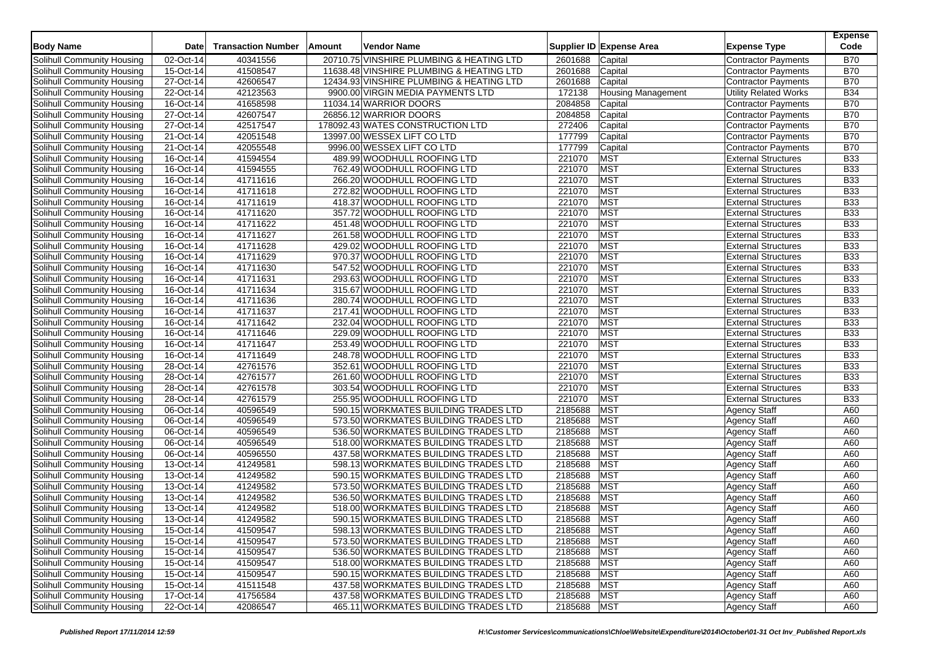| <b>Body Name</b>                  | Date        | <b>Transaction Number</b> | <b>Amount</b> | <b>Vendor Name</b>                                                                   |             | Supplier ID Expense Area  | <b>Expense Type</b>                        | <b>Expense</b><br>Code |
|-----------------------------------|-------------|---------------------------|---------------|--------------------------------------------------------------------------------------|-------------|---------------------------|--------------------------------------------|------------------------|
|                                   | 02-Oct-14   | 40341556                  |               | 20710.75 VINSHIRE PLUMBING & HEATING LTD                                             | 2601688     |                           |                                            | <b>B70</b>             |
| Solihull Community Housing        | 15-Oct-14   |                           |               |                                                                                      |             | Capital                   | <b>Contractor Payments</b>                 | <b>B70</b>             |
| Solihull Community Housing        |             | 41508547<br>42606547      |               | 11638.48 VINSHIRE PLUMBING & HEATING LTD<br>12434.93 VINSHIRE PLUMBING & HEATING LTD | 2601688     | Capital                   | <b>Contractor Payments</b>                 | <b>B70</b>             |
| Solihull Community Housing        | 27-Oct-14   |                           |               |                                                                                      | 2601688     | Capital                   | Contractor Payments                        |                        |
| Solihull Community Housing        | 22-Oct-14   | 42123563                  |               | 9900.00 VIRGIN MEDIA PAYMENTS LTD                                                    | 172138      | <b>Housing Management</b> | <b>Utility Related Works</b>               | <b>B34</b>             |
| Solihull Community Housing        | 16-Oct-14   | 41658598                  |               | 11034.14 WARRIOR DOORS                                                               | 2084858     | Capital                   | Contractor Payments                        | <b>B70</b>             |
| Solihull Community Housing        | 27-Oct-14   | 42607547                  |               | 26856.12 WARRIOR DOORS                                                               | 2084858     | Capital                   | <b>Contractor Payments</b>                 | <b>B70</b>             |
| Solihull Community Housing        | 27-Oct-14   | 42517547                  |               | 178092.43 WATES CONSTRUCTION LTD                                                     | 272406      | Capital                   | <b>Contractor Payments</b>                 | <b>B70</b>             |
| Solihull Community Housing        | 21-Oct-14   | 42051548                  |               | 13997.00 WESSEX LIFT CO LTD                                                          | 177799      | Capital                   | <b>Contractor Payments</b>                 | <b>B70</b>             |
| Solihull Community Housing        | 21-Oct-14   | 42055548                  |               | 9996.00 WESSEX LIFT CO LTD                                                           | 177799      | Capital                   | Contractor Payments                        | <b>B70</b>             |
| Solihull Community Housing        | 16-Oct-14   | 41594554                  |               | 489.99 WOODHULL ROOFING LTD                                                          | 221070      | <b>MST</b>                | <b>External Structures</b>                 | <b>B33</b>             |
| Solihull Community Housing        | 16-Oct-14   | 41594555                  |               | 762.49 WOODHULL ROOFING LTD                                                          | 221070      | <b>MST</b>                | <b>External Structures</b>                 | <b>B33</b>             |
| Solihull Community Housing        | 16-Oct-14   | 41711616                  |               | 266.20 WOODHULL ROOFING LTD                                                          | 221070      | <b>MST</b>                | <b>External Structures</b>                 | <b>B33</b>             |
| Solihull Community Housing        | 16-Oct-14   | 41711618                  |               | 272.82 WOODHULL ROOFING LTD                                                          | 221070      | <b>MST</b>                | <b>External Structures</b>                 | <b>B33</b>             |
| Solihull Community Housing        | 16-Oct-14   | 41711619                  |               | 418.37 WOODHULL ROOFING LTD                                                          | 221070      | <b>MST</b>                | <b>External Structures</b>                 | <b>B33</b>             |
| Solihull Community Housing        | 16-Oct-14   | 41711620                  |               | 357.72 WOODHULL ROOFING LTD                                                          | 221070      | <b>MST</b>                | <b>External Structures</b>                 | <b>B33</b>             |
| Solihull Community Housing        | 16-Oct-14   | 41711622                  |               | 451.48 WOODHULL ROOFING LTD                                                          | 221070      | <b>MST</b>                | <b>External Structures</b>                 | <b>B33</b>             |
| Solihull Community Housing        | 16-Oct-14   | 41711627                  |               | 261.58 WOODHULL ROOFING LTD                                                          | 221070      | <b>MST</b>                | <b>External Structures</b>                 | <b>B33</b>             |
| Solihull Community Housing        | 16-Oct-14   | 41711628                  |               | 429.02 WOODHULL ROOFING LTD                                                          | 221070      | <b>MST</b>                | <b>External Structures</b>                 | <b>B33</b>             |
| Solihull Community Housing        | 16-Oct-14   | 41711629                  |               | 970.37 WOODHULL ROOFING LTD                                                          | 221070      | <b>MST</b>                | <b>External Structures</b>                 | <b>B33</b>             |
| Solihull Community Housing        | 16-Oct-14   | 41711630                  |               | 547.52 WOODHULL ROOFING LTD                                                          | 221070      | <b>MST</b>                | <b>External Structures</b>                 | <b>B33</b>             |
| Solihull Community Housing        | $16-Oct-14$ | 41711631                  |               | 293.63 WOODHULL ROOFING LTD                                                          | 221070      | <b>MST</b>                | <b>External Structures</b>                 | <b>B33</b>             |
| Solihull Community Housing        | 16-Oct-14   | 41711634                  |               | 315.67 WOODHULL ROOFING LTD                                                          | 221070      | <b>MST</b>                | <b>External Structures</b>                 | <b>B33</b>             |
| Solihull Community Housing        | 16-Oct-14   | 41711636                  |               | 280.74 WOODHULL ROOFING LTD                                                          | 221070      | <b>MST</b>                | <b>External Structures</b>                 | <b>B33</b>             |
| Solihull Community Housing        | $16-Ort-14$ | 41711637                  |               | 217.41 WOODHULL ROOFING LTD                                                          | 221070      | <b>MST</b>                | <b>External Structures</b>                 | <b>B33</b>             |
| Solihull Community Housing        | 16-Oct-14   | 41711642                  |               | 232.04 WOODHULL ROOFING LTD                                                          | 221070      | <b>MST</b>                | <b>External Structures</b>                 | <b>B33</b>             |
| Solihull Community Housing        | 16-Oct-14   | 41711646                  |               | 229.09 WOODHULL ROOFING LTD                                                          | 221070      | <b>MST</b>                | <b>External Structures</b>                 | <b>B33</b>             |
| Solihull Community Housing        | 16-Oct-14   | 41711647                  |               | 253.49 WOODHULL ROOFING LTD                                                          | 221070      | <b>MST</b>                | <b>External Structures</b>                 | <b>B33</b>             |
| Solihull Community Housing        | 16-Oct-14   | 41711649                  |               | 248.78 WOODHULL ROOFING LTD                                                          | 221070      | <b>MST</b>                | <b>External Structures</b>                 | <b>B33</b>             |
| Solihull Community Housing        | 28-Oct-14   | 42761576                  |               | 352.61 WOODHULL ROOFING LTD                                                          | 221070      | <b>MST</b>                | <b>External Structures</b>                 | <b>B33</b>             |
| Solihull Community Housing        | 28-Oct-14   | 42761577                  |               | 261.60 WOODHULL ROOFING LTD                                                          | 221070      | <b>MST</b>                | <b>External Structures</b>                 | <b>B33</b>             |
| Solihull Community Housing        | 28-Oct-14   | 42761578                  |               | 303.54 WOODHULL ROOFING LTD                                                          | 221070      | <b>MST</b>                | <b>External Structures</b>                 | <b>B33</b>             |
| Solihull Community Housing        | 28-Oct-14   | 42761579                  |               | 255.95 WOODHULL ROOFING LTD                                                          | 221070      | <b>MST</b>                | <b>External Structures</b>                 | <b>B33</b>             |
| Solihull Community Housing        | 06-Oct-14   | 40596549                  |               | 590.15 WORKMATES BUILDING TRADES LTD                                                 | 2185688     | <b>MST</b>                | <b>Agency Staff</b>                        | A60                    |
| Solihull Community Housing        | 06-Oct-14   | 40596549                  |               | 573.50 WORKMATES BUILDING TRADES LTD                                                 | 2185688     | <b>MST</b>                | <b>Agency Staff</b>                        | A60                    |
| Solihull Community Housing        | 06-Oct-14   | 40596549                  |               | 536.50 WORKMATES BUILDING TRADES LTD                                                 | 2185688     | <b>MST</b>                | <b>Agency Staff</b>                        | A60                    |
| Solihull Community Housing        | 06-Oct-14   | 40596549                  |               | 518.00 WORKMATES BUILDING TRADES LTD                                                 | 2185688     | <b>MST</b>                | <b>Agency Staff</b>                        | A60                    |
| Solihull Community Housing        | $06-Cct-14$ | 40596550                  |               | 437.58 WORKMATES BUILDING TRADES LTD                                                 | 2185688     | <b>MST</b>                | <b>Agency Staff</b>                        | A60                    |
| Solihull Community Housing        | 13-Oct-14   | 41249581                  |               | 598.13 WORKMATES BUILDING TRADES LTD                                                 | 2185688     | <b>MST</b>                | <b>Agency Staff</b>                        | A60                    |
| Solihull Community Housing        | 13-Oct-14   | 41249582                  |               | 590.15 WORKMATES BUILDING TRADES LTD                                                 | 2185688     | <b>MST</b>                | <b>Agency Staff</b>                        | A60                    |
| Solihull Community Housing        | 13-Oct-14   | 41249582                  |               | 573.50 WORKMATES BUILDING TRADES LTD                                                 | 2185688     | <b>MST</b>                | <b>Agency Staff</b>                        | A60                    |
| Solihull Community Housing        | 13-Oct-14   | 41249582                  |               | 536.50 WORKMATES BUILDING TRADES LTD                                                 | 2185688     | <b>MST</b>                | <b>Agency Staff</b>                        | A60                    |
| Solihull Community Housing        | 13-Oct-14   | 41249582                  |               | 518.00 WORKMATES BUILDING TRADES LTD                                                 | 2185688     | <b>MST</b>                | <b>Agency Staff</b>                        | A60                    |
| Solihull Community Housing        | 13-Oct-14   | 41249582                  |               | 590.15 WORKMATES BUILDING TRADES LTD                                                 | 2185688     | <b>MST</b>                | <b>Agency Staff</b>                        | A60                    |
| Solihull Community Housing        | 15-Oct-14   | 41509547                  |               | 598.13 WORKMATES BUILDING TRADES LTD                                                 | 2185688 MST |                           | <b>Agency Staff</b>                        | A60                    |
| Solihull Community Housing        | 15-Oct-14   | 41509547                  |               | 573.50 WORKMATES BUILDING TRADES LTD                                                 | 2185688     | <b>MST</b>                |                                            | A60                    |
| Solihull Community Housing        | 15-Oct-14   | 41509547                  |               | 536.50 WORKMATES BUILDING TRADES LTD                                                 | 2185688     | <b>MST</b>                | <b>Agency Staff</b><br><b>Agency Staff</b> | A60                    |
| Solihull Community Housing        | 15-Oct-14   | 41509547                  |               | 518.00 WORKMATES BUILDING TRADES LTD                                                 | 2185688     | <b>MST</b>                | <b>Agency Staff</b>                        | A60                    |
| Solihull Community Housing        | 15-Oct-14   | 41509547                  |               | 590.15 WORKMATES BUILDING TRADES LTD                                                 | 2185688     | <b>MST</b>                | Agency Staff                               | A60                    |
| Solihull Community Housing        | 15-Oct-14   | 41511548                  |               | 437.58 WORKMATES BUILDING TRADES LTD                                                 | 2185688     | <b>MST</b>                |                                            | A60                    |
| <b>Solihull Community Housing</b> | 17-Oct-14   | 41756584                  |               | 437.58 WORKMATES BUILDING TRADES LTD                                                 | 2185688     | <b>MST</b>                | <b>Agency Staff</b>                        | A60                    |
|                                   |             |                           |               | 465.11 WORKMATES BUILDING TRADES LTD                                                 |             |                           | <b>Agency Staff</b>                        |                        |
| Solihull Community Housing        | 22-Oct-14   | 42086547                  |               |                                                                                      | 2185688     | <b>MST</b>                | <b>Agency Staff</b>                        | A60                    |